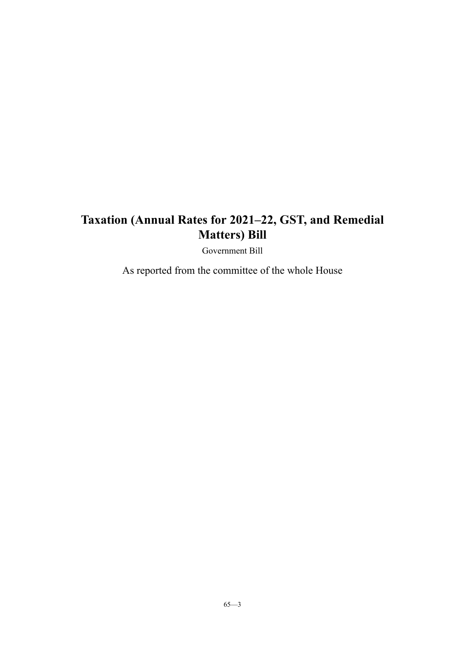Government Bill

As reported from the committee of the whole House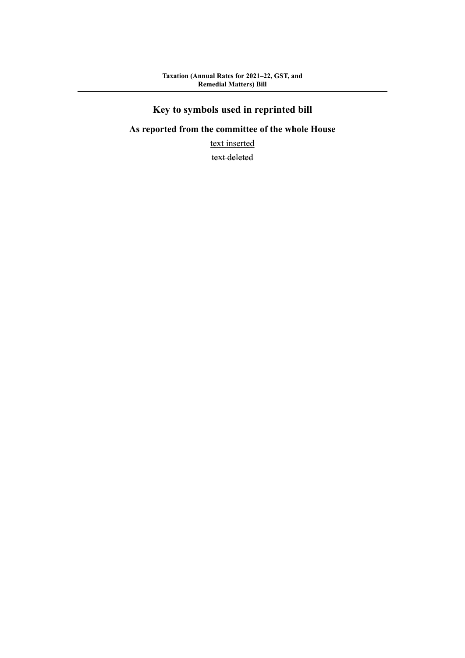# **Key to symbols used in reprinted bill**

# **As reported from the committee of the whole House**

text inserted

text deleted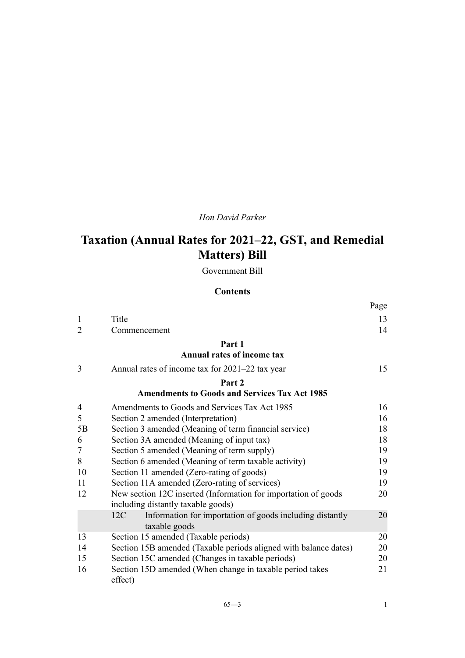# *Hon David Parker*

# **Taxation (Annual Rates for 2021–22, GST, and Remedial Matters) Bill**

Government Bill

### **Contents**

|                |                                                                  | Page |
|----------------|------------------------------------------------------------------|------|
| $\mathbf{1}$   | Title                                                            | 13   |
| $\overline{2}$ | Commencement                                                     | 14   |
|                | Part 1                                                           |      |
|                | <b>Annual rates of income tax</b>                                |      |
| 3              | Annual rates of income tax for 2021–22 tax year                  | 15   |
|                | Part 2                                                           |      |
|                | <b>Amendments to Goods and Services Tax Act 1985</b>             |      |
| 4              | Amendments to Goods and Services Tax Act 1985                    | 16   |
| 5              | Section 2 amended (Interpretation)                               | 16   |
| 5B             | Section 3 amended (Meaning of term financial service)            | 18   |
| 6              | Section 3A amended (Meaning of input tax)                        | 18   |
| $\tau$         | Section 5 amended (Meaning of term supply)                       | 19   |
| 8              | Section 6 amended (Meaning of term taxable activity)             | 19   |
| 10             | Section 11 amended (Zero-rating of goods)                        | 19   |
| 11             | Section 11A amended (Zero-rating of services)                    | 19   |
| 12             | New section 12C inserted (Information for importation of goods   | 20   |
|                | including distantly taxable goods)                               |      |
|                | 12C<br>Information for importation of goods including distantly  | 20   |
|                | taxable goods                                                    |      |
| 13             | Section 15 amended (Taxable periods)                             | 20   |
| 14             | Section 15B amended (Taxable periods aligned with balance dates) | 20   |
| 15             | Section 15C amended (Changes in taxable periods)                 | 20   |
| 16             | Section 15D amended (When change in taxable period takes         | 21   |
|                | effect)                                                          |      |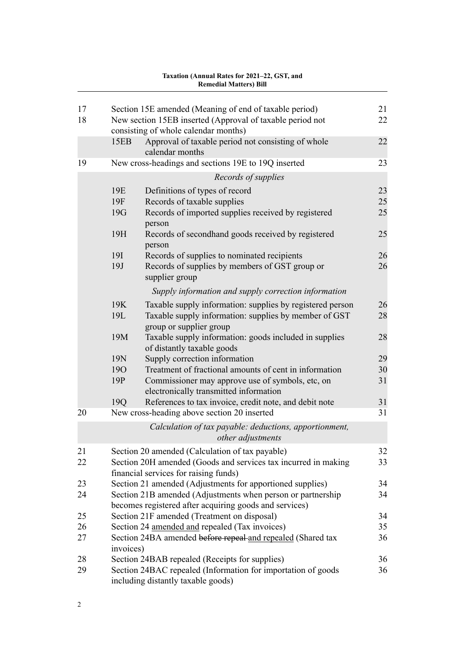| 17 |            | Section 15E amended (Meaning of end of taxable period)                                                                | 21 |
|----|------------|-----------------------------------------------------------------------------------------------------------------------|----|
| 18 |            | New section 15EB inserted (Approval of taxable period not<br>consisting of whole calendar months)                     | 22 |
|    | 15EB       | Approval of taxable period not consisting of whole<br>calendar months                                                 | 22 |
| 19 |            | New cross-headings and sections 19E to 19Q inserted                                                                   | 23 |
|    |            | Records of supplies                                                                                                   |    |
|    | 19E        | Definitions of types of record                                                                                        | 23 |
|    | 19F        | Records of taxable supplies                                                                                           | 25 |
|    | 19G        | Records of imported supplies received by registered<br>person                                                         | 25 |
|    | 19H        | Records of secondhand goods received by registered<br>person                                                          | 25 |
|    | <b>19I</b> | Records of supplies to nominated recipients                                                                           | 26 |
|    | 19J        | Records of supplies by members of GST group or<br>supplier group                                                      | 26 |
|    |            | Supply information and supply correction information                                                                  |    |
|    | 19K        | Taxable supply information: supplies by registered person                                                             | 26 |
|    | 19L        | Taxable supply information: supplies by member of GST<br>group or supplier group                                      | 28 |
|    | 19M        | Taxable supply information: goods included in supplies<br>of distantly taxable goods                                  | 28 |
|    | 19N        | Supply correction information                                                                                         | 29 |
|    | <b>190</b> | Treatment of fractional amounts of cent in information                                                                | 30 |
|    | 19P        | Commissioner may approve use of symbols, etc, on<br>electronically transmitted information                            | 31 |
|    | 19Q        | References to tax invoice, credit note, and debit note                                                                | 31 |
| 20 |            | New cross-heading above section 20 inserted                                                                           | 31 |
|    |            | Calculation of tax payable: deductions, apportionment,<br><i>other adjustments</i>                                    |    |
| 21 |            | Section 20 amended (Calculation of tax payable)                                                                       | 32 |
| 22 |            | Section 20H amended (Goods and services tax incurred in making<br>financial services for raising funds)               | 33 |
| 23 |            | Section 21 amended (Adjustments for apportioned supplies)                                                             | 34 |
| 24 |            | Section 21B amended (Adjustments when person or partnership<br>becomes registered after acquiring goods and services) | 34 |
| 25 |            | Section 21F amended (Treatment on disposal)                                                                           | 34 |
| 26 |            | Section 24 amended and repealed (Tax invoices)                                                                        | 35 |
| 27 | invoices)  | Section 24BA amended before repeal-and repealed (Shared tax                                                           | 36 |
| 28 |            | Section 24BAB repealed (Receipts for supplies)                                                                        | 36 |
| 29 |            | Section 24BAC repealed (Information for importation of goods<br>including distantly taxable goods)                    | 36 |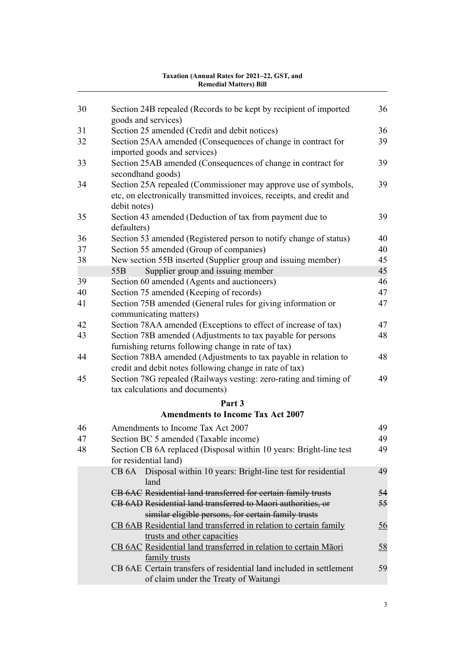| 30 | Section 24B repealed (Records to be kept by recipient of imported<br>goods and services)                                                                | 36               |
|----|---------------------------------------------------------------------------------------------------------------------------------------------------------|------------------|
| 31 | Section 25 amended (Credit and debit notices)                                                                                                           | 36               |
| 32 | Section 25AA amended (Consequences of change in contract for<br>imported goods and services)                                                            | 39               |
| 33 | Section 25AB amended (Consequences of change in contract for<br>secondhand goods)                                                                       | 39               |
| 34 | Section 25A repealed (Commissioner may approve use of symbols,<br>etc, on electronically transmitted invoices, receipts, and credit and<br>debit notes) | 39               |
| 35 | Section 43 amended (Deduction of tax from payment due to<br>defaulters)                                                                                 | 39               |
| 36 | Section 53 amended (Registered person to notify change of status)                                                                                       | 40               |
| 37 | Section 55 amended (Group of companies)                                                                                                                 | 40               |
| 38 | New section 55B inserted (Supplier group and issuing member)                                                                                            | 45               |
|    | Supplier group and issuing member<br>55 <sub>B</sub>                                                                                                    | 45               |
| 39 | Section 60 amended (Agents and auctioneers)                                                                                                             | 46               |
| 40 | Section 75 amended (Keeping of records)                                                                                                                 | 47               |
| 41 | Section 75B amended (General rules for giving information or<br>communicating matters)                                                                  | 47               |
| 42 | Section 78AA amended (Exceptions to effect of increase of tax)                                                                                          | 47               |
| 43 | Section 78B amended (Adjustments to tax payable for persons<br>furnishing returns following change in rate of tax)                                      | 48               |
| 44 | Section 78BA amended (Adjustments to tax payable in relation to<br>credit and debit notes following change in rate of tax)                              | 48               |
| 45 | Section 78G repealed (Railways vesting: zero-rating and timing of<br>tax calculations and documents)                                                    | 49               |
|    | Part 3                                                                                                                                                  |                  |
|    | <b>Amendments to Income Tax Act 2007</b>                                                                                                                |                  |
|    |                                                                                                                                                         |                  |
| 46 | Amendments to Income Tax Act 2007                                                                                                                       | 49               |
| 47 | Section BC 5 amended (Taxable income)                                                                                                                   | 49               |
| 48 | Section CB 6A replaced (Disposal within 10 years: Bright-line test<br>for residential land)                                                             | 49               |
|    | CB 6A Disposal within 10 years: Bright-line test for residential<br>land                                                                                | 49               |
|    | CB 6AC Residential land transferred for certain family trusts                                                                                           | 54               |
|    | CB 6AD Residential land transferred to Maori authorities, or                                                                                            | 55               |
|    | similar eligible persons, for certain family trusts                                                                                                     |                  |
|    | CB 6AB Residential land transferred in relation to certain family<br>trusts and other capacities                                                        | $\underline{56}$ |
|    | CB 6AC Residential land transferred in relation to certain Māori<br>family trusts                                                                       | 58               |
|    | CB 6AE Certain transfers of residential land included in settlement<br>of claim under the Treaty of Waitangi                                            | 59               |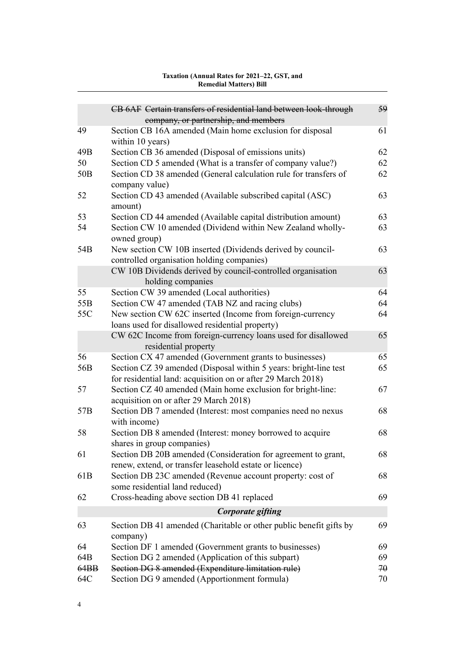| Taxation (Annual Rates for 2021–22, GST, and |  |
|----------------------------------------------|--|
| <b>Remedial Matters) Bill</b>                |  |

|                 | CB 6AF Certain transfers of residential land between look-through<br>company, or partnership, and members                        | 59 |
|-----------------|----------------------------------------------------------------------------------------------------------------------------------|----|
| 49              | Section CB 16A amended (Main home exclusion for disposal<br>within 10 years)                                                     | 61 |
| 49B             | Section CB 36 amended (Disposal of emissions units)                                                                              | 62 |
| 50              | Section CD 5 amended (What is a transfer of company value?)                                                                      | 62 |
| 50 <sub>B</sub> | Section CD 38 amended (General calculation rule for transfers of<br>company value)                                               | 62 |
| 52              | Section CD 43 amended (Available subscribed capital (ASC)<br>amount)                                                             | 63 |
| 53              | Section CD 44 amended (Available capital distribution amount)                                                                    | 63 |
| 54              | Section CW 10 amended (Dividend within New Zealand wholly-<br>owned group)                                                       | 63 |
| 54B             | New section CW 10B inserted (Dividends derived by council-<br>controlled organisation holding companies)                         | 63 |
|                 | CW 10B Dividends derived by council-controlled organisation<br>holding companies                                                 | 63 |
| 55              | Section CW 39 amended (Local authorities)                                                                                        | 64 |
| 55 <sub>B</sub> | Section CW 47 amended (TAB NZ and racing clubs)                                                                                  | 64 |
| 55C             | New section CW 62C inserted (Income from foreign-currency<br>loans used for disallowed residential property)                     | 64 |
|                 | CW 62C Income from foreign-currency loans used for disallowed<br>residential property                                            | 65 |
| 56              | Section CX 47 amended (Government grants to businesses)                                                                          | 65 |
| 56B             | Section CZ 39 amended (Disposal within 5 years: bright-line test<br>for residential land: acquisition on or after 29 March 2018) | 65 |
| 57              | Section CZ 40 amended (Main home exclusion for bright-line:<br>acquisition on or after 29 March 2018)                            | 67 |
| 57 <sub>B</sub> | Section DB 7 amended (Interest: most companies need no nexus<br>with income)                                                     | 68 |
| 58              | Section DB 8 amended (Interest: money borrowed to acquire<br>shares in group companies)                                          | 68 |
| 61              | Section DB 20B amended (Consideration for agreement to grant,<br>renew, extend, or transfer leasehold estate or licence)         | 68 |
| 61 <sub>B</sub> | Section DB 23C amended (Revenue account property: cost of<br>some residential land reduced)                                      | 68 |
| 62              | Cross-heading above section DB 41 replaced                                                                                       | 69 |
|                 | Corporate gifting                                                                                                                |    |
| 63              |                                                                                                                                  | 69 |
|                 | Section DB 41 amended (Charitable or other public benefit gifts by<br>company)                                                   |    |
| 64              | Section DF 1 amended (Government grants to businesses)                                                                           | 69 |
| 64B             | Section DG 2 amended (Application of this subpart)                                                                               | 69 |
| 64BB            | Section DG 8 amended (Expenditure limitation rule)                                                                               | 70 |
| 64C             | Section DG 9 amended (Apportionment formula)                                                                                     | 70 |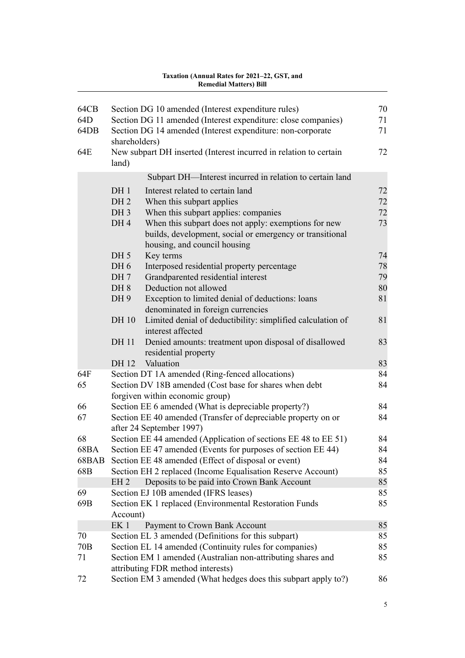| 64CB<br>64D<br>64DB<br>64E | shareholders)                                         | Section DG 10 amended (Interest expenditure rules)<br>Section DG 11 amended (Interest expenditure: close companies)<br>Section DG 14 amended (Interest expenditure: non-corporate<br>New subpart DH inserted (Interest incurred in relation to certain | 70<br>71<br>71<br>72 |
|----------------------------|-------------------------------------------------------|--------------------------------------------------------------------------------------------------------------------------------------------------------------------------------------------------------------------------------------------------------|----------------------|
|                            | land)                                                 |                                                                                                                                                                                                                                                        |                      |
|                            |                                                       | Subpart DH-Interest incurred in relation to certain land                                                                                                                                                                                               |                      |
|                            | DH <sub>1</sub><br>DH <sub>2</sub><br>DH <sub>3</sub> | Interest related to certain land<br>When this subpart applies<br>When this subpart applies: companies                                                                                                                                                  | 72<br>72<br>72       |
|                            | DH <sub>4</sub>                                       | When this subpart does not apply: exemptions for new<br>builds, development, social or emergency or transitional<br>housing, and council housing                                                                                                       | 73                   |
|                            | DH <sub>5</sub>                                       | Key terms                                                                                                                                                                                                                                              | 74                   |
|                            | DH <sub>6</sub>                                       | Interposed residential property percentage                                                                                                                                                                                                             | 78                   |
|                            | DH 7                                                  | Grandparented residential interest                                                                                                                                                                                                                     | 79                   |
|                            | DH <sub>8</sub>                                       | Deduction not allowed                                                                                                                                                                                                                                  | 80                   |
|                            | DH9                                                   | Exception to limited denial of deductions: loans                                                                                                                                                                                                       | 81                   |
|                            |                                                       | denominated in foreign currencies                                                                                                                                                                                                                      |                      |
|                            | DH 10                                                 | Limited denial of deductibility: simplified calculation of<br>interest affected                                                                                                                                                                        | 81                   |
|                            | DH 11                                                 | Denied amounts: treatment upon disposal of disallowed<br>residential property                                                                                                                                                                          | 83                   |
|                            | DH 12                                                 | Valuation                                                                                                                                                                                                                                              | 83                   |
| 64F                        |                                                       | Section DT 1A amended (Ring-fenced allocations)                                                                                                                                                                                                        | 84                   |
| 65                         |                                                       | Section DV 18B amended (Cost base for shares when debt                                                                                                                                                                                                 | 84                   |
|                            |                                                       | forgiven within economic group)                                                                                                                                                                                                                        |                      |
| 66                         |                                                       | Section EE 6 amended (What is depreciable property?)                                                                                                                                                                                                   | 84                   |
| 67                         |                                                       | Section EE 40 amended (Transfer of depreciable property on or<br>after 24 September 1997)                                                                                                                                                              | 84                   |
| 68                         |                                                       | Section EE 44 amended (Application of sections EE 48 to EE 51)                                                                                                                                                                                         | 84                   |
| 68BA                       |                                                       | Section EE 47 amended (Events for purposes of section EE 44)                                                                                                                                                                                           | 84                   |
| 68BAB                      |                                                       | Section EE 48 amended (Effect of disposal or event)                                                                                                                                                                                                    | 84                   |
| 68B                        |                                                       | Section EH 2 replaced (Income Equalisation Reserve Account)                                                                                                                                                                                            | 85                   |
|                            | EH <sub>2</sub>                                       | Deposits to be paid into Crown Bank Account                                                                                                                                                                                                            | 85                   |
| 69                         |                                                       | Section EJ 10B amended (IFRS leases)                                                                                                                                                                                                                   | 85                   |
| 69B                        | Account)                                              | Section EK 1 replaced (Environmental Restoration Funds                                                                                                                                                                                                 | 85                   |
|                            | EK <sub>1</sub>                                       | Payment to Crown Bank Account                                                                                                                                                                                                                          | 85                   |
| 70                         |                                                       | Section EL 3 amended (Definitions for this subpart)                                                                                                                                                                                                    | 85                   |
| 70B                        |                                                       | Section EL 14 amended (Continuity rules for companies)                                                                                                                                                                                                 | 85                   |
| 71                         |                                                       | Section EM 1 amended (Australian non-attributing shares and<br>attributing FDR method interests)                                                                                                                                                       | 85                   |
| 72                         |                                                       | Section EM 3 amended (What hedges does this subpart apply to?)                                                                                                                                                                                         | 86                   |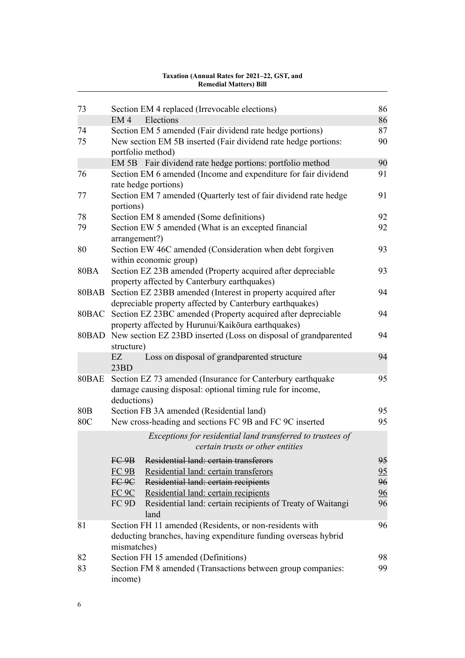| 73              | Section EM 4 replaced (Irrevocable elections)                                                                                                | 86             |  |
|-----------------|----------------------------------------------------------------------------------------------------------------------------------------------|----------------|--|
|                 | Elections<br>EM <sub>4</sub>                                                                                                                 | 86             |  |
| 74              | Section EM 5 amended (Fair dividend rate hedge portions)                                                                                     | 87             |  |
| 75              | New section EM 5B inserted (Fair dividend rate hedge portions:<br>portfolio method)                                                          | 90             |  |
|                 | EM 5B Fair dividend rate hedge portions: portfolio method                                                                                    | 90             |  |
| 76              | Section EM 6 amended (Income and expenditure for fair dividend<br>rate hedge portions)                                                       | 91             |  |
| 77              | Section EM 7 amended (Quarterly test of fair dividend rate hedge<br>portions)                                                                | 91             |  |
| 78              | Section EM 8 amended (Some definitions)                                                                                                      | 92             |  |
| 79              | Section EW 5 amended (What is an excepted financial<br>arrangement?)                                                                         | 92             |  |
| 80              | Section EW 46C amended (Consideration when debt forgiven                                                                                     | 93             |  |
|                 | within economic group)                                                                                                                       |                |  |
| <b>80BA</b>     | Section EZ 23B amended (Property acquired after depreciable<br>property affected by Canterbury earthquakes)                                  | 93             |  |
|                 | 80BAB Section EZ 23BB amended (Interest in property acquired after<br>depreciable property affected by Canterbury earthquakes)               | 94             |  |
|                 | 80BAC Section EZ 23BC amended (Property acquired after depreciable                                                                           | 94             |  |
|                 | property affected by Hurunui/Kaikōura earthquakes)                                                                                           |                |  |
|                 | 80BAD New section EZ 23BD inserted (Loss on disposal of grandparented<br>structure)                                                          | 94             |  |
|                 | Loss on disposal of grandparented structure<br>EZ<br>23BD                                                                                    | 94             |  |
|                 | 80BAE Section EZ 73 amended (Insurance for Canterbury earthquake<br>damage causing disposal: optional timing rule for income,<br>deductions) | 95             |  |
| 80 <sub>B</sub> | Section FB 3A amended (Residential land)                                                                                                     | 95             |  |
| 80C             | New cross-heading and sections FC 9B and FC 9C inserted                                                                                      | 95             |  |
|                 | Exceptions for residential land transferred to trustees of<br>certain trusts or other entities                                               |                |  |
|                 | Residential land: certain transferors<br>FC9B                                                                                                | 95             |  |
|                 | FC 9B<br>Residential land: certain transferors                                                                                               | 95             |  |
|                 | FC 9C<br>Residential land: certain recipients                                                                                                | 96             |  |
|                 | $FC$ 9 $C$<br>Residential land: certain recipients                                                                                           | $\frac{96}{9}$ |  |
|                 | FC 9D<br>Residential land: certain recipients of Treaty of Waitangi                                                                          | 96             |  |
|                 | land                                                                                                                                         |                |  |
| 81              | Section FH 11 amended (Residents, or non-residents with<br>deducting branches, having expenditure funding overseas hybrid<br>mismatches)     | 96             |  |
| 82              | Section FH 15 amended (Definitions)                                                                                                          | 98             |  |
| 83              | Section FM 8 amended (Transactions between group companies:                                                                                  | 99             |  |
|                 | income)                                                                                                                                      |                |  |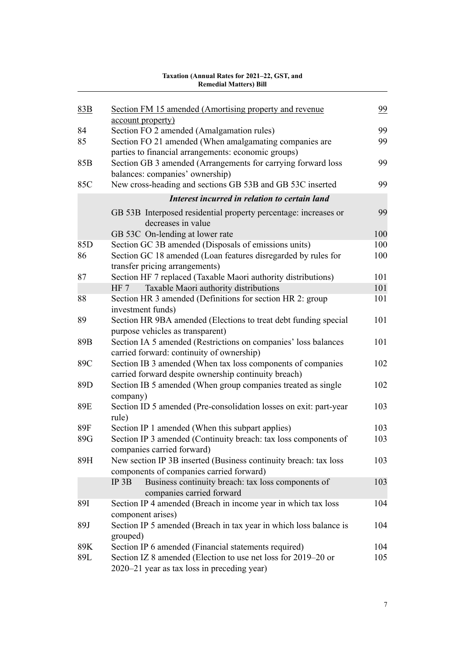| 83B             | Section FM 15 amended (Amortising property and revenue<br>account property)                                         | 99  |
|-----------------|---------------------------------------------------------------------------------------------------------------------|-----|
| 84              | Section FO 2 amended (Amalgamation rules)                                                                           | 99  |
| 85              | Section FO 21 amended (When amalgamating companies are<br>parties to financial arrangements: economic groups)       | 99  |
| 85B             | Section GB 3 amended (Arrangements for carrying forward loss<br>balances: companies' ownership)                     | 99  |
| 85C             | New cross-heading and sections GB 53B and GB 53C inserted                                                           | 99  |
|                 | Interest incurred in relation to certain land                                                                       |     |
|                 | GB 53B Interposed residential property percentage: increases or<br>decreases in value                               | 99  |
|                 | GB 53C On-lending at lower rate                                                                                     | 100 |
| 85 <sub>D</sub> | Section GC 3B amended (Disposals of emissions units)                                                                | 100 |
| 86              | Section GC 18 amended (Loan features disregarded by rules for<br>transfer pricing arrangements)                     | 100 |
| 87              | Section HF 7 replaced (Taxable Maori authority distributions)                                                       | 101 |
|                 | Taxable Maori authority distributions<br>HF 7                                                                       | 101 |
| 88              | Section HR 3 amended (Definitions for section HR 2: group<br>investment funds)                                      | 101 |
| 89              | Section HR 9BA amended (Elections to treat debt funding special<br>purpose vehicles as transparent)                 | 101 |
| 89B             | Section IA 5 amended (Restrictions on companies' loss balances<br>carried forward: continuity of ownership)         | 101 |
| 89C             | Section IB 3 amended (When tax loss components of companies<br>carried forward despite ownership continuity breach) | 102 |
| 89 <sub>D</sub> | Section IB 5 amended (When group companies treated as single<br>company)                                            | 102 |
| 89E             | Section ID 5 amended (Pre-consolidation losses on exit: part-year<br>rule)                                          | 103 |
| 89F             | Section IP 1 amended (When this subpart applies)                                                                    | 103 |
| 89G             | Section IP 3 amended (Continuity breach: tax loss components of                                                     | 103 |
|                 | companies carried forward)                                                                                          |     |
| 89H             | New section IP 3B inserted (Business continuity breach: tax loss<br>components of companies carried forward)        | 103 |
|                 | IP 3B<br>Business continuity breach: tax loss components of<br>companies carried forward                            | 103 |
| <b>89I</b>      | Section IP 4 amended (Breach in income year in which tax loss<br>component arises)                                  | 104 |
| 89J             | Section IP 5 amended (Breach in tax year in which loss balance is<br>grouped)                                       | 104 |
| 89K             | Section IP 6 amended (Financial statements required)                                                                | 104 |
| 89L             | Section IZ 8 amended (Election to use net loss for 2019–20 or<br>2020–21 year as tax loss in preceding year)        | 105 |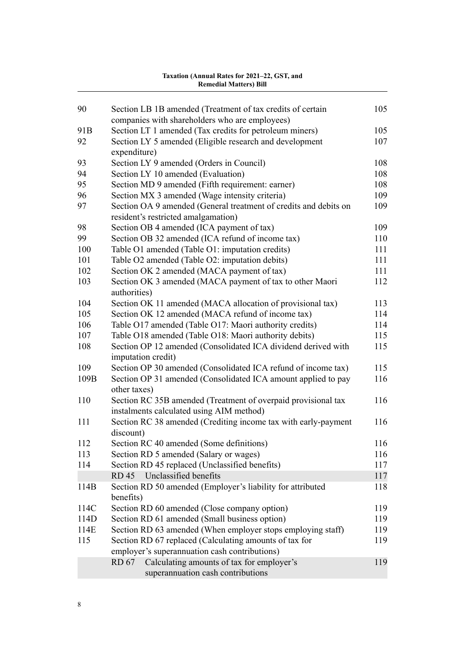#### [Section LB 1B amended \(Treatment of tax credits of certain](#page-108-0) [companies with shareholders who are employees\)](#page-108-0) [91B](#page-108-0) [Section LT 1 amended \(Tax credits for petroleum miners\)](#page-108-0) [105](#page-108-0) [Section LY 5 amended \(Eligible research and development](#page-110-0) [expenditure\)](#page-110-0) [Section LY 9 amended \(Orders in Council\)](#page-111-0) [108](#page-111-0) [Section LY 10 amended \(Evaluation\)](#page-111-0) [108](#page-111-0) [Section MD 9 amended \(Fifth requirement: earner\)](#page-111-0) [108](#page-111-0) [Section MX 3 amended \(Wage intensity criteria\)](#page-112-0) [109](#page-112-0) [Section OA 9 amended \(General treatment of credits and debits on](#page-112-0) [resident's restricted amalgamation\)](#page-112-0) [Section OB 4 amended \(ICA payment of tax\)](#page-112-0) [109](#page-112-0) [Section OB 32 amended \(ICA refund of income tax\)](#page-113-0) [110](#page-113-0) [Table O1 amended \(Table O1: imputation credits\)](#page-114-0) [111](#page-114-0) [Table O2 amended \(Table O2: imputation debits\)](#page-114-0) [111](#page-114-0) [Section OK 2 amended \(MACA payment of tax\)](#page-114-0) [111](#page-114-0) [Section OK 3 amended \(MACA payment of tax to other Maori](#page-115-0) [authorities\)](#page-115-0) [Section OK 11 amended \(MACA allocation of provisional tax\)](#page-116-0) [113](#page-116-0) [Section OK 12 amended \(MACA refund of income tax\)](#page-117-0) [114](#page-117-0) [Table O17 amended \(Table O17: Maori authority credits\)](#page-117-0) [114](#page-117-0) [Table O18 amended \(Table O18: Maori authority debits\)](#page-118-0) [115](#page-118-0) [Section OP 12 amended \(Consolidated ICA dividend derived with](#page-118-0) [imputation credit\)](#page-118-0) [Section OP 30 amended \(Consolidated ICA refund of income tax\)](#page-118-0) [115](#page-118-0) [109B](#page-119-0) [Section OP 31 amended \(Consolidated ICA amount applied to pay](#page-119-0) [other taxes\)](#page-119-0) [Section RC 35B amended \(Treatment of overpaid provisional tax](#page-119-0) [instalments calculated using AIM method\)](#page-119-0) [Section RC 38 amended \(Crediting income tax with early-payment](#page-119-0) [discount\)](#page-119-0) [Section RC 40 amended \(Some definitions\)](#page-119-0) [116](#page-119-0) [Section RD 5 amended \(Salary or wages\)](#page-119-0) [116](#page-119-0) [Section RD 45 replaced \(Unclassified benefits\)](#page-120-0) [117](#page-120-0) [RD 45](#page-120-0) [Unclassified benefits](#page-120-0) [117](#page-120-0) [114B](#page-121-0) [Section RD 50 amended \(Employer's liability for attributed](#page-121-0) [benefits\)](#page-121-0) [114C](#page-122-0) [Section RD 60 amended \(Close company option\)](#page-122-0) [119](#page-122-0) [114D](#page-122-0) [Section RD 61 amended \(Small business option\)](#page-122-0) [119](#page-122-0) [114E](#page-122-0) [Section RD 63 amended \(When employer stops employing staff\)](#page-122-0) [119](#page-122-0) [Section RD 67 replaced \(Calculating amounts of tax for](#page-122-0) [employer's superannuation cash contributions\)](#page-122-0) [RD 67](#page-122-0) [Calculating amounts of tax for employer's](#page-122-0) [superannuation cash contributions](#page-122-0)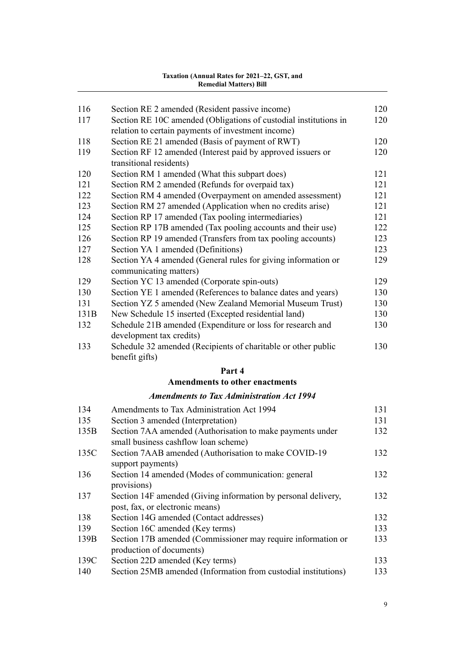| 116  | Section RE 2 amended (Resident passive income)                   | 120 |
|------|------------------------------------------------------------------|-----|
| 117  | Section RE 10C amended (Obligations of custodial institutions in | 120 |
|      | relation to certain payments of investment income)               |     |
| 118  | Section RE 21 amended (Basis of payment of RWT)                  | 120 |
| 119  | Section RF 12 amended (Interest paid by approved issuers or      | 120 |
|      | transitional residents)                                          |     |
| 120  | Section RM 1 amended (What this subpart does)                    | 121 |
| 121  | Section RM 2 amended (Refunds for overpaid tax)                  | 121 |
| 122  | Section RM 4 amended (Overpayment on amended assessment)         | 121 |
| 123  | Section RM 27 amended (Application when no credits arise)        | 121 |
| 124  | Section RP 17 amended (Tax pooling intermediaries)               | 121 |
| 125  | Section RP 17B amended (Tax pooling accounts and their use)      | 122 |
| 126  | Section RP 19 amended (Transfers from tax pooling accounts)      | 123 |
| 127  | Section YA 1 amended (Definitions)                               | 123 |
| 128  | Section YA 4 amended (General rules for giving information or    | 129 |
|      | communicating matters)                                           |     |
| 129  | Section YC 13 amended (Corporate spin-outs)                      | 129 |
| 130  | Section YE 1 amended (References to balance dates and years)     | 130 |
| 131  | Section YZ 5 amended (New Zealand Memorial Museum Trust)         | 130 |
| 131B | New Schedule 15 inserted (Excepted residential land)             | 130 |
| 132  | Schedule 21B amended (Expenditure or loss for research and       | 130 |
|      | development tax credits)                                         |     |
| 133  | Schedule 32 amended (Recipients of charitable or other public    | 130 |
|      | benefit gifts)                                                   |     |
|      | Part 4                                                           |     |
|      | <b>Amendments to other enactments</b>                            |     |
|      | <b>Amendments to Tax Administration Act 1994</b>                 |     |
| 134  | Amendments to Tax Administration Act 1994                        | 131 |
| 135  | Section 3 amended (Interpretation)                               | 131 |
| 135B | Section 7AA amended (Authorisation to make payments under        | 132 |
|      | small business cashflow loan scheme)                             |     |
| 135C | Section 7AAB amended (Authorisation to make COVID-19             | 132 |
|      | support payments)                                                |     |
| 136  | Section 14 amended (Modes of communication: general              | 132 |
|      | provisions)                                                      |     |
| 137  | Section 14F amended (Giving information by personal delivery,    | 132 |
|      | post, fax, or electronic means)                                  |     |
| 138  | Section 14G amended (Contact addresses)                          | 132 |
| 139  | Section 16C amended (Key terms)                                  | 133 |
| 139B | Section 17B amended (Commissioner may require information or     | 133 |
|      | production of documents)                                         |     |
| 139C | Section 22D amended (Key terms)                                  | 133 |
| 140  | Section 25MB amended (Information from custodial institutions)   | 133 |
|      |                                                                  |     |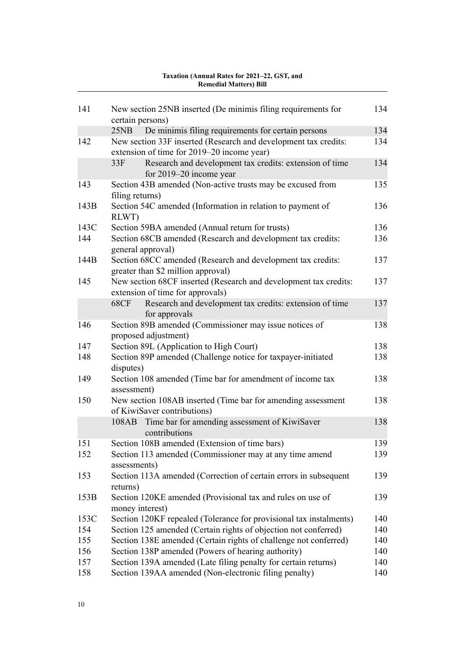# [141](#page-137-0) [New section 25NB inserted \(De minimis filing requirements for](#page-137-0) **Taxation (Annual Rates for 2021–22, GST, and Remedial Matters) Bill**

| 141  | New section 25NB inserted (De minimis filing requirements for<br>certain persons)                    | 134 |
|------|------------------------------------------------------------------------------------------------------|-----|
|      | 25NB<br>De minimis filing requirements for certain persons                                           | 134 |
| 142  | New section 33F inserted (Research and development tax credits:                                      | 134 |
|      | extension of time for 2019–20 income year)                                                           |     |
|      | 33F<br>Research and development tax credits: extension of time<br>for 2019–20 income year            | 134 |
| 143  | Section 43B amended (Non-active trusts may be excused from<br>filing returns)                        | 135 |
| 143B | Section 54C amended (Information in relation to payment of<br>RLWT)                                  | 136 |
| 143C | Section 59BA amended (Annual return for trusts)                                                      | 136 |
| 144  | Section 68CB amended (Research and development tax credits:<br>general approval)                     | 136 |
| 144B | Section 68CC amended (Research and development tax credits:<br>greater than \$2 million approval)    | 137 |
| 145  | New section 68CF inserted (Research and development tax credits:<br>extension of time for approvals) | 137 |
|      | Research and development tax credits: extension of time<br><b>68CF</b><br>for approvals              | 137 |
| 146  | Section 89B amended (Commissioner may issue notices of<br>proposed adjustment)                       | 138 |
| 147  | Section 89L (Application to High Court)                                                              | 138 |
| 148  | Section 89P amended (Challenge notice for taxpayer-initiated<br>disputes)                            | 138 |
| 149  | Section 108 amended (Time bar for amendment of income tax<br>assessment)                             | 138 |
| 150  | New section 108AB inserted (Time bar for amending assessment<br>of KiwiSaver contributions)          | 138 |
|      | Time bar for amending assessment of KiwiSaver<br>108AB<br>contributions                              | 138 |
| 151  | Section 108B amended (Extension of time bars)                                                        | 139 |
| 152  | Section 113 amended (Commissioner may at any time amend<br>assessments)                              | 139 |
| 153  | Section 113A amended (Correction of certain errors in subsequent<br>returns)                         | 139 |
| 153B | Section 120KE amended (Provisional tax and rules on use of<br>money interest)                        | 139 |
| 153C | Section 120KF repealed (Tolerance for provisional tax instalments)                                   | 140 |
| 154  | Section 125 amended (Certain rights of objection not conferred)                                      | 140 |
| 155  | Section 138E amended (Certain rights of challenge not conferred)                                     | 140 |
| 156  | Section 138P amended (Powers of hearing authority)                                                   | 140 |
| 157  | Section 139A amended (Late filing penalty for certain returns)                                       | 140 |
| 158  | Section 139AA amended (Non-electronic filing penalty)                                                | 140 |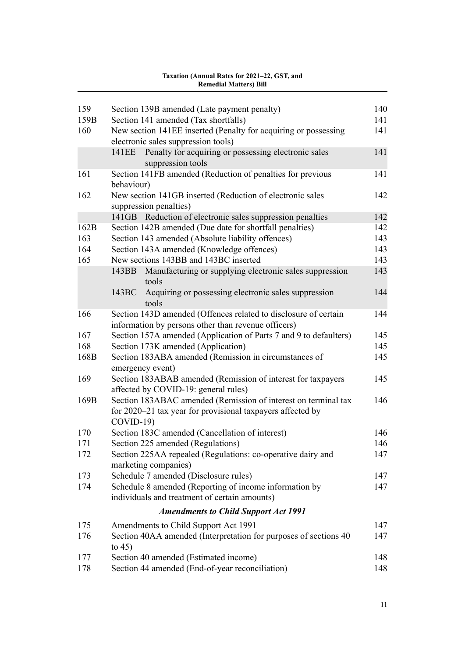| 159  | Section 139B amended (Late payment penalty)                                                                                                | 140 |
|------|--------------------------------------------------------------------------------------------------------------------------------------------|-----|
| 159B | Section 141 amended (Tax shortfalls)                                                                                                       | 141 |
| 160  | New section 141EE inserted (Penalty for acquiring or possessing<br>electronic sales suppression tools)                                     | 141 |
|      | Penalty for acquiring or possessing electronic sales<br>141EE<br>suppression tools                                                         | 141 |
| 161  | Section 141FB amended (Reduction of penalties for previous<br>behaviour)                                                                   | 141 |
| 162  | New section 141GB inserted (Reduction of electronic sales<br>suppression penalties)                                                        | 142 |
|      | 141GB Reduction of electronic sales suppression penalties                                                                                  | 142 |
| 162B | Section 142B amended (Due date for shortfall penalties)                                                                                    | 142 |
| 163  | Section 143 amended (Absolute liability offences)                                                                                          | 143 |
| 164  | Section 143A amended (Knowledge offences)                                                                                                  | 143 |
| 165  | New sections 143BB and 143BC inserted                                                                                                      | 143 |
|      | Manufacturing or supplying electronic sales suppression<br>143BB<br>tools                                                                  | 143 |
|      | 143BC<br>Acquiring or possessing electronic sales suppression<br>tools                                                                     | 144 |
| 166  | Section 143D amended (Offences related to disclosure of certain                                                                            | 144 |
|      | information by persons other than revenue officers)                                                                                        |     |
| 167  | Section 157A amended (Application of Parts 7 and 9 to defaulters)                                                                          | 145 |
| 168  | Section 173K amended (Application)                                                                                                         | 145 |
| 168B | Section 183ABA amended (Remission in circumstances of<br>emergency event)                                                                  | 145 |
| 169  | Section 183ABAB amended (Remission of interest for taxpayers<br>affected by COVID-19: general rules)                                       | 145 |
| 169B | Section 183ABAC amended (Remission of interest on terminal tax<br>for 2020–21 tax year for provisional taxpayers affected by<br>$COVID-19$ | 146 |
| 170  | Section 183C amended (Cancellation of interest)                                                                                            | 146 |
| 171  | Section 225 amended (Regulations)                                                                                                          | 146 |
| 172  | Section 225AA repealed (Regulations: co-operative dairy and<br>marketing companies)                                                        | 147 |
| 173  | Schedule 7 amended (Disclosure rules)                                                                                                      | 147 |
| 174  | Schedule 8 amended (Reporting of income information by<br>individuals and treatment of certain amounts)                                    | 147 |
|      | <b>Amendments to Child Support Act 1991</b>                                                                                                |     |
| 175  | Amendments to Child Support Act 1991                                                                                                       | 147 |
| 176  | Section 40AA amended (Interpretation for purposes of sections 40<br>to $45)$                                                               | 147 |
| 177  | Section 40 amended (Estimated income)                                                                                                      | 148 |
| 178  | Section 44 amended (End-of-year reconciliation)                                                                                            | 148 |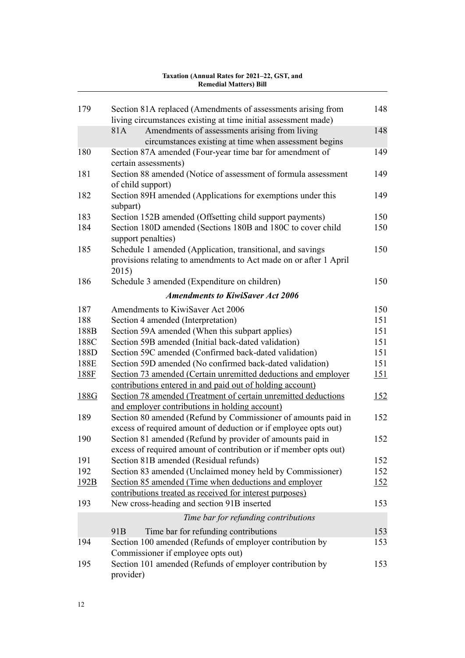| 179         | Section 81A replaced (Amendments of assessments arising from<br>living circumstances existing at time initial assessment made)   | 148         |
|-------------|----------------------------------------------------------------------------------------------------------------------------------|-------------|
|             | Amendments of assessments arising from living<br>81A<br>circumstances existing at time when assessment begins                    | 148         |
| 180         | Section 87A amended (Four-year time bar for amendment of<br>certain assessments)                                                 | 149         |
| 181         | Section 88 amended (Notice of assessment of formula assessment<br>of child support)                                              | 149         |
| 182         | Section 89H amended (Applications for exemptions under this<br>subpart)                                                          | 149         |
| 183         | Section 152B amended (Offsetting child support payments)                                                                         | 150         |
| 184         | Section 180D amended (Sections 180B and 180C to cover child<br>support penalties)                                                | 150         |
| 185         | Schedule 1 amended (Application, transitional, and savings                                                                       | 150         |
|             | provisions relating to amendments to Act made on or after 1 April<br>2015)                                                       |             |
| 186         | Schedule 3 amended (Expenditure on children)                                                                                     | 150         |
|             | <b>Amendments to KiwiSaver Act 2006</b>                                                                                          |             |
| 187         | Amendments to KiwiSaver Act 2006                                                                                                 | 150         |
| 188         | Section 4 amended (Interpretation)                                                                                               | 151         |
| 188B        | Section 59A amended (When this subpart applies)                                                                                  | 151         |
| 188C        | Section 59B amended (Initial back-dated validation)                                                                              | 151         |
| 188D        | Section 59C amended (Confirmed back-dated validation)                                                                            | 151         |
| 188E        | Section 59D amended (No confirmed back-dated validation)                                                                         | 151         |
| <u>188F</u> | Section 73 amended (Certain unremitted deductions and employer<br>contributions entered in and paid out of holding account)      | <u>151</u>  |
| 188G        | Section 78 amended (Treatment of certain unremitted deductions<br>and employer contributions in holding account)                 | 152         |
| 189         | Section 80 amended (Refund by Commissioner of amounts paid in<br>excess of required amount of deduction or if employee opts out) | 152         |
| 190         | Section 81 amended (Refund by provider of amounts paid in<br>excess of required amount of contribution or if member opts out)    | 152         |
| 191         | Section 81B amended (Residual refunds)                                                                                           | 152         |
| 192         | Section 83 amended (Unclaimed money held by Commissioner)                                                                        | 152         |
| 192B        | Section 85 amended (Time when deductions and employer<br>contributions treated as received for interest purposes)                | <u> 152</u> |
| 193         | New cross-heading and section 91B inserted                                                                                       | 153         |
|             | Time bar for refunding contributions                                                                                             |             |
|             | 91 <sub>B</sub><br>Time bar for refunding contributions                                                                          | 153         |
| 194         | Section 100 amended (Refunds of employer contribution by<br>Commissioner if employee opts out)                                   | 153         |
| 195         | Section 101 amended (Refunds of employer contribution by<br>provider)                                                            | 153         |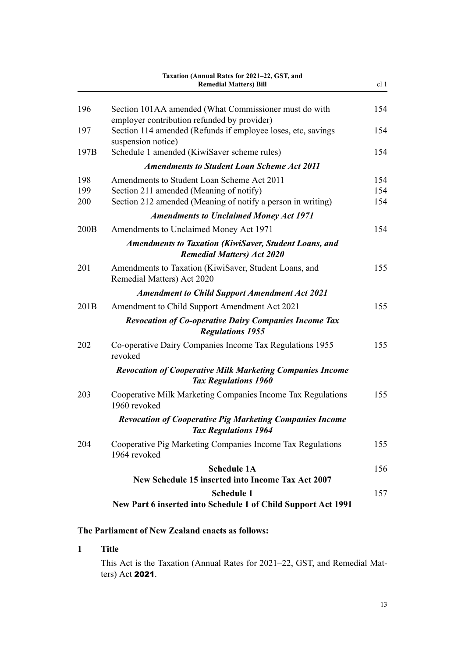<span id="page-16-0"></span>

|      | Taxation (Annual Rates for 2021-22, GST, and<br><b>Remedial Matters) Bill</b>                        | cl 1 |
|------|------------------------------------------------------------------------------------------------------|------|
| 196  | Section 101AA amended (What Commissioner must do with<br>employer contribution refunded by provider) | 154  |
| 197  | Section 114 amended (Refunds if employee loses, etc, savings<br>suspension notice)                   | 154  |
| 197B | Schedule 1 amended (KiwiSaver scheme rules)                                                          | 154  |
|      | <b>Amendments to Student Loan Scheme Act 2011</b>                                                    |      |
| 198  | Amendments to Student Loan Scheme Act 2011                                                           | 154  |
| 199  | Section 211 amended (Meaning of notify)                                                              | 154  |
| 200  | Section 212 amended (Meaning of notify a person in writing)                                          | 154  |
|      | <b>Amendments to Unclaimed Money Act 1971</b>                                                        |      |
| 200B | Amendments to Unclaimed Money Act 1971                                                               | 154  |
|      | <b>Amendments to Taxation (KiwiSaver, Student Loans, and</b><br><b>Remedial Matters) Act 2020</b>    |      |
| 201  | Amendments to Taxation (KiwiSaver, Student Loans, and<br>Remedial Matters) Act 2020                  | 155  |
|      | <b>Amendment to Child Support Amendment Act 2021</b>                                                 |      |
| 201B | Amendment to Child Support Amendment Act 2021                                                        | 155  |
|      | <b>Revocation of Co-operative Dairy Companies Income Tax</b><br><b>Regulations 1955</b>              |      |
| 202  | Co-operative Dairy Companies Income Tax Regulations 1955<br>revoked                                  | 155  |
|      | <b>Revocation of Cooperative Milk Marketing Companies Income</b><br><b>Tax Regulations 1960</b>      |      |
| 203  | Cooperative Milk Marketing Companies Income Tax Regulations<br>1960 revoked                          | 155  |
|      | <b>Revocation of Cooperative Pig Marketing Companies Income</b><br><b>Tax Regulations 1964</b>       |      |
| 204  | Cooperative Pig Marketing Companies Income Tax Regulations<br>1964 revoked                           | 155  |
|      | <b>Schedule 1A</b>                                                                                   | 156  |
|      | <b>New Schedule 15 inserted into Income Tax Act 2007</b>                                             |      |
|      | <b>Schedule 1</b><br>New Part 6 inserted into Schedule 1 of Child Support Act 1991                   | 157  |

# **The Parliament of New Zealand enacts as follows:**

## **1 Title**

This Act is the Taxation (Annual Rates for 2021–22, GST, and Remedial Matters) Act 2021.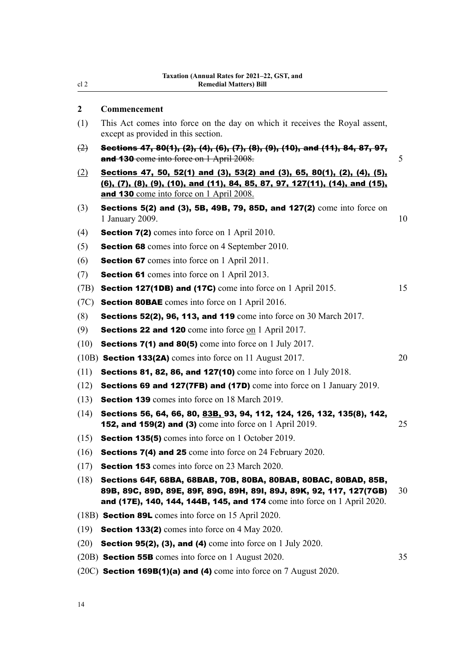### **2 Commencement**

- (1) This Act comes into force on the day on which it receives the Royal assent, except as provided in this section.
- $(2)$  Sections 47, 80(1), (2), (4), (6), (7), (8), (9), (10), and (11), 84, 87, 97, and 130 come into force on 1 April 2008. 5
- (2) Sections 47, 50, 52(1) and (3), 53(2) and (3), 65, 80(1), (2), (4), (5), (6), (7), (8), (9), (10), and (11), 84, 85, 87, 97, 127(11), (14), and (15), and 130 come into force on 1 April 2008.
- (3) Sections 5(2) and (3), 5B, 49B, 79, 85D, and 127(2) come into force on 1 January 2009. 10
- (4) **Section 7(2)** comes into force on 1 April 2010.
- (5) Section 68 comes into force on 4 September 2010.
- (6) Section 67 comes into force on 1 April 2011.
- (7) Section 61 comes into force on 1 April 2013.
- (7B) Section 127(1DB) and (17C) come into force on 1 April 2015. 15
- (7C) Section 80BAE comes into force on 1 April 2016.
- **(8) Sections 52(2), 96, 113, and 119** come into force on 30 March 2017.
- (9) Sections 22 and 120 come into force on 1 April 2017.
- (10) Sections 7(1) and 80(5) come into force on 1 July 2017.
- $(10B)$  Section 133(2A) comes into force on 11 August 2017.  $20$
- (11) Sections 81, 82, 86, and 127(10) come into force on 1 July 2018.
- (12) Sections 69 and 127(7FB) and (17D) come into force on 1 January 2019.
- (13) Section 139 comes into force on 18 March 2019.
- (14) Sections 56, 64, 66, 80, 83B, 93, 94, 112, 124, 126, 132, 135(8), 142, **152, and 159(2) and (3)** come into force on 1 April 2019. 25
- (15) Section 135(5) comes into force on 1 October 2019.
- (16) Sections 7(4) and 25 come into force on 24 February 2020.
- (17) Section 153 comes into force on 23 March 2020.
- (18) Sections 64F, 68BA, 68BAB, 70B, 80BA, 80BAB, 80BAC, 80BAD, 85B, 89B, 89C, 89D, 89E, 89F, 89G, 89H, 89I, 89J, 89K, 92, 117, 127(7GB) 30 and (17E), 140, 144, 144B, 145, and 174 come into force on 1 April 2020.
- (18B) Section 89L comes into force on 15 April 2020.
- (19) Section 133(2) comes into force on 4 May 2020.
- $(20)$  Section 95(2), (3), and (4) come into force on 1 July 2020.
- (20B) **Section 55B** comes into force on 1 August 2020. 35
- $(20C)$  Section 169B(1)(a) and (4) come into force on 7 August 2020.

<span id="page-17-0"></span>cl 2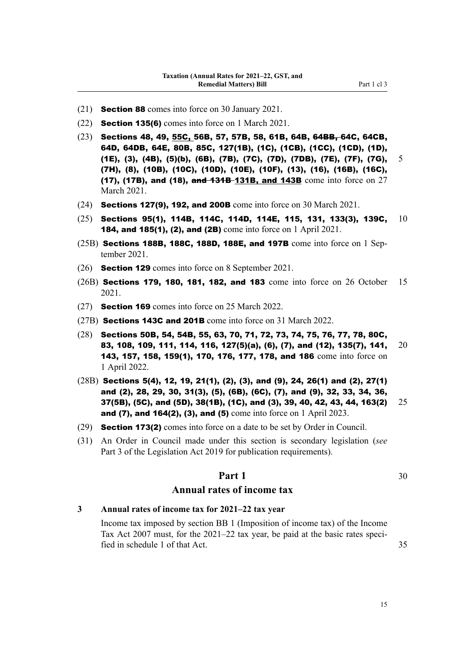- <span id="page-18-0"></span>(21) Section 88 comes into force on 30 January 2021.
- (22) Section 135(6) comes into force on 1 March 2021.
- (23) Sections 48, 49, 55C, 56B, 57, 57B, 58, 61B, 64B, 64BB, 64C, 64CB, 64D, 64DB, 64E, 80B, 85C, 127(1B), (1C), (1CB), (1CC), (1CD), (1D), (1E), (3), (4B), (5)(b), (6B), (7B), (7C), (7D), (7DB), (7E), (7F), (7G), 5 (7H), (8), (10B), (10C), (10D), (10E), (10F), (13), (16), (16B), (16C), (17), (17B), and (18), and  $131B-131B$ , and  $143B$  come into force on  $27$ March 2021.
- $(24)$  Sections 127(9), 192, and 200B come into force on 30 March 2021.
- $(25)$  Sections 95(1), 114B, 114C, 114D, 114E, 115, 131, 133(3), 139C,  $10$ 184, and 185(1), (2), and (2B) come into force on 1 April 2021.
- (25B) Sections 188B, 188C, 188D, 188E, and 197B come into force on 1 September 2021.
- (26) Section 129 comes into force on 8 September 2021.
- (26B) Sections 179, 180, 181, 182, and 183 come into force on 26 October 15 2021.
- (27) Section 169 comes into force on 25 March 2022.
- (27B) Sections 143C and 201B come into force on 31 March 2022.
- (28) Sections 50B, 54, 54B, 55, 63, 70, 71, 72, 73, 74, 75, 76, 77, 78, 80C, 83, 108, 109, 111, 114, 116, 127(5)(a), (6), (7), and (12), 135(7), 141, 20 143, 157, 158, 159(1), 170, 176, 177, 178, and 186 come into force on 1 April 2022.
- $(28B)$  Sections 5(4), 12, 19, 21(1), (2), (3), and (9), 24, 26(1) and (2), 27(1) and (2), 28, 29, 30, 31(3), (5), (6B), (6C), (7), and (9), 32, 33, 34, 36, 37(5B), (5C), and (5D), 38(1B), (1C), and (3), 39, 40, 42, 43, 44, 163(2)  $25$ and (7), and 164(2), (3), and (5) come into force on 1 April 2023.
- (29) Section 173(2) comes into force on a date to be set by Order in Council.
- (31) An Order in Council made under this section is secondary legislation (*see* Part 3 of the Legislation Act 2019 for publication requirements).

# **Part 1** 30

### **Annual rates of income tax**

#### **3 Annual rates of income tax for 2021–22 tax year**

Income tax imposed by section BB 1 (Imposition of income tax) of the Income Tax Act 2007 must, for the 2021–22 tax year, be paid at the basic rates specified in schedule 1 of that Act. 35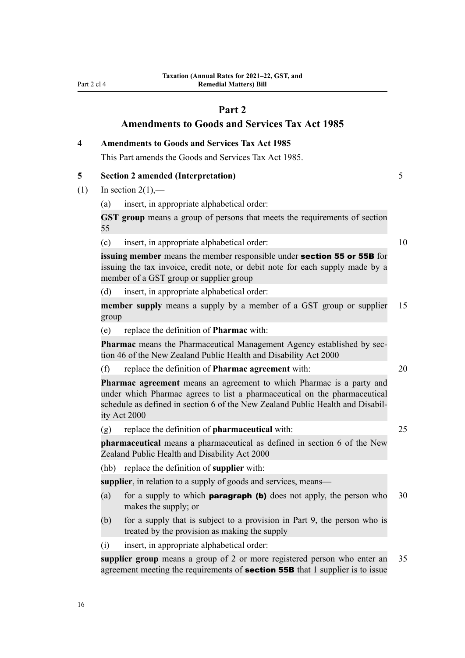<span id="page-19-0"></span>Part 2 cl 4

# **Part 2**

# **Amendments to Goods and Services Tax Act 1985**

**4 Amendments to Goods and Services Tax Act 1985** This Part amends the Goods and Services Tax Act 1985. **5 Section 2 amended (Interpretation)** 5 (1) In section  $2(1)$ ,— (a) insert, in appropriate alphabetical order: **GST group** means a group of persons that meets the requirements of section 55 (c) insert, in appropriate alphabetical order: 10 **issuing member** means the member responsible under section 55 or 55B for issuing the tax invoice, credit note, or debit note for each supply made by a member of a GST group or supplier group (d) insert, in appropriate alphabetical order: **member supply** means a supply by a member of a GST group or supplier 15 group (e) replace the definition of **Pharmac** with: **Pharmac** means the Pharmaceutical Management Agency established by sec‐ tion 46 of the New Zealand Public Health and Disability Act 2000 (f) replace the definition of **Pharmac agreement** with: 20 **Pharmac agreement** means an agreement to which Pharmac is a party and under which Pharmac agrees to list a pharmaceutical on the pharmaceutical schedule as defined in section 6 of the New Zealand Public Health and Disabil‐ ity Act 2000 (g) replace the definition of **pharmaceutical** with: 25 **pharmaceutical** means a pharmaceutical as defined in section 6 of the New Zealand Public Health and Disability Act 2000 (hb) replace the definition of **supplier** with: **supplier**, in relation to a supply of goods and services, means— (a) for a supply to which **paragraph (b)** does not apply, the person who  $30$ makes the supply; or (b) for a supply that is subject to a provision in Part 9, the person who is treated by the provision as making the supply (i) insert, in appropriate alphabetical order: **supplier group** means a group of 2 or more registered person who enter an 35 agreement meeting the requirements of **section 55B** that 1 supplier is to issue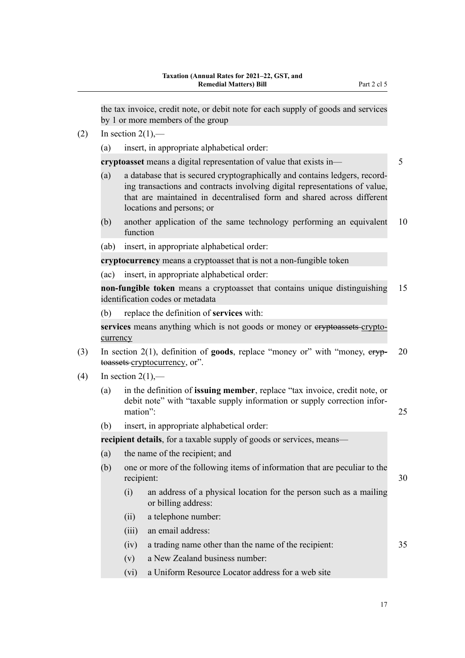the tax invoice, credit note, or debit note for each supply of goods and services by 1 or more members of the group

- $(2)$  In section  $2(1)$ ,—
	- (a) insert, in appropriate alphabetical order:

**cryptoasset** means a digital representation of value that exists in—

- (a) a database that is secured cryptographically and contains ledgers, record‐ ing transactions and contracts involving digital representations of value, that are maintained in decentralised form and shared across different locations and persons; or
- (b) another application of the same technology performing an equivalent 10 function
- (ab) insert, in appropriate alphabetical order:

**cryptocurrency** means a cryptoasset that is not a non-fungible token

(ac) insert, in appropriate alphabetical order:

**non-fungible token** means a cryptoasset that contains unique distinguishing 15 identification codes or metadata

(b) replace the definition of **services** with:

services means anything which is not goods or money or ervptoassets cryptocurrency

- (3) In section 2(1), definition of **goods**, replace "money or" with "money, cryp‐ 20 toassets cryptocurrency, or".
- $(4)$  In section  $2(1)$ ,—
	- (a) in the definition of **issuing member**, replace "tax invoice, credit note, or debit note" with "taxable supply information or supply correction infor‐ mation": 25
	- (b) insert, in appropriate alphabetical order:

**recipient details**, for a taxable supply of goods or services, means—

- (a) the name of the recipient; and
- (b) one or more of the following items of information that are peculiar to the recipient: 30
	- (i) an address of a physical location for the person such as a mailing or billing address:
	- (ii) a telephone number:
	- (iii) an email address:
	- (iv) a trading name other than the name of the recipient: 35
	- (v) a New Zealand business number:
	- (vi) a Uniform Resource Locator address for a web site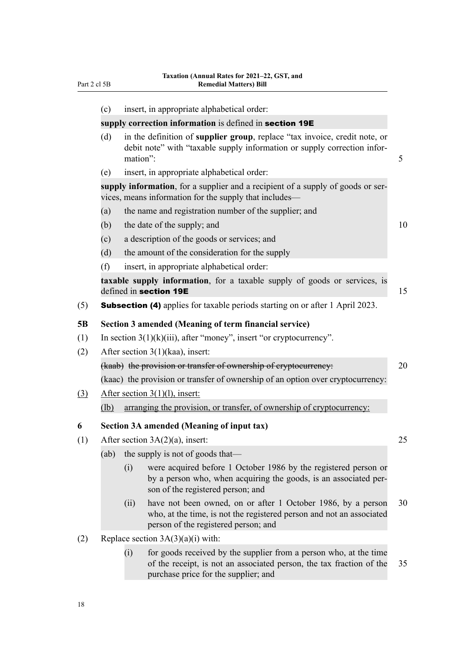<span id="page-21-0"></span>

|     | (c)  |                                                         | insert, in appropriate alphabetical order:                                                                                                                                        |    |  |
|-----|------|---------------------------------------------------------|-----------------------------------------------------------------------------------------------------------------------------------------------------------------------------------|----|--|
|     |      | supply correction information is defined in section 19E |                                                                                                                                                                                   |    |  |
|     | (d)  | mation":                                                | in the definition of supplier group, replace "tax invoice, credit note, or<br>debit note" with "taxable supply information or supply correction infor-                            | 5  |  |
|     | (e)  |                                                         | insert, in appropriate alphabetical order:                                                                                                                                        |    |  |
|     |      |                                                         | supply information, for a supplier and a recipient of a supply of goods or ser-<br>vices, means information for the supply that includes-                                         |    |  |
|     | (a)  |                                                         | the name and registration number of the supplier; and                                                                                                                             |    |  |
|     | (b)  |                                                         | the date of the supply; and                                                                                                                                                       | 10 |  |
|     | (c)  |                                                         | a description of the goods or services; and                                                                                                                                       |    |  |
|     | (d)  |                                                         | the amount of the consideration for the supply                                                                                                                                    |    |  |
|     | (f)  |                                                         | insert, in appropriate alphabetical order:                                                                                                                                        |    |  |
|     |      |                                                         | taxable supply information, for a taxable supply of goods or services, is<br>defined in section 19E                                                                               | 15 |  |
| (5) |      |                                                         | <b>Subsection (4)</b> applies for taxable periods starting on or after 1 April 2023.                                                                                              |    |  |
| 5B  |      |                                                         | Section 3 amended (Meaning of term financial service)                                                                                                                             |    |  |
| (1) |      |                                                         | In section $3(1)(k)(iii)$ , after "money", insert "or cryptocurrency".                                                                                                            |    |  |
| (2) |      |                                                         | After section $3(1)$ (kaa), insert:                                                                                                                                               |    |  |
|     |      |                                                         | (kaab) the provision or transfer of ownership of cryptocurrency:                                                                                                                  | 20 |  |
|     |      |                                                         | (kaac) the provision or transfer of ownership of an option over cryptocurrency:                                                                                                   |    |  |
| (3) |      |                                                         | After section $3(1)(1)$ , insert:                                                                                                                                                 |    |  |
|     | (lb) |                                                         | arranging the provision, or transfer, of ownership of cryptocurrency:                                                                                                             |    |  |
| 6   |      |                                                         | <b>Section 3A amended (Meaning of input tax)</b>                                                                                                                                  |    |  |
| (1) |      |                                                         | After section $3A(2)(a)$ , insert:                                                                                                                                                | 25 |  |
|     | (ab) |                                                         | the supply is not of goods that—                                                                                                                                                  |    |  |
|     |      | (i)                                                     | were acquired before 1 October 1986 by the registered person or<br>by a person who, when acquiring the goods, is an associated per-<br>son of the registered person; and          |    |  |
|     |      | (ii)                                                    | have not been owned, on or after 1 October 1986, by a person<br>who, at the time, is not the registered person and not an associated<br>person of the registered person; and      | 30 |  |
| (2) |      |                                                         | Replace section $3A(3)(a)(i)$ with:                                                                                                                                               |    |  |
|     |      | (i)                                                     | for goods received by the supplier from a person who, at the time<br>of the receipt, is not an associated person, the tax fraction of the<br>purchase price for the supplier; and | 35 |  |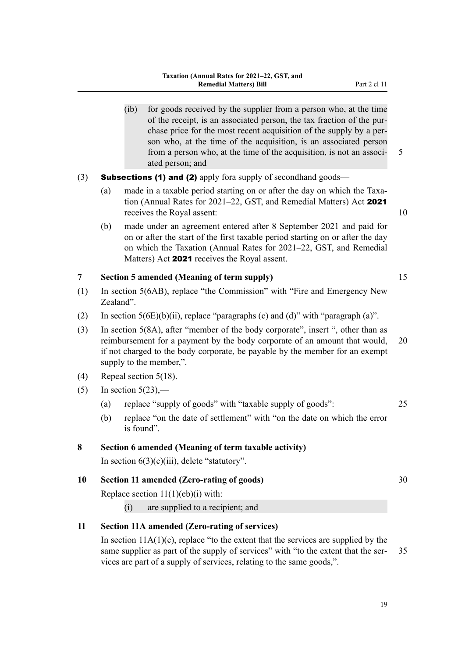- <span id="page-22-0"></span>(ib) for goods received by the supplier from a person who, at the time of the receipt, is an associated person, the tax fraction of the pur‐ chase price for the most recent acquisition of the supply by a per‐ son who, at the time of the acquisition, is an associated person from a person who, at the time of the acquisition, is not an associ- 5 ated person; and
- (3) **Subsections (1) and (2)** apply fora supply of secondhand goods—
	- (a) made in a taxable period starting on or after the day on which the Taxation (Annual Rates for 2021–22, GST, and Remedial Matters) Act 2021 receives the Royal assent: 10
	- (b) made under an agreement entered after 8 September 2021 and paid for on or after the start of the first taxable period starting on or after the day on which the Taxation (Annual Rates for 2021–22, GST, and Remedial Matters) Act 2021 receives the Royal assent.

### **7 Section 5 amended (Meaning of term supply)** 15

- (1) In section 5(6AB), replace "the Commission" with "Fire and Emergency New Zealand".
- (2) In section  $5(6E)(b)(ii)$ , replace "paragraphs (c) and (d)" with "paragraph (a)".
- (3) In section 5(8A), after "member of the body corporate", insert ", other than as reimbursement for a payment by the body corporate of an amount that would, 20 if not charged to the body corporate, be payable by the member for an exempt supply to the member,".
- (4) Repeal section 5(18).
- $(5)$  In section 5(23),—
	- (a) replace "supply of goods" with "taxable supply of goods": 25
	- (b) replace "on the date of settlement" with "on the date on which the error is found".

### **8 Section 6 amended (Meaning of term taxable activity)**

In section  $6(3)(c)(iii)$ , delete "statutory".

## **10 Section 11 amended (Zero-rating of goods)** 30

Replace section  $11(1)(eb)(i)$  with:

(i) are supplied to a recipient; and

## **11 Section 11A amended (Zero-rating of services)**

In section  $11A(1)(c)$ , replace "to the extent that the services are supplied by the same supplier as part of the supply of services" with "to the extent that the ser-<br>35 vices are part of a supply of services, relating to the same goods,".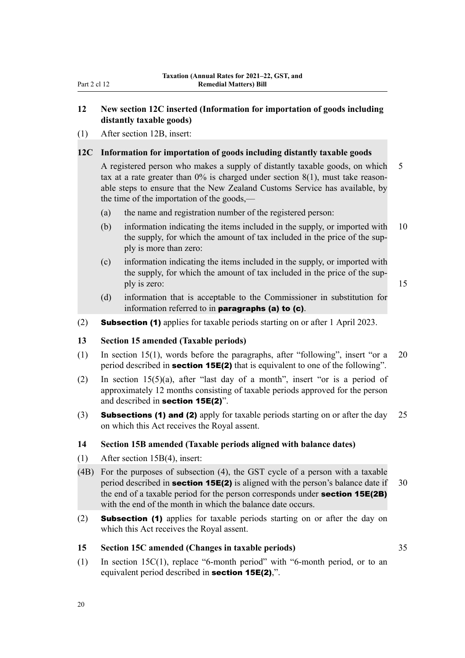## <span id="page-23-0"></span>**12 New section 12C inserted (Information for importation of goods including distantly taxable goods)**

(1) After section 12B, insert:

### **12C Information for importation of goods including distantly taxable goods**

A registered person who makes a supply of distantly taxable goods, on which 5 tax at a rate greater than  $0\%$  is charged under section  $8(1)$ , must take reasonable steps to ensure that the New Zealand Customs Service has available, by the time of the importation of the goods,—

- (a) the name and registration number of the registered person:
- (b) information indicating the items included in the supply, or imported with 10 the supply, for which the amount of tax included in the price of the sup‐ ply is more than zero:
- (c) information indicating the items included in the supply, or imported with the supply, for which the amount of tax included in the price of the supply is zero: 15

- (d) information that is acceptable to the Commissioner in substitution for information referred to in paragraphs (a) to (c).
- (2) Subsection (1) applies for taxable periods starting on or after 1 April 2023.

## **13 Section 15 amended (Taxable periods)**

- (1) In section 15(1), words before the paragraphs, after "following", insert "or a 20 period described in **section 15E(2)** that is equivalent to one of the following".
- (2) In section 15(5)(a), after "last day of a month", insert "or is a period of approximately 12 months consisting of taxable periods approved for the person and described in section 15E(2)".
- (3) **Subsections (1) and (2)** apply for taxable periods starting on or after the day 25 on which this Act receives the Royal assent.

### **14 Section 15B amended (Taxable periods aligned with balance dates)**

- (1) After section 15B(4), insert:
- (4B) For the purposes of subsection (4), the GST cycle of a person with a taxable period described in **section 15E(2)** is aligned with the person's balance date if  $30$ the end of a taxable period for the person corresponds under **section 15E(2B)** with the end of the month in which the balance date occurs.
- (2) Subsection (1) applies for taxable periods starting on or after the day on which this Act receives the Royal assent.

### **15 Section 15C amended (Changes in taxable periods)** 35

(1) In section 15C(1), replace "6-month period" with "6-month period, or to an equivalent period described in section 15E(2),".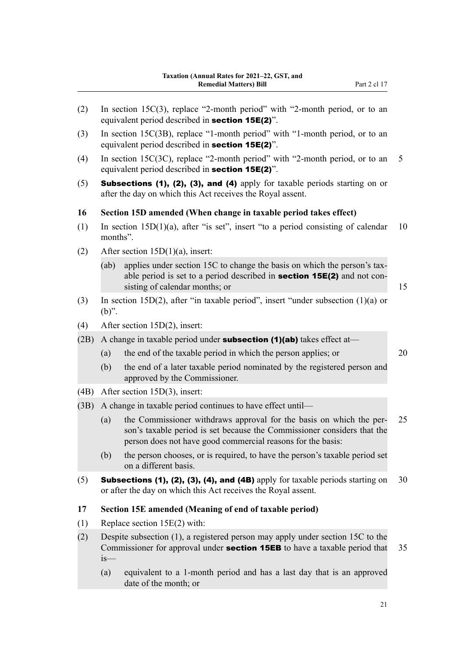<span id="page-24-0"></span>(2) In section 15C(3), replace "2-month period" with "2-month period, or to an equivalent period described in section 15E(2)". (3) In section 15C(3B), replace "1-month period" with "1-month period, or to an equivalent period described in section 15E(2)". (4) In section 15C(3C), replace "2-month period" with "2-month period, or to an 5 equivalent period described in section 15E(2)". (5) Subsections (1), (2), (3), and (4) apply for taxable periods starting on or after the day on which this Act receives the Royal assent. **16 Section 15D amended (When change in taxable period takes effect)** (1) In section  $15D(1)(a)$ , after "is set", insert "to a period consisting of calendar 10 months". (2) After section 15D(1)(a), insert: (ab) applies under section 15C to change the basis on which the person's taxable period is set to a period described in **section 15E(2)** and not consisting of calendar months; or 15 (3) In section 15D(2), after "in taxable period", insert "under subsection (1)(a) or (b)". (4) After section 15D(2), insert: (2B) A change in taxable period under **subsection (1)(ab)** takes effect at— (a) the end of the taxable period in which the person applies; or 20 (b) the end of a later taxable period nominated by the registered person and approved by the Commissioner. (4B) After section 15D(3), insert: (3B) A change in taxable period continues to have effect until— (a) the Commissioner withdraws approval for the basis on which the per- 25 son's taxable period is set because the Commissioner considers that the person does not have good commercial reasons for the basis: (b) the person chooses, or is required, to have the person's taxable period set on a different basis. (5) Subsections (1), (2), (3), (4), and (4B) apply for taxable periods starting on  $30$ or after the day on which this Act receives the Royal assent. **17 Section 15E amended (Meaning of end of taxable period)** (1) Replace section 15E(2) with: (2) Despite subsection (1), a registered person may apply under section 15C to the Commissioner for approval under **section 15EB** to have a taxable period that 35 is— (a) equivalent to a 1-month period and has a last day that is an approved date of the month; or 21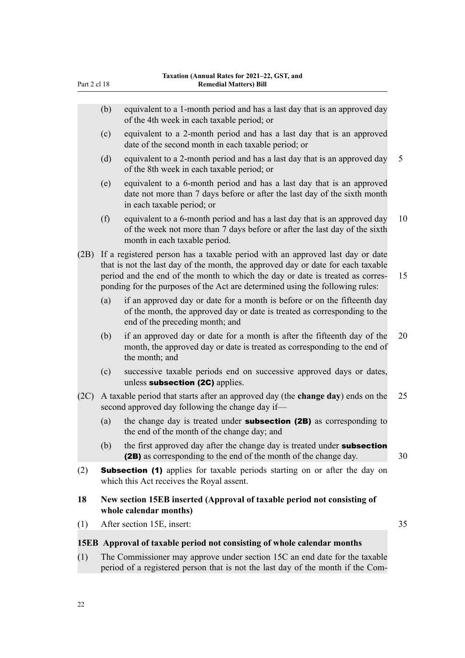<span id="page-25-0"></span>

| Part 2 cl 18 |                                                                                                   | <b>Remedial Matters) Bill</b>                                                                                                                                                                                                                                                                                                        |    |  |
|--------------|---------------------------------------------------------------------------------------------------|--------------------------------------------------------------------------------------------------------------------------------------------------------------------------------------------------------------------------------------------------------------------------------------------------------------------------------------|----|--|
|              | (b)                                                                                               | equivalent to a 1-month period and has a last day that is an approved day<br>of the 4th week in each taxable period; or                                                                                                                                                                                                              |    |  |
|              | (c)                                                                                               | equivalent to a 2-month period and has a last day that is an approved<br>date of the second month in each taxable period; or                                                                                                                                                                                                         |    |  |
|              | (d)                                                                                               | equivalent to a 2-month period and has a last day that is an approved day<br>of the 8th week in each taxable period; or                                                                                                                                                                                                              | 5  |  |
|              | (e)                                                                                               | equivalent to a 6-month period and has a last day that is an approved<br>date not more than 7 days before or after the last day of the sixth month<br>in each taxable period; or                                                                                                                                                     |    |  |
|              | (f)                                                                                               | equivalent to a 6-month period and has a last day that is an approved day<br>of the week not more than 7 days before or after the last day of the sixth<br>month in each taxable period.                                                                                                                                             | 10 |  |
| (2B)         |                                                                                                   | If a registered person has a taxable period with an approved last day or date<br>that is not the last day of the month, the approved day or date for each taxable<br>period and the end of the month to which the day or date is treated as corres-<br>ponding for the purposes of the Act are determined using the following rules: | 15 |  |
|              | (a)                                                                                               | if an approved day or date for a month is before or on the fifteenth day<br>of the month, the approved day or date is treated as corresponding to the<br>end of the preceding month; and                                                                                                                                             |    |  |
|              | (b)                                                                                               | if an approved day or date for a month is after the fifteenth day of the<br>month, the approved day or date is treated as corresponding to the end of<br>the month; and                                                                                                                                                              | 20 |  |
|              | (c)                                                                                               | successive taxable periods end on successive approved days or dates,<br>unless subsection (2C) applies.                                                                                                                                                                                                                              |    |  |
| (2C)         |                                                                                                   | A taxable period that starts after an approved day (the change day) ends on the<br>second approved day following the change day if-                                                                                                                                                                                                  | 25 |  |
|              | (a)                                                                                               | the change day is treated under <b>subsection (2B)</b> as corresponding to<br>the end of the month of the change day; and                                                                                                                                                                                                            |    |  |
|              | (b)                                                                                               | the first approved day after the change day is treated under subsection<br>(2B) as corresponding to the end of the month of the change day.                                                                                                                                                                                          | 30 |  |
| (2)          |                                                                                                   | <b>Subsection (1)</b> applies for taxable periods starting on or after the day on<br>which this Act receives the Royal assent.                                                                                                                                                                                                       |    |  |
| 18           | New section 15EB inserted (Approval of taxable period not consisting of<br>whole calendar months) |                                                                                                                                                                                                                                                                                                                                      |    |  |
| (1)          |                                                                                                   | After section 15E, insert:                                                                                                                                                                                                                                                                                                           | 35 |  |
|              |                                                                                                   | 15EB Approval of taxable period not consisting of whole calendar months                                                                                                                                                                                                                                                              |    |  |
|              |                                                                                                   |                                                                                                                                                                                                                                                                                                                                      |    |  |

(1) The Commissioner may approve under section 15C an end date for the taxable period of a registered person that is not the last day of the month if the Com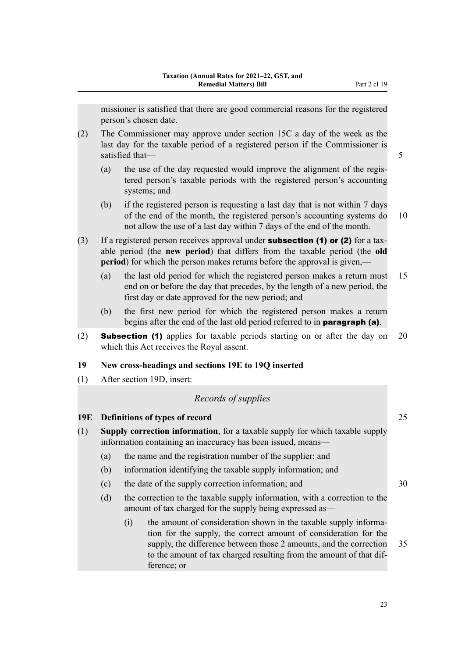<span id="page-26-0"></span>missioner is satisfied that there are good commercial reasons for the registered person's chosen date.

- (2) The Commissioner may approve under section 15C a day of the week as the last day for the taxable period of a registered person if the Commissioner is satisfied that — 5 and 5 and 5 and 5 and 5 and 5 and 5 and 5 and 5 and 5 and 5 and 5 and 5 and 5 and 5 and 5 and 5 and 5 and 5 and 5 and 5 and 5 and 5 and 5 and 5 and 5 and 5 and 5 and 5 and 5 and 5 and 5 and 5 and 5 and 5
	- (a) the use of the day requested would improve the alignment of the regis‐ tered person's taxable periods with the registered person's accounting systems; and
	- (b) if the registered person is requesting a last day that is not within 7 days of the end of the month, the registered person's accounting systems do 10 not allow the use of a last day within 7 days of the end of the month.
- (3) If a registered person receives approval under **subsection (1) or (2)** for a taxable period (the **new period**) that differs from the taxable period (the **old period**) for which the person makes returns before the approval is given,—
	- (a) the last old period for which the registered person makes a return must 15 end on or before the day that precedes, by the length of a new period, the first day or date approved for the new period; and
	- (b) the first new period for which the registered person makes a return begins after the end of the last old period referred to in **paragraph (a)**.
- (2) Subsection (1) applies for taxable periods starting on or after the day on 20 which this Act receives the Royal assent.

### **19 New cross-headings and sections 19E to 19Q inserted**

(1) After section 19D, insert:

# *Records of supplies*

### **19E Definitions of types of record** 25

- (1) **Supply correction information**, for a taxable supply for which taxable supply information containing an inaccuracy has been issued, means—
	- (a) the name and the registration number of the supplier; and
	- (b) information identifying the taxable supply information; and
	- (c) the date of the supply correction information; and 30
	- (d) the correction to the taxable supply information, with a correction to the amount of tax charged for the supply being expressed as—
		- (i) the amount of consideration shown in the taxable supply information for the supply, the correct amount of consideration for the supply, the difference between those 2 amounts, and the correction 35 to the amount of tax charged resulting from the amount of that dif‐ ference; or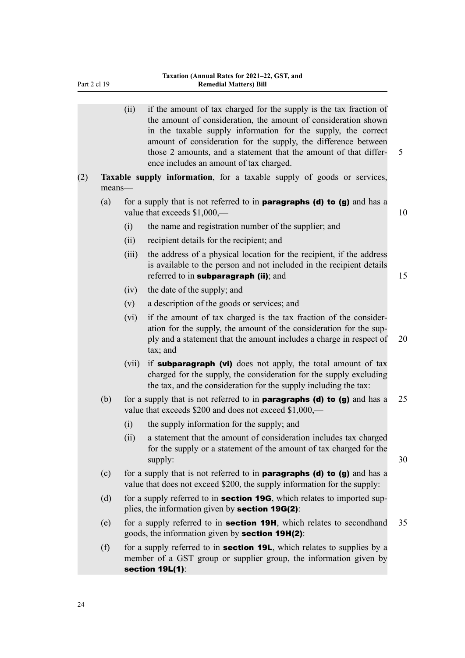|     |        | (ii)  | if the amount of tax charged for the supply is the tax fraction of<br>the amount of consideration, the amount of consideration shown<br>in the taxable supply information for the supply, the correct<br>amount of consideration for the supply, the difference between<br>those 2 amounts, and a statement that the amount of that differ-<br>ence includes an amount of tax charged. | 5  |
|-----|--------|-------|----------------------------------------------------------------------------------------------------------------------------------------------------------------------------------------------------------------------------------------------------------------------------------------------------------------------------------------------------------------------------------------|----|
| (2) | means- |       | Taxable supply information, for a taxable supply of goods or services,                                                                                                                                                                                                                                                                                                                 |    |
|     | (a)    |       | for a supply that is not referred to in <b>paragraphs (d) to (g)</b> and has a<br>value that exceeds $$1,000$ ,—                                                                                                                                                                                                                                                                       | 10 |
|     |        | (i)   | the name and registration number of the supplier; and                                                                                                                                                                                                                                                                                                                                  |    |
|     |        | (ii)  | recipient details for the recipient; and                                                                                                                                                                                                                                                                                                                                               |    |
|     |        | (iii) | the address of a physical location for the recipient, if the address<br>is available to the person and not included in the recipient details<br>referred to in subparagraph (ii); and                                                                                                                                                                                                  | 15 |
|     |        | (iv)  | the date of the supply; and                                                                                                                                                                                                                                                                                                                                                            |    |
|     |        | (v)   | a description of the goods or services; and                                                                                                                                                                                                                                                                                                                                            |    |
|     |        | (vi)  | if the amount of tax charged is the tax fraction of the consider-<br>ation for the supply, the amount of the consideration for the sup-<br>ply and a statement that the amount includes a charge in respect of<br>tax; and                                                                                                                                                             | 20 |
|     |        | (vii) | if <b>subparagraph</b> (vi) does not apply, the total amount of tax<br>charged for the supply, the consideration for the supply excluding<br>the tax, and the consideration for the supply including the tax:                                                                                                                                                                          |    |
|     | (b)    |       | for a supply that is not referred to in <b>paragraphs (d) to (g)</b> and has a<br>value that exceeds \$200 and does not exceed \$1,000,—                                                                                                                                                                                                                                               | 25 |
|     |        | (i)   | the supply information for the supply; and                                                                                                                                                                                                                                                                                                                                             |    |
|     |        | (ii)  | a statement that the amount of consideration includes tax charged<br>for the supply or a statement of the amount of tax charged for the<br>supply:                                                                                                                                                                                                                                     | 30 |
|     | (c)    |       | for a supply that is not referred to in <b>paragraphs (d) to (g)</b> and has a<br>value that does not exceed \$200, the supply information for the supply:                                                                                                                                                                                                                             |    |
|     | (d)    |       | for a supply referred to in <b>section 19G</b> , which relates to imported sup-<br>plies, the information given by <b>section 19G(2)</b> :                                                                                                                                                                                                                                             |    |
|     | (e)    |       | for a supply referred to in <b>section 19H</b> , which relates to secondhand<br>goods, the information given by <b>section 19H(2)</b> :                                                                                                                                                                                                                                                | 35 |
|     | (f)    |       | for a supply referred to in <b>section 19L</b> , which relates to supplies by a<br>member of a GST group or supplier group, the information given by<br>section 19L(1):                                                                                                                                                                                                                |    |
|     |        |       |                                                                                                                                                                                                                                                                                                                                                                                        |    |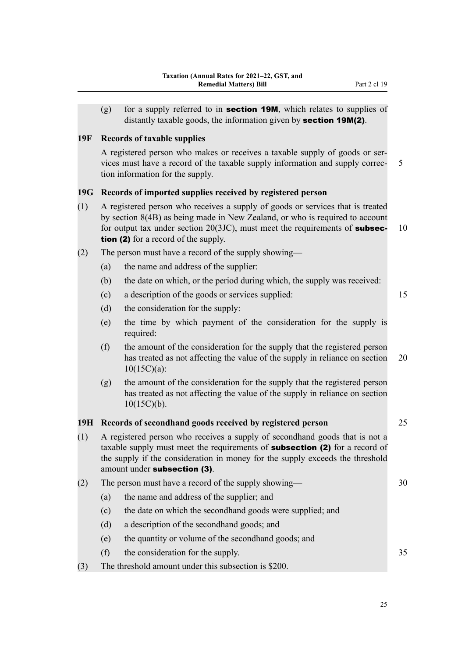<span id="page-28-0"></span>(g) for a supply referred to in **section 19M**, which relates to supplies of distantly taxable goods, the information given by **section 19M(2)**.

### **19F Records of taxable supplies**

A registered person who makes or receives a taxable supply of goods or ser‐ vices must have a record of the taxable supply information and supply correc- 5 tion information for the supply.

### **19G Records of imported supplies received by registered person**

- (1) A registered person who receives a supply of goods or services that is treated by section 8(4B) as being made in New Zealand, or who is required to account for output tax under section  $20(3JC)$ , must meet the requirements of **subsec-** 10 tion (2) for a record of the supply.
- (2) The person must have a record of the supply showing—
	- (a) the name and address of the supplier:
	- (b) the date on which, or the period during which, the supply was received:
	- (c) a description of the goods or services supplied: 15
	- (d) the consideration for the supply:
	- (e) the time by which payment of the consideration for the supply is required:
	- (f) the amount of the consideration for the supply that the registered person has treated as not affecting the value of the supply in reliance on section 20 10(15C)(a):
	- (g) the amount of the consideration for the supply that the registered person has treated as not affecting the value of the supply in reliance on section  $10(15C)(b)$ .

# **19H Records of secondhand goods received by registered person** 25

(1) A registered person who receives a supply of secondhand goods that is not a taxable supply must meet the requirements of **subsection (2)** for a record of the supply if the consideration in money for the supply exceeds the threshold amount under subsection (3).

| (2) |           | The person must have a record of the supply showing—       |  |  |
|-----|-----------|------------------------------------------------------------|--|--|
|     | (a)       | the name and address of the supplier; and                  |  |  |
|     | (c)       | the date on which the second hand goods were supplied; and |  |  |
|     | (d)       | a description of the second hand goods; and                |  |  |
|     | (e)       | the quantity or volume of the second hand goods; and       |  |  |
|     | $\rm (f)$ | the consideration for the supply.                          |  |  |

(3) The threshold amount under this subsection is \$200.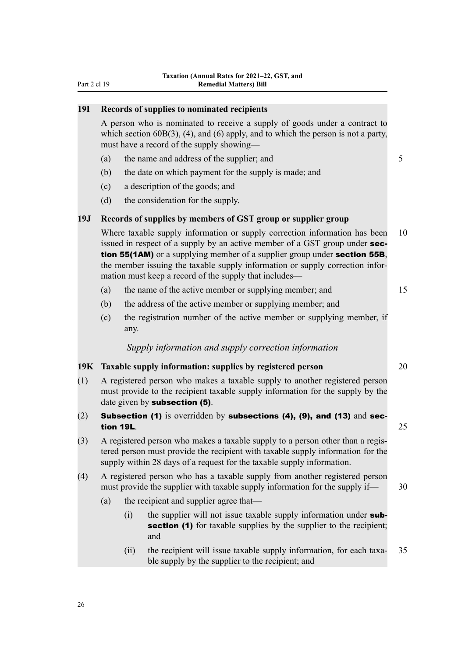<span id="page-29-0"></span>

| 19I | Records of supplies to nominated recipients                                                                                                                                                                                                 |      |                                                                                                                                                                                                                                                                                                                                                                                   |    |  |
|-----|---------------------------------------------------------------------------------------------------------------------------------------------------------------------------------------------------------------------------------------------|------|-----------------------------------------------------------------------------------------------------------------------------------------------------------------------------------------------------------------------------------------------------------------------------------------------------------------------------------------------------------------------------------|----|--|
|     | A person who is nominated to receive a supply of goods under a contract to<br>which section $60B(3)$ , (4), and (6) apply, and to which the person is not a party,<br>must have a record of the supply showing—                             |      |                                                                                                                                                                                                                                                                                                                                                                                   |    |  |
|     | (a)                                                                                                                                                                                                                                         |      | the name and address of the supplier; and                                                                                                                                                                                                                                                                                                                                         | 5  |  |
|     | (b)                                                                                                                                                                                                                                         |      | the date on which payment for the supply is made; and                                                                                                                                                                                                                                                                                                                             |    |  |
|     | (c)                                                                                                                                                                                                                                         |      | a description of the goods; and                                                                                                                                                                                                                                                                                                                                                   |    |  |
|     | (d)                                                                                                                                                                                                                                         |      | the consideration for the supply.                                                                                                                                                                                                                                                                                                                                                 |    |  |
| 19J |                                                                                                                                                                                                                                             |      | Records of supplies by members of GST group or supplier group                                                                                                                                                                                                                                                                                                                     |    |  |
|     |                                                                                                                                                                                                                                             |      | Where taxable supply information or supply correction information has been<br>issued in respect of a supply by an active member of a GST group under sec-<br>tion 55(1AM) or a supplying member of a supplier group under section 55B,<br>the member issuing the taxable supply information or supply correction infor-<br>mation must keep a record of the supply that includes— | 10 |  |
|     | (a)                                                                                                                                                                                                                                         |      | the name of the active member or supplying member; and                                                                                                                                                                                                                                                                                                                            | 15 |  |
|     | (b)                                                                                                                                                                                                                                         |      | the address of the active member or supplying member; and                                                                                                                                                                                                                                                                                                                         |    |  |
|     | (c)                                                                                                                                                                                                                                         | any. | the registration number of the active member or supplying member, if                                                                                                                                                                                                                                                                                                              |    |  |
|     |                                                                                                                                                                                                                                             |      | Supply information and supply correction information                                                                                                                                                                                                                                                                                                                              |    |  |
| 19K | Taxable supply information: supplies by registered person                                                                                                                                                                                   |      |                                                                                                                                                                                                                                                                                                                                                                                   | 20 |  |
| (1) | A registered person who makes a taxable supply to another registered person<br>must provide to the recipient taxable supply information for the supply by the<br>date given by subsection (5).                                              |      |                                                                                                                                                                                                                                                                                                                                                                                   |    |  |
| (2) | Subsection (1) is overridden by subsections (4), (9), and (13) and sec-<br>tion 19L.<br>25                                                                                                                                                  |      |                                                                                                                                                                                                                                                                                                                                                                                   |    |  |
| (3) | A registered person who makes a taxable supply to a person other than a regis-<br>tered person must provide the recipient with taxable supply information for the<br>supply within 28 days of a request for the taxable supply information. |      |                                                                                                                                                                                                                                                                                                                                                                                   |    |  |
| (4) | A registered person who has a taxable supply from another registered person<br>must provide the supplier with taxable supply information for the supply if—                                                                                 |      |                                                                                                                                                                                                                                                                                                                                                                                   |    |  |
|     | the recipient and supplier agree that—<br>(a)                                                                                                                                                                                               |      |                                                                                                                                                                                                                                                                                                                                                                                   |    |  |
|     |                                                                                                                                                                                                                                             | (i)  | the supplier will not issue taxable supply information under sub-<br><b>section (1)</b> for taxable supplies by the supplier to the recipient;<br>and                                                                                                                                                                                                                             |    |  |
|     |                                                                                                                                                                                                                                             | (ii) | the recipient will issue taxable supply information, for each taxa-<br>ble supply by the supplier to the recipient; and                                                                                                                                                                                                                                                           | 35 |  |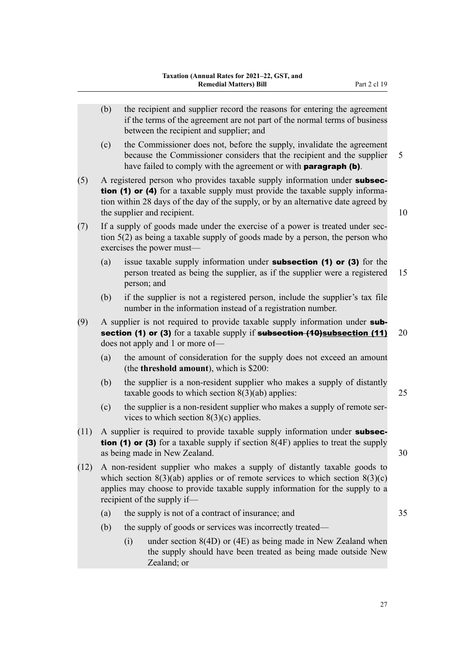- (b) the recipient and supplier record the reasons for entering the agreement if the terms of the agreement are not part of the normal terms of business between the recipient and supplier; and
- (c) the Commissioner does not, before the supply, invalidate the agreement because the Commissioner considers that the recipient and the supplier 5 have failed to comply with the agreement or with **paragraph (b)**.
- (5) A registered person who provides taxable supply information under subsection (1) or (4) for a taxable supply must provide the taxable supply information within 28 days of the day of the supply, or by an alternative date agreed by the supplier and recipient. 10
- $(7)$  If a supply of goods made under the exercise of a power is treated under section 5(2) as being a taxable supply of goods made by a person, the person who exercises the power must—
	- (a) issue taxable supply information under **subsection (1) or (3)** for the person treated as being the supplier, as if the supplier were a registered 15 person; and
	- (b) if the supplier is not a registered person, include the supplier's tax file number in the information instead of a registration number.
- (9) A supplier is not required to provide taxable supply information under subsection (1) or (3) for a taxable supply if subsection  $(10)$ subsection  $(11)$  20 does not apply and 1 or more of—
	- (a) the amount of consideration for the supply does not exceed an amount (the **threshold amount**), which is \$200:
	- (b) the supplier is a non-resident supplier who makes a supply of distantly taxable goods to which section 8(3)(ab) applies: 25
	- (c) the supplier is a non-resident supplier who makes a supply of remote ser‐ vices to which section  $8(3)(c)$  applies.
- $(11)$  A supplier is required to provide taxable supply information under **subsection (1) or (3)** for a taxable supply if section  $8(4F)$  applies to treat the supply as being made in New Zealand. 30
- (12) A non-resident supplier who makes a supply of distantly taxable goods to which section  $8(3)(ab)$  applies or of remote services to which section  $8(3)(c)$ applies may choose to provide taxable supply information for the supply to a recipient of the supply if—
	- (a) the supply is not of a contract of insurance; and 35
	- (b) the supply of goods or services was incorrectly treated—
		- (i) under section 8(4D) or (4E) as being made in New Zealand when the supply should have been treated as being made outside New Zealand; or

27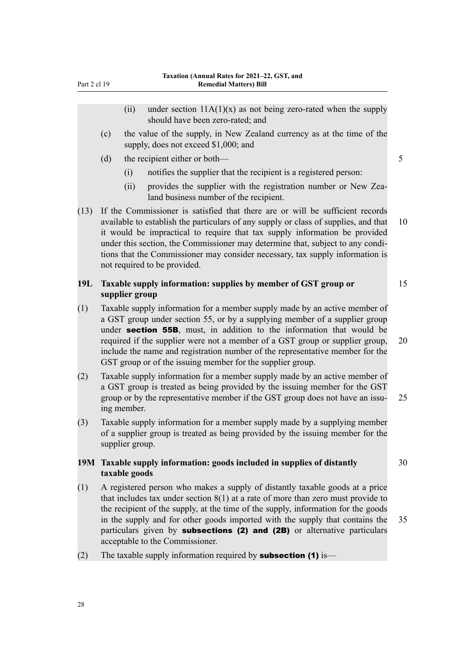- <span id="page-31-0"></span>(ii) under section  $11A(1)(x)$  as not being zero-rated when the supply should have been zero-rated; and (c) the value of the supply, in New Zealand currency as at the time of the supply, does not exceed \$1,000; and (d) the recipient either or both— 5 (i) notifies the supplier that the recipient is a registered person: (ii) provides the supplier with the registration number or New Zealand business number of the recipient. (13) If the Commissioner is satisfied that there are or will be sufficient records available to establish the particulars of any supply or class of supplies, and that 10 it would be impractical to require that tax supply information be provided under this section, the Commissioner may determine that, subject to any conditions that the Commissioner may consider necessary, tax supply information is not required to be provided. **19L Taxable supply information: supplies by member of GST group or** 15 **supplier group** (1) Taxable supply information for a member supply made by an active member of a GST group under section 55, or by a supplying member of a supplier group under **section 55B**, must, in addition to the information that would be required if the supplier were not a member of a GST group or supplier group, 20 include the name and registration number of the representative member for the GST group or of the issuing member for the supplier group.
- (2) Taxable supply information for a member supply made by an active member of a GST group is treated as being provided by the issuing member for the GST group or by the representative member if the GST group does not have an issu-<br>25 ing member.
- (3) Taxable supply information for a member supply made by a supplying member of a supplier group is treated as being provided by the issuing member for the supplier group.

# **19M Taxable supply information: goods included in supplies of distantly** 30 **taxable goods**

- (1) A registered person who makes a supply of distantly taxable goods at a price that includes tax under section 8(1) at a rate of more than zero must provide to the recipient of the supply, at the time of the supply, information for the goods in the supply and for other goods imported with the supply that contains the 35 particulars given by subsections (2) and (2B) or alternative particulars acceptable to the Commissioner.
- (2) The taxable supply information required by **subsection (1)** is—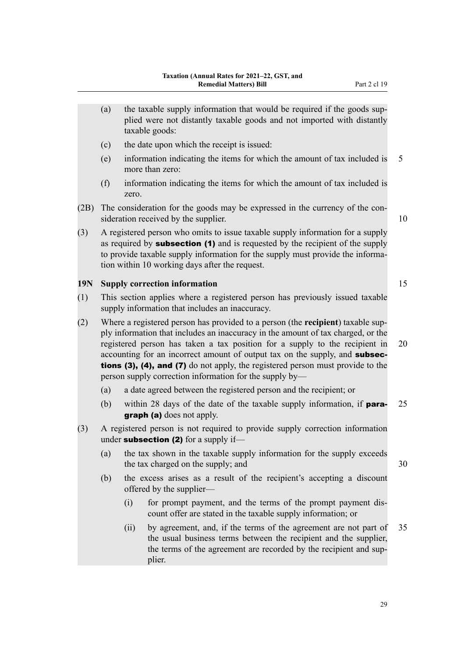- <span id="page-32-0"></span>(a) the taxable supply information that would be required if the goods supplied were not distantly taxable goods and not imported with distantly taxable goods:
- (c) the date upon which the receipt is issued:
- (e) information indicating the items for which the amount of tax included is 5 more than zero:
- (f) information indicating the items for which the amount of tax included is zero.
- (2B) The consideration for the goods may be expressed in the currency of the consideration received by the supplier. The supplier of the supplier of the supplier of the supplier of the supplier
- (3) A registered person who omits to issue taxable supply information for a supply as required by **subsection (1)** and is requested by the recipient of the supply to provide taxable supply information for the supply must provide the information within 10 working days after the request.

### **19N Supply correction information** 15

- (1) This section applies where a registered person has previously issued taxable supply information that includes an inaccuracy.
- (2) Where a registered person has provided to a person (the **recipient**) taxable sup‐ ply information that includes an inaccuracy in the amount of tax charged, or the registered person has taken a tax position for a supply to the recipient in 20 accounting for an incorrect amount of output tax on the supply, and **subsec**tions (3), (4), and (7) do not apply, the registered person must provide to the person supply correction information for the supply by—
	- (a) a date agreed between the registered person and the recipient; or
	- (b) within 28 days of the date of the taxable supply information, if **para-** 25 graph (a) does not apply.
- (3) A registered person is not required to provide supply correction information under subsection (2) for a supply if-
	- (a) the tax shown in the taxable supply information for the supply exceeds the tax charged on the supply; and 30
	- (b) the excess arises as a result of the recipient's accepting a discount offered by the supplier—
		- (i) for prompt payment, and the terms of the prompt payment dis‐ count offer are stated in the taxable supply information; or
		- (ii) by agreement, and, if the terms of the agreement are not part of 35 the usual business terms between the recipient and the supplier, the terms of the agreement are recorded by the recipient and sup‐ plier.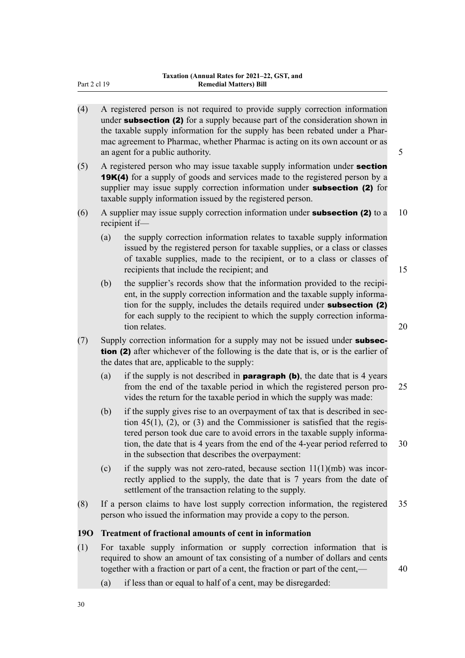- <span id="page-33-0"></span>(4) A registered person is not required to provide supply correction information under **subsection (2)** for a supply because part of the consideration shown in the taxable supply information for the supply has been rebated under a Phar‐ mac agreement to Pharmac, whether Pharmac is acting on its own account or as an agent for a public authority.  $\frac{5}{5}$
- (5) A registered person who may issue taxable supply information under section **19K(4)** for a supply of goods and services made to the registered person by a supplier may issue supply correction information under **subsection (2)** for taxable supply information issued by the registered person.
- (6) A supplier may issue supply correction information under **subsection (2)** to a 10 recipient if—
	- (a) the supply correction information relates to taxable supply information issued by the registered person for taxable supplies, or a class or classes of taxable supplies, made to the recipient, or to a class or classes of recipients that include the recipient; and 15
		-
	- (b) the supplier's records show that the information provided to the recipient, in the supply correction information and the taxable supply information for the supply, includes the details required under subsection (2) for each supply to the recipient to which the supply correction information relates. 20
- $(7)$  Supply correction information for a supply may not be issued under **subsec**tion (2) after whichever of the following is the date that is, or is the earlier of the dates that are, applicable to the supply:
	- (a) if the supply is not described in **paragraph (b)**, the date that is 4 years from the end of the taxable period in which the registered person pro‐ 25 vides the return for the taxable period in which the supply was made:
	- (b) if the supply gives rise to an overpayment of tax that is described in section  $45(1)$ ,  $(2)$ , or  $(3)$  and the Commissioner is satisfied that the registered person took due care to avoid errors in the taxable supply information, the date that is 4 years from the end of the 4-year period referred to 30 in the subsection that describes the overpayment:
	- (c) if the supply was not zero-rated, because section  $11(1)(mb)$  was incorrectly applied to the supply, the date that is 7 years from the date of settlement of the transaction relating to the supply.
- (8) If a person claims to have lost supply correction information, the registered 35 person who issued the information may provide a copy to the person.

### **19O Treatment of fractional amounts of cent in information**

- (1) For taxable supply information or supply correction information that is required to show an amount of tax consisting of a number of dollars and cents together with a fraction or part of a cent, the fraction or part of the cent,  $\frac{40}{ }$ 
	- (a) if less than or equal to half of a cent, may be disregarded:

30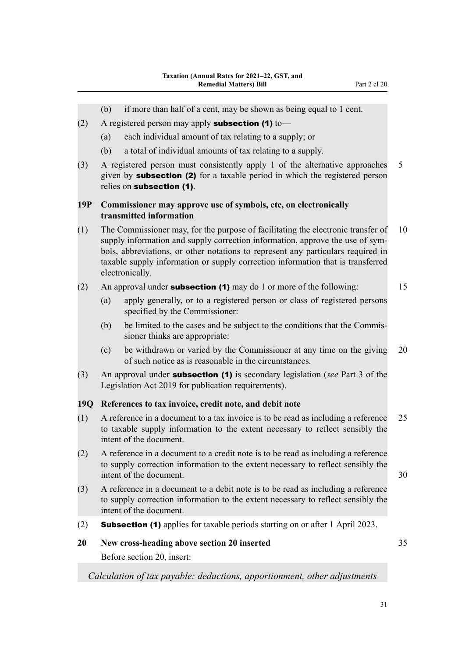<span id="page-34-0"></span>(b) if more than half of a cent, may be shown as being equal to 1 cent. (2) A registered person may apply **subsection (1)** to— (a) each individual amount of tax relating to a supply; or (b) a total of individual amounts of tax relating to a supply. (3) A registered person must consistently apply 1 of the alternative approaches 5 given by subsection (2) for a taxable period in which the registered person relies on subsection (1). **19P Commissioner may approve use of symbols, etc, on electronically transmitted information** (1) The Commissioner may, for the purpose of facilitating the electronic transfer of 10 supply information and supply correction information, approve the use of symbols, abbreviations, or other notations to represent any particulars required in taxable supply information or supply correction information that is transferred electronically. (2) An approval under **subsection (1)** may do 1 or more of the following:  $15$ (a) apply generally, or to a registered person or class of registered persons specified by the Commissioner: (b) be limited to the cases and be subject to the conditions that the Commis‐ sioner thinks are appropriate: (c) be withdrawn or varied by the Commissioner at any time on the giving 20 of such notice as is reasonable in the circumstances. (3) An approval under subsection (1) is secondary legislation (*see* Part 3 of the Legislation Act 2019 for publication requirements). **19Q References to tax invoice, credit note, and debit note** (1) A reference in a document to a tax invoice is to be read as including a reference 25 to taxable supply information to the extent necessary to reflect sensibly the intent of the document. (2) A reference in a document to a credit note is to be read as including a reference to supply correction information to the extent necessary to reflect sensibly the intent of the document. 30 (3) A reference in a document to a debit note is to be read as including a reference to supply correction information to the extent necessary to reflect sensibly the intent of the document. (2) Subsection (1) applies for taxable periods starting on or after 1 April 2023. **20 New cross-heading above section 20 inserted** 35 Before section 20, insert: *Calculation of tax payable: deductions, apportionment, other adjustments*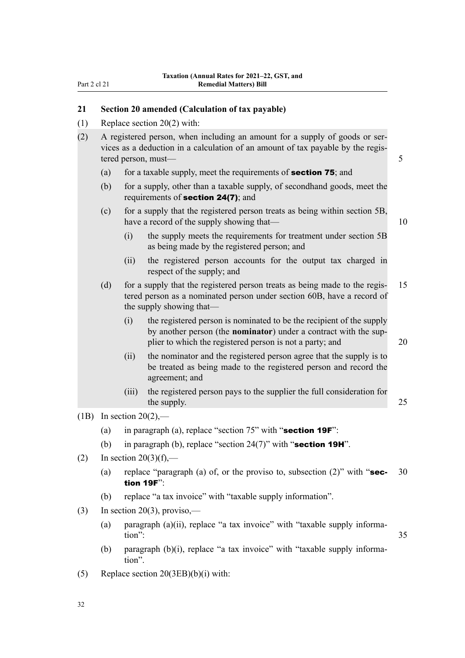## <span id="page-35-0"></span>**21 Section 20 amended (Calculation of tax payable)**

(1) Replace section 20(2) with:

| (2) | A registered person, when including an amount for a supply of goods or ser-     |  |
|-----|---------------------------------------------------------------------------------|--|
|     | vices as a deduction in a calculation of an amount of tax payable by the regis- |  |
|     | tered person, must—                                                             |  |

- (a) for a taxable supply, meet the requirements of **section 75**; and
- (b) for a supply, other than a taxable supply, of secondhand goods, meet the requirements of section 24(7); and
- (c) for a supply that the registered person treats as being within section 5B, have a record of the supply showing that— 10
	- (i) the supply meets the requirements for treatment under section 5B as being made by the registered person; and
	- (ii) the registered person accounts for the output tax charged in respect of the supply; and
- (d) for a supply that the registered person treats as being made to the regis‐ 15 tered person as a nominated person under section 60B, have a record of the supply showing that—
	- (i) the registered person is nominated to be the recipient of the supply by another person (the **nominator**) under a contract with the sup‐ plier to which the registered person is not a party; and 20

- (ii) the nominator and the registered person agree that the supply is to be treated as being made to the registered person and record the agreement; and
- (iii) the registered person pays to the supplier the full consideration for the supply. 25
- $(1B)$  In section 20(2),—
	- (a) in paragraph (a), replace "section  $75$ " with "section  $19F$ ":
	- (b) in paragraph (b), replace "section  $24(7)$ " with "section 19H".
- (2) In section  $20(3)(f)$ ,—
	- (a) replace "paragraph (a) of, or the proviso to, subsection  $(2)$ " with "sec- 30 tion 19F":
	- (b) replace "a tax invoice" with "taxable supply information".
- (3) In section 20(3), proviso,—
	- (a) paragraph (a)(ii), replace "a tax invoice" with "taxable supply information": 35
	- (b) paragraph  $(b)(i)$ , replace "a tax invoice" with "taxable supply information".
- (5) Replace section 20(3EB)(b)(i) with: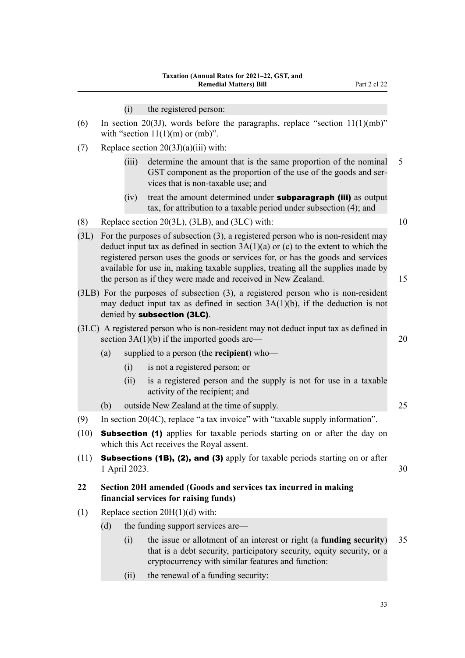(i) the registered person:

| (6) | In section 20(3J), words before the paragraphs, replace "section $11(1)(mb)$ " |  |
|-----|--------------------------------------------------------------------------------|--|
|     | with "section $11(1)(m)$ or $(mb)$ ".                                          |  |

- (7) Replace section  $20(3J)(a)(iii)$  with:
	- (iii) determine the amount that is the same proportion of the nominal 5 GST component as the proportion of the use of the goods and services that is non-taxable use; and
	- $(iv)$  treat the amount determined under **subparagraph (iii)** as output tax, for attribution to a taxable period under subsection (4); and
- (8) Replace section 20(3L), (3LB), and (3LC) with:  $10$
- (3L) For the purposes of subsection (3), a registered person who is non-resident may deduct input tax as defined in section  $3A(1)(a)$  or (c) to the extent to which the registered person uses the goods or services for, or has the goods and services available for use in, making taxable supplies, treating all the supplies made by the person as if they were made and received in New Zealand. 15
- (3LB) For the purposes of subsection (3), a registered person who is non-resident may deduct input tax as defined in section 3A(1)(b), if the deduction is not denied by subsection (3LC).
- (3LC) A registered person who is non-resident may not deduct input tax as defined in section  $3A(1)(b)$  if the imported goods are— 20
	- (a) supplied to a person (the **recipient**) who—
		- (i) is not a registered person; or
		- (ii) is a registered person and the supply is not for use in a taxable activity of the recipient; and
	- (b) outside New Zealand at the time of supply. 25
- (9) In section 20(4C), replace "a tax invoice" with "taxable supply information".
- (10) Subsection (1) applies for taxable periods starting on or after the day on which this Act receives the Royal assent.
- (11) **Subsections (1B), (2), and (3)** apply for taxable periods starting on or after 1 April 2023. 30
- **22 Section 20H amended (Goods and services tax incurred in making financial services for raising funds)**
- (1) Replace section  $20H(1)(d)$  with:
	- (d) the funding support services are—
		- (i) the issue or allotment of an interest or right (a **funding security**) 35 that is a debt security, participatory security, equity security, or a cryptocurrency with similar features and function:
		- (ii) the renewal of a funding security:

- 
-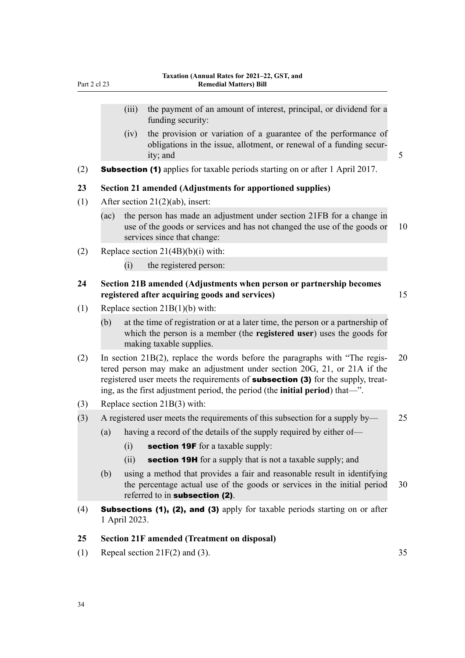- (iii) the payment of an amount of interest, principal, or dividend for a funding security:
- (iv) the provision or variation of a guarantee of the performance of obligations in the issue, allotment, or renewal of a funding secur‐ ity; and 5
- (2) Subsection (1) applies for taxable periods starting on or after 1 April 2017.

### **23 Section 21 amended (Adjustments for apportioned supplies)**

- (1) After section 21(2)(ab), insert:
	- (ac) the person has made an adjustment under section 21FB for a change in use of the goods or services and has not changed the use of the goods or 10 services since that change:
- (2) Replace section 21(4B)(b)(i) with:
	- (i) the registered person:

## **24 Section 21B amended (Adjustments when person or partnership becomes registered after acquiring goods and services)** 15

- (1) Replace section 21B(1)(b) with:
	- (b) at the time of registration or at a later time, the person or a partnership of which the person is a member (the **registered user**) uses the goods for making taxable supplies.
- (2) In section  $21B(2)$ , replace the words before the paragraphs with "The regis- 20 tered person may make an adjustment under section 20G, 21, or 21A if the registered user meets the requirements of **subsection (3)** for the supply, treating, as the first adjustment period, the period (the **initial period**) that—".
- (3) Replace section 21B(3) with:
- (3) A registered user meets the requirements of this subsection for a supply by— 25
	- (a) having a record of the details of the supply required by either of—
		- (i) section 19F for a taxable supply:
		- (ii) **section 19H** for a supply that is not a taxable supply; and
	- (b) using a method that provides a fair and reasonable result in identifying the percentage actual use of the goods or services in the initial period 30 referred to in subsection (2).
- (4) Subsections (1), (2), and (3) apply for taxable periods starting on or after 1 April 2023.

### **25 Section 21F amended (Treatment on disposal)**

(1) Repeal section  $21F(2)$  and (3). 35

Part 2 cl 23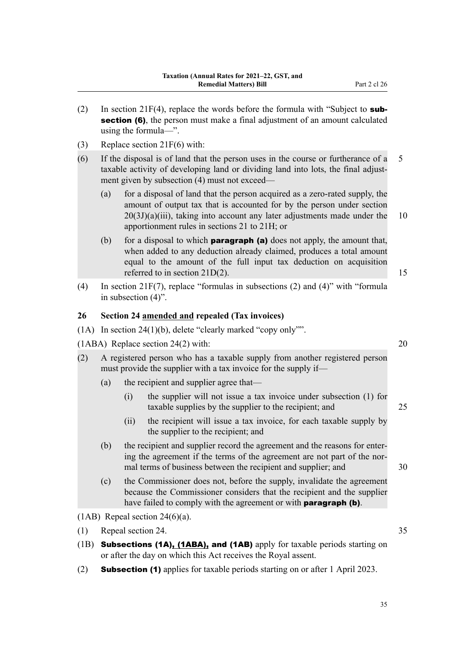- (2) In section 21F(4), replace the words before the formula with "Subject to **subsection (6)**, the person must make a final adjustment of an amount calculated using the formula—".
- (3) Replace section 21F(6) with:
- (6) If the disposal is of land that the person uses in the course or furtherance of a 5 taxable activity of developing land or dividing land into lots, the final adjustment given by subsection (4) must not exceed—
	- (a) for a disposal of land that the person acquired as a zero-rated supply, the amount of output tax that is accounted for by the person under section  $20(3J)(a)(iii)$ , taking into account any later adjustments made under the 10 apportionment rules in sections 21 to 21H; or
	- (b) for a disposal to which **paragraph (a)** does not apply, the amount that, when added to any deduction already claimed, produces a total amount equal to the amount of the full input tax deduction on acquisition referred to in section  $21D(2)$ . 15
- (4) In section 21F(7), replace "formulas in subsections (2) and (4)" with "formula in subsection (4)".

### **26 Section 24 amended and repealed (Tax invoices)**

(1A) In section 24(1)(b), delete "clearly marked "copy only"".

(1ABA) Replace section 24(2) with: 20

- (2) A registered person who has a taxable supply from another registered person must provide the supplier with a tax invoice for the supply if—
	- (a) the recipient and supplier agree that—
		- (i) the supplier will not issue a tax invoice under subsection (1) for taxable supplies by the supplier to the recipient; and 25
		- (ii) the recipient will issue a tax invoice, for each taxable supply by the supplier to the recipient; and
	- (b) the recipient and supplier record the agreement and the reasons for enter‐ ing the agreement if the terms of the agreement are not part of the normal terms of business between the recipient and supplier; and 30
	- (c) the Commissioner does not, before the supply, invalidate the agreement because the Commissioner considers that the recipient and the supplier have failed to comply with the agreement or with **paragraph (b)**.

(1AB) Repeal section  $24(6)(a)$ .

- (1) Repeal section 24. 35
- (1B) Subsections (1A), (1ABA), and (1AB) apply for taxable periods starting on or after the day on which this Act receives the Royal assent.
- (2) Subsection (1) applies for taxable periods starting on or after 1 April 2023.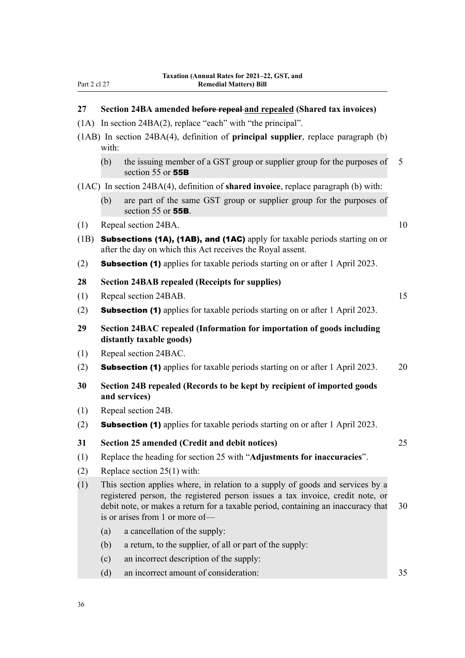| -art | ╯ | - 10 |  |
|------|---|------|--|
|      |   |      |  |

# **27 Section 24BA amended before repeal and repealed (Shared tax invoices)**

- (1A) In section 24BA(2), replace "each" with "the principal".
- (1AB) In section 24BA(4), definition of **principal supplier**, replace paragraph (b) with:
	- (b) the issuing member of a GST group or supplier group for the purposes of  $5$ section 55 or **55B**

(1AC) In section 24BA(4), definition of **shared invoice**, replace paragraph (b) with:

- (b) are part of the same GST group or supplier group for the purposes of section 55 or **55B**.
- (1) Repeal section 24BA. 10

- (1B) Subsections (1A), (1AB), and (1AC) apply for taxable periods starting on or after the day on which this Act receives the Royal assent.
- (2) Subsection (1) applies for taxable periods starting on or after 1 April 2023.

| 28<br><b>Section 24BAB repealed (Receipts for supplies)</b> |  |
|-------------------------------------------------------------|--|
|-------------------------------------------------------------|--|

| (1) | Repeal section 24BAB. |  |
|-----|-----------------------|--|
|     |                       |  |

- (2) Subsection (1) applies for taxable periods starting on or after 1 April 2023.
- **29 Section 24BAC repealed (Information for importation of goods including distantly taxable goods)**
- (1) Repeal section 24BAC.
- (2) **Subsection (1)** applies for taxable periods starting on or after 1 April 2023. 20
- **30 Section 24B repealed (Records to be kept by recipient of imported goods and services)**
- (1) Repeal section 24B.
- (2) Subsection (1) applies for taxable periods starting on or after 1 April 2023.
- **31 Section 25 amended (Credit and debit notices)** 25
- (1) Replace the heading for section 25 with "**Adjustments for inaccuracies**".
- (2) Replace section 25(1) with:
- (1) This section applies where, in relation to a supply of goods and services by a registered person, the registered person issues a tax invoice, credit note, or debit note, or makes a return for a taxable period, containing an inaccuracy that 30 is or arises from 1 or more of—
	- (a) a cancellation of the supply:
	- (b) a return, to the supplier, of all or part of the supply:
	- (c) an incorrect description of the supply:
	- (d) an incorrect amount of consideration: 35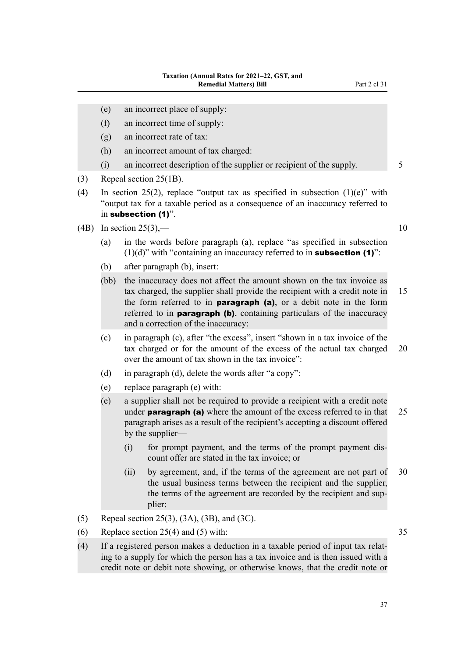- (e) an incorrect place of supply:
- (f) an incorrect time of supply:
- (g) an incorrect rate of tax:
- (h) an incorrect amount of tax charged:
- (i) an incorrect description of the supplier or recipient of the supply. 5
- (3) Repeal section 25(1B).
- (4) In section 25(2), replace "output tax as specified in subsection  $(1)(e)$ " with "output tax for a taxable period as a consequence of an inaccuracy referred to in subsection (1)".
- (4B) In section 25(3),  $-$  10
	- (a) in the words before paragraph (a), replace "as specified in subsection  $(1)(d)$ " with "containing an inaccuracy referred to in **subsection (1)**":
	- (b) after paragraph (b), insert:
	- (bb) the inaccuracy does not affect the amount shown on the tax invoice as tax charged, the supplier shall provide the recipient with a credit note in 15 the form referred to in **paragraph** (a), or a debit note in the form referred to in **paragraph (b)**, containing particulars of the inaccuracy and a correction of the inaccuracy:
	- (c) in paragraph (c), after "the excess", insert "shown in a tax invoice of the tax charged or for the amount of the excess of the actual tax charged 20 over the amount of tax shown in the tax invoice":
	- (d) in paragraph (d), delete the words after "a copy":
	- (e) replace paragraph (e) with:
	- (e) a supplier shall not be required to provide a recipient with a credit note under **paragraph (a)** where the amount of the excess referred to in that  $25$ paragraph arises as a result of the recipient's accepting a discount offered by the supplier—
		- (i) for prompt payment, and the terms of the prompt payment dis‐ count offer are stated in the tax invoice; or
		- (ii) by agreement, and, if the terms of the agreement are not part of 30 the usual business terms between the recipient and the supplier, the terms of the agreement are recorded by the recipient and sup‐ plier:
- (5) Repeal section 25(3), (3A), (3B), and (3C).
- (6) Replace section  $25(4)$  and (5) with: 35
- (4) If a registered person makes a deduction in a taxable period of input tax relat‐ ing to a supply for which the person has a tax invoice and is then issued with a credit note or debit note showing, or otherwise knows, that the credit note or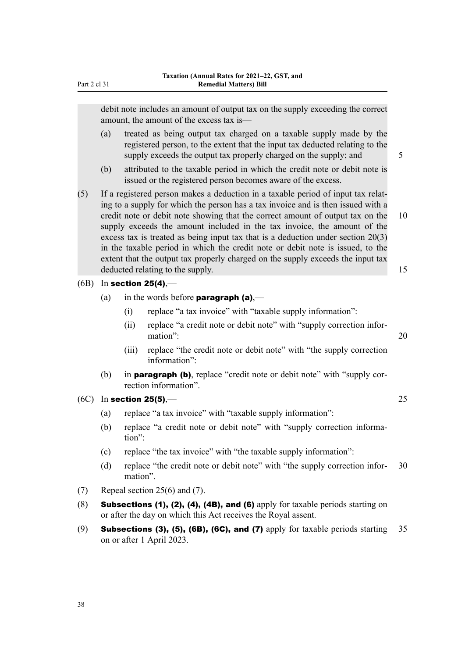debit note includes an amount of output tax on the supply exceeding the correct amount, the amount of the excess tax is—

- (a) treated as being output tax charged on a taxable supply made by the registered person, to the extent that the input tax deducted relating to the supply exceeds the output tax properly charged on the supply; and  $\frac{5}{5}$
- (b) attributed to the taxable period in which the credit note or debit note is issued or the registered person becomes aware of the excess.
- (5) If a registered person makes a deduction in a taxable period of input tax relat‐ ing to a supply for which the person has a tax invoice and is then issued with a credit note or debit note showing that the correct amount of output tax on the 10 supply exceeds the amount included in the tax invoice, the amount of the excess tax is treated as being input tax that is a deduction under section 20(3) in the taxable period in which the credit note or debit note is issued, to the extent that the output tax properly charged on the supply exceeds the input tax deducted relating to the supply. The supply  $\frac{15}{2}$
- $(6B)$  In section 25(4),—
	- (a) in the words before **paragraph (a)**,—
		- (i) replace "a tax invoice" with "taxable supply information":
		- (ii) replace "a credit note or debit note" with "supply correction infor‐ mation": 20
		- (iii) replace "the credit note or debit note" with "the supply correction information":
	- (b) in **paragraph (b)**, replace "credit note or debit note" with "supply correction information".
- $(6C)$  In section 25(5),— $25$ 
	- (a) replace "a tax invoice" with "taxable supply information":
	- (b) replace "a credit note or debit note" with "supply correction information":
	- (c) replace "the tax invoice" with "the taxable supply information":
	- (d) replace "the credit note or debit note" with "the supply correction infor- 30 mation".
- (7) Repeal section 25(6) and (7).
- (8) Subsections (1), (2), (4), (4B), and (6) apply for taxable periods starting on or after the day on which this Act receives the Royal assent.
- (9) Subsections (3), (5), (6B), (6C), and (7) apply for taxable periods starting  $35$ on or after 1 April 2023.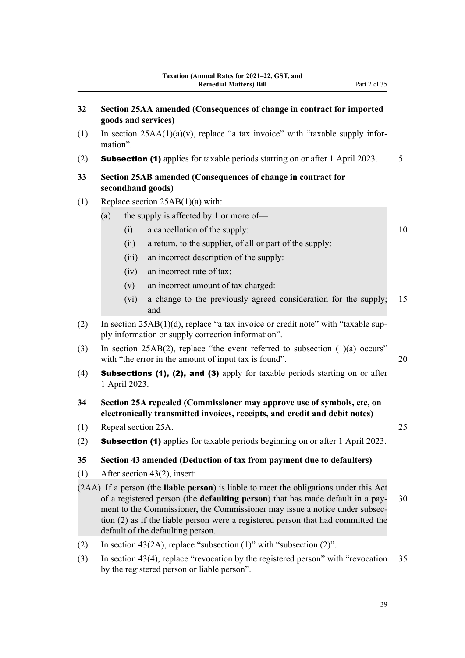- **32 Section 25AA amended (Consequences of change in contract for imported goods and services)** (1) In section  $25AA(1)(a)(v)$ , replace "a tax invoice" with "taxable supply information". (2) **Subsection (1)** applies for taxable periods starting on or after 1 April 2023. 5 **33 Section 25AB amended (Consequences of change in contract for secondhand goods)** (1) Replace section 25AB(1)(a) with: (a) the supply is affected by 1 or more of—  $(i)$  a cancellation of the supply:  $10$ (ii) a return, to the supplier, of all or part of the supply: (iii) an incorrect description of the supply: (iv) an incorrect rate of tax: (v) an incorrect amount of tax charged: (vi) a change to the previously agreed consideration for the supply; 15 and (2) In section  $25AB(1)(d)$ , replace "a tax invoice or credit note" with "taxable supply information or supply correction information". (3) In section 25AB(2), replace "the event referred to subsection (1)(a) occurs" with "the error in the amount of input tax is found". 20 (4) Subsections (1), (2), and (3) apply for taxable periods starting on or after 1 April 2023. **34 Section 25A repealed (Commissioner may approve use of symbols, etc, on electronically transmitted invoices, receipts, and credit and debit notes)** (1) Repeal section 25A. 25 (2) Subsection (1) applies for taxable periods beginning on or after 1 April 2023. **35 Section 43 amended (Deduction of tax from payment due to defaulters)** (1) After section 43(2), insert: (2AA) If a person (the **liable person**) is liable to meet the obligations under this Act of a registered person (the **defaulting person**) that has made default in a pay‐ 30 ment to the Commissioner, the Commissioner may issue a notice under subsec‐ tion (2) as if the liable person were a registered person that had committed the default of the defaulting person.
- (2) In section 43(2A), replace "subsection  $(1)$ " with "subsection  $(2)$ ".
- (3) In section 43(4), replace "revocation by the registered person" with "revocation 35 by the registered person or liable person".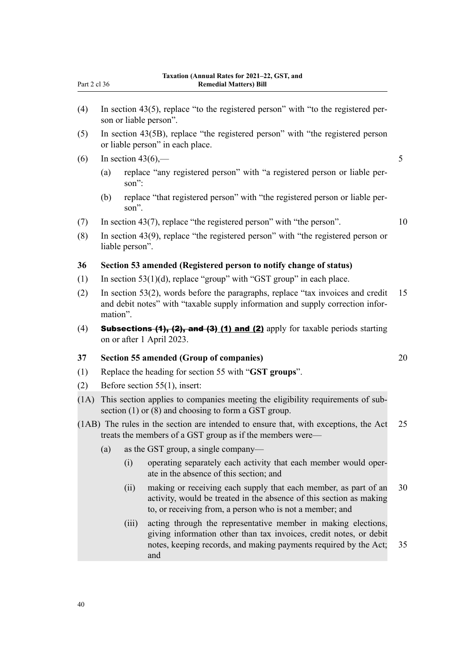| 4) In section 43(5), replace "to the registered person" $\mu$ |  |  |  |
|---------------------------------------------------------------|--|--|--|

- (4) In section 43(5), replace "to the registered person" with "to the registered per‐ son or liable person".
- (5) In section 43(5B), replace "the registered person" with "the registered person or liable person" in each place.
- (6) In section 43(6),— $\qquad \qquad$  5
	- (a) replace "any registered person" with "a registered person or liable per‐ son":
	- (b) replace "that registered person" with "the registered person or liable per‐ son".
- (7) In section 43(7), replace "the registered person" with "the person". 10
- (8) In section 43(9), replace "the registered person" with "the registered person or liable person".

#### **36 Section 53 amended (Registered person to notify change of status)**

- (1) In section  $53(1)(d)$ , replace "group" with "GST group" in each place.
- (2) In section 53(2), words before the paragraphs, replace "tax invoices and credit 15 and debit notes" with "taxable supply information and supply correction information".
- (4) **Subsections (1), (2), and (3) (1) and (2)** apply for taxable periods starting on or after 1 April 2023.

### **37 Section 55 amended (Group of companies)** 20

- (1) Replace the heading for section 55 with "**GST groups**".
- (2) Before section 55(1), insert:
- (1A) This section applies to companies meeting the eligibility requirements of sub‐ section (1) or (8) and choosing to form a GST group.
- (1AB) The rules in the section are intended to ensure that, with exceptions, the Act 25 treats the members of a GST group as if the members were—
	- (a) as the GST group, a single company—
		- (i) operating separately each activity that each member would oper‐ ate in the absence of this section; and
		- (ii) making or receiving each supply that each member, as part of an 30 activity, would be treated in the absence of this section as making to, or receiving from, a person who is not a member; and
		- (iii) acting through the representative member in making elections, giving information other than tax invoices, credit notes, or debit notes, keeping records, and making payments required by the Act; 35 and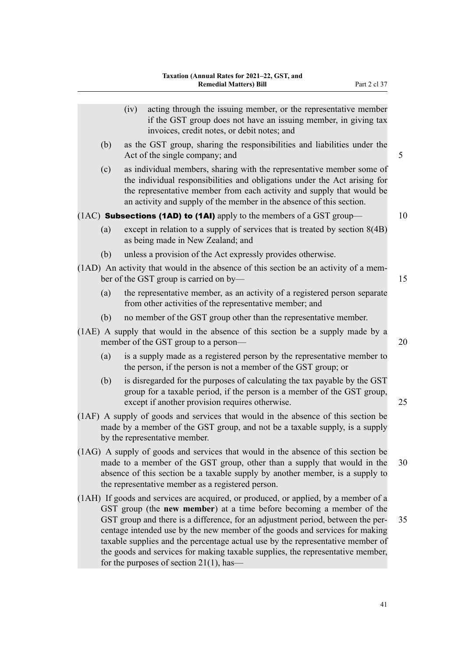|     | (iv) | acting through the issuing member, or the representative member<br>if the GST group does not have an issuing member, in giving tax<br>invoices, credit notes, or debit notes; and                                                                                                                                                                                                                                                                                                                 |    |
|-----|------|---------------------------------------------------------------------------------------------------------------------------------------------------------------------------------------------------------------------------------------------------------------------------------------------------------------------------------------------------------------------------------------------------------------------------------------------------------------------------------------------------|----|
| (b) |      | as the GST group, sharing the responsibilities and liabilities under the<br>Act of the single company; and                                                                                                                                                                                                                                                                                                                                                                                        | 5  |
| (c) |      | as individual members, sharing with the representative member some of<br>the individual responsibilities and obligations under the Act arising for<br>the representative member from each activity and supply that would be<br>an activity and supply of the member in the absence of this section.                                                                                                                                                                                               |    |
|     |      | $(1AC)$ Subsections (1AD) to (1AI) apply to the members of a GST group—                                                                                                                                                                                                                                                                                                                                                                                                                           | 10 |
| (a) |      | except in relation to a supply of services that is treated by section $8(4B)$<br>as being made in New Zealand; and                                                                                                                                                                                                                                                                                                                                                                                |    |
| (b) |      | unless a provision of the Act expressly provides otherwise.                                                                                                                                                                                                                                                                                                                                                                                                                                       |    |
|     |      | (1AD) An activity that would in the absence of this section be an activity of a mem-<br>ber of the GST group is carried on by-                                                                                                                                                                                                                                                                                                                                                                    | 15 |
| (a) |      | the representative member, as an activity of a registered person separate<br>from other activities of the representative member; and                                                                                                                                                                                                                                                                                                                                                              |    |
| (b) |      | no member of the GST group other than the representative member.                                                                                                                                                                                                                                                                                                                                                                                                                                  |    |
|     |      | (1AE) A supply that would in the absence of this section be a supply made by a<br>member of the GST group to a person—                                                                                                                                                                                                                                                                                                                                                                            | 20 |
| (a) |      | is a supply made as a registered person by the representative member to<br>the person, if the person is not a member of the GST group; or                                                                                                                                                                                                                                                                                                                                                         |    |
| (b) |      | is disregarded for the purposes of calculating the tax payable by the GST<br>group for a taxable period, if the person is a member of the GST group,<br>except if another provision requires otherwise.                                                                                                                                                                                                                                                                                           | 25 |
|     |      | (1AF) A supply of goods and services that would in the absence of this section be<br>made by a member of the GST group, and not be a taxable supply, is a supply<br>by the representative member.                                                                                                                                                                                                                                                                                                 |    |
|     |      | (1AG) A supply of goods and services that would in the absence of this section be<br>made to a member of the GST group, other than a supply that would in the<br>absence of this section be a taxable supply by another member, is a supply to<br>the representative member as a registered person.                                                                                                                                                                                               | 30 |
|     |      | (1AH) If goods and services are acquired, or produced, or applied, by a member of a<br>GST group (the new member) at a time before becoming a member of the<br>GST group and there is a difference, for an adjustment period, between the per-<br>centage intended use by the new member of the goods and services for making<br>taxable supplies and the percentage actual use by the representative member of<br>the goods and services for making taxable supplies, the representative member, | 35 |
|     |      | for the purposes of section $21(1)$ , has—                                                                                                                                                                                                                                                                                                                                                                                                                                                        |    |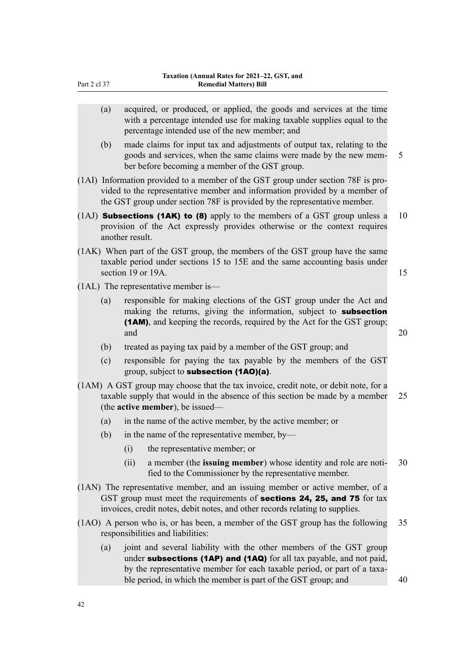| (a) |                    | acquired, or produced, or applied, the goods and services at the time<br>with a percentage intended use for making taxable supplies equal to the<br>percentage intended use of the new member; and                                                                                       |    |
|-----|--------------------|------------------------------------------------------------------------------------------------------------------------------------------------------------------------------------------------------------------------------------------------------------------------------------------|----|
| (b) |                    | made claims for input tax and adjustments of output tax, relating to the<br>goods and services, when the same claims were made by the new mem-<br>ber before becoming a member of the GST group.                                                                                         | 5  |
|     |                    | (1AI) Information provided to a member of the GST group under section 78F is pro-<br>vided to the representative member and information provided by a member of<br>the GST group under section 78F is provided by the representative member.                                             |    |
|     | another result.    | (1AJ) <b>Subsections (1AK) to (8)</b> apply to the members of a GST group unless a<br>provision of the Act expressly provides otherwise or the context requires                                                                                                                          | 10 |
|     | section 19 or 19A. | (1AK) When part of the GST group, the members of the GST group have the same<br>taxable period under sections 15 to 15E and the same accounting basis under                                                                                                                              | 15 |
|     |                    | $(1AL)$ The representative member is—                                                                                                                                                                                                                                                    |    |
| (a) | and                | responsible for making elections of the GST group under the Act and<br>making the returns, giving the information, subject to subsection<br>(1AM), and keeping the records, required by the Act for the GST group;                                                                       | 20 |
| (b) |                    | treated as paying tax paid by a member of the GST group; and                                                                                                                                                                                                                             |    |
| (c) |                    | responsible for paying the tax payable by the members of the GST<br>group, subject to <b>subsection (1AO)(a)</b> .                                                                                                                                                                       |    |
|     |                    | (1AM) A GST group may choose that the tax invoice, credit note, or debit note, for a<br>taxable supply that would in the absence of this section be made by a member<br>(the <b>active member</b> ), be issued—                                                                          | 25 |
| (a) |                    | in the name of the active member, by the active member; or                                                                                                                                                                                                                               |    |
| (b) |                    | in the name of the representative member, by-                                                                                                                                                                                                                                            |    |
|     | (i)                | the representative member; or                                                                                                                                                                                                                                                            |    |
|     | (ii)               | a member (the issuing member) whose identity and role are noti-<br>fied to the Commissioner by the representative member.                                                                                                                                                                | 30 |
|     |                    | (1AN) The representative member, and an issuing member or active member, of a<br>GST group must meet the requirements of <b>sections 24, 25, and 75</b> for tax<br>invoices, credit notes, debit notes, and other records relating to supplies.                                          |    |
|     |                    | (1AO) A person who is, or has been, a member of the GST group has the following<br>responsibilities and liabilities:                                                                                                                                                                     | 35 |
| (a) |                    | joint and several liability with the other members of the GST group<br>under subsections (1AP) and (1AQ) for all tax payable, and not paid,<br>by the representative member for each taxable period, or part of a taxa-<br>ble period, in which the member is part of the GST group; and | 40 |
|     |                    |                                                                                                                                                                                                                                                                                          |    |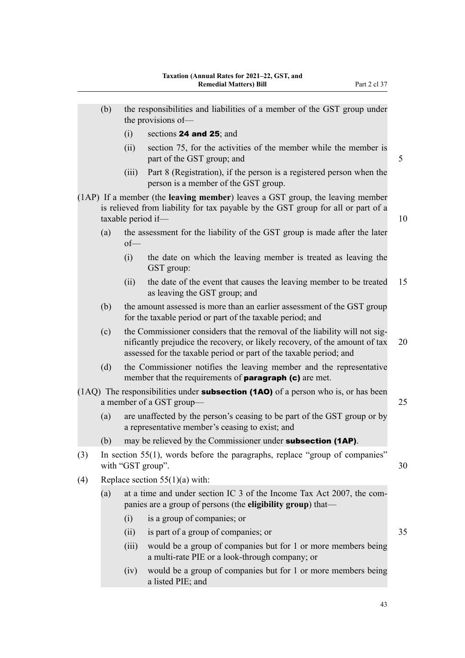- $(i)$  sections **24 and 25**; and
- (ii) section 75, for the activities of the member while the member is part of the GST group; and 5
- (iii) Part 8 (Registration), if the person is a registered person when the person is a member of the GST group.
- (1AP) If a member (the **leaving member**) leaves a GST group, the leaving member is relieved from liability for tax payable by the GST group for all or part of a taxable period if— 10
	- (a) the assessment for the liability of the GST group is made after the later of—
		- (i) the date on which the leaving member is treated as leaving the GST group:
		- (ii) the date of the event that causes the leaving member to be treated 15 as leaving the GST group; and
	- (b) the amount assessed is more than an earlier assessment of the GST group for the taxable period or part of the taxable period; and
	- (c) the Commissioner considers that the removal of the liability will not significantly prejudice the recovery, or likely recovery, of the amount of tax 20 assessed for the taxable period or part of the taxable period; and
	- (d) the Commissioner notifies the leaving member and the representative member that the requirements of **paragraph (c)** are met.
- (1AQ) The responsibilities under **subsection (1AO)** of a person who is, or has been a member of a GST group— 25
	- (a) are unaffected by the person's ceasing to be part of the GST group or by a representative member's ceasing to exist; and
	- (b) may be relieved by the Commissioner under **subsection (1AP)**.
- (3) In section 55(1), words before the paragraphs, replace "group of companies" with "GST group". 30
- (4) Replace section  $55(1)(a)$  with:
	- (a) at a time and under section IC 3 of the Income Tax Act 2007, the companies are a group of persons (the **eligibility group**) that—
		- (i) is a group of companies; or
		- (ii) is part of a group of companies; or 35
		- (iii) would be a group of companies but for 1 or more members being a multi-rate PIE or a look-through company; or
		- (iv) would be a group of companies but for 1 or more members being a listed PIE; and
- 
- 
-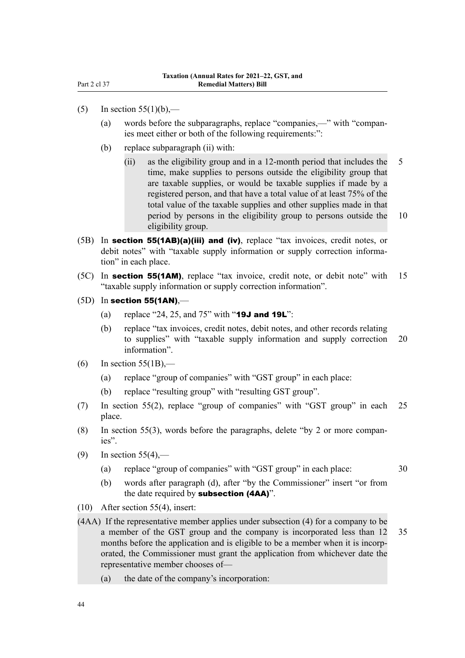- (5) In section  $55(1)(b)$ ,—
	- (a) words before the subparagraphs, replace "companies,—" with "compan‐ ies meet either or both of the following requirements:":
	- (b) replace subparagraph (ii) with:
		- (ii) as the eligibility group and in a 12-month period that includes the 5 time, make supplies to persons outside the eligibility group that are taxable supplies, or would be taxable supplies if made by a registered person, and that have a total value of at least 75% of the total value of the taxable supplies and other supplies made in that period by persons in the eligibility group to persons outside the 10 eligibility group.
- (5B) In section 55(1AB)(a)(iii) and (iv), replace "tax invoices, credit notes, or debit notes" with "taxable supply information or supply correction information" in each place.
- (5C) In **section 55(1AM)**, replace "tax invoice, credit note, or debit note" with 15 "taxable supply information or supply correction information".
- $(5D)$  In section 55(1AN),—
	- (a) replace "24, 25, and  $75$ " with "19J and 19L":
	- (b) replace "tax invoices, credit notes, debit notes, and other records relating to supplies" with "taxable supply information and supply correction 20 information".
- (6) In section  $55(1B)$ ,—
	- (a) replace "group of companies" with "GST group" in each place:
	- (b) replace "resulting group" with "resulting GST group".
- (7) In section 55(2), replace "group of companies" with "GST group" in each 25 place.
- (8) In section 55(3), words before the paragraphs, delete "by 2 or more companies".
- (9) In section  $55(4)$ ,—
	- (a) replace "group of companies" with "GST group" in each place: 30
	- (b) words after paragraph (d), after "by the Commissioner" insert "or from the date required by **subsection (4AA)**".
- (10) After section 55(4), insert:
- (4AA) If the representative member applies under subsection (4) for a company to be a member of the GST group and the company is incorporated less than 12 35 months before the application and is eligible to be a member when it is incorporated, the Commissioner must grant the application from whichever date the representative member chooses of—
	- (a) the date of the company's incorporation: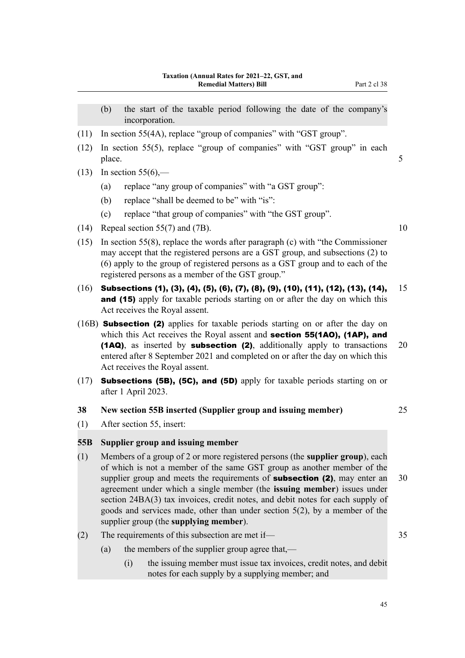- (b) the start of the taxable period following the date of the company's incorporation.
- (11) In section 55(4A), replace "group of companies" with "GST group".
- (12) In section 55(5), replace "group of companies" with "GST group" in each place. 5
- (13) In section  $55(6)$ ,—
	- (a) replace "any group of companies" with "a GST group":
	- (b) replace "shall be deemed to be" with "is":
	- (c) replace "that group of companies" with "the GST group".
- (14) Repeal section 55(7) and (7B).  $10$
- (15) In section 55(8), replace the words after paragraph (c) with "the Commissioner may accept that the registered persons are a GST group, and subsections (2) to (6) apply to the group of registered persons as a GST group and to each of the registered persons as a member of the GST group."
- $(16)$  Subsections (1), (3), (4), (5), (6), (7), (8), (9), (10), (11), (12), (13), (14),  $15$ and (15) apply for taxable periods starting on or after the day on which this Act receives the Royal assent.
- (16B) Subsection (2) applies for taxable periods starting on or after the day on which this Act receives the Royal assent and **section 55(1AO), (1AP), and** (1AQ), as inserted by subsection (2), additionally apply to transactions 20 entered after 8 September 2021 and completed on or after the day on which this Act receives the Royal assent.
- (17) **Subsections (5B), (5C), and (5D)** apply for taxable periods starting on or after 1 April 2023.

#### **38 New section 55B inserted (Supplier group and issuing member)** 25

(1) After section 55, insert:

### **55B Supplier group and issuing member**

- (1) Members of a group of 2 or more registered persons (the **supplier group**), each of which is not a member of the same GST group as another member of the supplier group and meets the requirements of **subsection (2)**, may enter an  $30$ agreement under which a single member (the **issuing member**) issues under section 24BA(3) tax invoices, credit notes, and debit notes for each supply of goods and services made, other than under section 5(2), by a member of the supplier group (the **supplying member**).
- (2) The requirements of this subsection are met if— 35
	- (a) the members of the supplier group agree that,—
		- (i) the issuing member must issue tax invoices, credit notes, and debit notes for each supply by a supplying member; and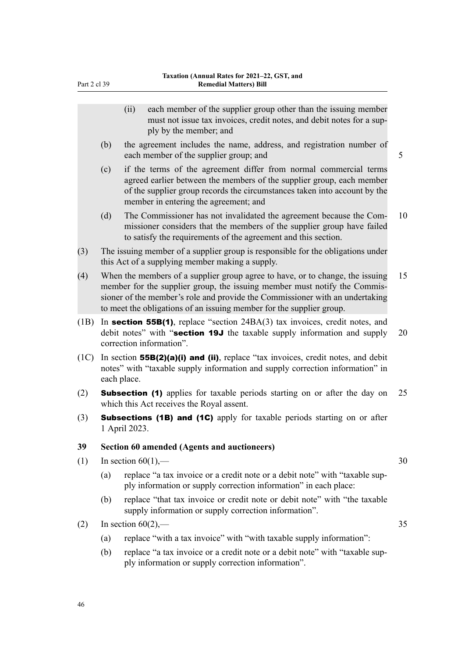| Part 2 cl 39 |                                                                                                                                | <b>Remedial Matters) Bill</b>                                                                                                                                                                                                                                                                                      |    |  |  |
|--------------|--------------------------------------------------------------------------------------------------------------------------------|--------------------------------------------------------------------------------------------------------------------------------------------------------------------------------------------------------------------------------------------------------------------------------------------------------------------|----|--|--|
|              |                                                                                                                                | each member of the supplier group other than the issuing member<br>(ii)<br>must not issue tax invoices, credit notes, and debit notes for a sup-<br>ply by the member; and                                                                                                                                         |    |  |  |
|              | (b)                                                                                                                            | the agreement includes the name, address, and registration number of<br>each member of the supplier group; and                                                                                                                                                                                                     | 5  |  |  |
|              | (c)                                                                                                                            | if the terms of the agreement differ from normal commercial terms<br>agreed earlier between the members of the supplier group, each member<br>of the supplier group records the circumstances taken into account by the<br>member in entering the agreement; and                                                   |    |  |  |
|              | (d)                                                                                                                            | The Commissioner has not invalidated the agreement because the Com-<br>missioner considers that the members of the supplier group have failed<br>to satisfy the requirements of the agreement and this section.                                                                                                    | 10 |  |  |
| (3)          |                                                                                                                                | The issuing member of a supplier group is responsible for the obligations under<br>this Act of a supplying member making a supply.                                                                                                                                                                                 |    |  |  |
| (4)          |                                                                                                                                | When the members of a supplier group agree to have, or to change, the issuing<br>member for the supplier group, the issuing member must notify the Commis-<br>sioner of the member's role and provide the Commissioner with an undertaking<br>to meet the obligations of an issuing member for the supplier group. |    |  |  |
| (1B)         |                                                                                                                                | In section 55B(1), replace "section $24BA(3)$ tax invoices, credit notes, and<br>debit notes" with "section 19J the taxable supply information and supply<br>20<br>correction information".                                                                                                                        |    |  |  |
| (1C)         |                                                                                                                                | In section $55B(2)(a)(i)$ and (ii), replace "tax invoices, credit notes, and debit<br>notes" with "taxable supply information and supply correction information" in<br>each place.                                                                                                                                 |    |  |  |
| (2)          | <b>Subsection (1)</b> applies for taxable periods starting on or after the day on<br>which this Act receives the Royal assent. |                                                                                                                                                                                                                                                                                                                    |    |  |  |
| (3)          | <b>Subsections (1B) and (1C)</b> apply for taxable periods starting on or after<br>1 April 2023.                               |                                                                                                                                                                                                                                                                                                                    |    |  |  |
| 39           |                                                                                                                                | <b>Section 60 amended (Agents and auctioneers)</b>                                                                                                                                                                                                                                                                 |    |  |  |
| (1)          |                                                                                                                                | In section $60(1)$ ,—                                                                                                                                                                                                                                                                                              | 30 |  |  |
|              | (a)                                                                                                                            | replace "a tax invoice or a credit note or a debit note" with "taxable sup-<br>ply information or supply correction information" in each place:                                                                                                                                                                    |    |  |  |
|              | (b)                                                                                                                            | replace "that tax invoice or credit note or debit note" with "the taxable<br>supply information or supply correction information".                                                                                                                                                                                 |    |  |  |
| (2)          |                                                                                                                                | In section $60(2)$ ,—                                                                                                                                                                                                                                                                                              | 35 |  |  |
|              | (a)                                                                                                                            | replace "with a tax invoice" with "with taxable supply information":                                                                                                                                                                                                                                               |    |  |  |
|              | (b)                                                                                                                            | replace "a tax invoice or a credit note or a debit note" with "taxable sup-<br>ply information or supply correction information".                                                                                                                                                                                  |    |  |  |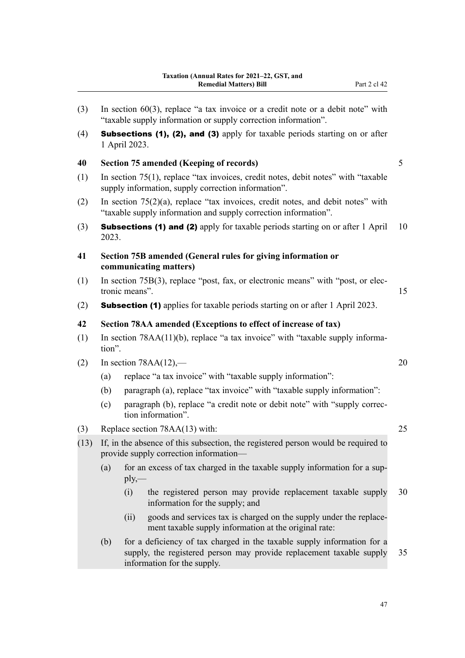(3) In section 60(3), replace "a tax invoice or a credit note or a debit note" with "taxable supply information or supply correction information". (4) Subsections (1), (2), and (3) apply for taxable periods starting on or after 1 April 2023. **40 Section 75 amended (Keeping of records)** 5 (1) In section 75(1), replace "tax invoices, credit notes, debit notes" with "taxable supply information, supply correction information". (2) In section 75(2)(a), replace "tax invoices, credit notes, and debit notes" with "taxable supply information and supply correction information". (3) **Subsections (1) and (2)** apply for taxable periods starting on or after  $1$  April 10 2023. **41 Section 75B amended (General rules for giving information or communicating matters)** (1) In section 75B(3), replace "post, fax, or electronic means" with "post, or elec‐ tronic means". 15 (2) Subsection (1) applies for taxable periods starting on or after 1 April 2023. **42 Section 78AA amended (Exceptions to effect of increase of tax)** (1) In section  $78AA(11)(b)$ , replace "a tax invoice" with "taxable supply information". (2) In section 78AA(12),— 20 (a) replace "a tax invoice" with "taxable supply information": (b) paragraph (a), replace "tax invoice" with "taxable supply information": (c) paragraph (b), replace "a credit note or debit note" with "supply correc‐ tion information". (3) Replace section 78AA(13) with: 25 (13) If, in the absence of this subsection, the registered person would be required to provide supply correction information— (a) for an excess of tax charged in the taxable supply information for a sup $ply$ — (i) the registered person may provide replacement taxable supply 30 information for the supply; and (ii) goods and services tax is charged on the supply under the replace‐ ment taxable supply information at the original rate: (b) for a deficiency of tax charged in the taxable supply information for a supply, the registered person may provide replacement taxable supply 35 information for the supply.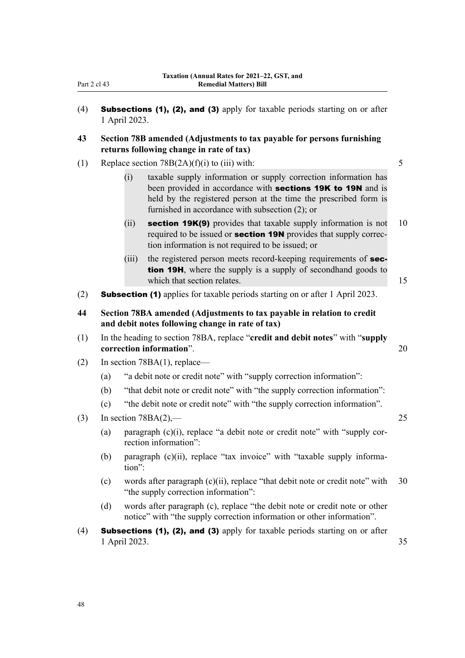| Part 2 | c. | 43 |
|--------|----|----|
|        |    |    |

- (4) Subsections (1), (2), and (3) apply for taxable periods starting on or after 1 April 2023.
- **43 Section 78B amended (Adjustments to tax payable for persons furnishing returns following change in rate of tax)**
- (1) Replace section  $78B(2A)(f)(i)$  to (iii) with: 5
	- (i) taxable supply information or supply correction information has been provided in accordance with **sections 19K to 19N** and is held by the registered person at the time the prescribed form is furnished in accordance with subsection (2); or
	- (ii) section 19 $K(9)$  provides that taxable supply information is not 10 required to be issued or **section 19N** provides that supply correction information is not required to be issued; or
	- (iii) the registered person meets record-keeping requirements of **sec**tion 19H, where the supply is a supply of secondhand goods to which that section relates. 15
- (2) Subsection (1) applies for taxable periods starting on or after 1 April 2023.
- **44 Section 78BA amended (Adjustments to tax payable in relation to credit and debit notes following change in rate of tax)**
- (1) In the heading to section 78BA, replace "**credit and debit notes**" with "**supply correction information**". 20
- (2) In section 78BA(1), replace—
	- (a) "a debit note or credit note" with "supply correction information":
	- (b) "that debit note or credit note" with "the supply correction information":
	- (c) "the debit note or credit note" with "the supply correction information".
- (3) In section  $78BA(2)$ , 25
	- (a) paragraph  $(c)(i)$ , replace "a debit note or credit note" with "supply correction information":
	- (b) paragraph (c)(ii), replace "tax invoice" with "taxable supply information":
	- (c) words after paragraph  $(c)(ii)$ , replace "that debit note or credit note" with 30 "the supply correction information":
	- (d) words after paragraph (c), replace "the debit note or credit note or other notice" with "the supply correction information or other information".
- (4) **Subsections (1), (2), and (3)** apply for taxable periods starting on or after 1 April 2023. 35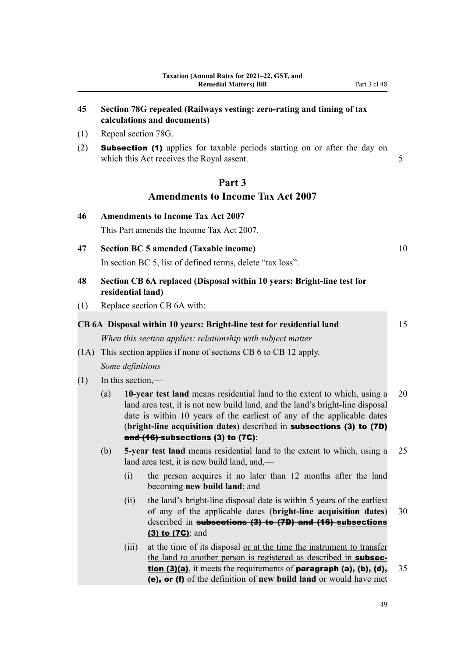# **45 Section 78G repealed (Railways vesting: zero-rating and timing of tax calculations and documents)**

- (1) Repeal section 78G.
- (2) Subsection (1) applies for taxable periods starting on or after the day on which this Act receives the Royal assent. 5

# **Part 3 Amendments to Income Tax Act 2007**

| 46   |                                                               |                   | <b>Amendments to Income Tax Act 2007</b>                                                                                                                                                                                                                                                                                                         |    |  |  |
|------|---------------------------------------------------------------|-------------------|--------------------------------------------------------------------------------------------------------------------------------------------------------------------------------------------------------------------------------------------------------------------------------------------------------------------------------------------------|----|--|--|
|      |                                                               |                   | This Part amends the Income Tax Act 2007.                                                                                                                                                                                                                                                                                                        |    |  |  |
| 47   |                                                               |                   | <b>Section BC 5 amended (Taxable income)</b>                                                                                                                                                                                                                                                                                                     | 10 |  |  |
|      |                                                               |                   | In section BC 5, list of defined terms, delete "tax loss".                                                                                                                                                                                                                                                                                       |    |  |  |
| 48   |                                                               | residential land) | Section CB 6A replaced (Disposal within 10 years: Bright-line test for                                                                                                                                                                                                                                                                           |    |  |  |
| (1)  |                                                               |                   | Replace section CB 6A with:                                                                                                                                                                                                                                                                                                                      |    |  |  |
|      |                                                               |                   | CB 6A Disposal within 10 years: Bright-line test for residential land                                                                                                                                                                                                                                                                            | 15 |  |  |
|      |                                                               |                   | When this section applies: relationship with subject matter                                                                                                                                                                                                                                                                                      |    |  |  |
| (1A) | This section applies if none of sections CB 6 to CB 12 apply. |                   |                                                                                                                                                                                                                                                                                                                                                  |    |  |  |
|      |                                                               | Some definitions  |                                                                                                                                                                                                                                                                                                                                                  |    |  |  |
| (1)  | In this section,—                                             |                   |                                                                                                                                                                                                                                                                                                                                                  |    |  |  |
|      | (a)                                                           |                   | 10-year test land means residential land to the extent to which, using a<br>land area test, it is not new build land, and the land's bright-line disposal<br>date is within 10 years of the earliest of any of the applicable dates<br>(bright-line acquisition dates) described in subsections (3) to (7D)<br>and (16) subsections (3) to (7C): | 20 |  |  |
|      | (b)                                                           |                   | 5-year test land means residential land to the extent to which, using a<br>land area test, it is new build land, and,—                                                                                                                                                                                                                           | 25 |  |  |
|      |                                                               | (i)               | the person acquires it no later than 12 months after the land<br>becoming new build land; and                                                                                                                                                                                                                                                    |    |  |  |
|      |                                                               | (ii)              | the land's bright-line disposal date is within 5 years of the earliest<br>of any of the applicable dates (bright-line acquisition dates)<br>described in subsections (3) to (7D) and (16) subsections<br>(3) to (7C); and                                                                                                                        | 30 |  |  |
|      |                                                               | (iii)             | at the time of its disposal or at the time the instrument to transfer<br>the land to another person is registered as described in subsec-<br>tion (3)(a), it meets the requirements of paragraph (a), (b), (d),<br>(e), or (f) of the definition of new build land or would have met                                                             | 35 |  |  |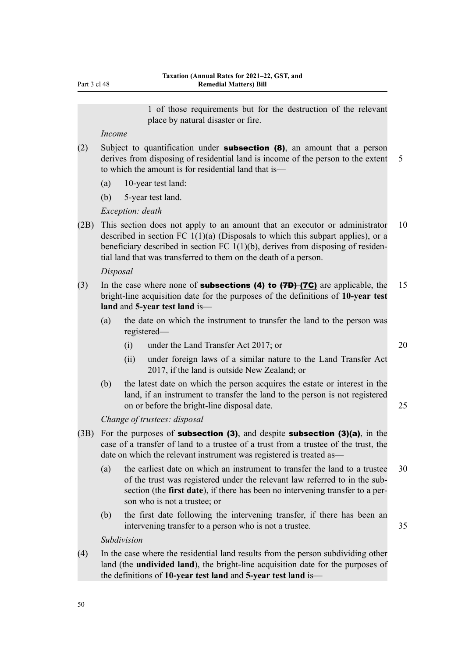Part 3 cl 48

1 of those requirements but for the destruction of the relevant place by natural disaster or fire.

#### *Income*

- (2) Subject to quantification under **subsection (8)**, an amount that a person derives from disposing of residential land is income of the person to the extent 5 to which the amount is for residential land that is—
	- (a) 10-year test land:
	- (b) 5-year test land.

*Exception: death*

(2B) This section does not apply to an amount that an executor or administrator 10 described in section FC  $1(1)(a)$  (Disposals to which this subpart applies), or a beneficiary described in section FC  $1(1)(b)$ , derives from disposing of residential land that was transferred to them on the death of a person.

#### *Disposal*

- (3) In the case where none of **subsections (4) to**  $(7D)$  **(7C)** are applicable, the 15 bright-line acquisition date for the purposes of the definitions of **10-year test land** and **5-year test land** is—
	- (a) the date on which the instrument to transfer the land to the person was registered—
		- (i) under the Land Transfer Act 2017; or 20
		- (ii) under foreign laws of a similar nature to the Land Transfer Act 2017, if the land is outside New Zealand; or
	- (b) the latest date on which the person acquires the estate or interest in the land, if an instrument to transfer the land to the person is not registered on or before the bright-line disposal date. 25

*Change of trustees: disposal*

- (3B) For the purposes of **subsection (3)**, and despite **subsection (3)(a)**, in the case of a transfer of land to a trustee of a trust from a trustee of the trust, the date on which the relevant instrument was registered is treated as—
	- (a) the earliest date on which an instrument to transfer the land to a trustee 30 of the trust was registered under the relevant law referred to in the sub‐ section (the **first date**), if there has been no intervening transfer to a person who is not a trustee; or
	- (b) the first date following the intervening transfer, if there has been an intervening transfer to a person who is not a trustee. 35

#### *Subdivision*

(4) In the case where the residential land results from the person subdividing other land (the **undivided land**), the bright-line acquisition date for the purposes of the definitions of **10-year test land** and **5-year test land** is—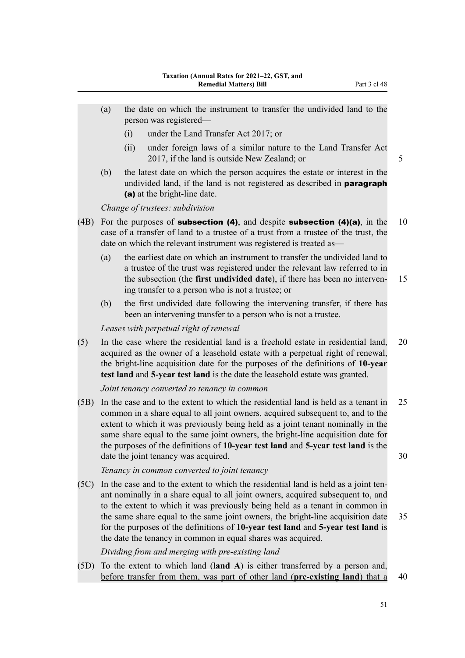- (a) the date on which the instrument to transfer the undivided land to the person was registered—
	- (i) under the Land Transfer Act 2017; or
	- (ii) under foreign laws of a similar nature to the Land Transfer Act 2017, if the land is outside New Zealand; or 5
- (b) the latest date on which the person acquires the estate or interest in the undivided land, if the land is not registered as described in **paragraph** (a) at the bright-line date.

*Change of trustees: subdivision*

- (4B) For the purposes of **subsection (4)**, and despite **subsection (4)(a)**, in the 10 case of a transfer of land to a trustee of a trust from a trustee of the trust, the date on which the relevant instrument was registered is treated as—
	- (a) the earliest date on which an instrument to transfer the undivided land to a trustee of the trust was registered under the relevant law referred to in the subsection (the **first undivided date**), if there has been no interven‐ 15 ing transfer to a person who is not a trustee; or
	- (b) the first undivided date following the intervening transfer, if there has been an intervening transfer to a person who is not a trustee.

#### *Leases with perpetual right of renewal*

(5) In the case where the residential land is a freehold estate in residential land, 20 acquired as the owner of a leasehold estate with a perpetual right of renewal, the bright-line acquisition date for the purposes of the definitions of **10-year test land** and **5-year test land** is the date the leasehold estate was granted.

*Joint tenancy converted to tenancy in common*

(5B) In the case and to the extent to which the residential land is held as a tenant in 25 common in a share equal to all joint owners, acquired subsequent to, and to the extent to which it was previously being held as a joint tenant nominally in the same share equal to the same joint owners, the bright-line acquisition date for the purposes of the definitions of **10-year test land** and **5-year test land** is the date the joint tenancy was acquired. 30

*Tenancy in common converted to joint tenancy*

 $(5C)$  In the case and to the extent to which the residential land is held as a joint tenant nominally in a share equal to all joint owners, acquired subsequent to, and to the extent to which it was previously being held as a tenant in common in the same share equal to the same joint owners, the bright-line acquisition date 35 for the purposes of the definitions of **10-year test land** and **5-year test land** is the date the tenancy in common in equal shares was acquired.

*Dividing from and merging with pre-existing land*

(5D) To the extent to which land (**land A**) is either transferred by a person and, before transfer from them, was part of other land (**pre-existing land**) that a 40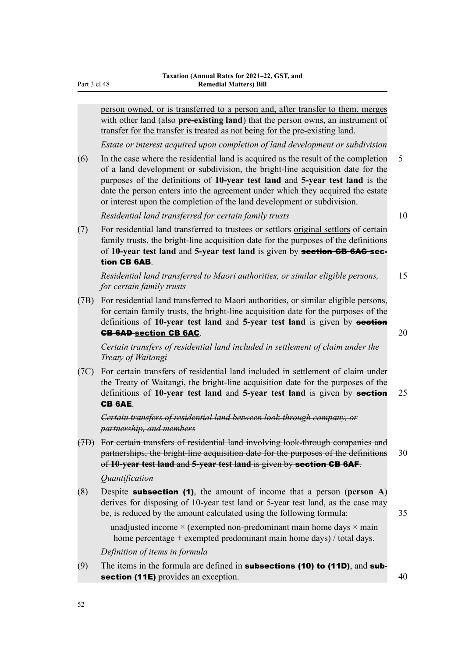Part 3 cl 48

person owned, or is transferred to a person and, after transfer to them, merges with other land (also **pre-existing land**) that the person owns, an instrument of transfer for the transfer is treated as not being for the pre-existing land.

*Estate or interest acquired upon completion of land development or subdivision*

(6) In the case where the residential land is acquired as the result of the completion 5 of a land development or subdivision, the bright-line acquisition date for the purposes of the definitions of **10-year test land** and **5-year test land** is the date the person enters into the agreement under which they acquired the estate or interest upon the completion of the land development or subdivision.

*Residential land transferred for certain family trusts* 10

(7) For residential land transferred to trustees or settlors original settlors of certain family trusts, the bright-line acquisition date for the purposes of the definitions of **10-year test land** and **5-year test land** is given by section CB 6AC section CB 6AB.

*Residential land transferred to Maori authorities, or similar eligible persons,* 15 *for certain family trusts*

(7B) For residential land transferred to Maori authorities, or similar eligible persons, for certain family trusts, the bright-line acquisition date for the purposes of the definitions of **10-year test land** and **5-year test land** is given by section **CB 6AD section CB 6AC.** 20

*Certain transfers of residential land included in settlement of claim under the Treaty of Waitangi*

(7C) For certain transfers of residential land included in settlement of claim under the Treaty of Waitangi, the bright-line acquisition date for the purposes of the definitions of **10-year test land** and **5-year test land** is given by section 25 CB 6AE.

*Certain transfers of residential land between look-through company, or partnership, and members*

(7D) For certain transfers of residential land involving look-through companies and partnerships, the bright-line acquisition date for the purposes of the definitions 30 of **10-year test land** and **5-year test land** is given by section CB 6AF.

*Quantification*

(8) Despite subsection (1), the amount of income that a person (**person A**) derives for disposing of 10-year test land or 5-year test land, as the case may be, is reduced by the amount calculated using the following formula: 35

unadjusted income  $\times$  (exempted non-predominant main home days  $\times$  main home percentage + exempted predominant main home days) / total days.

*Definition of items in formula*

(9) The items in the formula are defined in **subsections (10) to (11D)**, and **sub**section (11E) provides an exception. 40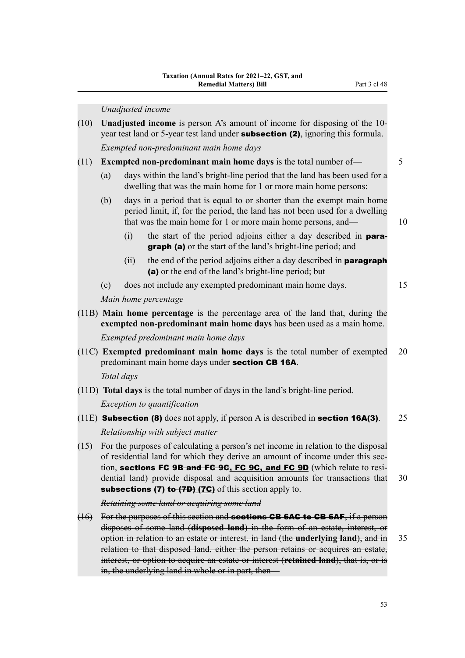|      |            |      | Unadjusted income                                                                                                                                                                                                                                                                                                                                                                                                                     |    |
|------|------------|------|---------------------------------------------------------------------------------------------------------------------------------------------------------------------------------------------------------------------------------------------------------------------------------------------------------------------------------------------------------------------------------------------------------------------------------------|----|
| (10) |            |      | <b>Unadjusted income</b> is person A's amount of income for disposing of the 10-<br>year test land or 5-year test land under <b>subsection (2)</b> , ignoring this formula.                                                                                                                                                                                                                                                           |    |
|      |            |      | Exempted non-predominant main home days                                                                                                                                                                                                                                                                                                                                                                                               |    |
| (11) |            |      | <b>Exempted non-predominant main home days</b> is the total number of—                                                                                                                                                                                                                                                                                                                                                                | 5  |
|      | (a)        |      | days within the land's bright-line period that the land has been used for a<br>dwelling that was the main home for 1 or more main home persons:                                                                                                                                                                                                                                                                                       |    |
|      | (b)        |      | days in a period that is equal to or shorter than the exempt main home<br>period limit, if, for the period, the land has not been used for a dwelling<br>that was the main home for 1 or more main home persons, and—                                                                                                                                                                                                                 | 10 |
|      |            | (i)  | the start of the period adjoins either a day described in para-<br><b>graph (a)</b> or the start of the land's bright-line period; and                                                                                                                                                                                                                                                                                                |    |
|      |            | (ii) | the end of the period adjoins either a day described in <b>paragraph</b><br>(a) or the end of the land's bright-line period; but                                                                                                                                                                                                                                                                                                      |    |
|      | (c)        |      | does not include any exempted predominant main home days.                                                                                                                                                                                                                                                                                                                                                                             | 15 |
|      |            |      | Main home percentage                                                                                                                                                                                                                                                                                                                                                                                                                  |    |
|      |            |      | (11B) Main home percentage is the percentage area of the land that, during the<br>exempted non-predominant main home days has been used as a main home.                                                                                                                                                                                                                                                                               |    |
|      |            |      | Exempted predominant main home days                                                                                                                                                                                                                                                                                                                                                                                                   |    |
|      |            |      | (11C) Exempted predominant main home days is the total number of exempted<br>predominant main home days under section CB 16A.                                                                                                                                                                                                                                                                                                         | 20 |
|      | Total days |      |                                                                                                                                                                                                                                                                                                                                                                                                                                       |    |
|      |            |      | (11D) Total days is the total number of days in the land's bright-line period.                                                                                                                                                                                                                                                                                                                                                        |    |
|      |            |      | Exception to quantification                                                                                                                                                                                                                                                                                                                                                                                                           |    |
|      |            |      | (11E) <b>Subsection (8)</b> does not apply, if person A is described in <b>section 16A(3)</b> .                                                                                                                                                                                                                                                                                                                                       | 25 |
|      |            |      | Relationship with subject matter                                                                                                                                                                                                                                                                                                                                                                                                      |    |
| (15) |            |      | For the purposes of calculating a person's net income in relation to the disposal<br>of residential land for which they derive an amount of income under this sec-<br>tion, sections FC 9B-and FG 9G, FC 9C, and FC 9D (which relate to resi-<br>dential land) provide disposal and acquisition amounts for transactions that<br><b>subsections (7) to-<math>(7D)</math> <math>(7C)</math></b> of this section apply to.              | 30 |
|      |            |      | Retaining some land or acquiring some land                                                                                                                                                                                                                                                                                                                                                                                            |    |
| (16) |            |      | For the purposes of this section and <b>sections CB 6AC to CB 6AF</b> , if a person<br>disposes of some land (disposed land) in the form of an estate, interest, or<br>option in relation to an estate or interest, in land (the underlying land), and in<br>relation to that disposed land, either the person retains or acquires an estate,<br>interest, or option to acquire an estate or interest (retained land), that is, or is | 35 |

in, the underlying land in whole or in part, then—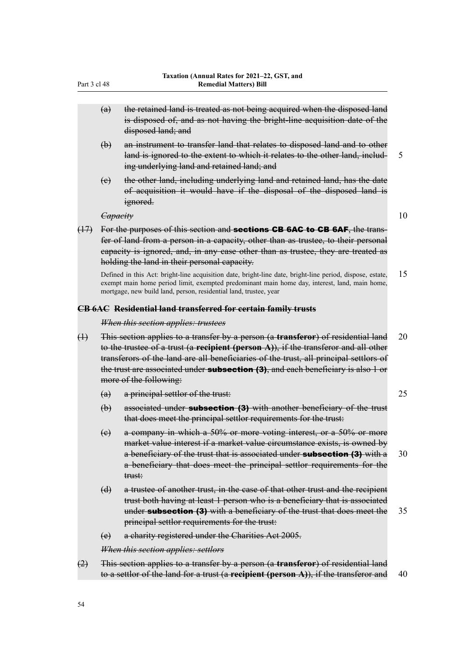- (a) the retained land is treated as not being acquired when the disposed land is disposed of, and as not having the bright-line acquisition date of the disposed land; and
- (b) an instrument to transfer land that relates to disposed land and to other land is ignored to the extent to which it relates to the other land, includ- 5 ing underlying land and retained land; and
- (c) the other land, including underlying land and retained land, has the date of acquisition it would have if the disposal of the disposed land is ignored.

- *Capacity* 10
- $(17)$  For the purposes of this section and **sections CB 6AC to CB 6AF**, the transfer of land from a person in a capacity, other than as trustee, to their personal capacity is ignored, and, in any case other than as trustee, they are treated as holding the land in their personal capacity.

Defined in this Act: bright-line acquisition date, bright-line date, bright-line period, dispose, estate, 15 exempt main home period limit, exempted predominant main home day, interest, land, main home, mortgage, new build land, person, residential land, trustee, year

#### **CB 6AC Residential land transferred for certain family trusts**

#### *When this section applies: trustees*

- (1) This section applies to a transfer by a person (a **transferor**) of residential land 20 to the trustee of a trust (a **recipient (person A)**), if the transferor and all other transferors of the land are all beneficiaries of the trust, all principal settlors of the trust are associated under **subsection (3)**, and each beneficiary is also 1 or more of the following:
	- (a) a principal settlor of the trust: 25
	- $(b)$  associated under **subsection (3)** with another beneficiary of the trust that does meet the principal settlor requirements for the trust:
	- (c) a company in which a 50% or more voting interest, or a 50% or more market value interest if a market value circumstance exists, is owned by a beneficiary of the trust that is associated under **subsection (3)** with  $a = 30$ a beneficiary that does meet the principal settlor requirements for the trust:
	- (d) a trustee of another trust, in the case of that other trust and the recipient trust both having at least 1 person who is a beneficiary that is associated under **subsection (3)** with a beneficiary of the trust that does meet the 35 principal settlor requirements for the trust:
	- (e) a charity registered under the Charities Act 2005.

*When this section applies: settlors*

(2) This section applies to a transfer by a person (a **transferor**) of residential land to a settlor of the land for a trust (a **recipient (person A)**), if the transferor and 40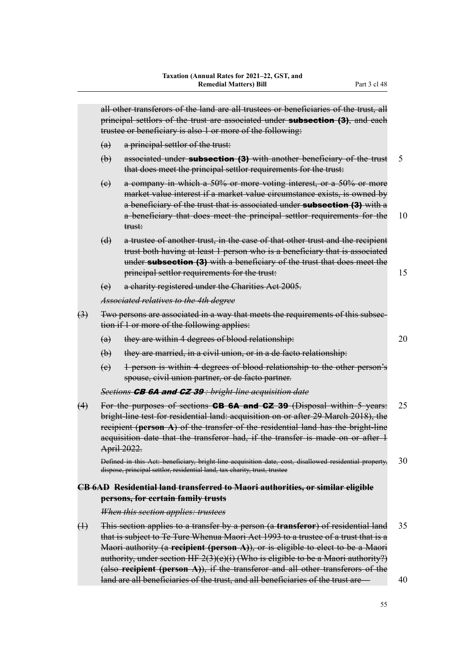|                   | all other transferors of the land are all trustees or beneficiaries of the trust, all<br>principal settlors of the trust are associated under <b>subsection (3)</b> , and each<br>trustee or beneficiary is also 1 or more of the following: |                                                                                                                                                                                                                                                                                                                                                                                                                                                                                                                                     |          |  |  |  |
|-------------------|----------------------------------------------------------------------------------------------------------------------------------------------------------------------------------------------------------------------------------------------|-------------------------------------------------------------------------------------------------------------------------------------------------------------------------------------------------------------------------------------------------------------------------------------------------------------------------------------------------------------------------------------------------------------------------------------------------------------------------------------------------------------------------------------|----------|--|--|--|
|                   | (a)                                                                                                                                                                                                                                          | a principal settlor of the trust:                                                                                                                                                                                                                                                                                                                                                                                                                                                                                                   |          |  |  |  |
|                   | $\biguplus$                                                                                                                                                                                                                                  | associated under <b>subsection (3)</b> with another beneficiary of the trust<br>that does meet the principal settlor requirements for the trust:                                                                                                                                                                                                                                                                                                                                                                                    | 5        |  |  |  |
|                   | (e)                                                                                                                                                                                                                                          | a company in which a 50% or more voting interest, or a 50% or more<br>market value interest if a market value circumstance exists, is owned by<br>a beneficiary of the trust that is associated under <b>subsection (3)</b> with a<br>a beneficiary that does meet the principal settlor requirements for the<br>trust:                                                                                                                                                                                                             | 10       |  |  |  |
|                   | (d)                                                                                                                                                                                                                                          | a trustee of another trust, in the case of that other trust and the recipient<br>trust both having at least 1 person who is a beneficiary that is associated<br>under <b>subsection (3)</b> with a beneficiary of the trust that does meet the<br>principal settlor requirements for the trust:                                                                                                                                                                                                                                     | 15       |  |  |  |
|                   | (e)                                                                                                                                                                                                                                          | a charity registered under the Charities Act 2005.                                                                                                                                                                                                                                                                                                                                                                                                                                                                                  |          |  |  |  |
|                   |                                                                                                                                                                                                                                              | Associated relatives to the 4th degree                                                                                                                                                                                                                                                                                                                                                                                                                                                                                              |          |  |  |  |
| $\leftrightarrow$ | Two persons are associated in a way that meets the requirements of this subsee-<br>tion if 1 or more of the following applies:                                                                                                               |                                                                                                                                                                                                                                                                                                                                                                                                                                                                                                                                     |          |  |  |  |
|                   | (a)                                                                                                                                                                                                                                          | they are within 4 degrees of blood relationship:                                                                                                                                                                                                                                                                                                                                                                                                                                                                                    | 20       |  |  |  |
|                   | $\biguplus$                                                                                                                                                                                                                                  | they are married, in a civil union, or in a de facto relationship:                                                                                                                                                                                                                                                                                                                                                                                                                                                                  |          |  |  |  |
|                   | (e)                                                                                                                                                                                                                                          | 1 person is within 4 degrees of blood relationship to the other person's<br>spouse, civil union partner, or de facto partner.                                                                                                                                                                                                                                                                                                                                                                                                       |          |  |  |  |
|                   |                                                                                                                                                                                                                                              | Sections <b>CB 6A and CZ 39</b> : bright-line acquisition date                                                                                                                                                                                                                                                                                                                                                                                                                                                                      |          |  |  |  |
| (4)               |                                                                                                                                                                                                                                              | For the purposes of sections <b>CB 6A and CZ 39</b> (Disposal within 5 years:<br>bright-line test for residential land: acquisition on or after 29 March 2018), the<br>recipient (person $A$ ) of the transfer of the residential land has the bright-line<br>acquisition date that the transferor had, if the transfer is made on or after 1<br>April 2022.                                                                                                                                                                        | 25       |  |  |  |
|                   |                                                                                                                                                                                                                                              | Defined in this Act: beneficiary, bright-line acquisition date, cost, disallowed residential property,<br>dispose, principal settlor, residential land, tax charity, trust, trustee                                                                                                                                                                                                                                                                                                                                                 | 30       |  |  |  |
|                   |                                                                                                                                                                                                                                              | <u>CB 6AD Residential land transferred to Maori authorities, or similar eligible</u><br>persons, for certain family trusts                                                                                                                                                                                                                                                                                                                                                                                                          |          |  |  |  |
|                   |                                                                                                                                                                                                                                              | When this section applies: trustees                                                                                                                                                                                                                                                                                                                                                                                                                                                                                                 |          |  |  |  |
| $\oplus$          |                                                                                                                                                                                                                                              | This section applies to a transfer by a person (a <b>transferor</b> ) of residential land<br>that is subject to Te Ture Whenua Maori Act 1993 to a trustee of a trust that is a<br>Maori authority (a recipient (person A)), or is eligible to elect to be a Maori<br>authority, under section HF $2(3)(e)(i)$ (Who is eligible to be a Maori authority?)<br>(also recipient (person $A$ )), if the transferor and all other transferors of the<br>land are all beneficiaries of the trust, and all beneficiaries of the trust are- | 35<br>40 |  |  |  |
|                   |                                                                                                                                                                                                                                              |                                                                                                                                                                                                                                                                                                                                                                                                                                                                                                                                     |          |  |  |  |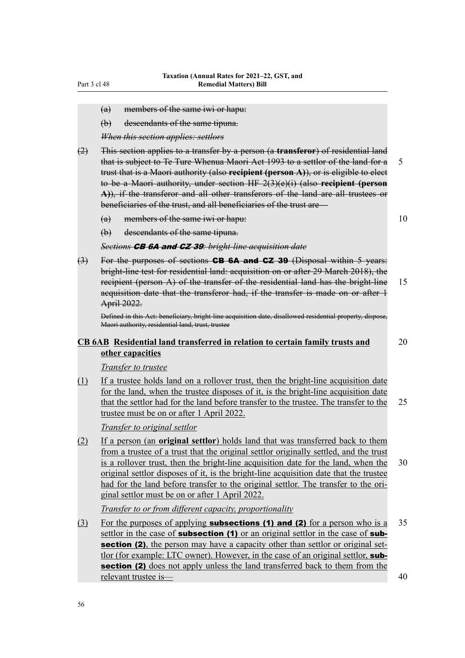- (a) members of the same iwi or hapu:
- (b) descendants of the same tipuna.

*When this section applies: settlors*

- (2) This section applies to a transfer by a person (a **transferor**) of residential land that is subject to Te Ture Whenua Maori Act 1993 to a settlor of the land for a 5 trust that is a Maori authority (also **recipient (person A)**), or is eligible to elect to be a Maori authority, under section HF 2(3)(e)(i) (also **recipient (person A)**), if the transferor and all other transferors of the land are all trustees or beneficiaries of the trust, and all beneficiaries of the trust are—
	- (a) members of the same iwi or hapu:  $10$
	- (b) descendants of the same tipuna.

*Sections* CB 6A and CZ 39*: bright-line acquisition date*

 $(3)$  For the purposes of sections **CB 6A and CZ 39** (Disposal within 5 years: bright-line test for residential land: acquisition on or after 29 March 2018), the recipient (person A) of the transfer of the residential land has the bright-line 15 acquisition date that the transferor had, if the transfer is made on or after 1 April 2022.

Defined in this Act: beneficiary, bright-line acquisition date, disallowed residential property, dispose, Maori authority, residential land, trust, trustee

### **CB 6AB Residential land transferred in relation to certain family trusts and** 20 **other capacities**

*Transfer to trustee*

(1) If a trustee holds land on a rollover trust, then the bright-line acquisition date for the land, when the trustee disposes of it, is the bright-line acquisition date that the settlor had for the land before transfer to the trustee. The transfer to the  $25$ trustee must be on or after 1 April 2022.

*Transfer to original settlor*

(2) If a person (an **original settlor**) holds land that was transferred back to them from a trustee of a trust that the original settlor originally settled, and the trust is a rollover trust, then the bright-line acquisition date for the land, when the 30 original settlor disposes of it, is the bright-line acquisition date that the trustee had for the land before transfer to the original settlor. The transfer to the original settlor must be on or after 1 April 2022.

*Transfer to or from different capacity, proportionality*

(3) For the purposes of applying **subsections (1) and (2)** for a person who is a 35 settlor in the case of **subsection (1)** or an original settlor in the case of **sub**section (2), the person may have a capacity other than settlor or original settlor (for example: LTC owner). However, in the case of an original settlor, subsection (2) does not apply unless the land transferred back to them from the relevant trustee is— 40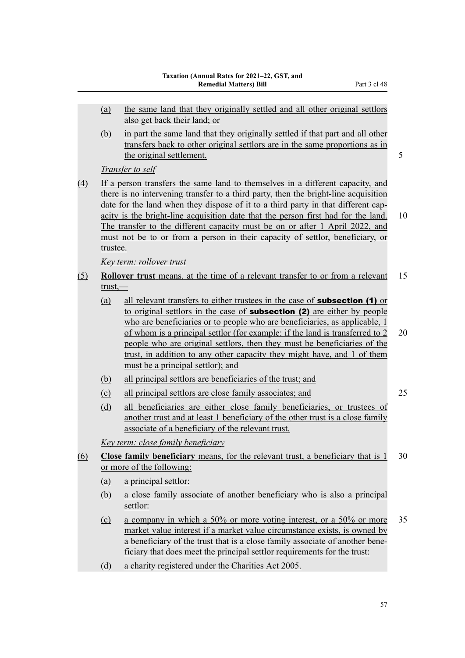(b) in part the same land that they originally settled if that part and all other transfers back to other original settlors are in the same proportions as in the original settlement. 5

*Transfer to self*

(4) If a person transfers the same land to themselves in a different capacity, and there is no intervening transfer to a third party, then the bright-line acquisition date for the land when they dispose of it to a third party in that different capacity is the bright-line acquisition date that the person first had for the land. 10 The transfer to the different capacity must be on or after 1 April 2022, and must not be to or from a person in their capacity of settlor, beneficiary, or trustee.

*Key term: rollover trust*

- (5) **Rollover trust** means, at the time of a relevant transfer to or from a relevant 15 trust,—
	- (a) all relevant transfers to either trustees in the case of subsection (1) or to original settlors in the case of **subsection (2)** are either by people who are beneficiaries or to people who are beneficiaries, as applicable, 1 of whom is a principal settlor (for example: if the land is transferred to 2 20 people who are original settlors, then they must be beneficiaries of the trust, in addition to any other capacity they might have, and 1 of them must be a principal settlor); and
	- (b) all principal settlors are beneficiaries of the trust; and
	- (c) all principal settlors are close family associates; and 25

(d) all beneficiaries are either close family beneficiaries, or trustees of another trust and at least 1 beneficiary of the other trust is a close family associate of a beneficiary of the relevant trust.

*Key term: close family beneficiary*

- (6) **Close family beneficiary** means, for the relevant trust, a beneficiary that is 1 30 or more of the following:
	- (a) a principal settlor:
	- (b) a close family associate of another beneficiary who is also a principal settlor:
	- (c) a company in which a 50% or more voting interest, or a 50% or more 35 market value interest if a market value circumstance exists, is owned by a beneficiary of the trust that is a close family associate of another bene‐ ficiary that does meet the principal settlor requirements for the trust:
	- (d) a charity registered under the Charities Act 2005.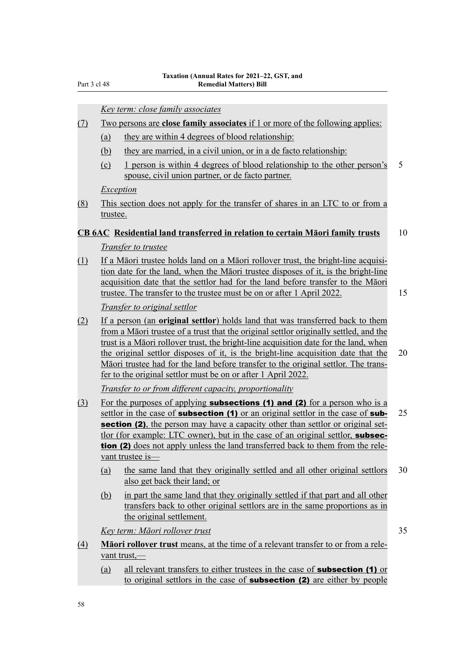*Key term: close family associates*

### (7) Two persons are **close family associates** if 1 or more of the following applies:

- (a) they are within 4 degrees of blood relationship:
- (b) they are married, in a civil union, or in a de facto relationship:
- (c) 1 person is within 4 degrees of blood relationship to the other person's 5 spouse, civil union partner, or de facto partner.

### *Exception*

(8) This section does not apply for the transfer of shares in an LTC to or from a trustee.

#### **CB 6AC Residential land transferred in relation to certain Māori family trusts** 10

#### *Transfer to trustee*

(1) If a Māori trustee holds land on a Māori rollover trust, the bright-line acquisi‐ tion date for the land, when the Māori trustee disposes of it, is the bright-line acquisition date that the settlor had for the land before transfer to the Māori trustee. The transfer to the trustee must be on or after 1 April 2022. 15

*Transfer to original settlor*

(2) If a person (an **original settlor**) holds land that was transferred back to them from a Māori trustee of a trust that the original settlor originally settled, and the trust is a Māori rollover trust, the bright-line acquisition date for the land, when the original settlor disposes of it, is the bright-line acquisition date that the 20 Māori trustee had for the land before transfer to the original settlor. The trans‐ fer to the original settlor must be on or after 1 April 2022.

*Transfer to or from different capacity, proportionality*

- (3) For the purposes of applying **subsections (1) and (2)** for a person who is a settlor in the case of **subsection (1)** or an original settlor in the case of **sub-** 25 section (2), the person may have a capacity other than settlor or original settlor (for example: LTC owner), but in the case of an original settlor, subsection (2) does not apply unless the land transferred back to them from the relevant trustee is—
	- (a) the same land that they originally settled and all other original settlors 30 also get back their land; or
	- (b) in part the same land that they originally settled if that part and all other transfers back to other original settlors are in the same proportions as in the original settlement.

*Key term: Māori rollover trust* 35

- 
- (4) **Māori rollover trust** means, at the time of a relevant transfer to or from a rele‐ vant trust,—
	- (a) all relevant transfers to either trustees in the case of subsection (1) or to original settlors in the case of **subsection (2)** are either by people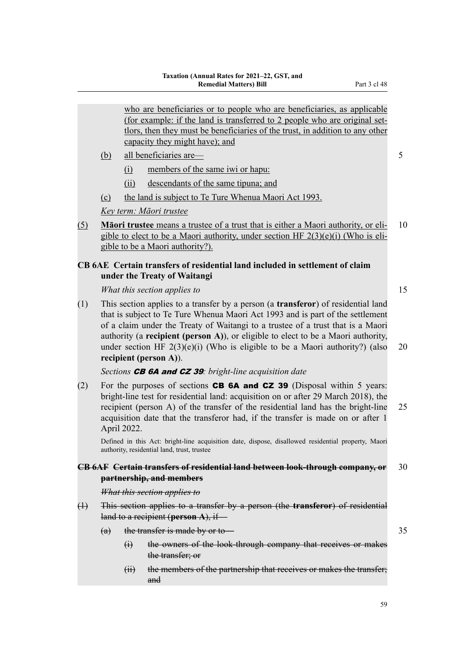|             | who are beneficiaries or to people who are beneficiaries, as applicable<br>(for example: if the land is transferred to 2 people who are original set-<br>tlors, then they must be beneficiaries of the trust, in addition to any other<br>capacity they might have); and |                                                                                                                                                                                                                                                                                                                                                                                                                                                                 |    |  |
|-------------|--------------------------------------------------------------------------------------------------------------------------------------------------------------------------------------------------------------------------------------------------------------------------|-----------------------------------------------------------------------------------------------------------------------------------------------------------------------------------------------------------------------------------------------------------------------------------------------------------------------------------------------------------------------------------------------------------------------------------------------------------------|----|--|
|             | (b)                                                                                                                                                                                                                                                                      | all beneficiaries are-                                                                                                                                                                                                                                                                                                                                                                                                                                          | 5  |  |
|             |                                                                                                                                                                                                                                                                          | members of the same iwi or hapu:<br>$\Omega$                                                                                                                                                                                                                                                                                                                                                                                                                    |    |  |
|             |                                                                                                                                                                                                                                                                          | descendants of the same tipuna; and<br>(ii)                                                                                                                                                                                                                                                                                                                                                                                                                     |    |  |
|             | (c)                                                                                                                                                                                                                                                                      | the land is subject to Te Ture Whenua Maori Act 1993.                                                                                                                                                                                                                                                                                                                                                                                                           |    |  |
|             |                                                                                                                                                                                                                                                                          | Key term: Māori trustee                                                                                                                                                                                                                                                                                                                                                                                                                                         |    |  |
| (5)         |                                                                                                                                                                                                                                                                          | Maori trustee means a trustee of a trust that is either a Maori authority, or eli-<br>gible to elect to be a Maori authority, under section HF $2(3)(e)(i)$ (Who is eli-<br>gible to be a Maori authority?).                                                                                                                                                                                                                                                    | 10 |  |
|             |                                                                                                                                                                                                                                                                          | CB 6AE Certain transfers of residential land included in settlement of claim<br>under the Treaty of Waitangi                                                                                                                                                                                                                                                                                                                                                    |    |  |
|             |                                                                                                                                                                                                                                                                          | What this section applies to                                                                                                                                                                                                                                                                                                                                                                                                                                    | 15 |  |
| (1)         |                                                                                                                                                                                                                                                                          | This section applies to a transfer by a person (a <b>transferor</b> ) of residential land<br>that is subject to Te Ture Whenua Maori Act 1993 and is part of the settlement<br>of a claim under the Treaty of Waitangi to a trustee of a trust that is a Maori<br>authority (a recipient (person A)), or eligible to elect to be a Maori authority,<br>under section HF $2(3)(e)(i)$ (Who is eligible to be a Maori authority?) (also<br>recipient (person A)). | 20 |  |
|             |                                                                                                                                                                                                                                                                          | Sections <b>CB 6A and CZ 39</b> : bright-line acquisition date                                                                                                                                                                                                                                                                                                                                                                                                  |    |  |
| (2)         |                                                                                                                                                                                                                                                                          | For the purposes of sections CB 6A and CZ 39 (Disposal within 5 years:<br>bright-line test for residential land: acquisition on or after 29 March 2018), the<br>recipient (person A) of the transfer of the residential land has the bright-line<br>acquisition date that the transferor had, if the transfer is made on or after 1<br>April 2022.                                                                                                              | 25 |  |
|             |                                                                                                                                                                                                                                                                          | Defined in this Act: bright-line acquisition date, dispose, disallowed residential property, Maori<br>authority, residential land, trust, trustee                                                                                                                                                                                                                                                                                                               |    |  |
|             |                                                                                                                                                                                                                                                                          | CB 6AF Certain transfers of residential land between look-through company, or<br>partnership, and members                                                                                                                                                                                                                                                                                                                                                       | 30 |  |
|             |                                                                                                                                                                                                                                                                          | What this section applies to                                                                                                                                                                                                                                                                                                                                                                                                                                    |    |  |
| $\bigoplus$ |                                                                                                                                                                                                                                                                          | This section applies to a transfer by a person (the <b>transferor</b> ) of residential<br>land to a recipient (person A), if-                                                                                                                                                                                                                                                                                                                                   |    |  |
|             | (a)                                                                                                                                                                                                                                                                      | the transfer is made by or to-                                                                                                                                                                                                                                                                                                                                                                                                                                  | 35 |  |
|             |                                                                                                                                                                                                                                                                          | the owners of the look-through company that receives or makes<br>$\Theta$<br>the transfer; or                                                                                                                                                                                                                                                                                                                                                                   |    |  |

(ii) the members of the partnership that receives or makes the transfer; and

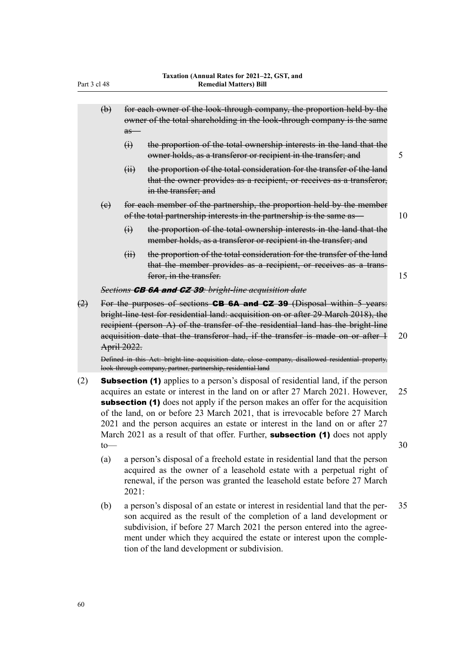|     | $\left(\theta\right)$                                                                                                                                                                                                                                                                                                                              | $as-$           | for each owner of the look-through company, the proportion held by the<br>owner of the total shareholding in the look-through company is the same                      |    |
|-----|----------------------------------------------------------------------------------------------------------------------------------------------------------------------------------------------------------------------------------------------------------------------------------------------------------------------------------------------------|-----------------|------------------------------------------------------------------------------------------------------------------------------------------------------------------------|----|
|     |                                                                                                                                                                                                                                                                                                                                                    | $\ddot{\theta}$ | the proportion of the total ownership interests in the land that the<br>owner holds, as a transferor or recipient in the transfer; and                                 | 5  |
|     |                                                                                                                                                                                                                                                                                                                                                    | $\overline{H}$  | the proportion of the total consideration for the transfer of the land<br>that the owner provides as a recipient, or receives as a transferor,<br>in the transfer; and |    |
|     | (e)                                                                                                                                                                                                                                                                                                                                                |                 | for each member of the partnership, the proportion held by the member<br>of the total partnership interests in the partnership is the same as-                         | 10 |
|     |                                                                                                                                                                                                                                                                                                                                                    | $\ddot{\theta}$ | the proportion of the total ownership interests in the land that the<br>member holds, as a transferor or recipient in the transfer; and                                |    |
|     |                                                                                                                                                                                                                                                                                                                                                    | (ii)            | the proportion of the total consideration for the transfer of the land<br>that the member provides as a recipient, or receives as a trans-<br>feror, in the transfer.  | 15 |
|     |                                                                                                                                                                                                                                                                                                                                                    |                 | Sections <b>CB 6A and CZ 39</b> : bright-line acquisition date                                                                                                         |    |
| (2) | For the purposes of sections CB 6A and CZ 39 (Disposal within 5 years:<br>bright-line test for residential land: acquisition on or after 29 March 2018), the<br>recipient (person A) of the transfer of the residential land has the bright-line<br>acquisition date that the transferor had, if the transfer is made on or after 1<br>April 2022. |                 |                                                                                                                                                                        | 20 |

Defined in this Act: bright-line acquisition date, close company, disallowed residential property, look-through company, partner, partnership, residential land

- (2) **Subsection (1)** applies to a person's disposal of residential land, if the person acquires an estate or interest in the land on or after 27 March 2021. However, 25 subsection (1) does not apply if the person makes an offer for the acquisition of the land, on or before 23 March 2021, that is irrevocable before 27 March 2021 and the person acquires an estate or interest in the land on or after 27 March 2021 as a result of that offer. Further, **subsection (1)** does not apply  $\sim$  30
	- (a) a person's disposal of a freehold estate in residential land that the person acquired as the owner of a leasehold estate with a perpetual right of renewal, if the person was granted the leasehold estate before 27 March 2021:
	- (b) a person's disposal of an estate or interest in residential land that the per‐ 35 son acquired as the result of the completion of a land development or subdivision, if before 27 March 2021 the person entered into the agreement under which they acquired the estate or interest upon the completion of the land development or subdivision.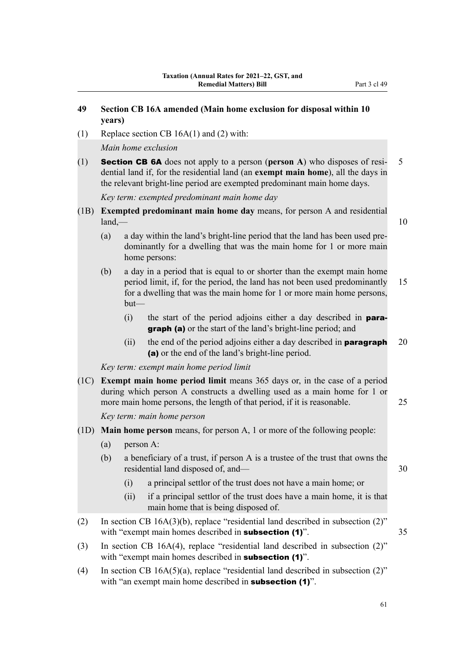# **49 Section CB 16A amended (Main home exclusion for disposal within 10 years)**

(1) Replace section CB 16A(1) and (2) with:

*Main home exclusion*

(1) Section CB 6A does not apply to a person (**person A**) who disposes of resi‐ 5 dential land if, for the residential land (an **exempt main home**), all the days in the relevant bright-line period are exempted predominant main home days.

*Key term: exempted predominant main home day*

- (1B) **Exempted predominant main home day** means, for person A and residential  $land,$   $\qquad$  10
	-
	- (a) a day within the land's bright-line period that the land has been used pre‐ dominantly for a dwelling that was the main home for 1 or more main home persons:
	- (b) a day in a period that is equal to or shorter than the exempt main home period limit, if, for the period, the land has not been used predominantly 15 for a dwelling that was the main home for 1 or more main home persons, but—
		- (i) the start of the period adjoins either a day described in paragraph (a) or the start of the land's bright-line period; and
		- (ii) the end of the period adjoins either a day described in **paragraph**  $20$ (a) or the end of the land's bright-line period.

*Key term: exempt main home period limit*

(1C) **Exempt main home period limit** means 365 days or, in the case of a period during which person A constructs a dwelling used as a main home for 1 or more main home persons, the length of that period, if it is reasonable. 25

*Key term: main home person*

- (1D) **Main home person** means, for person A, 1 or more of the following people:
	- (a) person A:
	- (b) a beneficiary of a trust, if person A is a trustee of the trust that owns the residential land disposed of, and— 30
		- (i) a principal settlor of the trust does not have a main home; or
		- (ii) if a principal settlor of the trust does have a main home, it is that main home that is being disposed of.
- (2) In section CB 16A(3)(b), replace "residential land described in subsection (2)" with "exempt main homes described in **subsection (1)**". 35
- (3) In section CB 16A(4), replace "residential land described in subsection (2)" with "exempt main homes described in **subsection** (1)".
- (4) In section CB 16A(5)(a), replace "residential land described in subsection (2)" with "an exempt main home described in **subsection (1)**".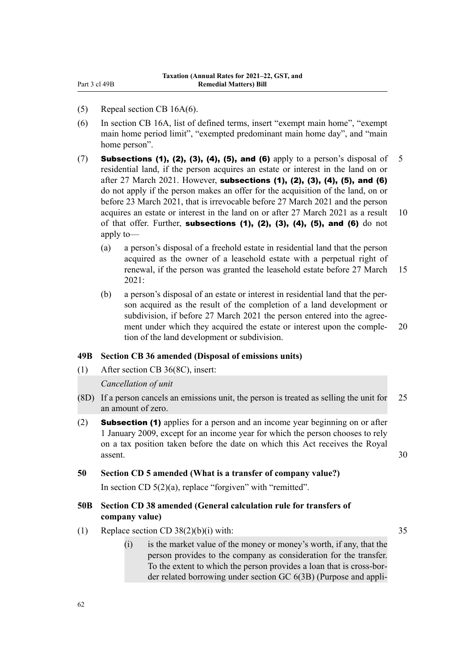- (5) Repeal section CB 16A(6).
- (6) In section CB 16A, list of defined terms, insert "exempt main home", "exempt main home period limit", "exempted predominant main home day", and "main home person".
- (7) Subsections (1), (2), (3), (4), (5), and (6) apply to a person's disposal of 5 residential land, if the person acquires an estate or interest in the land on or after 27 March 2021. However, subsections (1), (2), (3), (4), (5), and (6) do not apply if the person makes an offer for the acquisition of the land, on or before 23 March 2021, that is irrevocable before 27 March 2021 and the person acquires an estate or interest in the land on or after 27 March 2021 as a result 10 of that offer. Further, subsections  $(1)$ ,  $(2)$ ,  $(3)$ ,  $(4)$ ,  $(5)$ , and  $(6)$  do not apply to—
	- (a) a person's disposal of a freehold estate in residential land that the person acquired as the owner of a leasehold estate with a perpetual right of renewal, if the person was granted the leasehold estate before 27 March 15 2021:
	- (b) a person's disposal of an estate or interest in residential land that the per‐ son acquired as the result of the completion of a land development or subdivision, if before 27 March 2021 the person entered into the agreement under which they acquired the estate or interest upon the comple- 20 tion of the land development or subdivision.

### **49B Section CB 36 amended (Disposal of emissions units)**

(1) After section CB 36(8C), insert:

### *Cancellation of unit*

- (8D) If a person cancels an emissions unit, the person is treated as selling the unit for 25 an amount of zero.
- (2) **Subsection (1)** applies for a person and an income year beginning on or after 1 January 2009, except for an income year for which the person chooses to rely on a tax position taken before the date on which this Act receives the Royal assent. 30

### **50 Section CD 5 amended (What is a transfer of company value?)**

In section CD  $5(2)(a)$ , replace "forgiven" with "remitted".

## **50B Section CD 38 amended (General calculation rule for transfers of company value)**

- (1) Replace section CD 38(2)(b)(i) with:  $35$ 
	- (i) is the market value of the money or money's worth, if any, that the person provides to the company as consideration for the transfer. To the extent to which the person provides a loan that is cross-bor‐ der related borrowing under section GC 6(3B) (Purpose and appli‐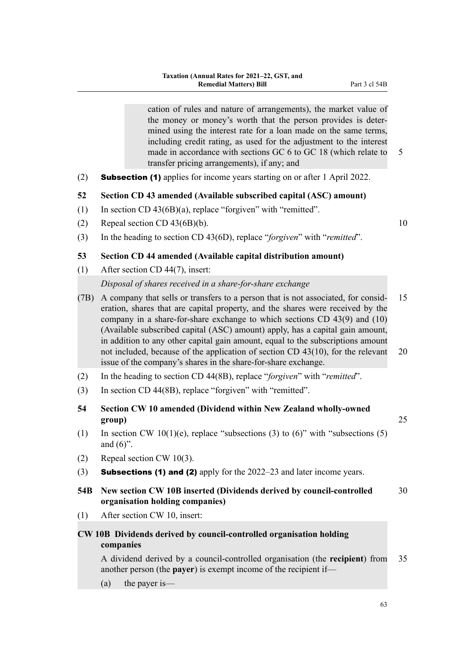cation of rules and nature of arrangements), the market value of the money or money's worth that the person provides is deter‐ mined using the interest rate for a loan made on the same terms, including credit rating, as used for the adjustment to the interest made in accordance with sections GC 6 to GC 18 (which relate to 5 transfer pricing arrangements), if any; and

(2) Subsection (1) applies for income years starting on or after 1 April 2022.

### **52 Section CD 43 amended (Available subscribed capital (ASC) amount)**

- (1) In section CD 43(6B)(a), replace "forgiven" with "remitted".
- (2) Repeal section CD  $43(6B)(b)$ . 10
- (3) In the heading to section CD 43(6D), replace "*forgiven*" with "*remitted*".

### **53 Section CD 44 amended (Available capital distribution amount)**

- (1) After section CD 44(7), insert: *Disposal of shares received in a share-for-share exchange*
- (7B) A company that sells or transfers to a person that is not associated, for consid‐ 15 eration, shares that are capital property, and the shares were received by the company in a share-for-share exchange to which sections CD 43(9) and (10) (Available subscribed capital (ASC) amount) apply, has a capital gain amount, in addition to any other capital gain amount, equal to the subscriptions amount not included, because of the application of section CD 43(10), for the relevant 20 issue of the company's shares in the share-for-share exchange.
- (2) In the heading to section CD 44(8B), replace "*forgiven*" with "*remitted*".
- (3) In section CD 44(8B), replace "forgiven" with "remitted".
- **54 Section CW 10 amended (Dividend within New Zealand wholly-owned group)** 25
- (1) In section CW 10(1)(e), replace "subsections (3) to  $(6)$ " with "subsections (5) and  $(6)$ ".
- (2) Repeal section CW 10(3).
- (3) **Subsections (1) and (2)** apply for the  $2022-23$  and later income years.
- **54B New section CW 10B inserted (Dividends derived by council-controlled** 30 **organisation holding companies)**
- (1) After section CW 10, insert:

# **CW 10B Dividends derived by council-controlled organisation holding companies**

A dividend derived by a council-controlled organisation (the **recipient**) from 35 another person (the **payer**) is exempt income of the recipient if—

(a) the payer is—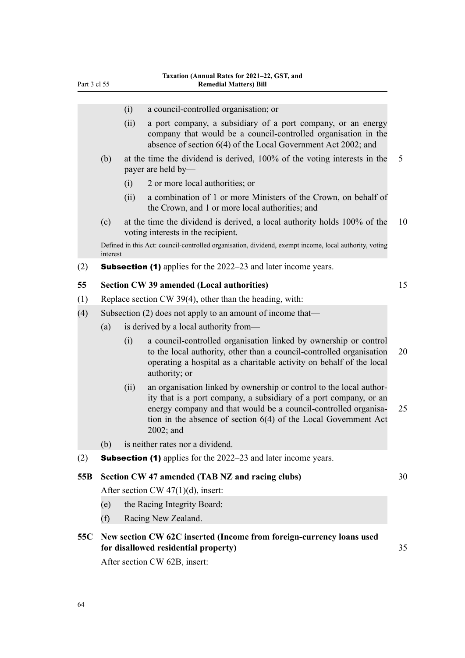| Part 3 cl 55                          |      | Taxation (Annual Kates for 2021–22, GST, and<br><b>Remedial Matters) Bill</b>                                                                                                                                                                                                                    |                                                                                                                                                                                                                                                                                                                                                                                                                                                                                                                                                                                                                                                                                                                                                                                                                                                                                                                                                                                                                                           |  |  |
|---------------------------------------|------|--------------------------------------------------------------------------------------------------------------------------------------------------------------------------------------------------------------------------------------------------------------------------------------------------|-------------------------------------------------------------------------------------------------------------------------------------------------------------------------------------------------------------------------------------------------------------------------------------------------------------------------------------------------------------------------------------------------------------------------------------------------------------------------------------------------------------------------------------------------------------------------------------------------------------------------------------------------------------------------------------------------------------------------------------------------------------------------------------------------------------------------------------------------------------------------------------------------------------------------------------------------------------------------------------------------------------------------------------------|--|--|
|                                       |      |                                                                                                                                                                                                                                                                                                  |                                                                                                                                                                                                                                                                                                                                                                                                                                                                                                                                                                                                                                                                                                                                                                                                                                                                                                                                                                                                                                           |  |  |
|                                       | (i)  |                                                                                                                                                                                                                                                                                                  |                                                                                                                                                                                                                                                                                                                                                                                                                                                                                                                                                                                                                                                                                                                                                                                                                                                                                                                                                                                                                                           |  |  |
|                                       | (ii) | a port company, a subsidiary of a port company, or an energy<br>company that would be a council-controlled organisation in the<br>absence of section 6(4) of the Local Government Act 2002; and                                                                                                  |                                                                                                                                                                                                                                                                                                                                                                                                                                                                                                                                                                                                                                                                                                                                                                                                                                                                                                                                                                                                                                           |  |  |
| (b)                                   |      |                                                                                                                                                                                                                                                                                                  | 5                                                                                                                                                                                                                                                                                                                                                                                                                                                                                                                                                                                                                                                                                                                                                                                                                                                                                                                                                                                                                                         |  |  |
|                                       | (i)  | 2 or more local authorities; or                                                                                                                                                                                                                                                                  |                                                                                                                                                                                                                                                                                                                                                                                                                                                                                                                                                                                                                                                                                                                                                                                                                                                                                                                                                                                                                                           |  |  |
|                                       | (ii) | a combination of 1 or more Ministers of the Crown, on behalf of<br>the Crown, and 1 or more local authorities; and                                                                                                                                                                               |                                                                                                                                                                                                                                                                                                                                                                                                                                                                                                                                                                                                                                                                                                                                                                                                                                                                                                                                                                                                                                           |  |  |
| (c)                                   |      |                                                                                                                                                                                                                                                                                                  | 10                                                                                                                                                                                                                                                                                                                                                                                                                                                                                                                                                                                                                                                                                                                                                                                                                                                                                                                                                                                                                                        |  |  |
|                                       |      |                                                                                                                                                                                                                                                                                                  |                                                                                                                                                                                                                                                                                                                                                                                                                                                                                                                                                                                                                                                                                                                                                                                                                                                                                                                                                                                                                                           |  |  |
|                                       |      |                                                                                                                                                                                                                                                                                                  |                                                                                                                                                                                                                                                                                                                                                                                                                                                                                                                                                                                                                                                                                                                                                                                                                                                                                                                                                                                                                                           |  |  |
|                                       |      |                                                                                                                                                                                                                                                                                                  | 15                                                                                                                                                                                                                                                                                                                                                                                                                                                                                                                                                                                                                                                                                                                                                                                                                                                                                                                                                                                                                                        |  |  |
|                                       |      |                                                                                                                                                                                                                                                                                                  |                                                                                                                                                                                                                                                                                                                                                                                                                                                                                                                                                                                                                                                                                                                                                                                                                                                                                                                                                                                                                                           |  |  |
|                                       |      |                                                                                                                                                                                                                                                                                                  |                                                                                                                                                                                                                                                                                                                                                                                                                                                                                                                                                                                                                                                                                                                                                                                                                                                                                                                                                                                                                                           |  |  |
| (a)                                   |      |                                                                                                                                                                                                                                                                                                  |                                                                                                                                                                                                                                                                                                                                                                                                                                                                                                                                                                                                                                                                                                                                                                                                                                                                                                                                                                                                                                           |  |  |
|                                       | (i)  | a council-controlled organisation linked by ownership or control<br>to the local authority, other than a council-controlled organisation<br>operating a hospital as a charitable activity on behalf of the local<br>authority; or                                                                | 20                                                                                                                                                                                                                                                                                                                                                                                                                                                                                                                                                                                                                                                                                                                                                                                                                                                                                                                                                                                                                                        |  |  |
|                                       | (ii) | an organisation linked by ownership or control to the local author-<br>ity that is a port company, a subsidiary of a port company, or an<br>energy company and that would be a council-controlled organisa-<br>tion in the absence of section $6(4)$ of the Local Government Act<br>$2002$ ; and | 25                                                                                                                                                                                                                                                                                                                                                                                                                                                                                                                                                                                                                                                                                                                                                                                                                                                                                                                                                                                                                                        |  |  |
| (b)                                   |      |                                                                                                                                                                                                                                                                                                  |                                                                                                                                                                                                                                                                                                                                                                                                                                                                                                                                                                                                                                                                                                                                                                                                                                                                                                                                                                                                                                           |  |  |
|                                       |      |                                                                                                                                                                                                                                                                                                  |                                                                                                                                                                                                                                                                                                                                                                                                                                                                                                                                                                                                                                                                                                                                                                                                                                                                                                                                                                                                                                           |  |  |
|                                       |      |                                                                                                                                                                                                                                                                                                  | 30                                                                                                                                                                                                                                                                                                                                                                                                                                                                                                                                                                                                                                                                                                                                                                                                                                                                                                                                                                                                                                        |  |  |
| After section CW $47(1)(d)$ , insert: |      |                                                                                                                                                                                                                                                                                                  |                                                                                                                                                                                                                                                                                                                                                                                                                                                                                                                                                                                                                                                                                                                                                                                                                                                                                                                                                                                                                                           |  |  |
| (e)                                   |      |                                                                                                                                                                                                                                                                                                  |                                                                                                                                                                                                                                                                                                                                                                                                                                                                                                                                                                                                                                                                                                                                                                                                                                                                                                                                                                                                                                           |  |  |
| (f)                                   |      |                                                                                                                                                                                                                                                                                                  |                                                                                                                                                                                                                                                                                                                                                                                                                                                                                                                                                                                                                                                                                                                                                                                                                                                                                                                                                                                                                                           |  |  |
|                                       |      |                                                                                                                                                                                                                                                                                                  | 35                                                                                                                                                                                                                                                                                                                                                                                                                                                                                                                                                                                                                                                                                                                                                                                                                                                                                                                                                                                                                                        |  |  |
|                                       |      | interest                                                                                                                                                                                                                                                                                         | a council-controlled organisation; or<br>at the time the dividend is derived, 100% of the voting interests in the<br>payer are held by—<br>at the time the dividend is derived, a local authority holds 100% of the<br>voting interests in the recipient.<br>Defined in this Act: council-controlled organisation, dividend, exempt income, local authority, voting<br><b>Subsection (1)</b> applies for the 2022–23 and later income years.<br><b>Section CW 39 amended (Local authorities)</b><br>Replace section CW 39(4), other than the heading, with:<br>Subsection (2) does not apply to an amount of income that—<br>is derived by a local authority from-<br>is neither rates nor a dividend.<br><b>Subsection (1)</b> applies for the 2022–23 and later income years.<br>Section CW 47 amended (TAB NZ and racing clubs)<br>the Racing Integrity Board:<br>Racing New Zealand.<br>New section CW 62C inserted (Income from foreign-currency loans used<br>for disallowed residential property)<br>After section CW 62B, insert: |  |  |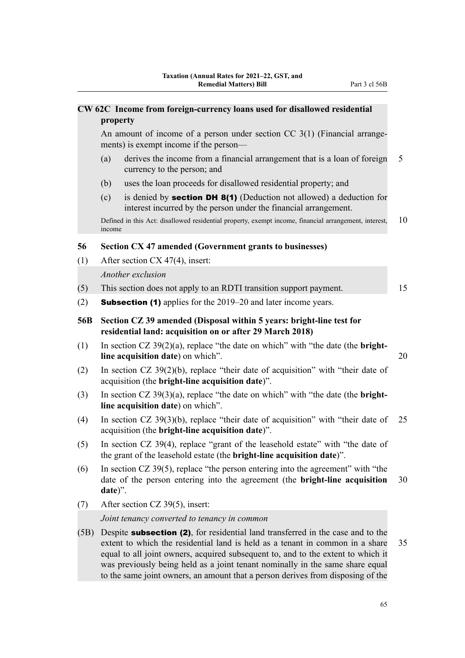|      | CW 62C Income from foreign-currency loans used for disallowed residential<br>property                                                                                                                                                                        |    |
|------|--------------------------------------------------------------------------------------------------------------------------------------------------------------------------------------------------------------------------------------------------------------|----|
|      | An amount of income of a person under section $CC 3(1)$ (Financial arrange-<br>ments) is exempt income if the person—                                                                                                                                        |    |
|      | derives the income from a financial arrangement that is a loan of foreign<br>(a)<br>currency to the person; and                                                                                                                                              | 5  |
|      | uses the loan proceeds for disallowed residential property; and<br>(b)                                                                                                                                                                                       |    |
|      | is denied by <b>section DH 8(1)</b> (Deduction not allowed) a deduction for<br>(c)<br>interest incurred by the person under the financial arrangement.                                                                                                       |    |
|      | Defined in this Act: disallowed residential property, exempt income, financial arrangement, interest,<br>income                                                                                                                                              | 10 |
| 56   | Section CX 47 amended (Government grants to businesses)                                                                                                                                                                                                      |    |
| (1)  | After section CX 47(4), insert:                                                                                                                                                                                                                              |    |
|      | Another exclusion                                                                                                                                                                                                                                            |    |
| (5)  | This section does not apply to an RDTI transition support payment.                                                                                                                                                                                           | 15 |
| (2)  | <b>Subsection (1)</b> applies for the 2019–20 and later income years.                                                                                                                                                                                        |    |
| 56B  | Section CZ 39 amended (Disposal within 5 years: bright-line test for<br>residential land: acquisition on or after 29 March 2018)                                                                                                                             |    |
| (1)  | In section $CZ$ 39(2)(a), replace "the date on which" with "the date (the <b>bright</b> -<br>line acquisition date) on which".                                                                                                                               | 20 |
| (2)  | In section $CZ$ 39(2)(b), replace "their date of acquisition" with "their date of<br>acquisition (the bright-line acquisition date)".                                                                                                                        |    |
| (3)  | In section $CZ$ 39(3)(a), replace "the date on which" with "the date (the <b>bright</b> -<br>line acquisition date) on which".                                                                                                                               |    |
| (4)  | In section $CZ$ 39(3)(b), replace "their date of acquisition" with "their date of<br>acquisition (the bright-line acquisition date)".                                                                                                                        | 25 |
| (5)  | In section CZ 39(4), replace "grant of the leasehold estate" with "the date of<br>the grant of the leasehold estate (the <b>bright-line acquisition date</b> )".                                                                                             |    |
| (6)  | In section CZ 39(5), replace "the person entering into the agreement" with "the<br>date of the person entering into the agreement (the bright-line acquisition<br>date)".                                                                                    | 30 |
| (7)  | After section CZ 39(5), insert:                                                                                                                                                                                                                              |    |
|      | Joint tenancy converted to tenancy in common                                                                                                                                                                                                                 |    |
| (5B) | Despite <b>subsection (2)</b> , for residential land transferred in the case and to the<br>extent to which the residential land is held as a tenant in common in a share<br>equal to all joint owners, acquired subsequent to, and to the extent to which it | 35 |

was previously being held as a joint tenant nominally in the same share equal to the same joint owners, an amount that a person derives from disposing of the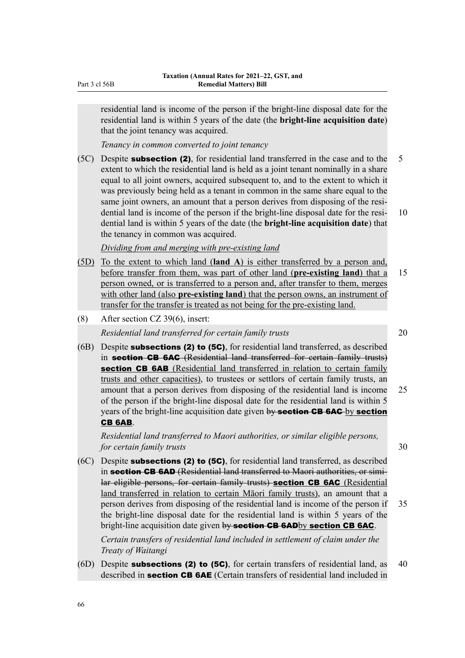residential land is income of the person if the bright-line disposal date for the residential land is within 5 years of the date (the **bright-line acquisition date**) that the joint tenancy was acquired.

*Tenancy in common converted to joint tenancy*

 $(5C)$  Despite **subsection (2)**, for residential land transferred in the case and to the 5 extent to which the residential land is held as a joint tenant nominally in a share equal to all joint owners, acquired subsequent to, and to the extent to which it was previously being held as a tenant in common in the same share equal to the same joint owners, an amount that a person derives from disposing of the residential land is income of the person if the bright-line disposal date for the resi-<br>10 dential land is within 5 years of the date (the **bright-line acquisition date**) that the tenancy in common was acquired.

*Dividing from and merging with pre-existing land*

- (5D) To the extent to which land (**land A**) is either transferred by a person and, before transfer from them, was part of other land (**pre-existing land**) that a 15 person owned, or is transferred to a person and, after transfer to them, merges with other land (also **pre-existing land**) that the person owns, an instrument of transfer for the transfer is treated as not being for the pre-existing land.
- (8) After section CZ 39(6), insert:

*Residential land transferred for certain family trusts* 20

 $(6B)$  Despite **subsections (2) to (5C)**, for residential land transferred, as described in section CB 6AC (Residential land transferred for certain family trusts) section CB 6AB (Residential land transferred in relation to certain family trusts and other capacities), to trustees or settlors of certain family trusts, an amount that a person derives from disposing of the residential land is income 25 of the person if the bright-line disposal date for the residential land is within 5 years of the bright-line acquisition date given by section CB 6AC by section CB 6AB.

*Residential land transferred to Maori authorities, or similar eligible persons, for certain family trusts* 30

(6C) Despite subsections (2) to (5C), for residential land transferred, as described in section CB 6AD (Residential land transferred to Maori authorities, or similar eligible persons, for certain family trusts) section CB 6AC (Residential land transferred in relation to certain Māori family trusts), an amount that a person derives from disposing of the residential land is income of the person if 35 the bright-line disposal date for the residential land is within 5 years of the bright-line acquisition date given by section CB 6ADby section CB 6AC.

*Certain transfers of residential land included in settlement of claim under the Treaty of Waitangi*

(6D) Despite **subsections (2) to (5C)**, for certain transfers of residential land, as  $40$ described in section CB 6AE (Certain transfers of residential land included in

Part 3 cl 56B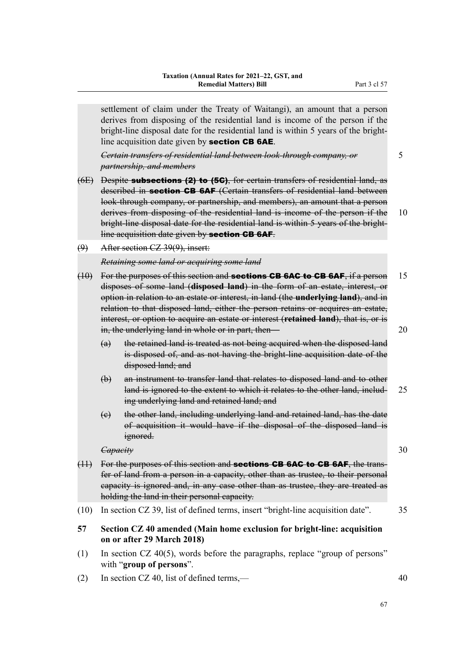settlement of claim under the Treaty of Waitangi), an amount that a person derives from disposing of the residential land is income of the person if the bright-line disposal date for the residential land is within 5 years of the brightline acquisition date given by section CB 6AE.

*Certain transfers of residential land between look-through company, or* 5 *partnership, and members*

- 
- (6E) Despite subsections (2) to (5C), for certain transfers of residential land, as described in **section CB 6AF** (Certain transfers of residential land between look-through company, or partnership, and members), an amount that a person derives from disposing of the residential land is income of the person if the 10 bright-line disposal date for the residential land is within 5 years of the brightline acquisition date given by **section CB 6AF**.
- (9) After section CZ 39(9), insert:

### *Retaining some land or acquiring some land*

- $(10)$  For the purposes of this section and **sections GB 6AC to GB 6AF**, if a person 15 disposes of some land (**disposed land**) in the form of an estate, interest, or option in relation to an estate or interest, in land (the **underlying land**), and in relation to that disposed land, either the person retains or acquires an estate, interest, or option to acquire an estate or interest (**retained land**), that is, or is in, the underlying land in whole or in part, then—
	- (a) the retained land is treated as not being acquired when the disposed land is disposed of, and as not having the bright-line acquisition date of the disposed land; and
	- (b) an instrument to transfer land that relates to disposed land and to other land is ignored to the extent to which it relates to the other land, includ- 25 ing underlying land and retained land; and
	- (c) the other land, including underlying land and retained land, has the date of acquisition it would have if the disposal of the disposed land is ignored.

### *Capacity* 30

- $(11)$  For the purposes of this section and **sections GB 6AC to GB 6AF**, the transfer of land from a person in a capacity, other than as trustee, to their personal capacity is ignored and, in any case other than as trustee, they are treated as holding the land in their personal capacity.
- (10) In section CZ 39, list of defined terms, insert "bright-line acquisition date". 35
- **57 Section CZ 40 amended (Main home exclusion for bright-line: acquisition on or after 29 March 2018)**
- (1) In section CZ 40(5), words before the paragraphs, replace "group of persons" with "**group of persons**".
- (2) In section CZ 40, list of defined terms,— $\sim$  40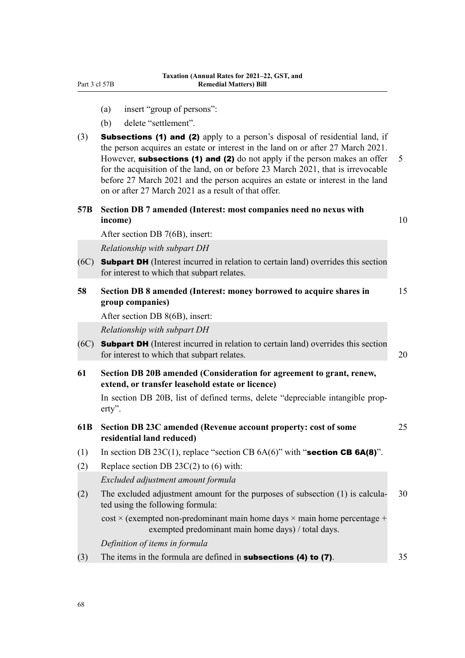- (a) insert "group of persons":
- (b) delete "settlement".
- (3) Subsections (1) and (2) apply to a person's disposal of residential land, if the person acquires an estate or interest in the land on or after 27 March 2021. However, subsections (1) and (2) do not apply if the person makes an offer  $5$ for the acquisition of the land, on or before 23 March 2021, that is irrevocable before 27 March 2021 and the person acquires an estate or interest in the land on or after 27 March 2021 as a result of that offer.

| 57B Section DB 7 amended (Interest: most companies need no nexus with |  |  |
|-----------------------------------------------------------------------|--|--|
| income)                                                               |  |  |

After section DB 7(6B), insert:

*Relationship with subpart DH*

- (6C) Subpart DH (Interest incurred in relation to certain land) overrides this section for interest to which that subpart relates.
- **58 Section DB 8 amended (Interest: money borrowed to acquire shares in** 15 **group companies)** After section DB 8(6B), insert: *Relationship with subpart DH* (6C) Subpart DH (Interest incurred in relation to certain land) overrides this section for interest to which that subpart relates. 20 **61 Section DB 20B amended (Consideration for agreement to grant, renew, extend, or transfer leasehold estate or licence)** In section DB 20B, list of defined terms, delete "depreciable intangible property". **61B Section DB 23C amended (Revenue account property: cost of some** 25 **residential land reduced)** (1) In section DB 23C(1), replace "section CB  $6A(6)$ " with "section CB  $6A(8)$ ". (2) Replace section DB  $23C(2)$  to (6) with: *Excluded adjustment amount formula*
- (2) The excluded adjustment amount for the purposes of subsection  $(1)$  is calcula- 30 ted using the following formula:

 $cost \times$  (exempted non-predominant main home days  $\times$  main home percentage + exempted predominant main home days) / total days.

*Definition of items in formula*

(3) The items in the formula are defined in **subsections (4) to (7)**.  $35$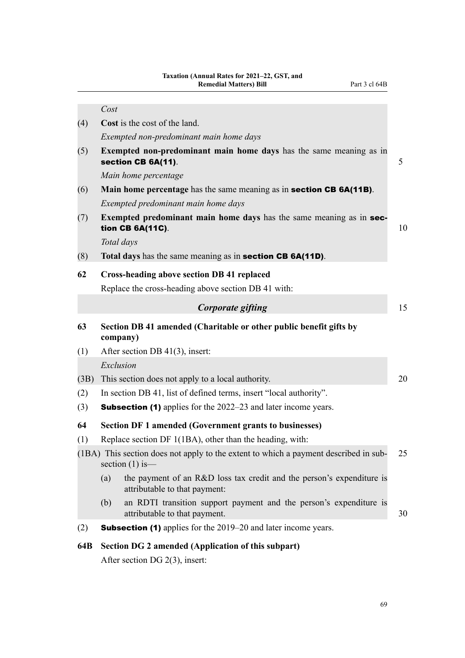|      | Cost                                                                                                          |    |
|------|---------------------------------------------------------------------------------------------------------------|----|
| (4)  | Cost is the cost of the land.                                                                                 |    |
|      | Exempted non-predominant main home days                                                                       |    |
| (5)  | Exempted non-predominant main home days has the same meaning as in<br>section CB 6A(11).                      | 5  |
|      | Main home percentage                                                                                          |    |
| (6)  | Main home percentage has the same meaning as in <b>section CB 6A(11B)</b> .                                   |    |
|      | Exempted predominant main home days                                                                           |    |
| (7)  | Exempted predominant main home days has the same meaning as in sec-<br>tion CB 6A(11C).                       | 10 |
|      | Total days                                                                                                    |    |
| (8)  | Total days has the same meaning as in section CB 6A(11D).                                                     |    |
| 62   | <b>Cross-heading above section DB 41 replaced</b>                                                             |    |
|      | Replace the cross-heading above section DB 41 with:                                                           |    |
|      | Corporate gifting                                                                                             | 15 |
| 63   | Section DB 41 amended (Charitable or other public benefit gifts by<br>company)                                |    |
| (1)  | After section DB 41(3), insert:                                                                               |    |
|      | Exclusion                                                                                                     |    |
| (3B) | This section does not apply to a local authority.                                                             | 20 |
| (2)  | In section DB 41, list of defined terms, insert "local authority".                                            |    |
| (3)  | <b>Subsection (1)</b> applies for the 2022–23 and later income years.                                         |    |
| 64   | <b>Section DF 1 amended (Government grants to businesses)</b>                                                 |    |
| (1)  | Replace section DF 1(1BA), other than the heading, with:                                                      |    |
|      | (1BA) This section does not apply to the extent to which a payment described in sub-<br>section $(1)$ is—     | 25 |
|      | the payment of an R&D loss tax credit and the person's expenditure is<br>(a)<br>attributable to that payment: |    |
|      | an RDTI transition support payment and the person's expenditure is<br>(b)<br>attributable to that payment.    | 30 |
| (2)  | <b>Subsection (1)</b> applies for the 2019–20 and later income years.                                         |    |
| 64B  | Section DG 2 amended (Application of this subpart)                                                            |    |
|      |                                                                                                               |    |

After section DG 2(3), insert: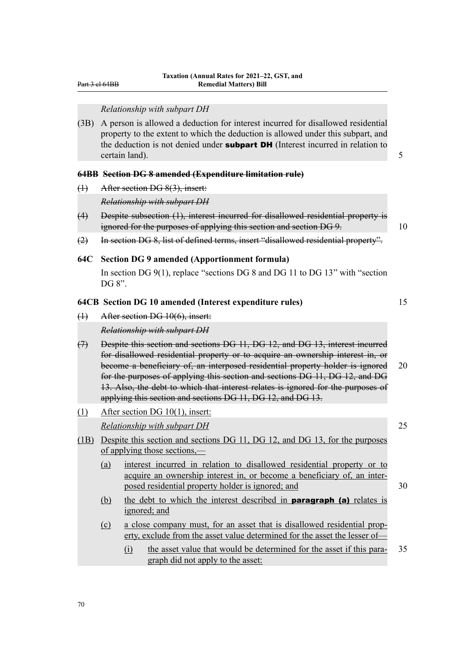Part 3 cl 64BB

#### *Relationship with subpart DH*

(3B) A person is allowed a deduction for interest incurred for disallowed residential property to the extent to which the deduction is allowed under this subpart, and the deduction is not denied under **subpart DH** (Interest incurred in relation to certain land). 5

### **64BB Section DG 8 amended (Expenditure limitation rule)**

(1) After section DG 8(3), insert:

*Relationship with subpart DH*

- (4) Despite subsection (1), interest incurred for disallowed residential property is ignored for the purposes of applying this section and section DG 9. 10
- (2) In section DG 8, list of defined terms, insert "disallowed residential property".

#### **64C Section DG 9 amended (Apportionment formula)**

In section DG 9(1), replace "sections DG 8 and DG 11 to DG 13" with "section DG 8".

#### **64CB Section DG 10 amended (Interest expenditure rules)** 15

### (1) After section DG 10(6), insert:

*Relationship with subpart DH*

- (7) Despite this section and sections DG 11, DG 12, and DG 13, interest incurred for disallowed residential property or to acquire an ownership interest in, or become a beneficiary of, an interposed residential property holder is ignored 20 for the purposes of applying this section and sections DG 11, DG 12, and DG 13. Also, the debt to which that interest relates is ignored for the purposes of applying this section and sections DG 11, DG 12, and DG 13.
- (1) After section DG 10(1), insert:

*Relationship with subpart DH* 25

- (1B) Despite this section and sections DG 11, DG 12, and DG 13, for the purposes of applying those sections,—
	- (a) interest incurred in relation to disallowed residential property or to acquire an ownership interest in, or become a beneficiary of, an inter‐ posed residential property holder is ignored; and 30
	- (b) the debt to which the interest described in paragraph (a) relates is ignored; and
	- (c) a close company must, for an asset that is disallowed residential prop‐ erty, exclude from the asset value determined for the asset the lesser of—
		- (i) the asset value that would be determined for the asset if this para- 35 graph did not apply to the asset: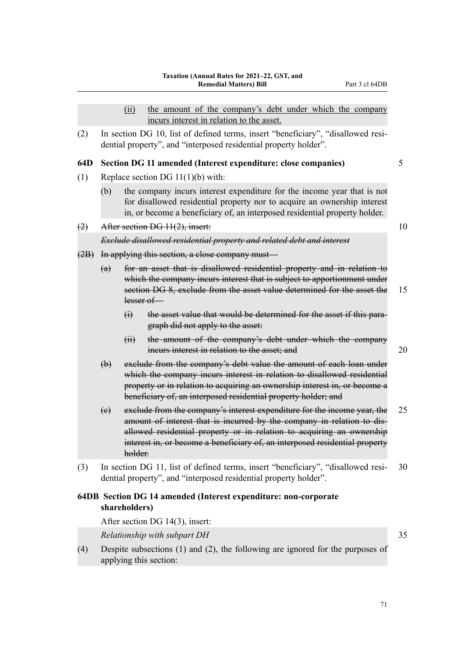(ii) the amount of the company's debt under which the company incurs interest in relation to the asset.

(2) In section DG 10, list of defined terms, insert "beneficiary", "disallowed resi‐ dential property", and "interposed residential property holder".

#### **64D Section DG 11 amended (Interest expenditure: close companies)** 5

- (1) Replace section DG 11(1)(b) with:
	- (b) the company incurs interest expenditure for the income year that is not for disallowed residential property nor to acquire an ownership interest in, or become a beneficiary of, an interposed residential property holder.
- (2) After section DG  $11(2)$ , insert: 10

#### *Exclude disallowed residential property and related debt and interest*

- (2B) In applying this section, a close company must—
	- (a) for an asset that is disallowed residential property and in relation to which the company incurs interest that is subject to apportionment under section DG 8, exclude from the asset value determined for the asset the 15 lesser of—
		- (i) the asset value that would be determined for the asset if this paragraph did not apply to the asset:
		- (ii) the amount of the company's debt under which the company incurs interest in relation to the asset; and 20
	- (b) exclude from the company's debt value the amount of each loan under which the company incurs interest in relation to disallowed residential property or in relation to acquiring an ownership interest in, or become a beneficiary of, an interposed residential property holder; and
	- (c) exclude from the company's interest expenditure for the income year, the 25 amount of interest that is incurred by the company in relation to disallowed residential property or in relation to acquiring an ownership interest in, or become a beneficiary of, an interposed residential property holder.
- (3) In section DG 11, list of defined terms, insert "beneficiary", "disallowed resi‐ 30 dential property", and "interposed residential property holder".

## **64DB Section DG 14 amended (Interest expenditure: non-corporate shareholders)**

After section DG 14(3), insert:

*Relationship with subpart DH* 35

- 
- (4) Despite subsections (1) and (2), the following are ignored for the purposes of applying this section: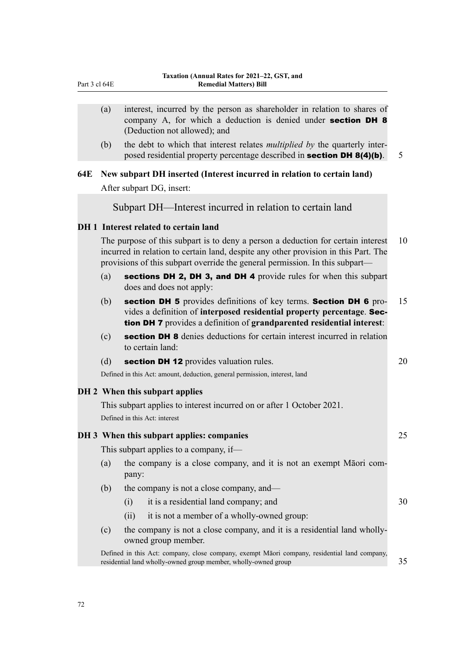|     | (a) | interest, incurred by the person as shareholder in relation to shares of<br>company A, for which a deduction is denied under section DH 8<br>(Deduction not allowed); and                                                                               |    |
|-----|-----|---------------------------------------------------------------------------------------------------------------------------------------------------------------------------------------------------------------------------------------------------------|----|
|     | (b) | the debt to which that interest relates <i>multiplied by</i> the quarterly inter-<br>posed residential property percentage described in <b>section DH 8(4)(b)</b> .                                                                                     | 5  |
| 64E |     | New subpart DH inserted (Interest incurred in relation to certain land)                                                                                                                                                                                 |    |
|     |     | After subpart DG, insert:                                                                                                                                                                                                                               |    |
|     |     | Subpart DH—Interest incurred in relation to certain land                                                                                                                                                                                                |    |
|     |     | DH 1 Interest related to certain land                                                                                                                                                                                                                   |    |
|     |     | The purpose of this subpart is to deny a person a deduction for certain interest<br>incurred in relation to certain land, despite any other provision in this Part. The<br>provisions of this subpart override the general permission. In this subpart— | 10 |
|     | (a) | sections DH 2, DH 3, and DH 4 provide rules for when this subpart<br>does and does not apply:                                                                                                                                                           |    |
|     | (b) | section DH 5 provides definitions of key terms. Section DH 6 pro-<br>vides a definition of interposed residential property percentage. Sec-<br>tion DH 7 provides a definition of grandparented residential interest:                                   | 15 |
|     | (c) | section DH 8 denies deductions for certain interest incurred in relation<br>to certain land:                                                                                                                                                            |    |
|     | (d) | section DH 12 provides valuation rules.                                                                                                                                                                                                                 | 20 |
|     |     | Defined in this Act: amount, deduction, general permission, interest, land                                                                                                                                                                              |    |
|     |     | DH 2 When this subpart applies                                                                                                                                                                                                                          |    |
|     |     | This subpart applies to interest incurred on or after 1 October 2021.<br>Defined in this Act: interest                                                                                                                                                  |    |
|     |     | DH 3 When this subpart applies: companies                                                                                                                                                                                                               | 25 |
|     |     | This subpart applies to a company, if-                                                                                                                                                                                                                  |    |
|     | (a) | the company is a close company, and it is not an exempt Māori com-<br>pany:                                                                                                                                                                             |    |
|     | (b) | the company is not a close company, and—                                                                                                                                                                                                                |    |
|     |     | it is a residential land company; and<br>(i)                                                                                                                                                                                                            | 30 |
|     |     | it is not a member of a wholly-owned group:<br>(ii)                                                                                                                                                                                                     |    |
|     | (c) | the company is not a close company, and it is a residential land wholly-<br>owned group member.                                                                                                                                                         |    |
|     |     | Defined in this Act: company, close company, exempt Māori company, residential land company,<br>residential land wholly-owned group member, wholly-owned group                                                                                          | 35 |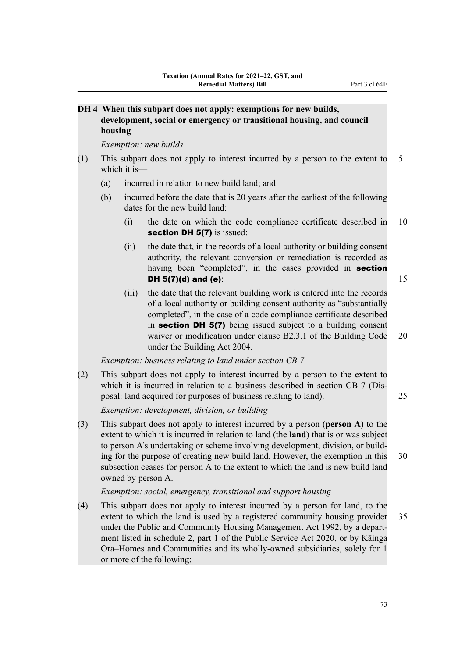## **DH 4 When this subpart does not apply: exemptions for new builds, development, social or emergency or transitional housing, and council housing**

*Exemption: new builds*

- (1) This subpart does not apply to interest incurred by a person to the extent to 5 which it is—
	- (a) incurred in relation to new build land; and
	- (b) incurred before the date that is 20 years after the earliest of the following dates for the new build land:
		- (i) the date on which the code compliance certificate described in 10 section DH 5(7) is issued:
		- (ii) the date that, in the records of a local authority or building consent authority, the relevant conversion or remediation is recorded as having been "completed", in the cases provided in section **DH 5(7)(d) and (e):** 15
		- (iii) the date that the relevant building work is entered into the records of a local authority or building consent authority as "substantially completed", in the case of a code compliance certificate described in section DH 5(7) being issued subject to a building consent waiver or modification under clause B2.3.1 of the Building Code 20 under the Building Act 2004.

*Exemption: business relating to land under section CB 7*

(2) This subpart does not apply to interest incurred by a person to the extent to which it is incurred in relation to a business described in section CB 7 (Disposal: land acquired for purposes of business relating to land). 25

*Exemption: development, division, or building*

(3) This subpart does not apply to interest incurred by a person (**person A**) to the extent to which it is incurred in relation to land (the **land**) that is or was subject to person A's undertaking or scheme involving development, division, or build‐ ing for the purpose of creating new build land. However, the exemption in this 30 subsection ceases for person A to the extent to which the land is new build land owned by person A.

*Exemption: social, emergency, transitional and support housing*

(4) This subpart does not apply to interest incurred by a person for land, to the extent to which the land is used by a registered community housing provider 35 under the Public and Community Housing Management Act 1992, by a department listed in schedule 2, part 1 of the Public Service Act 2020, or by Kāinga Ora–Homes and Communities and its wholly-owned subsidiaries, solely for 1 or more of the following: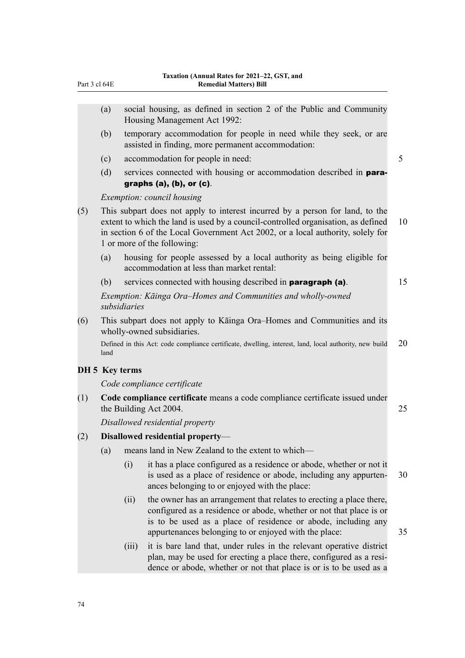|     | (a)            |              | social housing, as defined in section 2 of the Public and Community<br>Housing Management Act 1992:                                                                                                                                                                                  |    |
|-----|----------------|--------------|--------------------------------------------------------------------------------------------------------------------------------------------------------------------------------------------------------------------------------------------------------------------------------------|----|
|     | (b)            |              | temporary accommodation for people in need while they seek, or are<br>assisted in finding, more permanent accommodation:                                                                                                                                                             |    |
|     | (c)            |              | accommodation for people in need:                                                                                                                                                                                                                                                    | 5  |
|     | (d)            |              | services connected with housing or accommodation described in para-<br>graphs $(a)$ , $(b)$ , or $(c)$ .                                                                                                                                                                             |    |
|     |                |              | Exemption: council housing                                                                                                                                                                                                                                                           |    |
| (5) |                |              | This subpart does not apply to interest incurred by a person for land, to the<br>extent to which the land is used by a council-controlled organisation, as defined<br>in section 6 of the Local Government Act 2002, or a local authority, solely for<br>1 or more of the following: | 10 |
|     | (a)            |              | housing for people assessed by a local authority as being eligible for<br>accommodation at less than market rental:                                                                                                                                                                  |    |
|     | (b)            |              | services connected with housing described in <b>paragraph</b> (a).                                                                                                                                                                                                                   | 15 |
|     |                | subsidiaries | Exemption: Kāinga Ora–Homes and Communities and wholly-owned                                                                                                                                                                                                                         |    |
| (6) |                |              | This subpart does not apply to Kainga Ora–Homes and Communities and its<br>wholly-owned subsidiaries.                                                                                                                                                                                |    |
|     | land           |              | Defined in this Act: code compliance certificate, dwelling, interest, land, local authority, new build                                                                                                                                                                               | 20 |
|     | DH 5 Key terms |              |                                                                                                                                                                                                                                                                                      |    |
|     |                |              | Code compliance certificate                                                                                                                                                                                                                                                          |    |
| (1) |                |              | Code compliance certificate means a code compliance certificate issued under<br>the Building Act 2004.                                                                                                                                                                               | 25 |
|     |                |              | Disallowed residential property                                                                                                                                                                                                                                                      |    |
| (2) |                |              | Disallowed residential property-                                                                                                                                                                                                                                                     |    |
|     | (a)            |              | means land in New Zealand to the extent to which-                                                                                                                                                                                                                                    |    |
|     |                | (i)          | it has a place configured as a residence or abode, whether or not it<br>is used as a place of residence or abode, including any appurten-<br>ances belonging to or enjoyed with the place:                                                                                           | 30 |
|     |                | (ii)         | the owner has an arrangement that relates to erecting a place there,<br>configured as a residence or abode, whether or not that place is or<br>is to be used as a place of residence or abode, including any<br>appurtenances belonging to or enjoyed with the place:                | 35 |
|     |                | (iii)        | it is bare land that, under rules in the relevant operative district<br>plan, may be used for erecting a place there, configured as a resi-<br>dence or abode, whether or not that place is or is to be used as a                                                                    |    |
|     |                |              |                                                                                                                                                                                                                                                                                      |    |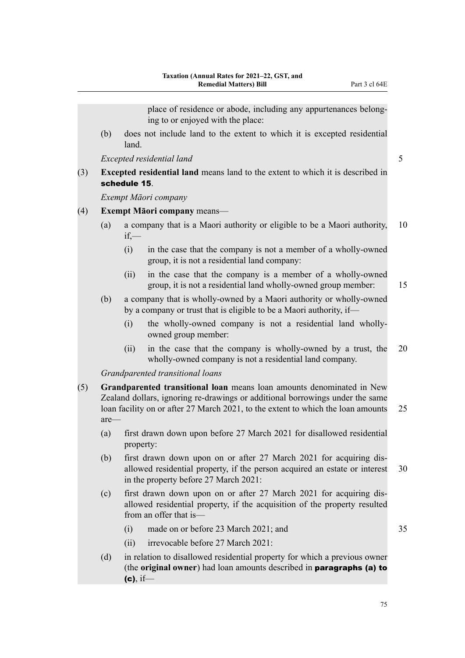place of residence or abode, including any appurtenances belong‐ ing to or enjoyed with the place:

(b) does not include land to the extent to which it is excepted residential land.

*Excepted residential land* 5

(3) **Excepted residential land** means land to the extent to which it is described in schedule 15.

*Exempt Māori company*

## (4) **Exempt Māori company** means—

- (a) a company that is a Maori authority or eligible to be a Maori authority, 10 if,—
	- (i) in the case that the company is not a member of a wholly-owned group, it is not a residential land company:
	- (ii) in the case that the company is a member of a wholly-owned group, it is not a residential land wholly-owned group member: 15

(b) a company that is wholly-owned by a Maori authority or wholly-owned by a company or trust that is eligible to be a Maori authority, if—

- (i) the wholly-owned company is not a residential land whollyowned group member:
- (ii) in the case that the company is wholly-owned by a trust, the 20 wholly-owned company is not a residential land company.

*Grandparented transitional loans*

- (5) **Grandparented transitional loan** means loan amounts denominated in New Zealand dollars, ignoring re-drawings or additional borrowings under the same loan facility on or after 27 March 2021, to the extent to which the loan amounts 25 are—
	- (a) first drawn down upon before 27 March 2021 for disallowed residential property:
	- (b) first drawn down upon on or after 27 March 2021 for acquiring dis‐ allowed residential property, if the person acquired an estate or interest 30 in the property before 27 March 2021:
	- (c) first drawn down upon on or after 27 March 2021 for acquiring dis‐ allowed residential property, if the acquisition of the property resulted from an offer that is—
		- $(i)$  made on or before 23 March 2021; and  $35$
		- (ii) irrevocable before 27 March 2021:
	- (d) in relation to disallowed residential property for which a previous owner (the **original owner**) had loan amounts described in paragraphs (a) to  $(c)$ , if-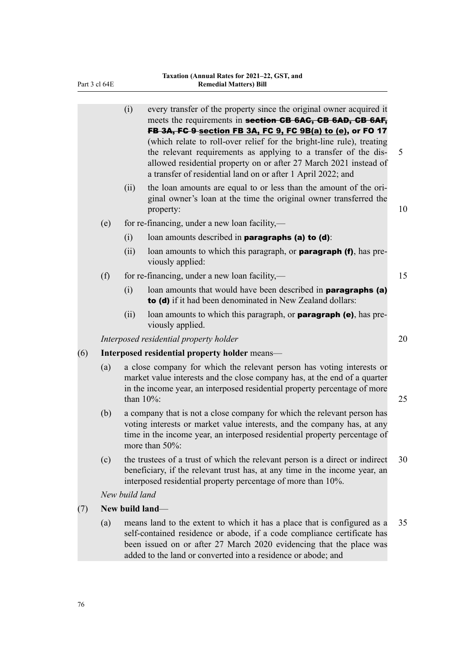|     |     | (i)            | every transfer of the property since the original owner acquired it<br>meets the requirements in section CB 6AC, CB 6AD, CB 6AF,<br>FB 3A, FG 9 section FB 3A, FC 9, FC 9B(a) to (e), or FO 17<br>(which relate to roll-over relief for the bright-line rule), treating<br>the relevant requirements as applying to a transfer of the dis-<br>allowed residential property on or after 27 March 2021 instead of<br>a transfer of residential land on or after 1 April 2022; and | 5  |
|-----|-----|----------------|---------------------------------------------------------------------------------------------------------------------------------------------------------------------------------------------------------------------------------------------------------------------------------------------------------------------------------------------------------------------------------------------------------------------------------------------------------------------------------|----|
|     |     | (ii)           | the loan amounts are equal to or less than the amount of the ori-<br>ginal owner's loan at the time the original owner transferred the<br>property:                                                                                                                                                                                                                                                                                                                             | 10 |
|     | (e) |                | for re-financing, under a new loan facility,—                                                                                                                                                                                                                                                                                                                                                                                                                                   |    |
|     |     | (i)            | loan amounts described in paragraphs (a) to (d):                                                                                                                                                                                                                                                                                                                                                                                                                                |    |
|     |     | (ii)           | loan amounts to which this paragraph, or <b>paragraph (f)</b> , has pre-<br>viously applied:                                                                                                                                                                                                                                                                                                                                                                                    |    |
|     | (f) |                | for re-financing, under a new loan facility,—                                                                                                                                                                                                                                                                                                                                                                                                                                   | 15 |
|     |     | (i)            | loan amounts that would have been described in <b>paragraphs (a)</b><br>to (d) if it had been denominated in New Zealand dollars:                                                                                                                                                                                                                                                                                                                                               |    |
|     |     | (ii)           | loan amounts to which this paragraph, or <b>paragraph (e)</b> , has pre-<br>viously applied.                                                                                                                                                                                                                                                                                                                                                                                    |    |
|     |     |                | Interposed residential property holder                                                                                                                                                                                                                                                                                                                                                                                                                                          | 20 |
| (6) |     |                | Interposed residential property holder means-                                                                                                                                                                                                                                                                                                                                                                                                                                   |    |
|     | (a) | than $10\%$ :  | a close company for which the relevant person has voting interests or<br>market value interests and the close company has, at the end of a quarter<br>in the income year, an interposed residential property percentage of more                                                                                                                                                                                                                                                 | 25 |
|     | (b) |                | a company that is not a close company for which the relevant person has<br>voting interests or market value interests, and the company has, at any<br>time in the income year, an interposed residential property percentage of<br>more than 50%:                                                                                                                                                                                                                               |    |
|     | (c) |                | the trustees of a trust of which the relevant person is a direct or indirect<br>beneficiary, if the relevant trust has, at any time in the income year, an<br>interposed residential property percentage of more than 10%.                                                                                                                                                                                                                                                      | 30 |
|     |     | New build land |                                                                                                                                                                                                                                                                                                                                                                                                                                                                                 |    |
| (7) |     |                | New build land-                                                                                                                                                                                                                                                                                                                                                                                                                                                                 |    |
|     | (a) |                | means land to the extent to which it has a place that is configured as a<br>self-contained residence or abode, if a code compliance certificate has<br>been issued on or after 27 March 2020 evidencing that the place was<br>added to the land or converted into a residence or abode; and                                                                                                                                                                                     | 35 |
|     |     |                |                                                                                                                                                                                                                                                                                                                                                                                                                                                                                 |    |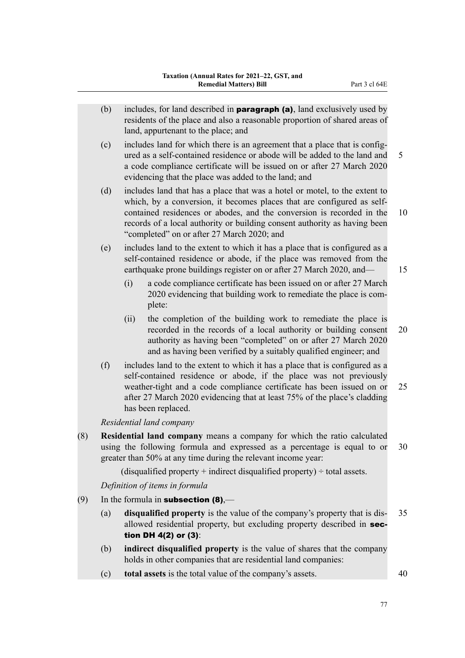- (b) includes, for land described in **paragraph (a)**, land exclusively used by residents of the place and also a reasonable proportion of shared areas of land, appurtenant to the place; and
- (c) includes land for which there is an agreement that a place that is config‐ ured as a self-contained residence or abode will be added to the land and 5 a code compliance certificate will be issued on or after 27 March 2020 evidencing that the place was added to the land; and
- (d) includes land that has a place that was a hotel or motel, to the extent to which, by a conversion, it becomes places that are configured as selfcontained residences or abodes, and the conversion is recorded in the 10 records of a local authority or building consent authority as having been "completed" on or after 27 March 2020; and

(e) includes land to the extent to which it has a place that is configured as a self-contained residence or abode, if the place was removed from the earthquake prone buildings register on or after 27 March 2020, and— 15

- (i) a code compliance certificate has been issued on or after 27 March 2020 evidencing that building work to remediate the place is com‐ plete:
- (ii) the completion of the building work to remediate the place is recorded in the records of a local authority or building consent 20 authority as having been "completed" on or after 27 March 2020 and as having been verified by a suitably qualified engineer; and
- (f) includes land to the extent to which it has a place that is configured as a self-contained residence or abode, if the place was not previously weather-tight and a code compliance certificate has been issued on or 25 after 27 March 2020 evidencing that at least 75% of the place's cladding has been replaced.

*Residential land company*

(8) **Residential land company** means a company for which the ratio calculated using the following formula and expressed as a percentage is equal to or 30 greater than 50% at any time during the relevant income year:

(disqualified property  $+$  indirect disqualified property)  $\div$  total assets.

*Definition of items in formula*

- (9) In the formula in **subsection (8)**,—
	- (a) **disqualified property** is the value of the company's property that is dis‐ 35 allowed residential property, but excluding property described in section DH 4(2) or (3):
	- (b) **indirect disqualified property** is the value of shares that the company holds in other companies that are residential land companies:
	- (c) **total assets** is the total value of the company's assets. 40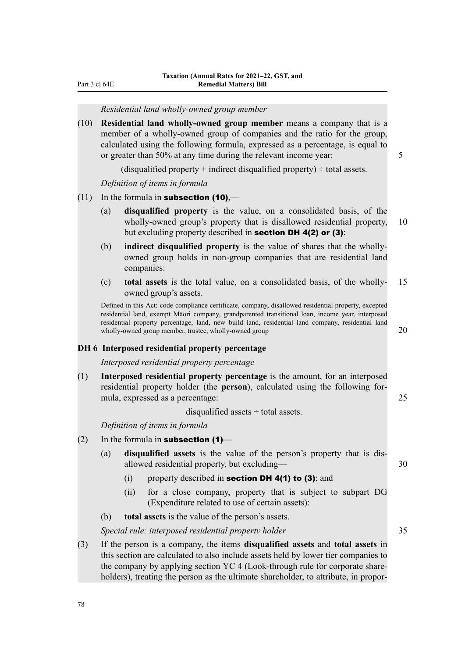#### *Residential land wholly-owned group member*

(10) **Residential land wholly-owned group member** means a company that is a member of a wholly-owned group of companies and the ratio for the group, calculated using the following formula, expressed as a percentage, is equal to or greater than 50% at any time during the relevant income year: 5

(disqualified property  $+$  indirect disqualified property)  $\div$  total assets.

*Definition of items in formula*

- (11) In the formula in **subsection (10)**,—
	- (a) **disqualified property** is the value, on a consolidated basis, of the wholly-owned group's property that is disallowed residential property, 10 but excluding property described in section DH 4(2) or (3):
	- (b) **indirect disqualified property** is the value of shares that the whollyowned group holds in non-group companies that are residential land companies:
	- (c) **total assets** is the total value, on a consolidated basis, of the wholly- 15 owned group's assets.

Defined in this Act: code compliance certificate, company, disallowed residential property, excepted residential land, exempt Māori company, grandparented transitional loan, income year, interposed residential property percentage, land, new build land, residential land company, residential land wholly-owned group member, trustee, wholly-owned group  $20$ 

#### **DH 6 Interposed residential property percentage**

*Interposed residential property percentage*

(1) **Interposed residential property percentage** is the amount, for an interposed residential property holder (the **person**), calculated using the following for‐ mula, expressed as a percentage: 25

disqualified assets ÷ total assets.

*Definition of items in formula*

- $(2)$  In the formula in **subsection (1)**
	- (a) **disqualified assets** is the value of the person's property that is dis‐ allowed residential property, but excluding— 30
		- (i) property described in **section DH 4(1) to (3)**; and
		- (ii) for a close company, property that is subject to subpart DG (Expenditure related to use of certain assets):
	- (b) **total assets** is the value of the person's assets.

*Special rule: interposed residential property holder* 35

(3) If the person is a company, the items **disqualified assets** and **total assets** in this section are calculated to also include assets held by lower tier companies to the company by applying section YC 4 (Look-through rule for corporate share‐ holders), treating the person as the ultimate shareholder, to attribute, in propor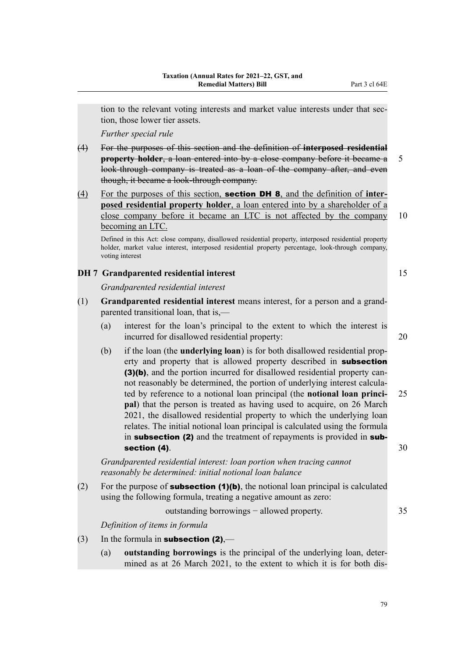tion to the relevant voting interests and market value interests under that section, those lower tier assets.

*Further special rule*

- (4) For the purposes of this section and the definition of **interposed residential property holder**, a loan entered into by a close company before it became a 5 look-through company is treated as a loan of the company after, and even though, it became a look-through company.
- (4) For the purposes of this section, section DH 8, and the definition of **inter‐ posed residential property holder**, a loan entered into by a shareholder of a close company before it became an LTC is not affected by the company 10 becoming an LTC.

Defined in this Act: close company, disallowed residential property, interposed residential property holder, market value interest, interposed residential property percentage, look-through company, voting interest

## **DH 7 Grandparented residential interest** 15

*Grandparented residential interest*

- (1) **Grandparented residential interest** means interest, for a person and a grand‐ parented transitional loan, that is,—
	- (a) interest for the loan's principal to the extent to which the interest is incurred for disallowed residential property: 20
	- (b) if the loan (the **underlying loan**) is for both disallowed residential prop‐ erty and property that is allowed property described in subsection (3)(b), and the portion incurred for disallowed residential property cannot reasonably be determined, the portion of underlying interest calcula‐ ted by reference to a notional loan principal (the **notional loan princi‐** 25 **pal**) that the person is treated as having used to acquire, on 26 March 2021, the disallowed residential property to which the underlying loan relates. The initial notional loan principal is calculated using the formula in subsection (2) and the treatment of repayments is provided in subsection (4).  $30$

*Grandparented residential interest: loan portion when tracing cannot reasonably be determined: initial notional loan balance*

(2) For the purpose of **subsection (1)(b)**, the notional loan principal is calculated using the following formula, treating a negative amount as zero:

outstanding borrowings – allowed property. 35

*Definition of items in formula*

- (3) In the formula in **subsection (2)**,—
	- (a) **outstanding borrowings** is the principal of the underlying loan, deter‐ mined as at 26 March 2021, to the extent to which it is for both dis‐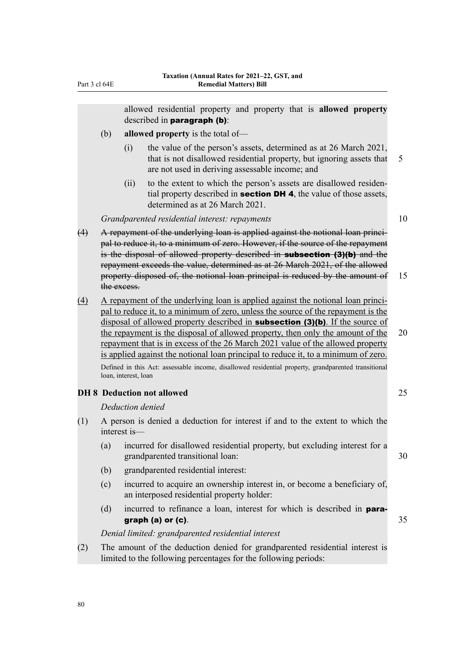allowed residential property and property that is **allowed property** described in paragraph (b):

- (b) **allowed property** is the total of—
	- (i) the value of the person's assets, determined as at 26 March 2021, that is not disallowed residential property, but ignoring assets that 5 are not used in deriving assessable income; and
	- (ii) to the extent to which the person's assets are disallowed residential property described in **section DH 4**, the value of those assets, determined as at 26 March 2021.

## *Grandparented residential interest: repayments* 10

- (4) A repayment of the underlying loan is applied against the notional loan princi‐ pal to reduce it, to a minimum of zero. However, if the source of the repayment is the disposal of allowed property described in **subsection (3)(b)** and the repayment exceeds the value, determined as at 26 March 2021, of the allowed property disposed of, the notional loan principal is reduced by the amount of 15 the excess.
- (4) A repayment of the underlying loan is applied against the notional loan principal to reduce it, to a minimum of zero, unless the source of the repayment is the disposal of allowed property described in **subsection (3)(b)**. If the source of the repayment is the disposal of allowed property, then only the amount of the 20 repayment that is in excess of the 26 March 2021 value of the allowed property is applied against the notional loan principal to reduce it, to a minimum of zero. Defined in this Act: assessable income, disallowed residential property, grandparented transitional loan, interest, loan

#### **DH 8 Deduction not allowed** 25

#### *Deduction denied*

- (1) A person is denied a deduction for interest if and to the extent to which the interest is—
	- (a) incurred for disallowed residential property, but excluding interest for a grandparented transitional loan: 30
	- (b) grandparented residential interest:
	- (c) incurred to acquire an ownership interest in, or become a beneficiary of, an interposed residential property holder:
	- (d) incurred to refinance a loan, interest for which is described in **para**graph (a) or (c).  $35$

*Denial limited: grandparented residential interest*

(2) The amount of the deduction denied for grandparented residential interest is limited to the following percentages for the following periods: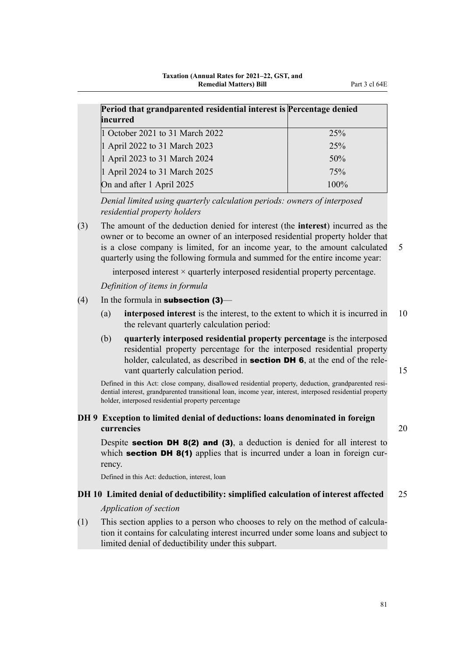| Period that grandparented residential interest is Percentage denied<br>incurred |         |
|---------------------------------------------------------------------------------|---------|
| 1 October 2021 to 31 March 2022                                                 | 25%     |
| 1 April 2022 to 31 March 2023                                                   | 25%     |
| 1 April 2023 to 31 March 2024                                                   | 50%     |
| 1 April 2024 to 31 March 2025                                                   | 75%     |
| On and after 1 April 2025                                                       | $100\%$ |

*Denial limited using quarterly calculation periods: owners of interposed residential property holders*

(3) The amount of the deduction denied for interest (the **interest**) incurred as the owner or to become an owner of an interposed residential property holder that is a close company is limited, for an income year, to the amount calculated 5 quarterly using the following formula and summed for the entire income year:

interposed interest  $\times$  quarterly interposed residential property percentage.

*Definition of items in formula*

### (4) In the formula in **subsection (3)**—

- (a) **interposed interest** is the interest, to the extent to which it is incurred in 10 the relevant quarterly calculation period:
- (b) **quarterly interposed residential property percentage** is the interposed residential property percentage for the interposed residential property holder, calculated, as described in **section DH 6**, at the end of the relevant quarterly calculation period. 15

Defined in this Act: close company, disallowed residential property, deduction, grandparented residential interest, grandparented transitional loan, income year, interest, interposed residential property holder, interposed residential property percentage

## **DH 9 Exception to limited denial of deductions: loans denominated in foreign currencies** 20

Despite **section DH 8(2) and (3)**, a deduction is denied for all interest to which section DH 8(1) applies that is incurred under a loan in foreign currency.

Defined in this Act: deduction, interest, loan

## **DH 10 Limited denial of deductibility: simplified calculation of interest affected** 25

### *Application of section*

(1) This section applies to a person who chooses to rely on the method of calcula‐ tion it contains for calculating interest incurred under some loans and subject to limited denial of deductibility under this subpart.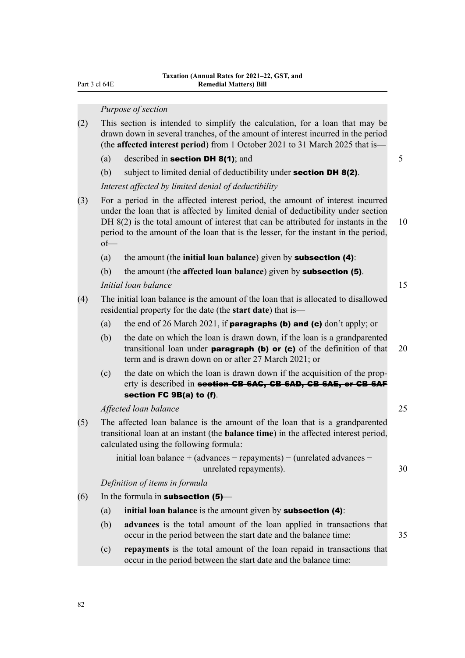#### *Purpose of section*

- (2) This section is intended to simplify the calculation, for a loan that may be drawn down in several tranches, of the amount of interest incurred in the period (the **affected interest period**) from 1 October 2021 to 31 March 2025 that is—
	- (a) described in **section DH 8(1)**; and  $\overline{5}$
	- (b) subject to limited denial of deductibility under **section DH 8(2)**.

*Interest affected by limited denial of deductibility*

- (3) For a period in the affected interest period, the amount of interest incurred under the loan that is affected by limited denial of deductibility under section DH 8(2) is the total amount of interest that can be attributed for instants in the 10 period to the amount of the loan that is the lesser, for the instant in the period, of—
	- (a) the amount (the **initial loan balance**) given by subsection (4):
	- (b) the amount (the **affected loan balance**) given by subsection (5).

*Initial loan balance* 15

- (4) The initial loan balance is the amount of the loan that is allocated to disallowed residential property for the date (the **start date**) that is—
	- (a) the end of 26 March 2021, if **paragraphs (b) and (c)** don't apply; or
	- (b) the date on which the loan is drawn down, if the loan is a grandparented transitional loan under **paragraph (b) or (c)** of the definition of that  $20$ term and is drawn down on or after 27 March 2021; or
	- (c) the date on which the loan is drawn down if the acquisition of the prop‐ erty is described in **section CB 6AC, CB 6AD, CB 6AE, or CB 6AF** section FC 9B(a) to (f).

*Affected loan balance* 25

(5) The affected loan balance is the amount of the loan that is a grandparented transitional loan at an instant (the **balance time**) in the affected interest period, calculated using the following formula:

initial loan balance + (advances − repayments) − (unrelated advances − unrelated repayments). 30

*Definition of items in formula*

 $(6)$  In the formula in **subsection (5)**—

- (a) **initial loan balance** is the amount given by subsection (4):
- (b) **advances** is the total amount of the loan applied in transactions that occur in the period between the start date and the balance time: 35
- (c) **repayments** is the total amount of the loan repaid in transactions that occur in the period between the start date and the balance time: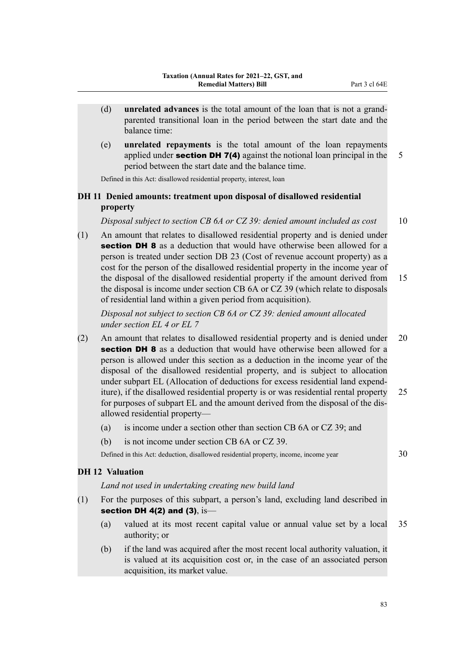- (d) **unrelated advances** is the total amount of the loan that is not a grand‐ parented transitional loan in the period between the start date and the balance time:
- (e) **unrelated repayments** is the total amount of the loan repayments applied under **section DH 7(4)** against the notional loan principal in the  $\overline{5}$ period between the start date and the balance time.

Defined in this Act: disallowed residential property, interest, loan

## **DH 11 Denied amounts: treatment upon disposal of disallowed residential property**

*Disposal subject to section CB 6A or CZ 39: denied amount included as cost* 10

(1) An amount that relates to disallowed residential property and is denied under **section DH 8** as a deduction that would have otherwise been allowed for a person is treated under section DB 23 (Cost of revenue account property) as a cost for the person of the disallowed residential property in the income year of the disposal of the disallowed residential property if the amount derived from 15 the disposal is income under section CB 6A or CZ 39 (which relate to disposals of residential land within a given period from acquisition).

*Disposal not subject to section CB 6A or CZ 39: denied amount allocated under section EL 4 or EL 7*

- (2) An amount that relates to disallowed residential property and is denied under 20 **section DH 8** as a deduction that would have otherwise been allowed for a person is allowed under this section as a deduction in the income year of the disposal of the disallowed residential property, and is subject to allocation under subpart EL (Allocation of deductions for excess residential land expend‐ iture), if the disallowed residential property is or was residential rental property 25 for purposes of subpart EL and the amount derived from the disposal of the dis‐ allowed residential property—
	- (a) is income under a section other than section CB 6A or CZ 39; and
	- (b) is not income under section CB 6A or CZ 39.

Defined in this Act: deduction, disallowed residential property, income, income year 30

### **DH 12 Valuation**

*Land not used in undertaking creating new build land*

- (1) For the purposes of this subpart, a person's land, excluding land described in section DH  $4(2)$  and  $(3)$ , is-
	- (a) valued at its most recent capital value or annual value set by a local 35 authority; or
	- (b) if the land was acquired after the most recent local authority valuation, it is valued at its acquisition cost or, in the case of an associated person acquisition, its market value.

83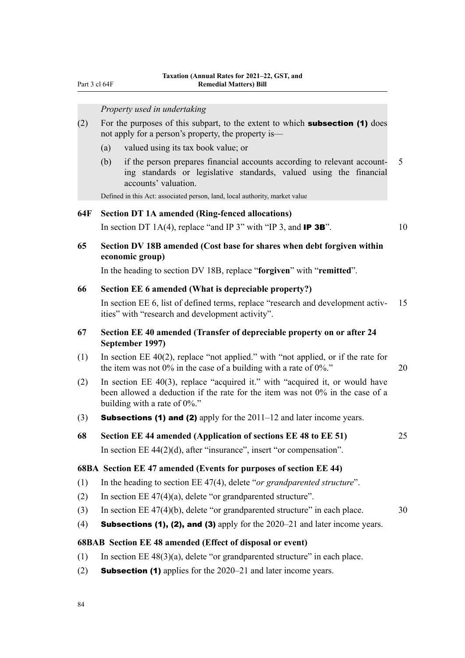Part 3 cl 64F

#### *Property used in undertaking*

| (2) | For the purposes of this subpart, to the extent to which <b>subsection (1)</b> does |
|-----|-------------------------------------------------------------------------------------|
|     | not apply for a person's property, the property is—                                 |

- (a) valued using its tax book value; or
- (b) if the person prepares financial accounts according to relevant account‐ 5 ing standards or legislative standards, valued using the financial accounts' valuation.

Defined in this Act: associated person, land, local authority, market value

#### **64F Section DT 1A amended (Ring-fenced allocations)**

In section DT 1A(4), replace "and IP 3" with "IP 3, and **IP 3B**".  $10$ 

## **65 Section DV 18B amended (Cost base for shares when debt forgiven within economic group)**

In the heading to section DV 18B, replace "**forgiven**" with "**remitted**".

#### **66 Section EE 6 amended (What is depreciable property?)**

In section EE 6, list of defined terms, replace "research and development activ- 15 ities" with "research and development activity".

## **67 Section EE 40 amended (Transfer of depreciable property on or after 24 September 1997)**

- (1) In section EE 40(2), replace "not applied." with "not applied, or if the rate for the item was not  $0\%$  in the case of a building with a rate of  $0\%$ ."
- (2) In section EE 40(3), replace "acquired it." with "acquired it, or would have been allowed a deduction if the rate for the item was not 0% in the case of a building with a rate of 0%."
- (3) **Subsections (1) and (2)** apply for the  $2011-12$  and later income years.
- **68 Section EE 44 amended (Application of sections EE 48 to EE 51)** 25 In section EE 44(2)(d), after "insurance", insert "or compensation".

### **68BA Section EE 47 amended (Events for purposes of section EE 44)**

- (1) In the heading to section EE 47(4), delete "*or grandparented structure*".
- (2) In section  $EE\ 47(4)(a)$ , delete "or grandparented structure".
- (3) In section EE  $47(4)(b)$ , delete "or grandparented structure" in each place.  $30$
- (4) **Subsections (1), (2), and (3)** apply for the  $2020-21$  and later income years.

## **68BAB Section EE 48 amended (Effect of disposal or event)**

- (1) In section EE  $48(3)(a)$ , delete "or grandparented structure" in each place.
- (2) Subsection (1) applies for the 2020–21 and later income years.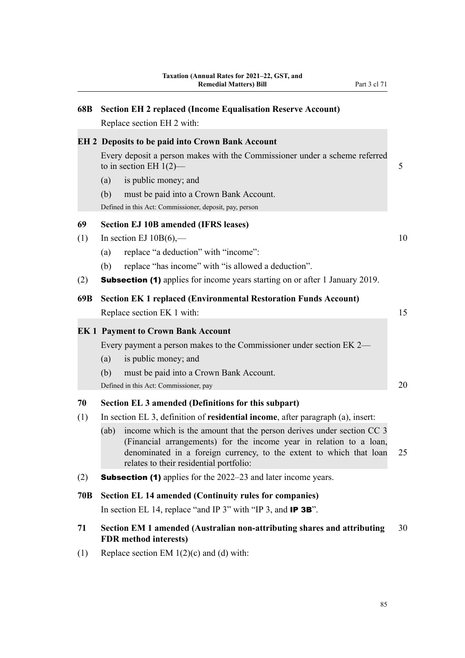| 68B       | <b>Section EH 2 replaced (Income Equalisation Reserve Account)</b><br>Replace section EH 2 with:                                                                                                                                                                                                                                                                              |    |
|-----------|-------------------------------------------------------------------------------------------------------------------------------------------------------------------------------------------------------------------------------------------------------------------------------------------------------------------------------------------------------------------------------|----|
|           | <b>EH 2 Deposits to be paid into Crown Bank Account</b><br>Every deposit a person makes with the Commissioner under a scheme referred<br>to in section EH $1(2)$ —<br>is public money; and<br>(a)<br>(b)<br>must be paid into a Crown Bank Account.<br>Defined in this Act: Commissioner, deposit, pay, person                                                                | 5  |
| 69        | <b>Section EJ 10B amended (IFRS leases)</b>                                                                                                                                                                                                                                                                                                                                   |    |
| (1)       | In section EJ $10B(6)$ ,—<br>replace "a deduction" with "income":<br>(a)<br>replace "has income" with "is allowed a deduction".<br>(b)                                                                                                                                                                                                                                        | 10 |
| (2)       | <b>Subsection (1)</b> applies for income years starting on or after 1 January 2019.                                                                                                                                                                                                                                                                                           |    |
| 69B       | <b>Section EK 1 replaced (Environmental Restoration Funds Account)</b><br>Replace section EK 1 with:                                                                                                                                                                                                                                                                          | 15 |
|           | <b>EK1 Payment to Crown Bank Account</b><br>Every payment a person makes to the Commissioner under section EK 2-<br>is public money; and<br>(a)<br>(b)<br>must be paid into a Crown Bank Account.                                                                                                                                                                             | 20 |
|           | Defined in this Act: Commissioner, pay                                                                                                                                                                                                                                                                                                                                        |    |
| 70<br>(1) | Section EL 3 amended (Definitions for this subpart)<br>In section EL 3, definition of <b>residential income</b> , after paragraph (a), insert:<br>income which is the amount that the person derives under section CC 3<br>(ab)<br>(Financial arrangements) for the income year in relation to a loan,<br>denominated in a foreign currency, to the extent to which that loan | 25 |
| (2)       | relates to their residential portfolio:<br><b>Subsection (1)</b> applies for the 2022–23 and later income years.                                                                                                                                                                                                                                                              |    |

## **70B Section EL 14 amended (Continuity rules for companies)**

In section EL 14, replace "and IP 3" with "IP 3, and **IP 3B**".

## **71 Section EM 1 amended (Australian non-attributing shares and attributing** 30 **FDR method interests)**

(1) Replace section EM  $1(2)(c)$  and (d) with: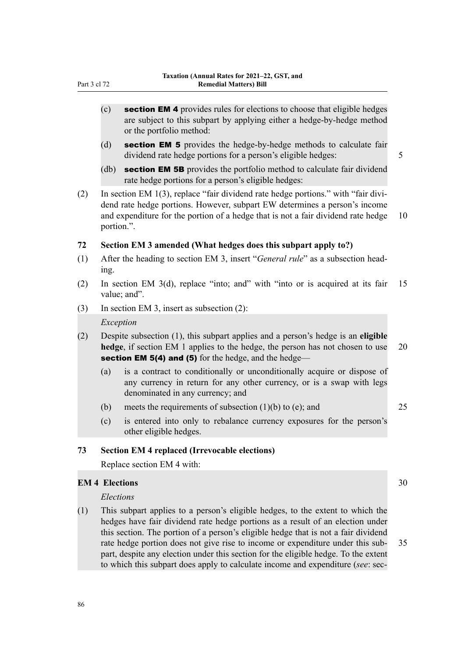- $(c)$  section EM 4 provides rules for elections to choose that eligible hedges are subject to this subpart by applying either a hedge-by-hedge method or the portfolio method:
- (d) section EM 5 provides the hedge-by-hedge methods to calculate fair dividend rate hedge portions for a person's eligible hedges: 5
- (db) **section EM 5B** provides the portfolio method to calculate fair dividend rate hedge portions for a person's eligible hedges:
- (2) In section EM 1(3), replace "fair dividend rate hedge portions." with "fair divi‐ dend rate hedge portions. However, subpart EW determines a person's income and expenditure for the portion of a hedge that is not a fair dividend rate hedge 10 portion.".

#### **72 Section EM 3 amended (What hedges does this subpart apply to?)**

- (1) After the heading to section EM 3, insert "*General rule*" as a subsection head‐ ing.
- (2) In section EM 3(d), replace "into; and" with "into or is acquired at its fair 15 value: and".
- (3) In section EM 3, insert as subsection (2):

#### *Exception*

- (2) Despite subsection (1), this subpart applies and a person's hedge is an **eligible hedge**, if section EM 1 applies to the hedge, the person has not chosen to use 20 section EM 5(4) and (5) for the hedge, and the hedge—
	- (a) is a contract to conditionally or unconditionally acquire or dispose of any currency in return for any other currency, or is a swap with legs denominated in any currency; and
	- (b) meets the requirements of subsection  $(1)(b)$  to (e); and 25
	- (c) is entered into only to rebalance currency exposures for the person's other eligible hedges.

#### **73 Section EM 4 replaced (Irrevocable elections)**

Replace section EM 4 with:

#### **EM 4 Elections** 30

#### *Elections*

(1) This subpart applies to a person's eligible hedges, to the extent to which the hedges have fair dividend rate hedge portions as a result of an election under this section. The portion of a person's eligible hedge that is not a fair dividend rate hedge portion does not give rise to income or expenditure under this sub- 35 part, despite any election under this section for the eligible hedge. To the extent to which this subpart does apply to calculate income and expenditure (*see*: sec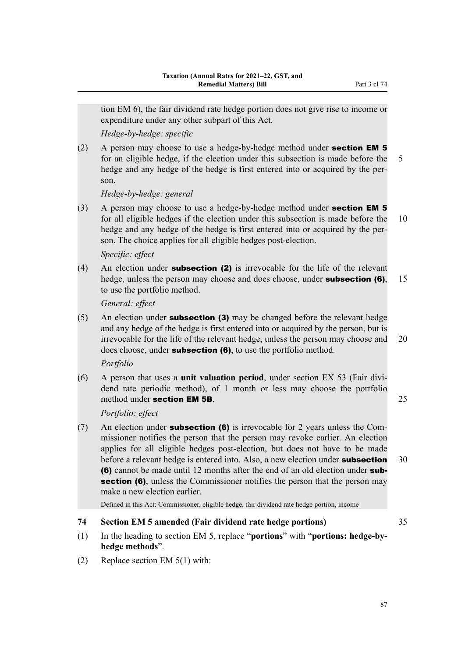tion EM 6), the fair dividend rate hedge portion does not give rise to income or expenditure under any other subpart of this Act.

*Hedge-by-hedge: specific*

(2) A person may choose to use a hedge-by-hedge method under section EM 5 for an eligible hedge, if the election under this subsection is made before the 5 hedge and any hedge of the hedge is first entered into or acquired by the person.

*Hedge-by-hedge: general*

(3) A person may choose to use a hedge-by-hedge method under **section EM 5** for all eligible hedges if the election under this subsection is made before the 10 hedge and any hedge of the hedge is first entered into or acquired by the person. The choice applies for all eligible hedges post-election.

## *Specific: effect*

(4) An election under **subsection (2)** is irrevocable for the life of the relevant hedge, unless the person may choose and does choose, under **subsection (6)**, 15 to use the portfolio method.

*General: effect*

(5) An election under **subsection (3)** may be changed before the relevant hedge and any hedge of the hedge is first entered into or acquired by the person, but is irrevocable for the life of the relevant hedge, unless the person may choose and 20 does choose, under **subsection (6)**, to use the portfolio method.

*Portfolio*

(6) A person that uses a **unit valuation period**, under section EX 53 (Fair divi‐ dend rate periodic method), of 1 month or less may choose the portfolio method under **section EM 5B.** 25

*Portfolio: effect*

(7) An election under **subsection (6)** is irrevocable for 2 years unless the Commissioner notifies the person that the person may revoke earlier. An election applies for all eligible hedges post-election, but does not have to be made before a relevant hedge is entered into. Also, a new election under **subsection** 30 (6) cannot be made until 12 months after the end of an old election under subsection (6), unless the Commissioner notifies the person that the person may make a new election earlier.

Defined in this Act: Commissioner, eligible hedge, fair dividend rate hedge portion, income

## **74 Section EM 5 amended (Fair dividend rate hedge portions)** 35

- (1) In the heading to section EM 5, replace "**portions**" with "**portions: hedge-byhedge methods**".
- (2) Replace section EM 5(1) with:

87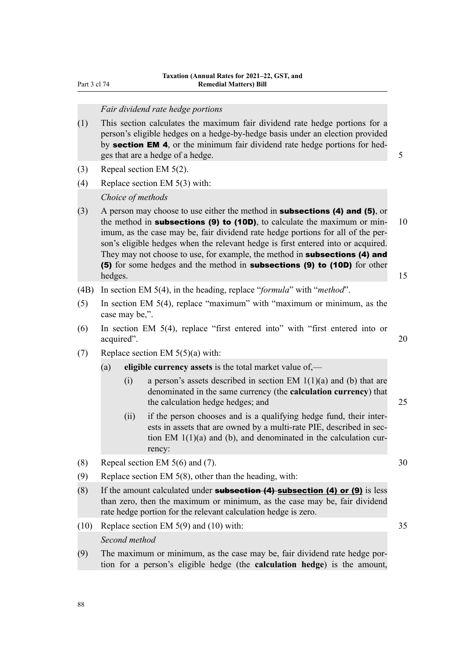Part 3 cl 74

## *Fair dividend rate hedge portions*

- (1) This section calculates the maximum fair dividend rate hedge portions for a person's eligible hedges on a hedge-by-hedge basis under an election provided by **section EM 4**, or the minimum fair dividend rate hedge portions for hedges that are a hedge of a hedge.  $\frac{5}{5}$
- (3) Repeal section EM 5(2).
- (4) Replace section EM 5(3) with:

#### *Choice of methods*

- (3) A person may choose to use either the method in **subsections (4) and (5)**, or the method in **subsections (9) to (10D)**, to calculate the maximum or min-  $10$ imum, as the case may be, fair dividend rate hedge portions for all of the person's eligible hedges when the relevant hedge is first entered into or acquired. They may not choose to use, for example, the method in **subsections (4) and** (5) for some hedges and the method in subsections (9) to (10D) for other hedges. The contract of the contract of the contract of the contract of the contract of the contract of the contract of the contract of the contract of the contract of the contract of the contract of the contract of the co
- (4B) In section EM 5(4), in the heading, replace "*formula*" with "*method*".
- (5) In section EM 5(4), replace "maximum" with "maximum or minimum, as the case may be,".
- (6) In section EM 5(4), replace "first entered into" with "first entered into or acquired". 20
- (7) Replace section EM  $5(5)(a)$  with:
	- (a) **eligible currency assets** is the total market value of,—
		- (i) a person's assets described in section EM  $1(1)(a)$  and (b) that are denominated in the same currency (the **calculation currency**) that the calculation hedge hedges; and 25
		- (ii) if the person chooses and is a qualifying hedge fund, their inter‐ ests in assets that are owned by a multi-rate PIE, described in section EM  $1(1)(a)$  and (b), and denominated in the calculation currency:
- (8) Repeal section EM  $5(6)$  and (7).  $30$
- (9) Replace section EM 5(8), other than the heading, with:
- (8) If the amount calculated under **subsection (4) subsection (4) or (9)** is less than zero, then the maximum or minimum, as the case may be, fair dividend rate hedge portion for the relevant calculation hedge is zero.
- (10) Replace section EM 5(9) and (10) with: 35 *Second method*
- (9) The maximum or minimum, as the case may be, fair dividend rate hedge por‐ tion for a person's eligible hedge (the **calculation hedge**) is the amount,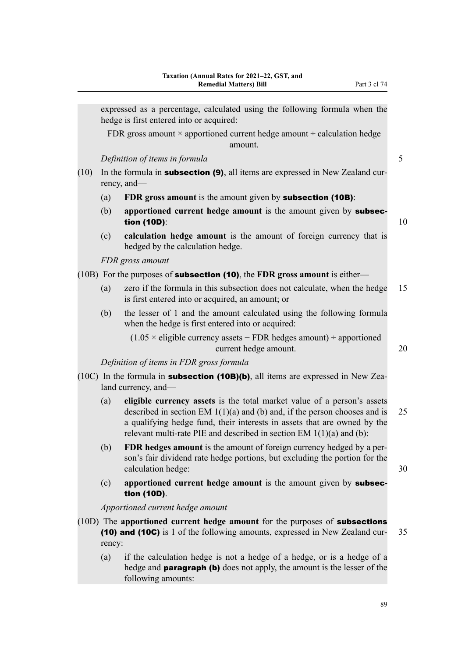expressed as a percentage, calculated using the following formula when the hedge is first entered into or acquired: FDR gross amount  $\times$  apportioned current hedge amount  $\div$  calculation hedge amount. *Definition of items in formula* 5  $(10)$  In the formula in **subsection (9)**, all items are expressed in New Zealand currency, and— (a) **FDR gross amount** is the amount given by subsection (10B): (b) **apportioned current hedge amount** is the amount given by subsec**tion (10D):**  $10$ (c) **calculation hedge amount** is the amount of foreign currency that is hedged by the calculation hedge. *FDR gross amount* (10B) For the purposes of subsection (10), the **FDR gross amount** is either— (a) zero if the formula in this subsection does not calculate, when the hedge 15 is first entered into or acquired, an amount; or (b) the lesser of 1 and the amount calculated using the following formula when the hedge is first entered into or acquired:  $(1.05 \times$  eligible currency assets – FDR hedges amount) ÷ apportioned current hedge amount. 20 *Definition of items in FDR gross formula*

- (10C) In the formula in **subsection (10B)(b)**, all items are expressed in New Zealand currency, and—
	- (a) **eligible currency assets** is the total market value of a person's assets described in section EM  $1(1)(a)$  and (b) and, if the person chooses and is 25 a qualifying hedge fund, their interests in assets that are owned by the relevant multi-rate PIE and described in section EM 1(1)(a) and (b):
	- (b) **FDR hedges amount** is the amount of foreign currency hedged by a per‐ son's fair dividend rate hedge portions, but excluding the portion for the calculation hedge:  $30$
	- (c) **apportioned current hedge amount** is the amount given by subsection (10D).

*Apportioned current hedge amount*

- (10D) The **apportioned current hedge amount** for the purposes of subsections (10) and (10C) is 1 of the following amounts, expressed in New Zealand cur‐ 35 rency:
	- (a) if the calculation hedge is not a hedge of a hedge, or is a hedge of a hedge and **paragraph (b)** does not apply, the amount is the lesser of the following amounts: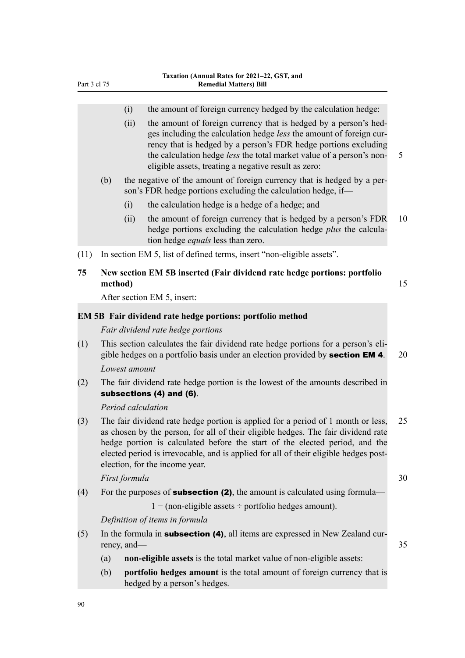|      |         | (i)           | the amount of foreign currency hedged by the calculation hedge:                                                                                                                                                                                                                                                                                                                |    |
|------|---------|---------------|--------------------------------------------------------------------------------------------------------------------------------------------------------------------------------------------------------------------------------------------------------------------------------------------------------------------------------------------------------------------------------|----|
|      |         | (ii)          | the amount of foreign currency that is hedged by a person's hed-<br>ges including the calculation hedge less the amount of foreign cur-<br>rency that is hedged by a person's FDR hedge portions excluding<br>the calculation hedge less the total market value of a person's non-<br>eligible assets, treating a negative result as zero:                                     | 5  |
|      | (b)     |               | the negative of the amount of foreign currency that is hedged by a per-<br>son's FDR hedge portions excluding the calculation hedge, if-                                                                                                                                                                                                                                       |    |
|      |         | (i)           | the calculation hedge is a hedge of a hedge; and                                                                                                                                                                                                                                                                                                                               |    |
|      |         | (ii)          | the amount of foreign currency that is hedged by a person's FDR<br>hedge portions excluding the calculation hedge plus the calcula-<br>tion hedge <i>equals</i> less than zero.                                                                                                                                                                                                | 10 |
| (11) |         |               | In section EM 5, list of defined terms, insert "non-eligible assets".                                                                                                                                                                                                                                                                                                          |    |
| 75   | method) |               | New section EM 5B inserted (Fair dividend rate hedge portions: portfolio                                                                                                                                                                                                                                                                                                       | 15 |
|      |         |               | After section EM 5, insert:                                                                                                                                                                                                                                                                                                                                                    |    |
|      |         |               | <b>EM 5B Fair dividend rate hedge portions: portfolio method</b>                                                                                                                                                                                                                                                                                                               |    |
|      |         |               | Fair dividend rate hedge portions                                                                                                                                                                                                                                                                                                                                              |    |
| (1)  |         |               | This section calculates the fair dividend rate hedge portions for a person's eli-<br>gible hedges on a portfolio basis under an election provided by section EM 4.                                                                                                                                                                                                             | 20 |
|      |         | Lowest amount |                                                                                                                                                                                                                                                                                                                                                                                |    |
| (2)  |         |               | The fair dividend rate hedge portion is the lowest of the amounts described in<br>subsections (4) and (6).                                                                                                                                                                                                                                                                     |    |
|      |         |               | Period calculation                                                                                                                                                                                                                                                                                                                                                             |    |
| (3)  |         |               | The fair dividend rate hedge portion is applied for a period of 1 month or less,<br>as chosen by the person, for all of their eligible hedges. The fair dividend rate<br>hedge portion is calculated before the start of the elected period, and the<br>elected period is irrevocable, and is applied for all of their eligible hedges post-<br>election, for the income year. | 25 |
|      |         | First formula |                                                                                                                                                                                                                                                                                                                                                                                | 30 |
| (4)  |         |               | For the purposes of <b>subsection (2)</b> , the amount is calculated using formula—                                                                                                                                                                                                                                                                                            |    |
|      |         |               | $1 - (non-eligible assets \div portfolio hedges amount).$                                                                                                                                                                                                                                                                                                                      |    |
|      |         |               | Definition of items in formula                                                                                                                                                                                                                                                                                                                                                 |    |
| (5)  |         | rency, and—   | In the formula in <b>subsection (4)</b> , all items are expressed in New Zealand cur-                                                                                                                                                                                                                                                                                          | 35 |
|      | (a)     |               | non-eligible assets is the total market value of non-eligible assets:                                                                                                                                                                                                                                                                                                          |    |
|      | (b)     |               | portfolio hedges amount is the total amount of foreign currency that is<br>hedged by a person's hedges.                                                                                                                                                                                                                                                                        |    |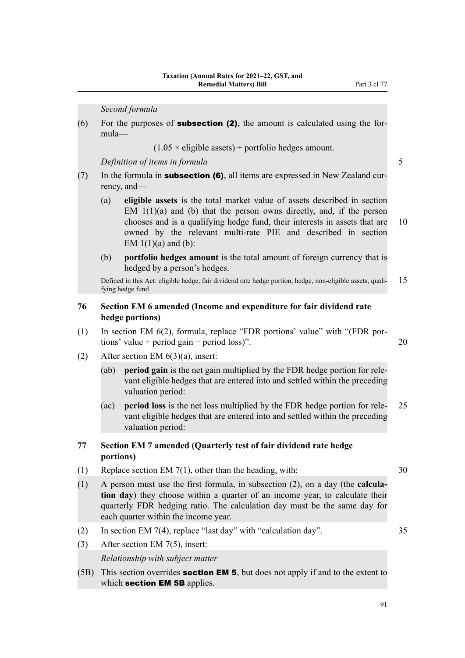*Second formula*

(6) For the purposes of **subsection (2)**, the amount is calculated using the formula—

 $(1.05 \times$  eligible assets) ÷ portfolio hedges amount.

*Definition of items in formula* 5

- (7) In the formula in **subsection (6)**, all items are expressed in New Zealand currency, and—
	- (a) **eligible assets** is the total market value of assets described in section EM  $1(1)(a)$  and (b) that the person owns directly, and, if the person chooses and is a qualifying hedge fund, their interests in assets that are 10 owned by the relevant multi-rate PIE and described in section EM  $1(1)(a)$  and  $(b)$ :
	- (b) **portfolio hedges amount** is the total amount of foreign currency that is hedged by a person's hedges.

Defined in this Act: eligible hedge, fair dividend rate hedge portion, hedge, non-eligible assets, qualifying hedge fund

## **76 Section EM 6 amended (Income and expenditure for fair dividend rate hedge portions)**

- (1) In section EM 6(2), formula, replace "FDR portions' value" with "(FDR por‐ tions' value + period gain − period loss)". 20
- (2) After section EM 6(3)(a), insert:
	- (ab) **period gain** is the net gain multiplied by the FDR hedge portion for relevant eligible hedges that are entered into and settled within the preceding valuation period:
	- (ac) **period loss** is the net loss multiplied by the FDR hedge portion for rele‐ 25 vant eligible hedges that are entered into and settled within the preceding valuation period:

### **77 Section EM 7 amended (Quarterly test of fair dividend rate hedge portions)**

- (1) Replace section EM 7(1), other than the heading, with: 30
- (1) A person must use the first formula, in subsection (2), on a day (the **calcula‐ tion day**) they choose within a quarter of an income year, to calculate their quarterly FDR hedging ratio. The calculation day must be the same day for each quarter within the income year.
- (2) In section EM 7(4), replace "last day" with "calculation day". 35
	-

(3) After section EM 7(5), insert:

*Relationship with subject matter*

(5B) This section overrides section EM 5, but does not apply if and to the extent to which section **EM 5B** applies.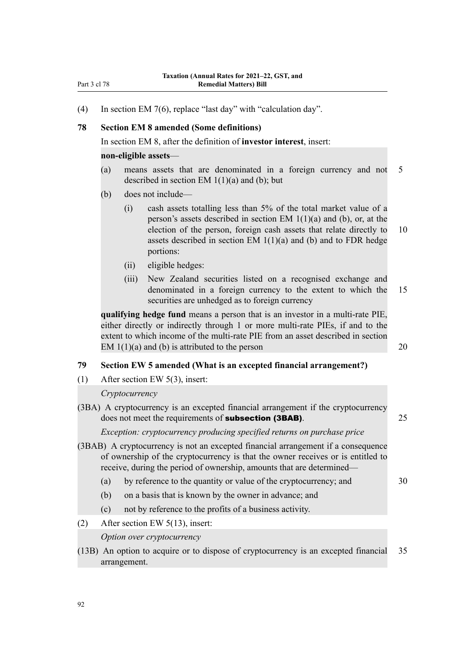(4) In section EM 7(6), replace "last day" with "calculation day".

### **78 Section EM 8 amended (Some definitions)**

In section EM 8, after the definition of **investor interest**, insert:

#### **non-eligible assets**—

- (a) means assets that are denominated in a foreign currency and not 5 described in section EM  $1(1)(a)$  and (b); but
- (b) does not include—
	- (i) cash assets totalling less than 5% of the total market value of a person's assets described in section EM  $1(1)(a)$  and (b), or, at the election of the person, foreign cash assets that relate directly to 10 assets described in section EM  $1(1)(a)$  and (b) and to FDR hedge portions:
	- (ii) eligible hedges:
	- (iii) New Zealand securities listed on a recognised exchange and denominated in a foreign currency to the extent to which the 15 securities are unhedged as to foreign currency

**qualifying hedge fund** means a person that is an investor in a multi-rate PIE, either directly or indirectly through 1 or more multi-rate PIEs, if and to the extent to which income of the multi-rate PIE from an asset described in section EM  $1(1)(a)$  and (b) is attributed to the person 20

## **79 Section EW 5 amended (What is an excepted financial arrangement?)**

(1) After section EW 5(3), insert:

#### *Cryptocurrency*

(3BA) A cryptocurrency is an excepted financial arrangement if the cryptocurrency does not meet the requirements of **subsection (3BAB)**. 25

*Exception: cryptocurrency producing specified returns on purchase price*

- (3BAB) A cryptocurrency is not an excepted financial arrangement if a consequence of ownership of the cryptocurrency is that the owner receives or is entitled to receive, during the period of ownership, amounts that are determined—
	- (a) by reference to the quantity or value of the cryptocurrency; and 30
	- (b) on a basis that is known by the owner in advance; and
	- (c) not by reference to the profits of a business activity.
- (2) After section EW 5(13), insert:

*Option over cryptocurrency*

(13B) An option to acquire or to dispose of cryptocurrency is an excepted financial 35 arrangement.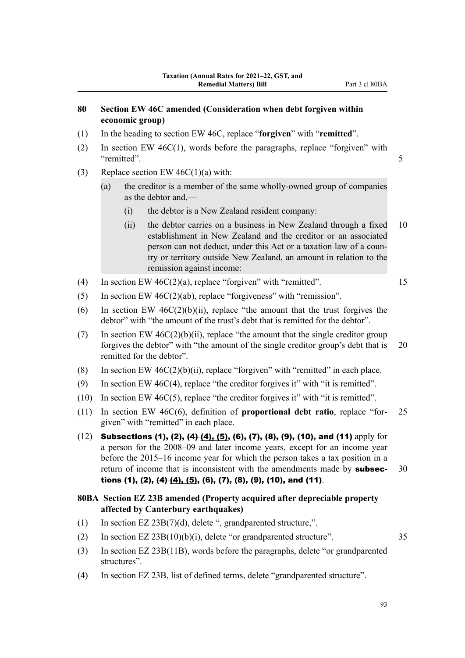## **80 Section EW 46C amended (Consideration when debt forgiven within economic group)**

- (1) In the heading to section EW 46C, replace "**forgiven**" with "**remitted**".
- (2) In section EW 46C(1), words before the paragraphs, replace "forgiven" with "remitted". 5
- (3) Replace section EW  $46C(1)(a)$  with:
	- (a) the creditor is a member of the same wholly-owned group of companies as the debtor and,—
		- (i) the debtor is a New Zealand resident company:
		- (ii) the debtor carries on a business in New Zealand through a fixed 10 establishment in New Zealand and the creditor or an associated person can not deduct, under this Act or a taxation law of a coun‐ try or territory outside New Zealand, an amount in relation to the remission against income:
- (4) In section EW  $46C(2)(a)$ , replace "forgiven" with "remitted". 15
- (5) In section EW 46C(2)(ab), replace "forgiveness" with "remission".
- (6) In section EW  $46C(2)(b)(ii)$ , replace "the amount that the trust forgives the debtor" with "the amount of the trust's debt that is remitted for the debtor".
- (7) In section EW  $46C(2)(b)(ii)$ , replace "the amount that the single creditor group forgives the debtor" with "the amount of the single creditor group's debt that is 20 remitted for the debtor".
- (8) In section EW  $46C(2)(b)(ii)$ , replace "forgiven" with "remitted" in each place.
- (9) In section EW 46C(4), replace "the creditor forgives it" with "it is remitted".
- (10) In section EW 46C(5), replace "the creditor forgives it" with "it is remitted".
- (11) In section EW 46C(6), definition of **proportional debt ratio**, replace "for‐ 25 given" with "remitted" in each place.
- (12) Subsections (1), (2),  $(4)$   $(4)$ , (5), (6), (7), (8), (9), (10), and (11) apply for a person for the 2008–09 and later income years, except for an income year before the 2015–16 income year for which the person takes a tax position in a return of income that is inconsistent with the amendments made by **subsec-** 30 tions  $(1)$ ,  $(2)$ ,  $(4)$  $(4)$ ,  $(5)$ ,  $(6)$ ,  $(7)$ ,  $(8)$ ,  $(9)$ ,  $(10)$ , and  $(11)$ .
- **80BA Section EZ 23B amended (Property acquired after depreciable property affected by Canterbury earthquakes)**
- (1) In section EZ 23B(7)(d), delete ", grandparented structure,".
- (2) In section  $EZ 23B(10)(b)(i)$ , delete "or grandparented structure".  $35$
- (3) In section EZ 23B(11B), words before the paragraphs, delete "or grandparented structures".
- (4) In section EZ 23B, list of defined terms, delete "grandparented structure".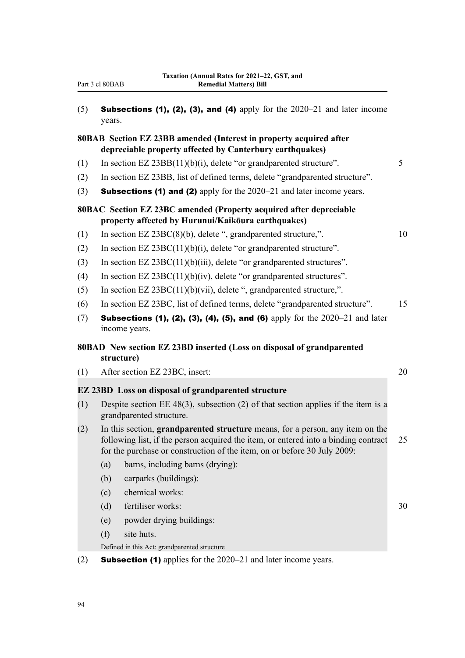| Part 3 cl 80BAB |  |  |  |
|-----------------|--|--|--|
|-----------------|--|--|--|

| (5) | <b>Subsections (1), (2), (3), and (4)</b> apply for the $2020-21$ and later income |
|-----|------------------------------------------------------------------------------------|
|     | years.                                                                             |

## **80BAB Section EZ 23BB amended (Interest in property acquired after depreciable property affected by Canterbury earthquakes)**

- (1) In section EZ 23BB(11)(b)(i), delete "or grandparented structure". 5
- (2) In section EZ 23BB, list of defined terms, delete "grandparented structure".
- (3) **Subsections (1) and (2)** apply for the  $2020-21$  and later income years.

## **80BAC Section EZ 23BC amended (Property acquired after depreciable property affected by Hurunui/Kaikōura earthquakes)**

(1) In section EZ 23BC(8)(b), delete ", grandparented structure,". 10

- (2) In section EZ 23BC(11)(b)(i), delete "or grandparented structure".
- (3) In section EZ 23BC(11)(b)(iii), delete "or grandparented structures".
- (4) In section EZ 23BC(11)(b)(iv), delete "or grandparented structures".
- (5) In section EZ 23BC(11)(b)(vii), delete ", grandparented structure,".
- (6) In section EZ 23BC, list of defined terms, delete "grandparented structure". 15
- (7) Subsections (1), (2), (3), (4), (5), and (6) apply for the  $2020-21$  and later income years.

## **80BAD New section EZ 23BD inserted (Loss on disposal of grandparented structure)**

(1) After section EZ 23BC, insert: 20

### **EZ 23BD Loss on disposal of grandparented structure**

- (1) Despite section EE 48(3), subsection (2) of that section applies if the item is a grandparented structure.
- (2) In this section, **grandparented structure** means, for a person, any item on the following list, if the person acquired the item, or entered into a binding contract 25 for the purchase or construction of the item, on or before 30 July 2009:
	- (a) barns, including barns (drying):
	- (b) carparks (buildings):
	- (c) chemical works:
	- (d) fertiliser works: 30
	- (e) powder drying buildings:
	- (f) site huts.
	- Defined in this Act: grandparented structure
- (2) **Subsection (1)** applies for the  $2020-21$  and later income years.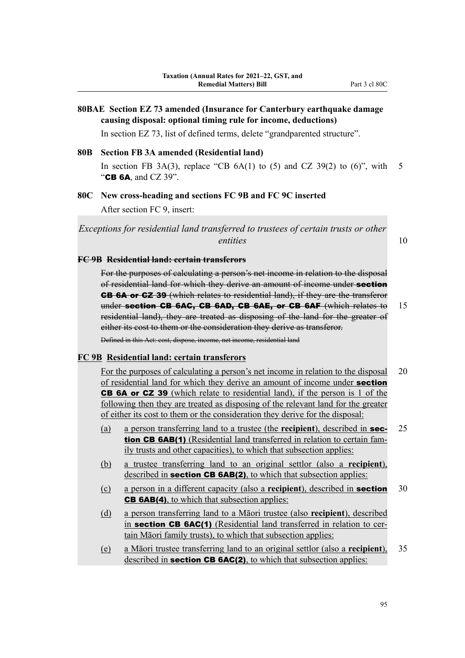## **80BAE Section EZ 73 amended (Insurance for Canterbury earthquake damage causing disposal: optional timing rule for income, deductions)**

In section EZ 73, list of defined terms, delete "grandparented structure".

#### **80B Section FB 3A amended (Residential land)**

In section FB 3A(3), replace "CB  $6A(1)$  to (5) and CZ 39(2) to (6)", with 5 "CB 6A, and CZ 39".

### **80C New cross-heading and sections FC 9B and FC 9C inserted**

After section FC 9, insert:

*Exceptions for residential land transferred to trustees of certain trusts or other entities* 10

#### **FC 9B Residential land: certain transferors**

For the purposes of calculating a person's net income in relation to the disposal of residential land for which they derive an amount of income under section CB 6A or CZ 39 (which relates to residential land), if they are the transferor under section CB 6AC, CB 6AD, CB 6AE, or CB 6AF (which relates to 15 residential land), they are treated as disposing of the land for the greater of either its cost to them or the consideration they derive as transferor. Defined in this Act: cost, dispose, income, net income, residential land

#### **FC 9B Residential land: certain transferors**

For the purposes of calculating a person's net income in relation to the disposal 20 of residential land for which they derive an amount of income under **section** CB 6A or CZ 39 (which relate to residential land), if the person is 1 of the following then they are treated as disposing of the relevant land for the greater of either its cost to them or the consideration they derive for the disposal:

- (a) a person transferring land to a trustee (the **recipient**), described in sec- 25 tion CB 6AB(1) (Residential land transferred in relation to certain family trusts and other capacities), to which that subsection applies:
- (b) a trustee transferring land to an original settlor (also a **recipient**), described in **section CB 6AB(2)**, to which that subsection applies:
- (c) a person in a different capacity (also a **recipient**), described in section 30 CB 6AB(4), to which that subsection applies:
- (d) a person transferring land to a Māori trustee (also **recipient**), described in section CB 6AC(1) (Residential land transferred in relation to certain Māori family trusts), to which that subsection applies:
- (e) a Māori trustee transferring land to an original settlor (also a **recipient**), 35 described in **section CB 6AC(2)**, to which that subsection applies: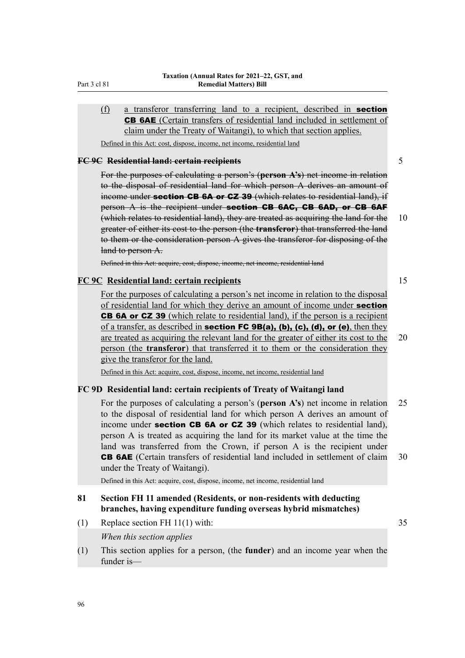## (f) a transferor transferring land to a recipient, described in section CB 6AE (Certain transfers of residential land included in settlement of claim under the Treaty of Waitangi), to which that section applies.

Defined in this Act: cost, dispose, income, net income, residential land

#### **FC 9C Residential land: certain recipients** 5

For the purposes of calculating a person's (**person A's**) net income in relation to the disposal of residential land for which person A derives an amount of income under **section CB 6A or CZ 39** (which relates to residential land), if person A is the recipient under **section CB 6AC, CB 6AD, or CB 6AF** (which relates to residential land), they are treated as acquiring the land for the 10 greater of either its cost to the person (the **transferor**) that transferred the land to them or the consideration person A gives the transferor for disposing of the land to person A.

Defined in this Act: acquire, cost, dispose, income, net income, residential land

### **FC 9C Residential land: certain recipients** 15

For the purposes of calculating a person's net income in relation to the disposal of residential land for which they derive an amount of income under **section** CB 6A or CZ 39 (which relate to residential land), if the person is a recipient of a transfer, as described in **section FC 9B(a), (b), (c), (d), or (e)**, then they are treated as acquiring the relevant land for the greater of either its cost to the 20 person (the **transferor**) that transferred it to them or the consideration they give the transferor for the land.

Defined in this Act: acquire, cost, dispose, income, net income, residential land

#### **FC 9D Residential land: certain recipients of Treaty of Waitangi land**

For the purposes of calculating a person's (**person A's**) net income in relation 25 to the disposal of residential land for which person A derives an amount of income under section CB 6A or CZ 39 (which relates to residential land), person A is treated as acquiring the land for its market value at the time the land was transferred from the Crown, if person A is the recipient under CB 6AE (Certain transfers of residential land included in settlement of claim 30 under the Treaty of Waitangi).

Defined in this Act: acquire, cost, dispose, income, net income, residential land

### **81 Section FH 11 amended (Residents, or non-residents with deducting branches, having expenditure funding overseas hybrid mismatches)**

(1) Replace section FH 11(1) with: 35

### *When this section applies*

(1) This section applies for a person, (the **funder**) and an income year when the funder is—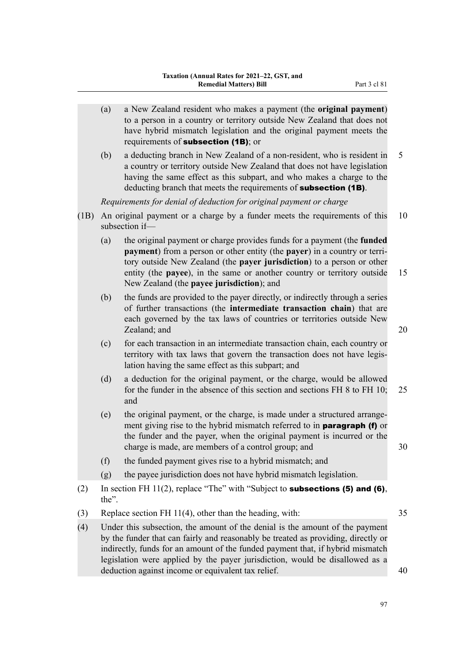|      | (a)   | a New Zealand resident who makes a payment (the original payment)<br>to a person in a country or territory outside New Zealand that does not<br>have hybrid mismatch legislation and the original payment meets the<br>requirements of subsection (1B); or                                                                                             |    |
|------|-------|--------------------------------------------------------------------------------------------------------------------------------------------------------------------------------------------------------------------------------------------------------------------------------------------------------------------------------------------------------|----|
|      | (b)   | a deducting branch in New Zealand of a non-resident, who is resident in<br>a country or territory outside New Zealand that does not have legislation<br>having the same effect as this subpart, and who makes a charge to the<br>deducting branch that meets the requirements of <b>subsection (1B)</b> .                                              | 5  |
|      |       | Requirements for denial of deduction for original payment or charge                                                                                                                                                                                                                                                                                    |    |
| (1B) |       | An original payment or a charge by a funder meets the requirements of this<br>subsection if-                                                                                                                                                                                                                                                           | 10 |
|      | (a)   | the original payment or charge provides funds for a payment (the funded<br>payment) from a person or other entity (the payer) in a country or terri-<br>tory outside New Zealand (the payer jurisdiction) to a person or other<br>entity (the payee), in the same or another country or territory outside<br>New Zealand (the payee jurisdiction); and | 15 |
|      | (b)   | the funds are provided to the payer directly, or indirectly through a series<br>of further transactions (the intermediate transaction chain) that are<br>each governed by the tax laws of countries or territories outside New<br>Zealand; and                                                                                                         | 20 |
|      | (c)   | for each transaction in an intermediate transaction chain, each country or<br>territory with tax laws that govern the transaction does not have legis-<br>lation having the same effect as this subpart; and                                                                                                                                           |    |
|      | (d)   | a deduction for the original payment, or the charge, would be allowed<br>for the funder in the absence of this section and sections FH 8 to FH 10;<br>and                                                                                                                                                                                              | 25 |
|      | (e)   | the original payment, or the charge, is made under a structured arrange-<br>ment giving rise to the hybrid mismatch referred to in paragraph (f) or<br>the funder and the payer, when the original payment is incurred or the<br>charge is made, are members of a control group; and                                                                   | 30 |
|      | (f)   | the funded payment gives rise to a hybrid mismatch; and                                                                                                                                                                                                                                                                                                |    |
|      | (g)   | the payee jurisdiction does not have hybrid mismatch legislation.                                                                                                                                                                                                                                                                                      |    |
| (2)  | the". | In section FH $11(2)$ , replace "The" with "Subject to <b>subsections (5) and (6)</b> ,                                                                                                                                                                                                                                                                |    |
| (3)  |       | Replace section FH 11(4), other than the heading, with:                                                                                                                                                                                                                                                                                                | 35 |
| (4)  |       | Under this subsection, the amount of the denial is the amount of the payment<br>by the funder that can fairly and reasonably be treated as providing, directly or<br>indirectly, funds for an amount of the funded payment that, if hybrid mismatch<br>legislation were applied by the payer jurisdiction, would be disallowed as a                    |    |
|      |       | deduction against income or equivalent tax relief.                                                                                                                                                                                                                                                                                                     | 40 |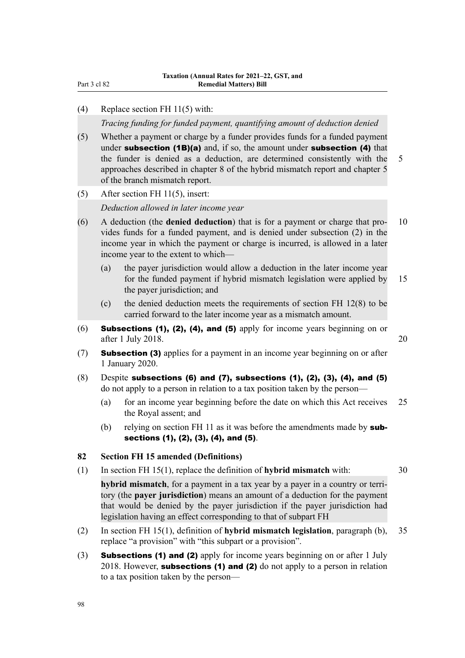Part 3 cl 82

#### (4) Replace section FH 11(5) with:

*Tracing funding for funded payment, quantifying amount of deduction denied*

- (5) Whether a payment or charge by a funder provides funds for a funded payment under subsection (1B)(a) and, if so, the amount under subsection (4) that the funder is denied as a deduction, are determined consistently with the 5 approaches described in chapter 8 of the hybrid mismatch report and chapter 5 of the branch mismatch report.
- (5) After section FH 11(5), insert:

*Deduction allowed in later income year*

- (6) A deduction (the **denied deduction**) that is for a payment or charge that pro‐ 10 vides funds for a funded payment, and is denied under subsection (2) in the income year in which the payment or charge is incurred, is allowed in a later income year to the extent to which—
	- (a) the payer jurisdiction would allow a deduction in the later income year for the funded payment if hybrid mismatch legislation were applied by 15 the payer jurisdiction; and
	- (c) the denied deduction meets the requirements of section FH 12(8) to be carried forward to the later income year as a mismatch amount.
- (6) Subsections (1), (2), (4), and (5) apply for income years beginning on or after 1 July 2018. 20
- (7) Subsection (3) applies for a payment in an income year beginning on or after 1 January 2020.
- $(8)$  Despite subsections (6) and (7), subsections (1), (2), (3), (4), and (5) do not apply to a person in relation to a tax position taken by the person—
	- (a) for an income year beginning before the date on which this Act receives 25 the Royal assent; and
	- (b) relying on section FH 11 as it was before the amendments made by  $sub$ sections (1), (2), (3), (4), and (5).

### **82 Section FH 15 amended (Definitions)**

(1) In section FH 15(1), replace the definition of **hybrid mismatch** with: 30

**hybrid mismatch**, for a payment in a tax year by a payer in a country or territory (the **payer jurisdiction**) means an amount of a deduction for the payment that would be denied by the payer jurisdiction if the payer jurisdiction had legislation having an effect corresponding to that of subpart FH

- (2) In section FH 15(1), definition of **hybrid mismatch legislation**, paragraph (b), 35 replace "a provision" with "this subpart or a provision".
- (3) Subsections (1) and (2) apply for income years beginning on or after 1 July 2018. However, subsections  $(1)$  and  $(2)$  do not apply to a person in relation to a tax position taken by the person—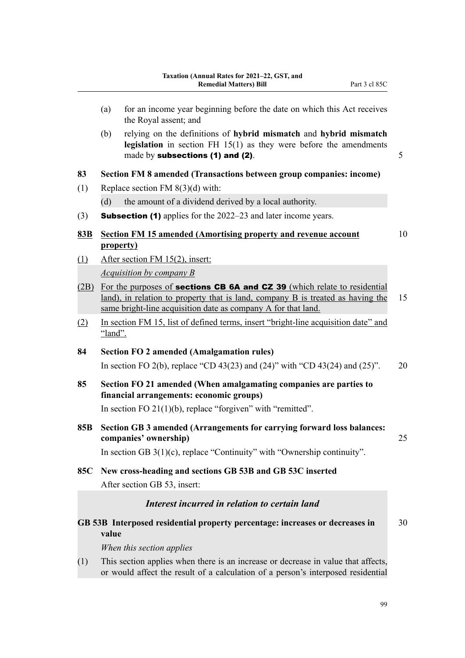(a) for an income year beginning before the date on which this Act receives the Royal assent; and (b) relying on the definitions of **hybrid mismatch** and **hybrid mismatch legislation** in section FH 15(1) as they were before the amendments made by **subsections (1) and (2)**.  $\qquad \qquad \qquad$  5 **83 Section FM 8 amended (Transactions between group companies: income)** (1) Replace section FM 8(3)(d) with: (d) the amount of a dividend derived by a local authority. (3) Subsection (1) applies for the 2022–23 and later income years. **83B Section FM 15 amended (Amortising property and revenue account** 10 **property)** (1) After section FM 15(2), insert: *Acquisition by company B* (2B) For the purposes of **sections CB 6A and CZ 39** (which relate to residential land), in relation to property that is land, company B is treated as having the 15 same bright-line acquisition date as company A for that land. (2) In section FM 15, list of defined terms, insert "bright-line acquisition date" and "land". **84 Section FO 2 amended (Amalgamation rules)** In section FO 2(b), replace "CD 43(23) and (24)" with "CD 43(24) and (25)". 20 **85 Section FO 21 amended (When amalgamating companies are parties to financial arrangements: economic groups)** In section FO 21(1)(b), replace "forgiven" with "remitted". **85B Section GB 3 amended (Arrangements for carrying forward loss balances: companies' ownership)** 25 In section GB 3(1)(c), replace "Continuity" with "Ownership continuity". **85C New cross-heading and sections GB 53B and GB 53C inserted** After section GB 53, insert: *Interest incurred in relation to certain land* **GB 53B Interposed residential property percentage: increases or decreases in** 30 **value** *When this section applies* (1) This section applies when there is an increase or decrease in value that affects, or would affect the result of a calculation of a person's interposed residential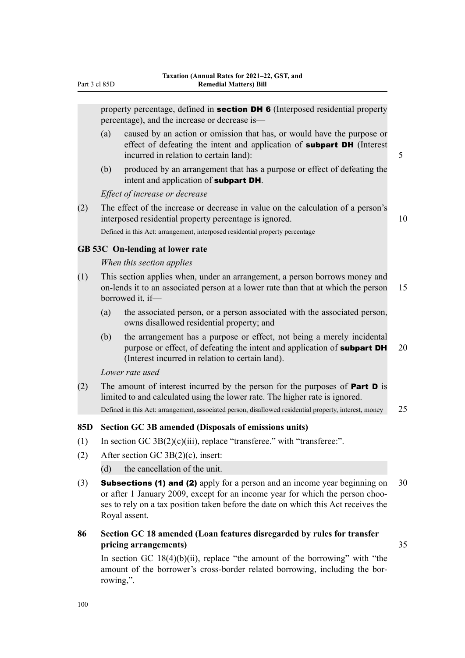property percentage, defined in **section DH 6** (Interposed residential property percentage), and the increase or decrease is—

- (a) caused by an action or omission that has, or would have the purpose or effect of defeating the intent and application of **subpart DH** (Interest incurred in relation to certain land): 5
- (b) produced by an arrangement that has a purpose or effect of defeating the intent and application of subpart DH.

*Effect of increase or decrease*

(2) The effect of the increase or decrease in value on the calculation of a person's interposed residential property percentage is ignored. 10 Defined in this Act: arrangement, interposed residential property percentage

### **GB 53C On-lending at lower rate**

#### *When this section applies*

- (1) This section applies when, under an arrangement, a person borrows money and on-lends it to an associated person at a lower rate than that at which the person 15 borrowed it, if—
	- (a) the associated person, or a person associated with the associated person, owns disallowed residential property; and
	- (b) the arrangement has a purpose or effect, not being a merely incidental purpose or effect, of defeating the intent and application of **subpart DH**  $20$ (Interest incurred in relation to certain land).

*Lower rate used*

(2) The amount of interest incurred by the person for the purposes of **Part D** is limited to and calculated using the lower rate. The higher rate is ignored. Defined in this Act: arrangement, associated person, disallowed residential property, interest, money 25

### **85D Section GC 3B amended (Disposals of emissions units)**

- (1) In section GC  $3B(2)(c)(iii)$ , replace "transferee." with "transferee:".
- (2) After section GC 3B(2)(c), insert:
	- (d) the cancellation of the unit.
- (3) **Subsections (1) and (2)** apply for a person and an income year beginning on  $30$ or after 1 January 2009, except for an income year for which the person chooses to rely on a tax position taken before the date on which this Act receives the Royal assent.

## **86 Section GC 18 amended (Loan features disregarded by rules for transfer pricing arrangements)** 35

In section GC  $18(4)(b)(ii)$ , replace "the amount of the borrowing" with "the amount of the borrower's cross-border related borrowing, including the borrowing,".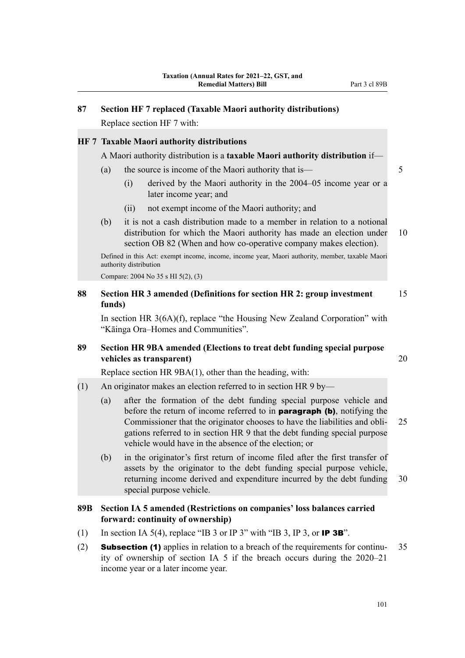# **87 Section HF 7 replaced (Taxable Maori authority distributions)**

Replace section HF 7 with:

## **HF 7 Taxable Maori authority distributions**

A Maori authority distribution is a **taxable Maori authority distribution** if—

- (a) the source is income of the Maori authority that is— 5
	- (i) derived by the Maori authority in the 2004–05 income year or a later income year; and
	- (ii) not exempt income of the Maori authority; and
- (b) it is not a cash distribution made to a member in relation to a notional distribution for which the Maori authority has made an election under 10 section OB 82 (When and how co-operative company makes election).

Defined in this Act: exempt income, income, income year, Maori authority, member, taxable Maori authority distribution

Compare: 2004 No 35 s HI 5(2), (3)

## **88 Section HR 3 amended (Definitions for section HR 2: group investment** 15 **funds)**

In section HR 3(6A)(f), replace "the Housing New Zealand Corporation" with "Kāinga Ora–Homes and Communities".

## **89 Section HR 9BA amended (Elections to treat debt funding special purpose vehicles as transparent)** 20

Replace section HR 9BA(1), other than the heading, with:

- (1) An originator makes an election referred to in section HR 9 by—
	- (a) after the formation of the debt funding special purpose vehicle and before the return of income referred to in **paragraph (b)**, notifying the Commissioner that the originator chooses to have the liabilities and obli‐ 25 gations referred to in section HR 9 that the debt funding special purpose vehicle would have in the absence of the election; or
	- (b) in the originator's first return of income filed after the first transfer of assets by the originator to the debt funding special purpose vehicle, returning income derived and expenditure incurred by the debt funding 30 special purpose vehicle.

## **89B Section IA 5 amended (Restrictions on companies' loss balances carried forward: continuity of ownership)**

- (1) In section IA 5(4), replace "IB 3 or IP 3" with "IB 3, IP 3, or IP 3B".
- (2) **Subsection (1)** applies in relation to a breach of the requirements for continu-  $35$ ity of ownership of section IA 5 if the breach occurs during the 2020–21 income year or a later income year.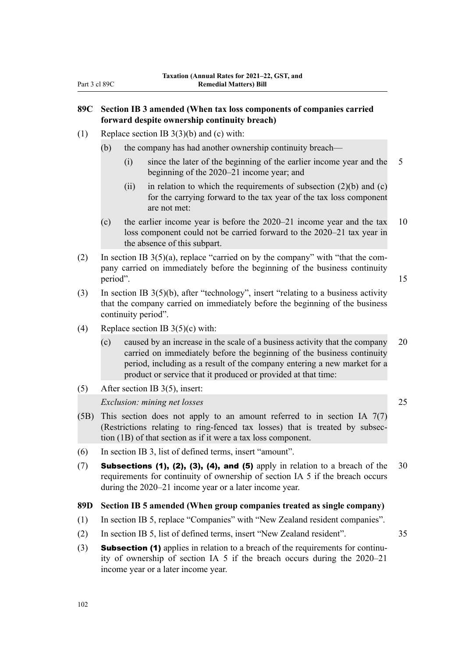## **89C Section IB 3 amended (When tax loss components of companies carried forward despite ownership continuity breach)**

(1) Replace section IB 3(3)(b) and (c) with:

(b) the company has had another ownership continuity breach—

- (i) since the later of the beginning of the earlier income year and the 5 beginning of the 2020–21 income year; and
- (ii) in relation to which the requirements of subsection  $(2)(b)$  and  $(c)$ for the carrying forward to the tax year of the tax loss component are not met:
- (c) the earlier income year is before the 2020–21 income year and the tax 10 loss component could not be carried forward to the 2020–21 tax year in the absence of this subpart.
- (2) In section IB  $3(5)(a)$ , replace "carried on by the company" with "that the company carried on immediately before the beginning of the business continuity period". 15
- (3) In section IB 3(5)(b), after "technology", insert "relating to a business activity that the company carried on immediately before the beginning of the business continuity period".
- (4) Replace section IB  $3(5)(c)$  with:
	- (c) caused by an increase in the scale of a business activity that the company 20 carried on immediately before the beginning of the business continuity period, including as a result of the company entering a new market for a product or service that it produced or provided at that time:
- (5) After section IB 3(5), insert:

### *Exclusion: mining net losses* 25

- (5B) This section does not apply to an amount referred to in section IA 7(7) (Restrictions relating to ring-fenced tax losses) that is treated by subsec‐ tion (1B) of that section as if it were a tax loss component.
- (6) In section IB 3, list of defined terms, insert "amount".
- (7) Subsections (1), (2), (3), (4), and (5) apply in relation to a breach of the  $30$ requirements for continuity of ownership of section IA 5 if the breach occurs during the 2020–21 income year or a later income year.

#### **89D Section IB 5 amended (When group companies treated as single company)**

- (1) In section IB 5, replace "Companies" with "New Zealand resident companies".
- (2) In section IB 5, list of defined terms, insert "New Zealand resident". 35
- (3) **Subsection (1)** applies in relation to a breach of the requirements for continuity of ownership of section IA 5 if the breach occurs during the 2020–21 income year or a later income year.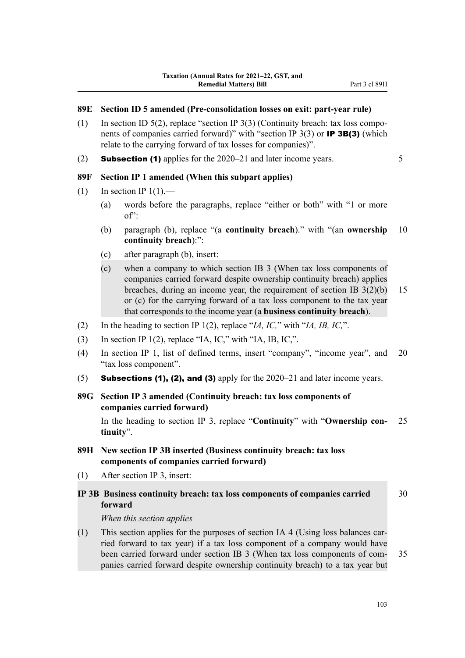### **89E Section ID 5 amended (Pre-consolidation losses on exit: part-year rule)**

- (1) In section ID 5(2), replace "section IP 3(3) (Continuity breach: tax loss components of companies carried forward)" with "section IP 3(3) or **IP 3B(3)** (which relate to the carrying forward of tax losses for companies)".
- (2) **Subsection (1)** applies for the  $2020-21$  and later income years.  $5$

**89F Section IP 1 amended (When this subpart applies)**

- (1) In section IP  $1(1)$ ,—
	- (a) words before the paragraphs, replace "either or both" with "1 or more of":
	- (b) paragraph (b), replace "(a **continuity breach**)." with "(an **ownership** 10 **continuity breach**):":
	- (c) after paragraph (b), insert:
	- (c) when a company to which section IB 3 (When tax loss components of companies carried forward despite ownership continuity breach) applies breaches, during an income year, the requirement of section IB 3(2)(b) 15 or (c) for the carrying forward of a tax loss component to the tax year that corresponds to the income year (a **business continuity breach**).
- (2) In the heading to section IP 1(2), replace "*IA, IC,*" with "*IA, IB, IC,*".
- (3) In section IP 1(2), replace "IA, IC," with "IA, IB, IC,".
- (4) In section IP 1, list of defined terms, insert "company", "income year", and 20 "tax loss component".
- (5) Subsections (1), (2), and (3) apply for the  $2020-21$  and later income years.
- **89G Section IP 3 amended (Continuity breach: tax loss components of companies carried forward)**

In the heading to section IP 3, replace "**Continuity**" with "**Ownership con‐** 25 **tinuity**".

- **89H New section IP 3B inserted (Business continuity breach: tax loss components of companies carried forward)**
- (1) After section IP 3, insert:
- **IP 3B Business continuity breach: tax loss components of companies carried** 30 **forward**

*When this section applies*

(1) This section applies for the purposes of section IA 4 (Using loss balances carried forward to tax year) if a tax loss component of a company would have been carried forward under section IB 3 (When tax loss components of com- 35 panies carried forward despite ownership continuity breach) to a tax year but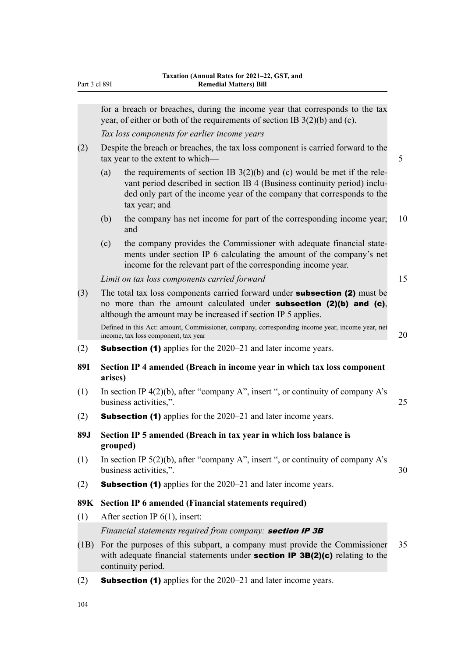|            |          | for a breach or breaches, during the income year that corresponds to the tax<br>year, of either or both of the requirements of section IB $3(2)(b)$ and (c).                                                                                        |    |
|------------|----------|-----------------------------------------------------------------------------------------------------------------------------------------------------------------------------------------------------------------------------------------------------|----|
|            |          | Tax loss components for earlier income years                                                                                                                                                                                                        |    |
| (2)        |          | Despite the breach or breaches, the tax loss component is carried forward to the<br>tax year to the extent to which-                                                                                                                                | 5  |
|            | (a)      | the requirements of section IB $3(2)(b)$ and (c) would be met if the rele-<br>vant period described in section IB 4 (Business continuity period) inclu-<br>ded only part of the income year of the company that corresponds to the<br>tax year; and |    |
|            | (b)      | the company has net income for part of the corresponding income year;<br>and                                                                                                                                                                        | 10 |
|            | (c)      | the company provides the Commissioner with adequate financial state-<br>ments under section IP 6 calculating the amount of the company's net<br>income for the relevant part of the corresponding income year.                                      |    |
|            |          | Limit on tax loss components carried forward                                                                                                                                                                                                        | 15 |
| (3)        |          | The total tax loss components carried forward under <b>subsection (2)</b> must be<br>no more than the amount calculated under <b>subsection (2)(b) and (c)</b> ,<br>although the amount may be increased if section IP 5 applies.                   |    |
|            |          | Defined in this Act: amount, Commissioner, company, corresponding income year, income year, net<br>income, tax loss component, tax year                                                                                                             | 20 |
| (2)        |          | <b>Subsection (1)</b> applies for the 2020–21 and later income years.                                                                                                                                                                               |    |
| <b>89I</b> | arises)  | Section IP 4 amended (Breach in income year in which tax loss component                                                                                                                                                                             |    |
| (1)        |          | In section IP $4(2)(b)$ , after "company A", insert", or continuity of company A's<br>business activities,".                                                                                                                                        | 25 |
| (2)        |          | <b>Subsection (1)</b> applies for the 2020–21 and later income years.                                                                                                                                                                               |    |
| 89J        | grouped) | Section IP 5 amended (Breach in tax year in which loss balance is                                                                                                                                                                                   |    |
| (1)        |          | In section IP $5(2)(b)$ , after "company A", insert", or continuity of company A's<br>business activities,".                                                                                                                                        | 30 |
| (2)        |          | <b>Subsection (1)</b> applies for the 2020–21 and later income years.                                                                                                                                                                               |    |
| 89K        |          | <b>Section IP 6 amended (Financial statements required)</b>                                                                                                                                                                                         |    |
| (1)        |          | After section IP $6(1)$ , insert:                                                                                                                                                                                                                   |    |
|            |          | Financial statements required from company: section IP 3B                                                                                                                                                                                           |    |
| (1B)       |          | For the purposes of this subpart, a company must provide the Commissioner<br>with adequate financial statements under <b>section IP 3B(2)(c)</b> relating to the<br>continuity period.                                                              | 35 |
|            |          |                                                                                                                                                                                                                                                     |    |

(2) Subsection (1) applies for the 2020–21 and later income years.

104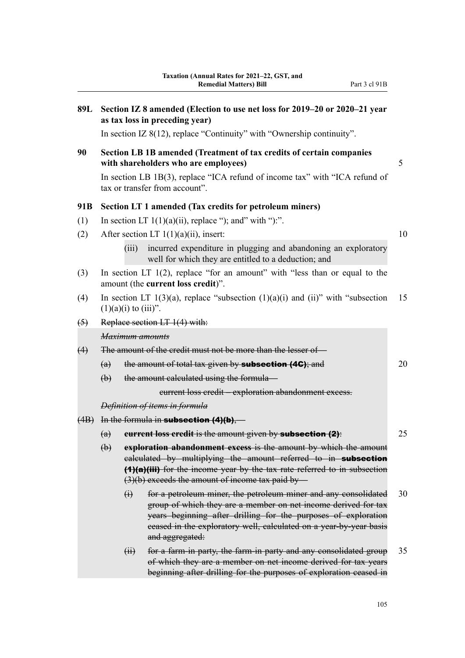| 89L                                  | Section IZ 8 amended (Election to use net loss for 2019–20 or 2020–21 year<br>as tax loss in preceding year) |                           |                                                                                                                                                                                                                                                                                              |    |  |  |  |
|--------------------------------------|--------------------------------------------------------------------------------------------------------------|---------------------------|----------------------------------------------------------------------------------------------------------------------------------------------------------------------------------------------------------------------------------------------------------------------------------------------|----|--|--|--|
|                                      |                                                                                                              |                           | In section IZ $8(12)$ , replace "Continuity" with "Ownership continuity".                                                                                                                                                                                                                    |    |  |  |  |
| 90                                   |                                                                                                              |                           | Section LB 1B amended (Treatment of tax credits of certain companies<br>with shareholders who are employees)                                                                                                                                                                                 | 5  |  |  |  |
|                                      |                                                                                                              |                           | In section LB 1B(3), replace "ICA refund of income tax" with "ICA refund of<br>tax or transfer from account".                                                                                                                                                                                |    |  |  |  |
| 91B                                  | Section LT 1 amended (Tax credits for petroleum miners)                                                      |                           |                                                                                                                                                                                                                                                                                              |    |  |  |  |
| (1)                                  |                                                                                                              |                           | In section LT $1(1)(a)(ii)$ , replace "); and" with "):".                                                                                                                                                                                                                                    |    |  |  |  |
| (2)                                  |                                                                                                              |                           | After section LT $1(1)(a)(ii)$ , insert:                                                                                                                                                                                                                                                     | 10 |  |  |  |
|                                      |                                                                                                              | (iii)                     | incurred expenditure in plugging and abandoning an exploratory<br>well for which they are entitled to a deduction; and                                                                                                                                                                       |    |  |  |  |
| (3)                                  |                                                                                                              |                           | In section LT $1(2)$ , replace "for an amount" with "less than or equal to the<br>amount (the current loss credit)".                                                                                                                                                                         |    |  |  |  |
| (4)                                  |                                                                                                              | $(1)(a)(i)$ to $(iii)$ ". | In section LT $1(3)(a)$ , replace "subsection $(1)(a)(i)$ and $(ii)$ " with "subsection                                                                                                                                                                                                      | 15 |  |  |  |
| Replace section LT 1(4) with:<br>(5) |                                                                                                              |                           |                                                                                                                                                                                                                                                                                              |    |  |  |  |
|                                      |                                                                                                              |                           | Maximum amounts                                                                                                                                                                                                                                                                              |    |  |  |  |
| (4)                                  | The amount of the credit must not be more than the lesser of-                                                |                           |                                                                                                                                                                                                                                                                                              |    |  |  |  |
|                                      | (a)                                                                                                          |                           | the amount of total tax given by <b>subsection (4G)</b> ; and                                                                                                                                                                                                                                | 20 |  |  |  |
|                                      | $\biguplus$                                                                                                  |                           | the amount calculated using the formula-                                                                                                                                                                                                                                                     |    |  |  |  |
|                                      |                                                                                                              |                           | eurrent loss credit - exploration abandonment excess.                                                                                                                                                                                                                                        |    |  |  |  |
|                                      |                                                                                                              |                           | Definition of items in formula                                                                                                                                                                                                                                                               |    |  |  |  |
|                                      | $(4B)$ In the formula in <b>subsection <math>(4)(b)</math></b> ,—                                            |                           |                                                                                                                                                                                                                                                                                              |    |  |  |  |
|                                      | (a)                                                                                                          |                           | eurrent loss credit is the amount given by subsection (2):                                                                                                                                                                                                                                   | 25 |  |  |  |
|                                      | $\biguplus$                                                                                                  |                           | exploration abandonment excess is the amount by which the amount<br>ealculated by multiplying the amount referred to in subsection<br>(1)(a)(iii) for the income year by the tax rate referred to in subsection<br>$(3)(b)$ exceeds the amount of income tax paid by —                       |    |  |  |  |
|                                      |                                                                                                              | $\ddot{\theta}$           | for a petroleum miner, the petroleum miner and any consolidated<br>group of which they are a member on net income derived for tax<br>years beginning after drilling for the purposes of exploration<br>ceased in the exploratory well, calculated on a year-by-year basis<br>and aggregated: | 30 |  |  |  |
|                                      |                                                                                                              | $\overline{H}$            | for a farm-in party, the farm-in party and any consolidated group<br>of which they are a member on net income derived for tax years<br>beginning after drilling for the purposes of exploration ceased in                                                                                    | 35 |  |  |  |
|                                      |                                                                                                              |                           |                                                                                                                                                                                                                                                                                              |    |  |  |  |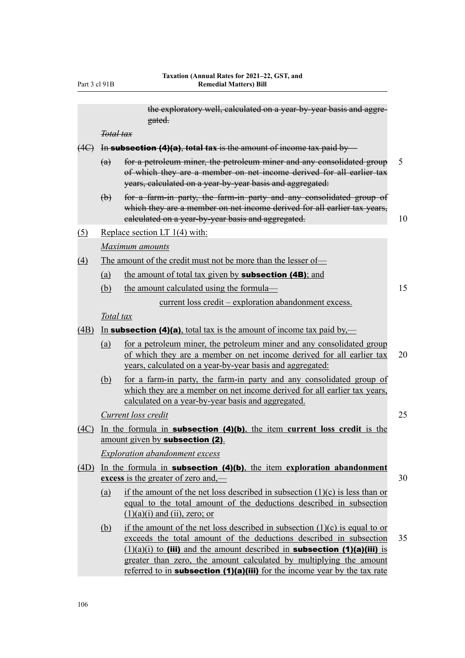the exploratory well, calculated on a year-by-year basis and aggregated. *Total tax* (4C) In subsection (4)(a), **total tax** is the amount of income tax paid by— (a) for a petroleum miner, the petroleum miner and any consolidated group 5 of which they are a member on net income derived for all earlier tax years, calculated on a year-by-year basis and aggregated: (b) for a farm-in party, the farm-in party and any consolidated group of which they are a member on net income derived for all earlier tax years, ealculated on a year-by-year basis and aggregated.  $10$ (5) Replace section LT 1(4) with: *Maximum amounts* (4) The amount of the credit must not be more than the lesser of— (a) the amount of total tax given by **subsection (4B)**; and (b) the amount calculated using the formula— 15 current loss credit – exploration abandonment excess. *Total tax* (4B) In **subsection (4)(a)**, total tax is the amount of income tax paid by,—

- (a) for a petroleum miner, the petroleum miner and any consolidated group of which they are a member on net income derived for all earlier tax 20 years, calculated on a year-by-year basis and aggregated:
- (b) for a farm-in party, the farm-in party and any consolidated group of which they are a member on net income derived for all earlier tax years, calculated on a year-by-year basis and aggregated.

*Current loss credit* 25

(4C) In the formula in subsection (4)(b), the item **current loss credit** is the amount given by subsection (2).

*Exploration abandonment excess*

- (4D) In the formula in subsection (4)(b), the item **exploration abandonment excess** is the greater of zero and,— 30
	- (a) if the amount of the net loss described in subsection  $(1)(c)$  is less than or equal to the total amount of the deductions described in subsection  $(1)(a)(i)$  and  $(ii)$ , zero; or
	- (b) if the amount of the net loss described in subsection  $(1)(c)$  is equal to or exceeds the total amount of the deductions described in subsection 35  $(1)(a)(i)$  to (iii) and the amount described in **subsection (1)(a)(iii)** is greater than zero, the amount calculated by multiplying the amount referred to in **subsection (1)(a)(iii)** for the income year by the tax rate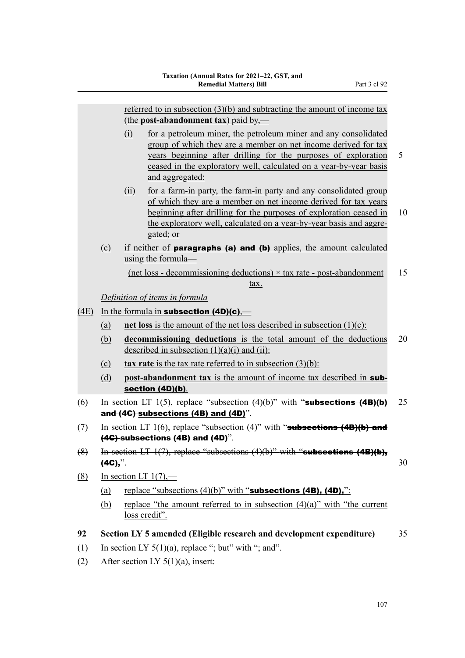|      |                                                                                  |                                                                                                                          | referred to in subsection $(3)(b)$ and subtracting the amount of income tax<br>(the post-abandonment tax) paid by,—                                                                                                                                                                           |    |  |  |  |
|------|----------------------------------------------------------------------------------|--------------------------------------------------------------------------------------------------------------------------|-----------------------------------------------------------------------------------------------------------------------------------------------------------------------------------------------------------------------------------------------------------------------------------------------|----|--|--|--|
|      |                                                                                  | (i)                                                                                                                      | for a petroleum miner, the petroleum miner and any consolidated<br>group of which they are a member on net income derived for tax<br>years beginning after drilling for the purposes of exploration<br>ceased in the exploratory well, calculated on a year-by-year basis<br>and aggregated:  | 5  |  |  |  |
|      |                                                                                  | (ii)                                                                                                                     | for a farm-in party, the farm-in party and any consolidated group<br>of which they are a member on net income derived for tax years<br>beginning after drilling for the purposes of exploration ceased in<br>the exploratory well, calculated on a year-by-year basis and aggre-<br>gated; or | 10 |  |  |  |
|      | $\Omega$                                                                         |                                                                                                                          | if neither of <b>paragraphs (a) and (b)</b> applies, the amount calculated<br>using the formula-                                                                                                                                                                                              |    |  |  |  |
|      |                                                                                  |                                                                                                                          | $(net loss - decommissioning deductions) \times tax rate - post-abandoment$<br>tax.                                                                                                                                                                                                           | 15 |  |  |  |
|      |                                                                                  |                                                                                                                          | Definition of items in formula                                                                                                                                                                                                                                                                |    |  |  |  |
| (4E) | In the formula in subsection $(4D)(c)$ .                                         |                                                                                                                          |                                                                                                                                                                                                                                                                                               |    |  |  |  |
|      | net loss is the amount of the net loss described in subsection $(1)(c)$ :<br>(a) |                                                                                                                          |                                                                                                                                                                                                                                                                                               |    |  |  |  |
|      | (b)                                                                              |                                                                                                                          | decommissioning deductions is the total amount of the deductions<br>described in subsection $(1)(a)(i)$ and $(ii)$ :                                                                                                                                                                          | 20 |  |  |  |
|      | (c)                                                                              |                                                                                                                          | <b>tax rate</b> is the tax rate referred to in subsection $(3)(b)$ :                                                                                                                                                                                                                          |    |  |  |  |
|      | (d)                                                                              |                                                                                                                          | <b>post-abandonment tax</b> is the amount of income tax described in <b>sub-</b><br>section (4D)(b).                                                                                                                                                                                          |    |  |  |  |
| (6)  |                                                                                  |                                                                                                                          | In section LT 1(5), replace "subsection (4)(b)" with "subsections $(4B)(b)$<br>and $(4G)$ subsections $(4B)$ and $(4D)$ ".                                                                                                                                                                    | 25 |  |  |  |
| (7)  |                                                                                  | In section LT 1(6), replace "subsection (4)" with "subsections $(4B)(b)$ and<br>$(4C)$ -subsections $(4B)$ and $(4D)$ ". |                                                                                                                                                                                                                                                                                               |    |  |  |  |
| (8)  |                                                                                  | In section LT $1(7)$ , replace "subsections $(4)(b)$ " with "subsections $(4B)(b)$ ,<br>30<br>$(4C)^{3}$                 |                                                                                                                                                                                                                                                                                               |    |  |  |  |
| (8)  | In section LT $1(7)$ ,—                                                          |                                                                                                                          |                                                                                                                                                                                                                                                                                               |    |  |  |  |
|      | (a)                                                                              |                                                                                                                          | replace "subsections $(4)(b)$ " with "subsections $(4B)$ , $(4D)$ ,":                                                                                                                                                                                                                         |    |  |  |  |
|      | <u>(b)</u>                                                                       |                                                                                                                          | replace "the amount referred to in subsection $(4)(a)$ " with "the current<br>loss credit".                                                                                                                                                                                                   |    |  |  |  |
| 92   |                                                                                  |                                                                                                                          | Section LY 5 amended (Eligible research and development expenditure)                                                                                                                                                                                                                          | 35 |  |  |  |
| (1)  |                                                                                  |                                                                                                                          | In section LY $5(1)(a)$ , replace "; but" with "; and".                                                                                                                                                                                                                                       |    |  |  |  |
|      |                                                                                  |                                                                                                                          |                                                                                                                                                                                                                                                                                               |    |  |  |  |

(2) After section LY  $5(1)(a)$ , insert: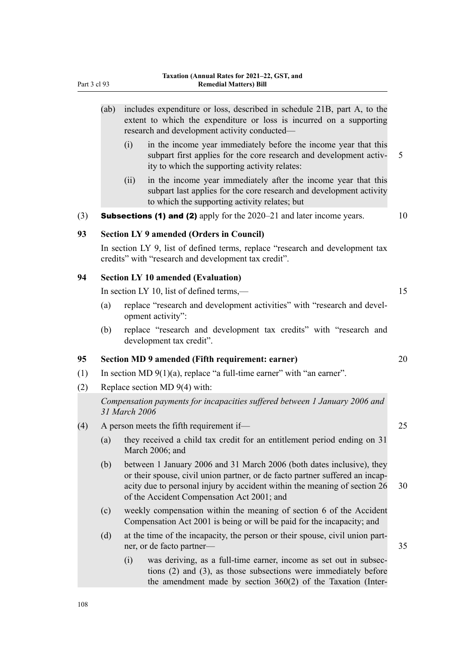|     | (ab) |                                                 | includes expenditure or loss, described in schedule 21B, part A, to the<br>extent to which the expenditure or loss is incurred on a supporting<br>research and development activity conducted-                                                                                   |    |  |  |  |  |
|-----|------|-------------------------------------------------|----------------------------------------------------------------------------------------------------------------------------------------------------------------------------------------------------------------------------------------------------------------------------------|----|--|--|--|--|
|     |      | (i)                                             | in the income year immediately before the income year that this<br>subpart first applies for the core research and development activ-<br>ity to which the supporting activity relates:                                                                                           | 5  |  |  |  |  |
|     |      | (ii)                                            | in the income year immediately after the income year that this<br>subpart last applies for the core research and development activity<br>to which the supporting activity relates; but                                                                                           |    |  |  |  |  |
| (3) |      |                                                 | <b>Subsections (1) and (2)</b> apply for the $2020-21$ and later income years.                                                                                                                                                                                                   | 10 |  |  |  |  |
| 93  |      |                                                 | <b>Section LY 9 amended (Orders in Council)</b>                                                                                                                                                                                                                                  |    |  |  |  |  |
|     |      |                                                 | In section LY 9, list of defined terms, replace "research and development tax<br>credits" with "research and development tax credit".                                                                                                                                            |    |  |  |  |  |
| 94  |      |                                                 | <b>Section LY 10 amended (Evaluation)</b>                                                                                                                                                                                                                                        |    |  |  |  |  |
|     |      | In section LY 10, list of defined terms,—<br>15 |                                                                                                                                                                                                                                                                                  |    |  |  |  |  |
|     | (a)  |                                                 | replace "research and development activities" with "research and devel-<br>opment activity":                                                                                                                                                                                     |    |  |  |  |  |
|     | (b)  |                                                 | replace "research and development tax credits" with "research and<br>development tax credit".                                                                                                                                                                                    |    |  |  |  |  |
| 95  |      |                                                 | Section MD 9 amended (Fifth requirement: earner)                                                                                                                                                                                                                                 | 20 |  |  |  |  |
| (1) |      |                                                 | In section MD $9(1)(a)$ , replace "a full-time earner" with "an earner".                                                                                                                                                                                                         |    |  |  |  |  |
| (2) |      |                                                 | Replace section MD $9(4)$ with:                                                                                                                                                                                                                                                  |    |  |  |  |  |
|     |      | 31 March 2006                                   | Compensation payments for incapacities suffered between 1 January 2006 and                                                                                                                                                                                                       |    |  |  |  |  |
| (4) |      | A person meets the fifth requirement if—        |                                                                                                                                                                                                                                                                                  |    |  |  |  |  |
|     | (a)  |                                                 | they received a child tax credit for an entitlement period ending on 31<br>March 2006; and                                                                                                                                                                                       |    |  |  |  |  |
|     | (b)  |                                                 | between 1 January 2006 and 31 March 2006 (both dates inclusive), they<br>or their spouse, civil union partner, or de facto partner suffered an incap-<br>acity due to personal injury by accident within the meaning of section 26<br>of the Accident Compensation Act 2001; and | 30 |  |  |  |  |
|     | (c)  |                                                 | weekly compensation within the meaning of section 6 of the Accident<br>Compensation Act 2001 is being or will be paid for the incapacity; and                                                                                                                                    |    |  |  |  |  |
|     | (d)  |                                                 | at the time of the incapacity, the person or their spouse, civil union part-<br>ner, or de facto partner-                                                                                                                                                                        | 35 |  |  |  |  |
|     |      | (i)                                             | was deriving, as a full-time earner, income as set out in subsec-<br>tions $(2)$ and $(3)$ , as those subsections were immediately before<br>the amendment made by section $360(2)$ of the Taxation (Inter-                                                                      |    |  |  |  |  |
|     |      |                                                 |                                                                                                                                                                                                                                                                                  |    |  |  |  |  |

108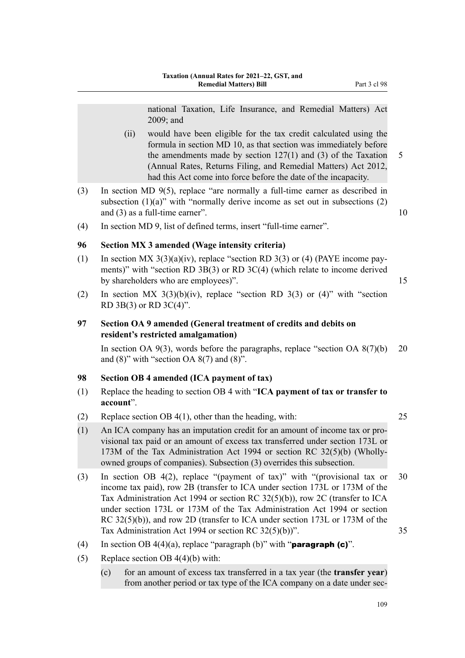national Taxation, Life Insurance, and Remedial Matters) Act 2009; and

- (ii) would have been eligible for the tax credit calculated using the formula in section MD 10, as that section was immediately before the amendments made by section  $127(1)$  and (3) of the Taxation 5 (Annual Rates, Returns Filing, and Remedial Matters) Act 2012, had this Act come into force before the date of the incapacity.
- (3) In section MD 9(5), replace "are normally a full-time earner as described in subsection  $(1)(a)$ " with "normally derive income as set out in subsections  $(2)$ and (3) as a full-time earner". 10
- (4) In section MD 9, list of defined terms, insert "full-time earner".

## **96 Section MX 3 amended (Wage intensity criteria)**

- (1) In section MX  $3(3)(a)(iv)$ , replace "section RD  $3(3)$  or (4) (PAYE income payments)" with "section RD 3B(3) or RD 3C(4) (which relate to income derived by shareholders who are employees)". 15
- (2) In section MX  $3(3)(b)(iv)$ , replace "section RD  $3(3)$  or (4)" with "section RD 3B(3) or RD 3C(4)".

## **97 Section OA 9 amended (General treatment of credits and debits on resident's restricted amalgamation)**

In section OA  $9(3)$ , words before the paragraphs, replace "section OA  $8(7)(b)$  20 and  $(8)$ " with "section OA  $8(7)$  and  $(8)$ ".

## **98 Section OB 4 amended (ICA payment of tax)**

- (1) Replace the heading to section OB 4 with "**ICA payment of tax or transfer to account**".
- (2) Replace section OB 4(1), other than the heading, with: 25
- (1) An ICA company has an imputation credit for an amount of income tax or pro‐ visional tax paid or an amount of excess tax transferred under section 173L or 173M of the Tax Administration Act 1994 or section RC 32(5)(b) (Whollyowned groups of companies). Subsection (3) overrides this subsection.
- (3) In section OB 4(2), replace "(payment of tax)" with "(provisional tax or 30 income tax paid), row 2B (transfer to ICA under section 173L or 173M of the Tax Administration Act 1994 or section RC 32(5)(b)), row 2C (transfer to ICA under section 173L or 173M of the Tax Administration Act 1994 or section RC 32(5)(b)), and row 2D (transfer to ICA under section 173L or 173M of the Tax Administration Act 1994 or section RC  $32(5)(b)$ ". 35
- (4) In section OB  $4(4)(a)$ , replace "paragraph (b)" with "**paragraph (c)**".
- (5) Replace section OB  $4(4)(b)$  with:
	- (c) for an amount of excess tax transferred in a tax year (the **transfer year**) from another period or tax type of the ICA company on a date under sec‐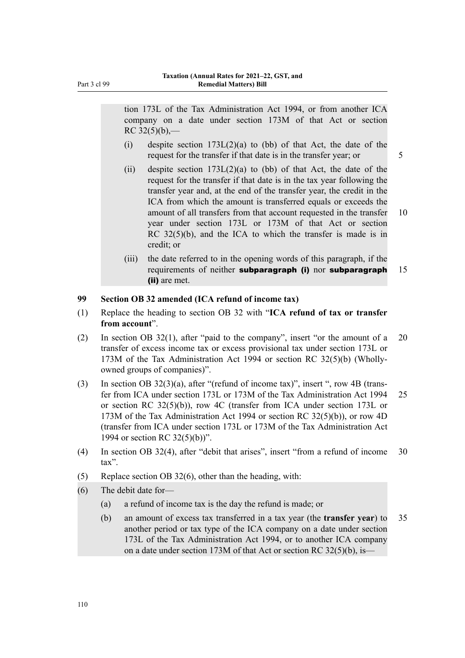Part 3 cl 99

tion 173L of the Tax Administration Act 1994, or from another ICA company on a date under section 173M of that Act or section  $RC 32(5)(b)$ ,-

- (i) despite section  $173L(2)(a)$  to (bb) of that Act, the date of the request for the transfer if that date is in the transfer year; or 5
- (ii) despite section  $173L(2)(a)$  to (bb) of that Act, the date of the request for the transfer if that date is in the tax year following the transfer year and, at the end of the transfer year, the credit in the ICA from which the amount is transferred equals or exceeds the amount of all transfers from that account requested in the transfer 10 year under section 173L or 173M of that Act or section RC 32(5)(b), and the ICA to which the transfer is made is in credit; or
- (iii) the date referred to in the opening words of this paragraph, if the requirements of neither subparagraph (i) nor subparagraph 15 (ii) are met.

## **99 Section OB 32 amended (ICA refund of income tax)**

- (1) Replace the heading to section OB 32 with "**ICA refund of tax or transfer from account**".
- (2) In section OB 32(1), after "paid to the company", insert "or the amount of a 20 transfer of excess income tax or excess provisional tax under section 173L or 173M of the Tax Administration Act 1994 or section RC 32(5)(b) (Whollyowned groups of companies)".
- (3) In section OB  $32(3)(a)$ , after "(refund of income tax)", insert ", row 4B (transfer from ICA under section 173L or 173M of the Tax Administration Act 1994 25 or section RC  $32(5)(b)$ , row 4C (transfer from ICA under section 173L or 173M of the Tax Administration Act 1994 or section RC 32(5)(b)), or row 4D (transfer from ICA under section 173L or 173M of the Tax Administration Act 1994 or section RC 32(5)(b))".
- (4) In section OB 32(4), after "debit that arises", insert "from a refund of income 30 tax".
- (5) Replace section OB 32(6), other than the heading, with:
- (6) The debit date for—
	- (a) a refund of income tax is the day the refund is made; or
	- (b) an amount of excess tax transferred in a tax year (the **transfer year**) to 35 another period or tax type of the ICA company on a date under section 173L of the Tax Administration Act 1994, or to another ICA company on a date under section 173M of that Act or section RC 32(5)(b), is—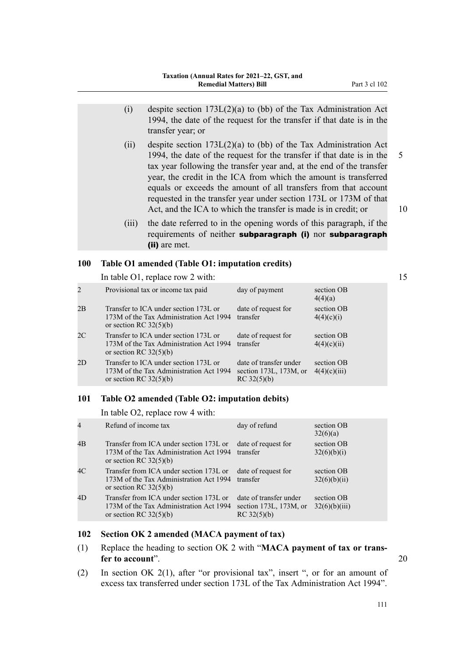- (i) despite section 173L(2)(a) to (bb) of the Tax Administration Act 1994, the date of the request for the transfer if that date is in the transfer year; or
- (ii) despite section  $173L(2)(a)$  to (bb) of the Tax Administration Act 1994, the date of the request for the transfer if that date is in the 5 tax year following the transfer year and, at the end of the transfer year, the credit in the ICA from which the amount is transferred equals or exceeds the amount of all transfers from that account requested in the transfer year under section 173L or 173M of that Act, and the ICA to which the transfer is made is in credit; or 10
- (iii) the date referred to in the opening words of this paragraph, if the requirements of neither subparagraph (i) nor subparagraph (ii) are met.

## **100 Table O1 amended (Table O1: imputation credits)**

In table O1, replace row 2 with: 15

| 2  | Provisional tax or income tax paid                                                                           | day of payment                                                        | section OB<br>4(4)(a)      |
|----|--------------------------------------------------------------------------------------------------------------|-----------------------------------------------------------------------|----------------------------|
| 2B | Transfer to ICA under section 173L or<br>173M of the Tax Administration Act 1994<br>or section RC $32(5)(b)$ | date of request for<br>transfer                                       | section OB<br>4(4)(c)(i)   |
| 2C | Transfer to ICA under section 173L or<br>173M of the Tax Administration Act 1994<br>or section RC $32(5)(b)$ | date of request for<br>transfer                                       | section OB<br>4(4)(c)(ii)  |
| 2D | Transfer to ICA under section 173L or<br>173M of the Tax Administration Act 1994<br>or section RC $32(5)(b)$ | date of transfer under<br>section $173L$ , $173M$ , or<br>RC 32(5)(b) | section OB<br>4(4)(c)(iii) |

#### **101 Table O2 amended (Table O2: imputation debits)**

In table O2, replace row 4 with:

| Refund of income tax                                                                                           | day of refund                                                         | section OB<br>32(6)(a)      |
|----------------------------------------------------------------------------------------------------------------|-----------------------------------------------------------------------|-----------------------------|
| Transfer from ICA under section 173L or<br>173M of the Tax Administration Act 1994<br>or section RC $32(5)(b)$ | date of request for<br>transfer                                       | section OB<br>32(6)(b)(i)   |
| Transfer from ICA under section 173L or<br>173M of the Tax Administration Act 1994<br>or section RC $32(5)(b)$ | date of request for<br>transfer                                       | section OB<br>32(6)(b)(ii)  |
| Transfer from ICA under section 173L or<br>173M of the Tax Administration Act 1994<br>or section RC $32(5)(b)$ | date of transfer under<br>section $173L$ , $173M$ , or<br>RC 32(5)(b) | section OB<br>32(6)(b)(iii) |
|                                                                                                                |                                                                       |                             |

## **102 Section OK 2 amended (MACA payment of tax)**

- (1) Replace the heading to section OK 2 with "**MACA payment of tax or trans‐ fer to account**". 20
- (2) In section OK 2(1), after "or provisional tax", insert ", or for an amount of excess tax transferred under section 173L of the Tax Administration Act 1994".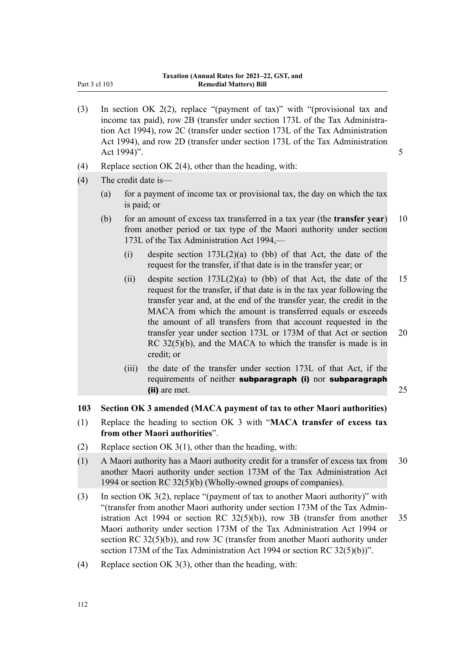| Part 3 cl 103 |  |  |
|---------------|--|--|
|               |  |  |

- (3) In section OK 2(2), replace "(payment of tax)" with "(provisional tax and income tax paid), row 2B (transfer under section 173L of the Tax Administration Act 1994), row 2C (transfer under section 173L of the Tax Administration Act 1994), and row 2D (transfer under section 173L of the Tax Administration Act 1994)". 5
- (4) Replace section OK 2(4), other than the heading, with:
- (4) The credit date is—
	- (a) for a payment of income tax or provisional tax, the day on which the tax is paid; or
	- (b) for an amount of excess tax transferred in a tax year (the **transfer year**) 10 from another period or tax type of the Maori authority under section 173L of the Tax Administration Act 1994,—
		- (i) despite section  $173L(2)(a)$  to (bb) of that Act, the date of the request for the transfer, if that date is in the transfer year; or
		- (ii) despite section  $173L(2)(a)$  to (bb) of that Act, the date of the 15 request for the transfer, if that date is in the tax year following the transfer year and, at the end of the transfer year, the credit in the MACA from which the amount is transferred equals or exceeds the amount of all transfers from that account requested in the transfer year under section 173L or 173M of that Act or section 20 RC 32(5)(b), and the MACA to which the transfer is made is in credit; or
		- (iii) the date of the transfer under section 173L of that Act, if the requirements of neither subparagraph (i) nor subparagraph (ii) are met. 25

## **103 Section OK 3 amended (MACA payment of tax to other Maori authorities)**

- (1) Replace the heading to section OK 3 with "**MACA transfer of excess tax from other Maori authorities**".
- (2) Replace section OK 3(1), other than the heading, with:
- (1) A Maori authority has a Maori authority credit for a transfer of excess tax from 30 another Maori authority under section 173M of the Tax Administration Act 1994 or section RC 32(5)(b) (Wholly-owned groups of companies).
- (3) In section OK 3(2), replace "(payment of tax to another Maori authority)" with "(transfer from another Maori authority under section 173M of the Tax Admin‐ istration Act 1994 or section RC  $32(5)(b)$ , row 3B (transfer from another 35 Maori authority under section 173M of the Tax Administration Act 1994 or section RC 32(5)(b)), and row 3C (transfer from another Maori authority under section 173M of the Tax Administration Act 1994 or section RC 32(5)(b))".
- (4) Replace section OK 3(3), other than the heading, with: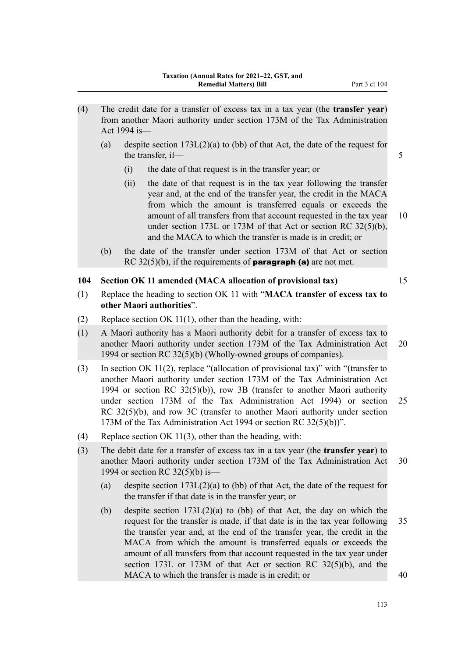- (4) The credit date for a transfer of excess tax in a tax year (the **transfer year**) from another Maori authority under section 173M of the Tax Administration Act 1994 is—
	- (a) despite section 173L(2)(a) to (bb) of that Act, the date of the request for the transfer, if— 5
		- (i) the date of that request is in the transfer year; or
		- (ii) the date of that request is in the tax year following the transfer year and, at the end of the transfer year, the credit in the MACA from which the amount is transferred equals or exceeds the amount of all transfers from that account requested in the tax year 10 under section 173L or 173M of that Act or section RC 32(5)(b), and the MACA to which the transfer is made is in credit; or
	- (b) the date of the transfer under section 173M of that Act or section RC 32(5)(b), if the requirements of **paragraph (a)** are not met.

#### **104 Section OK 11 amended (MACA allocation of provisional tax)** 15

- (1) Replace the heading to section OK 11 with "**MACA transfer of excess tax to other Maori authorities**".
- (2) Replace section OK 11(1), other than the heading, with:
- (1) A Maori authority has a Maori authority debit for a transfer of excess tax to another Maori authority under section 173M of the Tax Administration Act 20 1994 or section RC 32(5)(b) (Wholly-owned groups of companies).
- (3) In section OK 11(2), replace "(allocation of provisional tax)" with "(transfer to another Maori authority under section 173M of the Tax Administration Act 1994 or section RC 32(5)(b)), row 3B (transfer to another Maori authority under section 173M of the Tax Administration Act 1994) or section 25 RC 32(5)(b), and row 3C (transfer to another Maori authority under section 173M of the Tax Administration Act 1994 or section RC 32(5)(b))".
- (4) Replace section OK 11(3), other than the heading, with:
- (3) The debit date for a transfer of excess tax in a tax year (the **transfer year**) to another Maori authority under section 173M of the Tax Administration Act 30 1994 or section RC 32(5)(b) is—
	- (a) despite section 173L(2)(a) to (bb) of that Act, the date of the request for the transfer if that date is in the transfer year; or
	- (b) despite section 173L(2)(a) to (bb) of that Act, the day on which the request for the transfer is made, if that date is in the tax year following 35 the transfer year and, at the end of the transfer year, the credit in the MACA from which the amount is transferred equals or exceeds the amount of all transfers from that account requested in the tax year under section 173L or 173M of that Act or section RC 32(5)(b), and the MACA to which the transfer is made is in credit; or  $40$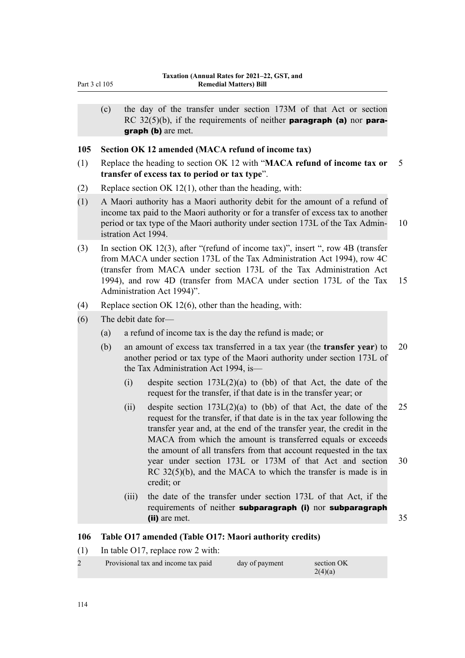(c) the day of the transfer under section 173M of that Act or section RC  $32(5)(b)$ , if the requirements of neither **paragraph (a)** nor **para**graph (b) are met.

## **105 Section OK 12 amended (MACA refund of income tax)**

- (1) Replace the heading to section OK 12 with "**MACA refund of income tax or** 5 **transfer of excess tax to period or tax type**".
- (2) Replace section OK 12(1), other than the heading, with:
- (1) A Maori authority has a Maori authority debit for the amount of a refund of income tax paid to the Maori authority or for a transfer of excess tax to another period or tax type of the Maori authority under section 173L of the Tax Admin- 10 istration Act 1994.
- (3) In section OK 12(3), after "(refund of income tax)", insert ", row 4B (transfer from MACA under section 173L of the Tax Administration Act 1994), row 4C (transfer from MACA under section 173L of the Tax Administration Act 1994), and row 4D (transfer from MACA under section 173L of the Tax 15 Administration Act 1994)".
- (4) Replace section OK 12(6), other than the heading, with:
- (6) The debit date for—
	- (a) a refund of income tax is the day the refund is made; or
	- (b) an amount of excess tax transferred in a tax year (the **transfer year**) to 20 another period or tax type of the Maori authority under section 173L of the Tax Administration Act 1994, is—
		- (i) despite section  $173L(2)(a)$  to (bb) of that Act, the date of the request for the transfer, if that date is in the transfer year; or
		- (ii) despite section  $173L(2)(a)$  to (bb) of that Act, the date of the 25 request for the transfer, if that date is in the tax year following the transfer year and, at the end of the transfer year, the credit in the MACA from which the amount is transferred equals or exceeds the amount of all transfers from that account requested in the tax year under section 173L or 173M of that Act and section 30 RC 32(5)(b), and the MACA to which the transfer is made is in credit; or
		- (iii) the date of the transfer under section 173L of that Act, if the requirements of neither subparagraph (i) nor subparagraph (ii) are met. 35

## **106 Table O17 amended (Table O17: Maori authority credits)**

(1) In table O17, replace row 2 with:

| Provisional tax and income tax paid | day of payment | section OK |
|-------------------------------------|----------------|------------|
|                                     |                | 2(4)(a)    |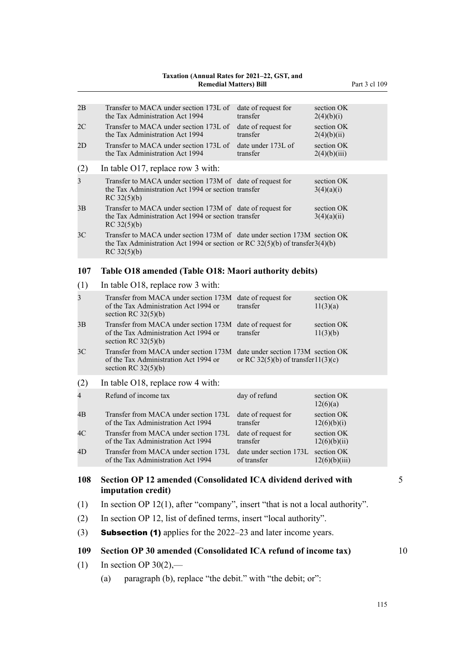## **Taxation (Annual Rates for 2021–22, GST, and**

| 2B             | Transfer to MACA under section 173L of<br>the Tax Administration Act 1994                                                                                                     | date of request for<br>transfer                   | section OK<br>2(4)(b)(i)   |    |
|----------------|-------------------------------------------------------------------------------------------------------------------------------------------------------------------------------|---------------------------------------------------|----------------------------|----|
| 2 <sup>C</sup> | Transfer to MACA under section 173L of<br>the Tax Administration Act 1994                                                                                                     | date of request for<br>transfer                   | section OK<br>2(4)(b)(ii)  |    |
| 2D             | Transfer to MACA under section 173L of<br>the Tax Administration Act 1994                                                                                                     | date under 173L of<br>transfer                    | section OK<br>2(4)(b)(iii) |    |
| (2)            | In table O17, replace row 3 with:                                                                                                                                             |                                                   |                            |    |
| 3              | Transfer to MACA under section 173M of date of request for<br>the Tax Administration Act 1994 or section transfer<br>RC 32(5)(b)                                              |                                                   | section OK<br>3(4)(a)(i)   |    |
| 3B             | Transfer to MACA under section 173M of date of request for<br>the Tax Administration Act 1994 or section transfer<br>RC 32(5)(b)                                              |                                                   | section OK<br>3(4)(a)(ii)  |    |
| 3C             | Transfer to MACA under section 173M of date under section 173M section OK<br>the Tax Administration Act 1994 or section or RC $32(5)(b)$ of transfer $3(4)(b)$<br>RC 32(5)(b) |                                                   |                            |    |
| 107            | Table O18 amended (Table O18: Maori authority debits)                                                                                                                         |                                                   |                            |    |
| (1)            | In table O18, replace row 3 with:                                                                                                                                             |                                                   |                            |    |
| 3              | Transfer from MACA under section 173M<br>of the Tax Administration Act 1994 or<br>section RC $32(5)(b)$                                                                       | date of request for<br>transfer                   | section OK<br>11(3)(a)     |    |
| 3B             | Transfer from MACA under section 173M<br>of the Tax Administration Act 1994 or<br>section RC $32(5)(b)$                                                                       | date of request for<br>transfer                   | section OK<br>11(3)(b)     |    |
| 3 <sup>C</sup> | Transfer from MACA under section 173M date under section 173M section OK<br>of the Tax Administration Act 1994 or<br>section RC $32(5)(b)$                                    | or RC 32(5)(b) of transfer11(3)(c)                |                            |    |
| (2)            | In table O18, replace row 4 with:                                                                                                                                             |                                                   |                            |    |
| 4              | Refund of income tax                                                                                                                                                          | day of refund                                     | section OK<br>12(6)(a)     |    |
| 4B             | Transfer from MACA under section 173L<br>of the Tax Administration Act 1994                                                                                                   | date of request for<br>transfer                   | section OK<br>12(6)(b)(i)  |    |
| 4C             | Transfer from MACA under section 173L<br>of the Tax Administration Act 1994                                                                                                   | date of request for<br>transfer                   | section OK<br>12(6)(b)(ii) |    |
| 4D             | Transfer from MACA under section 173L<br>of the Tax Administration Act 1994                                                                                                   | date under section 173L section OK<br>of transfer | 12(6)(b)(iii)              |    |
| 108            | Section OP 12 amended (Consolidated ICA dividend derived with                                                                                                                 |                                                   |                            | 5  |
|                | imputation credit)                                                                                                                                                            |                                                   |                            |    |
| (1)            | In section OP $12(1)$ , after "company", insert "that is not a local authority".                                                                                              |                                                   |                            |    |
| (2)            | In section OP 12, list of defined terms, insert "local authority".                                                                                                            |                                                   |                            |    |
| (3)            | <b>Subsection (1)</b> applies for the 2022–23 and later income years.                                                                                                         |                                                   |                            |    |
| 109            | Section OP 30 amended (Consolidated ICA refund of income tax)                                                                                                                 |                                                   |                            | 10 |
| (1)            | In section OP $30(2)$ ,—                                                                                                                                                      |                                                   |                            |    |
|                | $1$ $(1)$ $1$ $(641 - 11)^{1/2}$ $(1)$ $(641 - 11)^{1/2}$                                                                                                                     |                                                   |                            |    |

(a) paragraph (b), replace "the debit." with "the debit; or":

115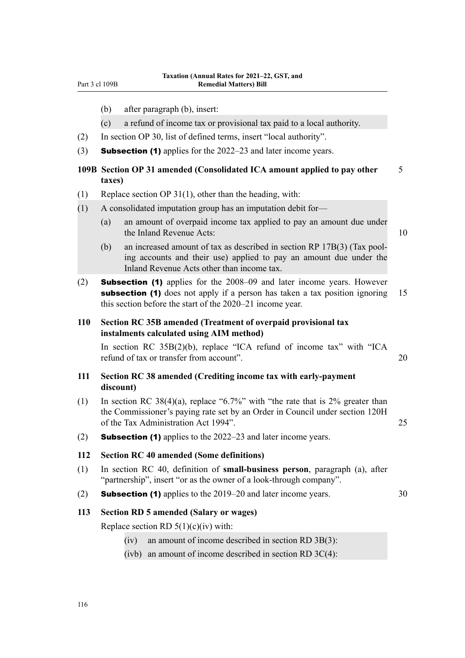- (b) after paragraph (b), insert:
- (c) a refund of income tax or provisional tax paid to a local authority.
- (2) In section OP 30, list of defined terms, insert "local authority".
- (3) **Subsection (1)** applies for the  $2022-23$  and later income years.

## **109B Section OP 31 amended (Consolidated ICA amount applied to pay other** 5 **taxes)**

- (1) Replace section OP 31(1), other than the heading, with:
- (1) A consolidated imputation group has an imputation debit for—
	- (a) an amount of overpaid income tax applied to pay an amount due under the Inland Revenue Acts: 10

- (b) an increased amount of tax as described in section RP 17B(3) (Tax pool‐ ing accounts and their use) applied to pay an amount due under the Inland Revenue Acts other than income tax.
- (2) Subsection (1) applies for the 2008–09 and later income years. However subsection (1) does not apply if a person has taken a tax position ignoring 15 this section before the start of the 2020–21 income year.

## **110 Section RC 35B amended (Treatment of overpaid provisional tax instalments calculated using AIM method)**

In section RC 35B(2)(b), replace "ICA refund of income tax" with "ICA refund of tax or transfer from account". 20

## **111 Section RC 38 amended (Crediting income tax with early-payment discount)**

- (1) In section RC 38(4)(a), replace "6.7%" with "the rate that is 2% greater than the Commissioner's paying rate set by an Order in Council under section 120H of the Tax Administration Act 1994". 25
- (2) **Subsection (1)** applies to the  $2022-23$  and later income years.

## **112 Section RC 40 amended (Some definitions)**

- (1) In section RC 40, definition of **small-business person**, paragraph (a), after "partnership", insert "or as the owner of a look-through company".
- (2) **Subsection (1)** applies to the  $2019-20$  and later income years.  $30$

#### **113 Section RD 5 amended (Salary or wages)**

Replace section RD  $5(1)(c)(iv)$  with:

- (iv) an amount of income described in section RD 3B(3):
- (ivb) an amount of income described in section RD 3C(4):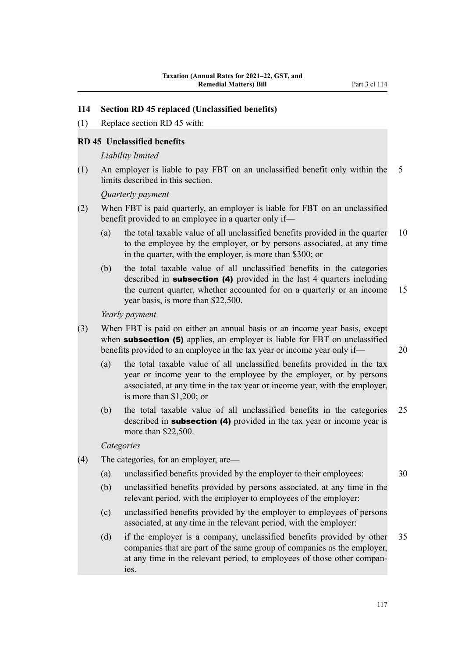## **114 Section RD 45 replaced (Unclassified benefits)**

(1) Replace section RD 45 with:

## **RD 45 Unclassified benefits**

#### *Liability limited*

(1) An employer is liable to pay FBT on an unclassified benefit only within the 5 limits described in this section.

*Quarterly payment*

- (2) When FBT is paid quarterly, an employer is liable for FBT on an unclassified benefit provided to an employee in a quarter only if—
	- (a) the total taxable value of all unclassified benefits provided in the quarter 10 to the employee by the employer, or by persons associated, at any time in the quarter, with the employer, is more than \$300; or
	- (b) the total taxable value of all unclassified benefits in the categories described in **subsection** (4) provided in the last 4 quarters including the current quarter, whether accounted for on a quarterly or an income 15 year basis, is more than \$22,500.

*Yearly payment*

- (3) When FBT is paid on either an annual basis or an income year basis, except when **subsection (5)** applies, an employer is liable for FBT on unclassified benefits provided to an employee in the tax year or income year only if— 20
	- (a) the total taxable value of all unclassified benefits provided in the tax year or income year to the employee by the employer, or by persons associated, at any time in the tax year or income year, with the employer, is more than \$1,200; or
	- (b) the total taxable value of all unclassified benefits in the categories 25 described in **subsection** (4) provided in the tax year or income year is more than \$22,500.

*Categories*

- (4) The categories, for an employer, are—
	- (a) unclassified benefits provided by the employer to their employees: 30
	- (b) unclassified benefits provided by persons associated, at any time in the relevant period, with the employer to employees of the employer:
	- (c) unclassified benefits provided by the employer to employees of persons associated, at any time in the relevant period, with the employer:
	- (d) if the employer is a company, unclassified benefits provided by other 35 companies that are part of the same group of companies as the employer, at any time in the relevant period, to employees of those other compan‐ ies.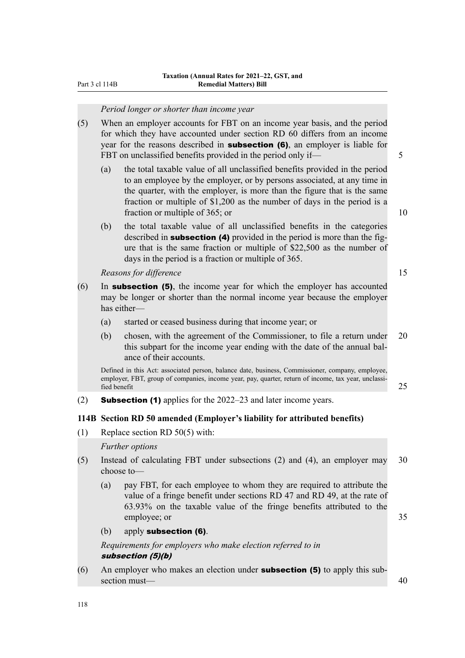## *Period longer or shorter than income year*

- (5) When an employer accounts for FBT on an income year basis, and the period for which they have accounted under section RD 60 differs from an income year for the reasons described in **subsection (6)**, an employer is liable for FBT on unclassified benefits provided in the period only if— 5
	- (a) the total taxable value of all unclassified benefits provided in the period to an employee by the employer, or by persons associated, at any time in the quarter, with the employer, is more than the figure that is the same fraction or multiple of \$1,200 as the number of days in the period is a fraction or multiple of 365; or 10
	- (b) the total taxable value of all unclassified benefits in the categories described in **subsection** (4) provided in the period is more than the figure that is the same fraction or multiple of \$22,500 as the number of days in the period is a fraction or multiple of 365.

*Reasons for difference* 15

- $(6)$  In **subsection (5)**, the income year for which the employer has accounted may be longer or shorter than the normal income year because the employer has either—
	- (a) started or ceased business during that income year; or
	- (b) chosen, with the agreement of the Commissioner, to file a return under 20 this subpart for the income year ending with the date of the annual bal‐ ance of their accounts.

Defined in this Act: associated person, balance date, business, Commissioner, company, employee, employer, FBT, group of companies, income year, pay, quarter, return of income, tax year, unclassified benefit 25

(2) **Subsection (1)** applies for the  $2022-23$  and later income years.

## **114B Section RD 50 amended (Employer's liability for attributed benefits)**

(1) Replace section RD 50(5) with:

*Further options*

- (5) Instead of calculating FBT under subsections (2) and (4), an employer may 30 choose to—
	- (a) pay FBT, for each employee to whom they are required to attribute the value of a fringe benefit under sections RD 47 and RD 49, at the rate of 63.93% on the taxable value of the fringe benefits attributed to the employee; or 35

#### (b) apply subsection (6).

*Requirements for employers who make election referred to in* subsection (5)(b)

(6) An employer who makes an election under **subsection (5)** to apply this subsection must— $\sim$  40

118

- 
-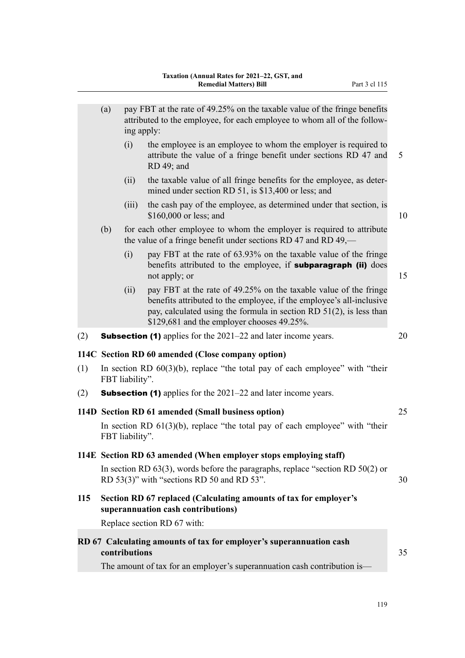|     | (a)                                                                                                | ing apply:    | pay FBT at the rate of 49.25% on the taxable value of the fringe benefits<br>attributed to the employee, for each employee to whom all of the follow-                                                                                                            |    |  |  |  |
|-----|----------------------------------------------------------------------------------------------------|---------------|------------------------------------------------------------------------------------------------------------------------------------------------------------------------------------------------------------------------------------------------------------------|----|--|--|--|
|     |                                                                                                    | (i)           | the employee is an employee to whom the employer is required to<br>attribute the value of a fringe benefit under sections RD 47 and<br>RD 49; and                                                                                                                | 5  |  |  |  |
|     |                                                                                                    | (ii)          | the taxable value of all fringe benefits for the employee, as deter-<br>mined under section RD 51, is \$13,400 or less; and                                                                                                                                      |    |  |  |  |
|     |                                                                                                    | (iii)         | the cash pay of the employee, as determined under that section, is<br>\$160,000 or less; and                                                                                                                                                                     | 10 |  |  |  |
|     | (b)                                                                                                |               | for each other employee to whom the employer is required to attribute<br>the value of a fringe benefit under sections RD 47 and RD $49$ ,—                                                                                                                       |    |  |  |  |
|     |                                                                                                    | (i)           | pay FBT at the rate of 63.93% on the taxable value of the fringe<br>benefits attributed to the employee, if subparagraph (ii) does<br>not apply; or                                                                                                              | 15 |  |  |  |
|     |                                                                                                    | (ii)          | pay FBT at the rate of 49.25% on the taxable value of the fringe<br>benefits attributed to the employee, if the employee's all-inclusive<br>pay, calculated using the formula in section RD $51(2)$ , is less than<br>\$129,681 and the employer chooses 49.25%. |    |  |  |  |
| (2) |                                                                                                    |               | <b>Subsection (1)</b> applies for the $2021-22$ and later income years.                                                                                                                                                                                          | 20 |  |  |  |
|     | 114C Section RD 60 amended (Close company option)                                                  |               |                                                                                                                                                                                                                                                                  |    |  |  |  |
| (1) | In section RD $60(3)(b)$ , replace "the total pay of each employee" with "their<br>FBT liability". |               |                                                                                                                                                                                                                                                                  |    |  |  |  |
| (2) | <b>Subsection (1)</b> applies for the $2021-22$ and later income years.                            |               |                                                                                                                                                                                                                                                                  |    |  |  |  |
|     |                                                                                                    |               | 114D Section RD 61 amended (Small business option)                                                                                                                                                                                                               | 25 |  |  |  |
|     | In section RD $61(3)(b)$ , replace "the total pay of each employee" with "their<br>FBT liability". |               |                                                                                                                                                                                                                                                                  |    |  |  |  |
|     |                                                                                                    |               | 114E Section RD 63 amended (When employer stops employing staff)                                                                                                                                                                                                 |    |  |  |  |
|     |                                                                                                    |               | In section RD $63(3)$ , words before the paragraphs, replace "section RD $50(2)$ or<br>RD 53(3)" with "sections RD 50 and RD 53".                                                                                                                                | 30 |  |  |  |
| 115 |                                                                                                    |               | Section RD 67 replaced (Calculating amounts of tax for employer's<br>superannuation cash contributions)                                                                                                                                                          |    |  |  |  |
|     |                                                                                                    |               | Replace section RD 67 with:                                                                                                                                                                                                                                      |    |  |  |  |
|     |                                                                                                    | contributions | RD 67 Calculating amounts of tax for employer's superannuation cash                                                                                                                                                                                              | 35 |  |  |  |
|     |                                                                                                    |               | The amount of tax for an employer's superannuation cash contribution is-                                                                                                                                                                                         |    |  |  |  |
|     |                                                                                                    |               |                                                                                                                                                                                                                                                                  |    |  |  |  |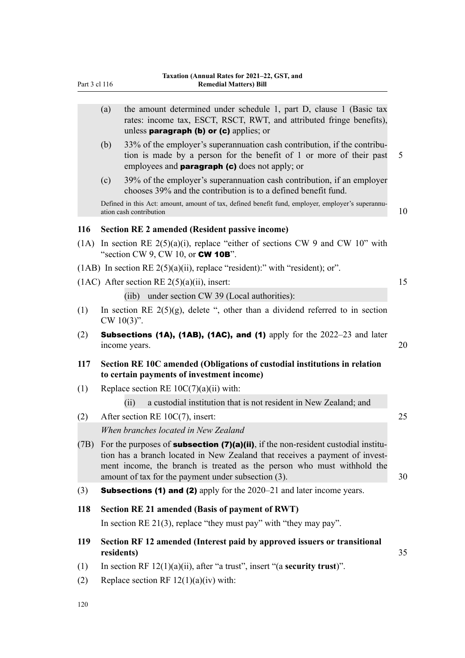| Part 3 cl 116 |            | Taxation (Annual Rates for 2021-22, GST, and<br><b>Remedial Matters) Bill</b>                                                                                                                                                                                                                                  |    |
|---------------|------------|----------------------------------------------------------------------------------------------------------------------------------------------------------------------------------------------------------------------------------------------------------------------------------------------------------------|----|
|               |            |                                                                                                                                                                                                                                                                                                                |    |
|               | (a)        | the amount determined under schedule 1, part D, clause 1 (Basic tax<br>rates: income tax, ESCT, RSCT, RWT, and attributed fringe benefits),<br>unless paragraph (b) or $(c)$ applies; or                                                                                                                       |    |
|               | (b)        | 33% of the employer's superannuation cash contribution, if the contribu-<br>tion is made by a person for the benefit of 1 or more of their past<br>employees and <b>paragraph (c)</b> does not apply; or                                                                                                       | 5  |
|               | (c)        | 39% of the employer's superannuation cash contribution, if an employer<br>chooses 39% and the contribution is to a defined benefit fund.                                                                                                                                                                       |    |
|               |            | Defined in this Act: amount, amount of tax, defined benefit fund, employer, employer's superannu-<br>ation cash contribution                                                                                                                                                                                   | 10 |
| 116           |            | <b>Section RE 2 amended (Resident passive income)</b>                                                                                                                                                                                                                                                          |    |
| (1A)          |            | In section RE $2(5)(a)(i)$ , replace "either of sections CW 9 and CW 10" with<br>"section CW 9, CW 10, or <b>CW 10B</b> ".                                                                                                                                                                                     |    |
|               |            | (1AB) In section RE $2(5)(a)(ii)$ , replace "resident):" with "resident); or".                                                                                                                                                                                                                                 |    |
|               |            | $(1AC)$ After section RE 2(5)(a)(ii), insert:                                                                                                                                                                                                                                                                  | 15 |
|               |            | (iib) under section CW 39 (Local authorities):                                                                                                                                                                                                                                                                 |    |
| (1)           |            | In section RE $2(5)(g)$ , delete ", other than a dividend referred to in section<br>CW $10(3)$ ".                                                                                                                                                                                                              |    |
| (2)           |            | <b>Subsections (1A), (1AB), (1AC), and (1)</b> apply for the $2022-23$ and later<br>income years.                                                                                                                                                                                                              | 20 |
| 117           |            | Section RE 10C amended (Obligations of custodial institutions in relation<br>to certain payments of investment income)                                                                                                                                                                                         |    |
| (1)           |            | Replace section RE $10C(7)(a)(ii)$ with:                                                                                                                                                                                                                                                                       |    |
|               |            | a custodial institution that is not resident in New Zealand; and<br>(ii)                                                                                                                                                                                                                                       |    |
| (2)           |            | After section RE $10C(7)$ , insert:                                                                                                                                                                                                                                                                            | 25 |
|               |            | When branches located in New Zealand                                                                                                                                                                                                                                                                           |    |
|               |            | (7B) For the purposes of <b>subsection (7)(a)(ii)</b> , if the non-resident custodial institu-<br>tion has a branch located in New Zealand that receives a payment of invest-<br>ment income, the branch is treated as the person who must withhold the<br>amount of tax for the payment under subsection (3). | 30 |
| (3)           |            | <b>Subsections (1) and (2)</b> apply for the $2020-21$ and later income years.                                                                                                                                                                                                                                 |    |
| 118           |            | Section RE 21 amended (Basis of payment of RWT)                                                                                                                                                                                                                                                                |    |
|               |            | In section RE 21(3), replace "they must pay" with "they may pay".                                                                                                                                                                                                                                              |    |
| 119           | residents) | Section RF 12 amended (Interest paid by approved issuers or transitional                                                                                                                                                                                                                                       | 35 |
| (1)           |            | In section RF $12(1)(a)(ii)$ , after "a trust", insert "(a <b>security trust</b> )".                                                                                                                                                                                                                           |    |
| (2)           |            | Replace section RF $12(1)(a)(iv)$ with:                                                                                                                                                                                                                                                                        |    |

120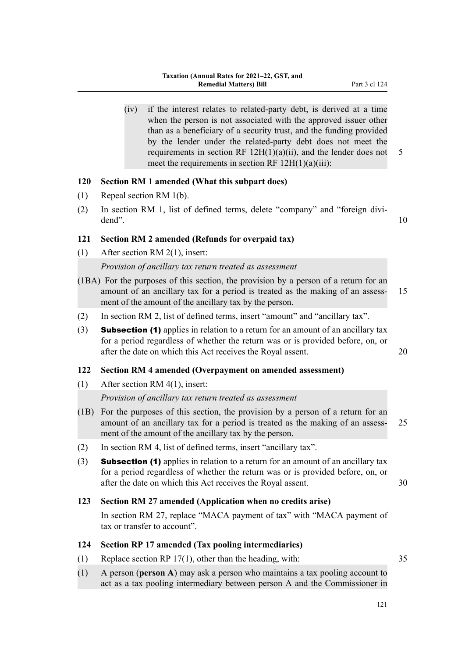(iv) if the interest relates to related-party debt, is derived at a time when the person is not associated with the approved issuer other than as a beneficiary of a security trust, and the funding provided by the lender under the related-party debt does not meet the requirements in section RF  $12H(1)(a)(ii)$ , and the lender does not 5 meet the requirements in section RF  $12H(1)(a)(iii)$ :

## **120 Section RM 1 amended (What this subpart does)**

- (1) Repeal section RM 1(b).
- (2) In section RM 1, list of defined terms, delete "company" and "foreign divi‐ dend". 10

## **121 Section RM 2 amended (Refunds for overpaid tax)**

(1) After section RM 2(1), insert:

## *Provision of ancillary tax return treated as assessment*

- (1BA) For the purposes of this section, the provision by a person of a return for an amount of an ancillary tax for a period is treated as the making of an assess- 15 ment of the amount of the ancillary tax by the person.
- (2) In section RM 2, list of defined terms, insert "amount" and "ancillary tax".
- (3) Subsection (1) applies in relation to a return for an amount of an ancillary tax for a period regardless of whether the return was or is provided before, on, or after the date on which this Act receives the Royal assent. 20

## **122 Section RM 4 amended (Overpayment on amended assessment)**

(1) After section RM 4(1), insert:

## *Provision of ancillary tax return treated as assessment*

- (1B) For the purposes of this section, the provision by a person of a return for an amount of an ancillary tax for a period is treated as the making of an assess- 25 ment of the amount of the ancillary tax by the person.
- (2) In section RM 4, list of defined terms, insert "ancillary tax".
- (3) Subsection (1) applies in relation to a return for an amount of an ancillary tax for a period regardless of whether the return was or is provided before, on, or after the date on which this Act receives the Royal assent. 30

## **123 Section RM 27 amended (Application when no credits arise)**

In section RM 27, replace "MACA payment of tax" with "MACA payment of tax or transfer to account".

## **124 Section RP 17 amended (Tax pooling intermediaries)**

- (1) Replace section RP 17(1), other than the heading, with: 35
- (1) A person (**person A**) may ask a person who maintains a tax pooling account to act as a tax pooling intermediary between person A and the Commissioner in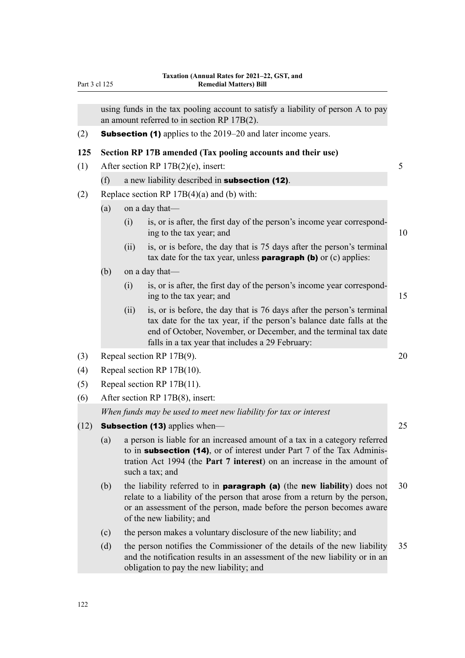|      |     |                                                                      | using funds in the tax pooling account to satisfy a liability of person A to pay                                                                                                                                                                                      |                |  |  |  |
|------|-----|----------------------------------------------------------------------|-----------------------------------------------------------------------------------------------------------------------------------------------------------------------------------------------------------------------------------------------------------------------|----------------|--|--|--|
|      |     | an amount referred to in section RP 17B(2).                          |                                                                                                                                                                                                                                                                       |                |  |  |  |
| (2)  |     | <b>Subsection (1)</b> applies to the 2019–20 and later income years. |                                                                                                                                                                                                                                                                       |                |  |  |  |
| 125  |     |                                                                      | Section RP 17B amended (Tax pooling accounts and their use)                                                                                                                                                                                                           |                |  |  |  |
| (1)  |     |                                                                      | After section RP $17B(2)(e)$ , insert:                                                                                                                                                                                                                                | 5 <sup>5</sup> |  |  |  |
|      | (f) |                                                                      | a new liability described in subsection (12).                                                                                                                                                                                                                         |                |  |  |  |
| (2)  |     |                                                                      | Replace section RP $17B(4)(a)$ and (b) with:                                                                                                                                                                                                                          |                |  |  |  |
|      | (a) |                                                                      | on a day that—                                                                                                                                                                                                                                                        |                |  |  |  |
|      |     | (i)                                                                  | is, or is after, the first day of the person's income year correspond-<br>ing to the tax year; and                                                                                                                                                                    | 10             |  |  |  |
|      |     | (ii)                                                                 | is, or is before, the day that is 75 days after the person's terminal<br>tax date for the tax year, unless <b>paragraph (b)</b> or $(c)$ applies:                                                                                                                     |                |  |  |  |
|      | (b) |                                                                      | on a day that-                                                                                                                                                                                                                                                        |                |  |  |  |
|      |     | (i)                                                                  | is, or is after, the first day of the person's income year correspond-<br>ing to the tax year; and                                                                                                                                                                    | 15             |  |  |  |
|      |     | (ii)                                                                 | is, or is before, the day that is 76 days after the person's terminal<br>tax date for the tax year, if the person's balance date falls at the<br>end of October, November, or December, and the terminal tax date<br>falls in a tax year that includes a 29 February: |                |  |  |  |
| (3)  |     |                                                                      | Repeal section RP 17B(9).                                                                                                                                                                                                                                             | 20             |  |  |  |
| (4)  |     |                                                                      | Repeal section RP 17B(10).                                                                                                                                                                                                                                            |                |  |  |  |
| (5)  |     |                                                                      | Repeal section RP 17B(11).                                                                                                                                                                                                                                            |                |  |  |  |
| (6)  |     |                                                                      | After section RP 17B(8), insert:                                                                                                                                                                                                                                      |                |  |  |  |
|      |     |                                                                      | When funds may be used to meet new liability for tax or interest                                                                                                                                                                                                      |                |  |  |  |
| (12) |     |                                                                      | <b>Subsection (13)</b> applies when—                                                                                                                                                                                                                                  | 25             |  |  |  |
|      | (a) |                                                                      | a person is liable for an increased amount of a tax in a category referred<br>to in subsection (14), or of interest under Part 7 of the Tax Adminis-<br>tration Act 1994 (the Part 7 interest) on an increase in the amount of<br>such a tax; and                     |                |  |  |  |
|      | (b) |                                                                      | the liability referred to in <b>paragraph</b> (a) (the new liability) does not<br>relate to a liability of the person that arose from a return by the person,<br>or an assessment of the person, made before the person becomes aware<br>of the new liability; and    | 30             |  |  |  |
|      | (c) |                                                                      | the person makes a voluntary disclosure of the new liability; and                                                                                                                                                                                                     |                |  |  |  |
|      | (d) |                                                                      | the person notifies the Commissioner of the details of the new liability<br>and the notification results in an assessment of the new liability or in an<br>obligation to pay the new liability; and                                                                   | 35             |  |  |  |

Part 3 cl 125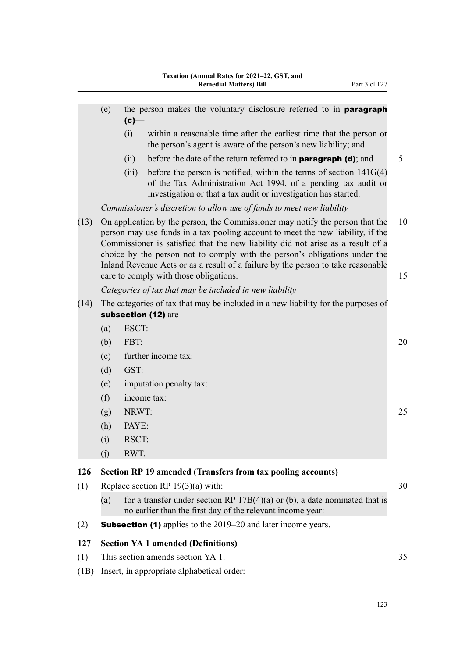|      | (e)                                                                                                       | the person makes the voluntary disclosure referred to in <b>paragraph</b><br>$(c)$ —                                                                                                                                                                                                                                                                                                                                                                            |          |  |  |  |  |
|------|-----------------------------------------------------------------------------------------------------------|-----------------------------------------------------------------------------------------------------------------------------------------------------------------------------------------------------------------------------------------------------------------------------------------------------------------------------------------------------------------------------------------------------------------------------------------------------------------|----------|--|--|--|--|
|      |                                                                                                           | within a reasonable time after the earliest time that the person or<br>(i)<br>the person's agent is aware of the person's new liability; and                                                                                                                                                                                                                                                                                                                    |          |  |  |  |  |
|      |                                                                                                           | 5<br>(ii)<br>before the date of the return referred to in <b>paragraph (d)</b> ; and                                                                                                                                                                                                                                                                                                                                                                            |          |  |  |  |  |
|      |                                                                                                           | (iii)<br>before the person is notified, within the terms of section $141G(4)$<br>of the Tax Administration Act 1994, of a pending tax audit or<br>investigation or that a tax audit or investigation has started.                                                                                                                                                                                                                                               |          |  |  |  |  |
|      |                                                                                                           | Commissioner's discretion to allow use of funds to meet new liability                                                                                                                                                                                                                                                                                                                                                                                           |          |  |  |  |  |
| (13) |                                                                                                           | On application by the person, the Commissioner may notify the person that the<br>person may use funds in a tax pooling account to meet the new liability, if the<br>Commissioner is satisfied that the new liability did not arise as a result of a<br>choice by the person not to comply with the person's obligations under the<br>Inland Revenue Acts or as a result of a failure by the person to take reasonable<br>care to comply with those obligations. | 10<br>15 |  |  |  |  |
|      |                                                                                                           | Categories of tax that may be included in new liability                                                                                                                                                                                                                                                                                                                                                                                                         |          |  |  |  |  |
| (14) | The categories of tax that may be included in a new liability for the purposes of<br>subsection (12) are- |                                                                                                                                                                                                                                                                                                                                                                                                                                                                 |          |  |  |  |  |
|      | (a)                                                                                                       | ESCT:                                                                                                                                                                                                                                                                                                                                                                                                                                                           |          |  |  |  |  |
|      | (b)                                                                                                       | FBT:                                                                                                                                                                                                                                                                                                                                                                                                                                                            | 20       |  |  |  |  |
|      | (c)                                                                                                       | further income tax:                                                                                                                                                                                                                                                                                                                                                                                                                                             |          |  |  |  |  |
|      | (d)                                                                                                       | GST:                                                                                                                                                                                                                                                                                                                                                                                                                                                            |          |  |  |  |  |
|      | (e)                                                                                                       | imputation penalty tax:                                                                                                                                                                                                                                                                                                                                                                                                                                         |          |  |  |  |  |
|      | (f)                                                                                                       | income tax:                                                                                                                                                                                                                                                                                                                                                                                                                                                     |          |  |  |  |  |
|      | (g)                                                                                                       | NRWT:                                                                                                                                                                                                                                                                                                                                                                                                                                                           | 25       |  |  |  |  |
|      | (h)                                                                                                       | PAYE:                                                                                                                                                                                                                                                                                                                                                                                                                                                           |          |  |  |  |  |
|      | (i)                                                                                                       | RSCT:                                                                                                                                                                                                                                                                                                                                                                                                                                                           |          |  |  |  |  |
|      | (j)                                                                                                       | RWT.                                                                                                                                                                                                                                                                                                                                                                                                                                                            |          |  |  |  |  |
| 126  |                                                                                                           | <b>Section RP 19 amended (Transfers from tax pooling accounts)</b>                                                                                                                                                                                                                                                                                                                                                                                              |          |  |  |  |  |
| (1)  |                                                                                                           | Replace section RP $19(3)(a)$ with:<br>30                                                                                                                                                                                                                                                                                                                                                                                                                       |          |  |  |  |  |
|      | (a)                                                                                                       | for a transfer under section RP $17B(4)(a)$ or (b), a date nominated that is<br>no earlier than the first day of the relevant income year:                                                                                                                                                                                                                                                                                                                      |          |  |  |  |  |
| (2)  |                                                                                                           | <b>Subsection (1)</b> applies to the 2019–20 and later income years.                                                                                                                                                                                                                                                                                                                                                                                            |          |  |  |  |  |
| 127  |                                                                                                           | <b>Section YA 1 amended (Definitions)</b>                                                                                                                                                                                                                                                                                                                                                                                                                       |          |  |  |  |  |
| (1)  |                                                                                                           | This section amends section YA 1.                                                                                                                                                                                                                                                                                                                                                                                                                               | 35       |  |  |  |  |
| (1B) |                                                                                                           | Insert, in appropriate alphabetical order:                                                                                                                                                                                                                                                                                                                                                                                                                      |          |  |  |  |  |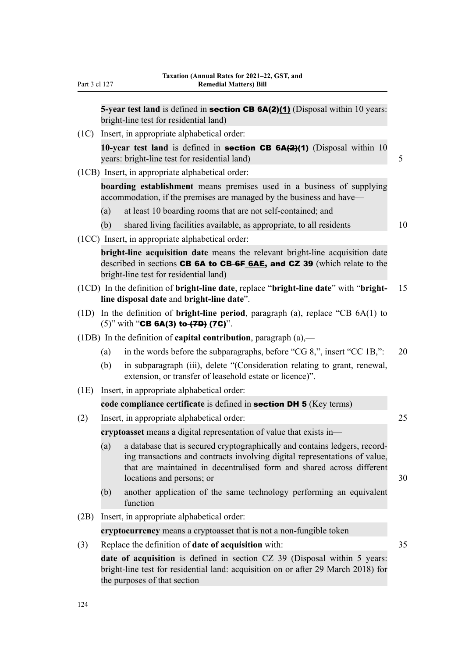**5-year test land** is defined in **section CB 6A(2)(1)** (Disposal within 10 years: bright-line test for residential land)

- (1C) Insert, in appropriate alphabetical order: **10-year test land** is defined in **section CB 6A(2)(1)** (Disposal within 10 years: bright-line test for residential land) 5 (1CB) Insert, in appropriate alphabetical order: **boarding establishment** means premises used in a business of supplying accommodation, if the premises are managed by the business and have— (a) at least 10 boarding rooms that are not self-contained; and (b) shared living facilities available, as appropriate, to all residents 10 (1CC) Insert, in appropriate alphabetical order: **bright-line acquisition date** means the relevant bright-line acquisition date described in sections **CB 6A to CB-6F 6AE, and CZ 39** (which relate to the bright-line test for residential land) (1CD) In the definition of **bright-line date**, replace "**bright-line date**" with "**bright-** 15 **line disposal date** and **bright-line date**". (1D) In the definition of **bright-line period**, paragraph (a), replace "CB 6A(1) to  $(5)$ " with "CB 6A(3) to  $(7D)$  (7C)". (1DB) In the definition of **capital contribution**, paragraph (a),— (a) in the words before the subparagraphs, before "CG 8,", insert "CC 1B,": 20 (b) in subparagraph (iii), delete "(Consideration relating to grant, renewal, extension, or transfer of leasehold estate or licence)". (1E) Insert, in appropriate alphabetical order: **code compliance certificate** is defined in section DH 5 (Key terms) (2) Insert, in appropriate alphabetical order: 25 **cryptoasset** means a digital representation of value that exists in— (a) a database that is secured cryptographically and contains ledgers, record‐ ing transactions and contracts involving digital representations of value, that are maintained in decentralised form and shared across different locations and persons; or 30 (b) another application of the same technology performing an equivalent function
- (2B) Insert, in appropriate alphabetical order:

**cryptocurrency** means a cryptoasset that is not a non-fungible token

(3) Replace the definition of **date of acquisition** with: 35

**date of acquisition** is defined in section CZ 39 (Disposal within 5 years: bright-line test for residential land: acquisition on or after 29 March 2018) for the purposes of that section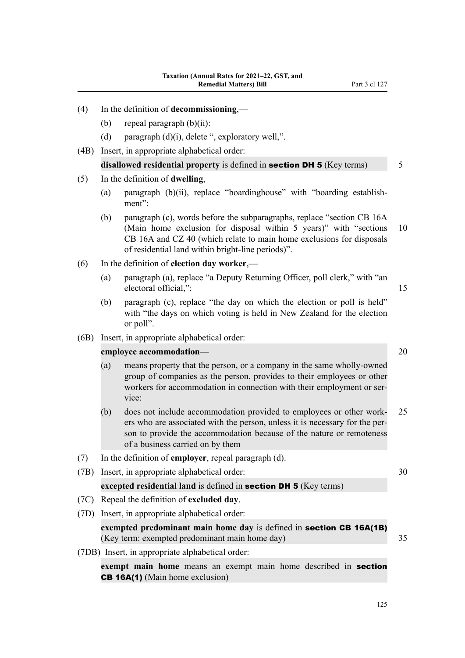- (d) paragraph  $(d)(i)$ , delete ", exploratory well,".
- (4B) Insert, in appropriate alphabetical order:

## **disallowed residential property** is defined in **section DH 5** (Key terms) 5

## (5) In the definition of **dwelling**,

- (a) paragraph (b)(ii), replace "boardinghouse" with "boarding establish‐ ment":
- (b) paragraph (c), words before the subparagraphs, replace "section CB 16A (Main home exclusion for disposal within 5 years)" with "sections 10 CB 16A and CZ 40 (which relate to main home exclusions for disposals of residential land within bright-line periods)".
- (6) In the definition of **election day worker**,—
	- (a) paragraph (a), replace "a Deputy Returning Officer, poll clerk," with "an electoral official,": 15
	- (b) paragraph (c), replace "the day on which the election or poll is held" with "the days on which voting is held in New Zealand for the election or poll".
- (6B) Insert, in appropriate alphabetical order:

## **employee accommodation—** 20

- (a) means property that the person, or a company in the same wholly-owned group of companies as the person, provides to their employees or other workers for accommodation in connection with their employment or service:
- (b) does not include accommodation provided to employees or other work‐ 25 ers who are associated with the person, unless it is necessary for the person to provide the accommodation because of the nature or remoteness of a business carried on by them
- (7) In the definition of **employer**, repeal paragraph (d).
- (7B) Insert, in appropriate alphabetical order: 30

## **excepted residential land** is defined in section DH 5 (Key terms)

- (7C) Repeal the definition of **excluded day**.
- (7D) Insert, in appropriate alphabetical order: **exempted predominant main home day** is defined in **section CB 16A(1B)** (Key term: exempted predominant main home day) 35
	-

(7DB) Insert, in appropriate alphabetical order:

**exempt main home** means an exempt main home described in section CB 16A(1) (Main home exclusion)

125

- 
-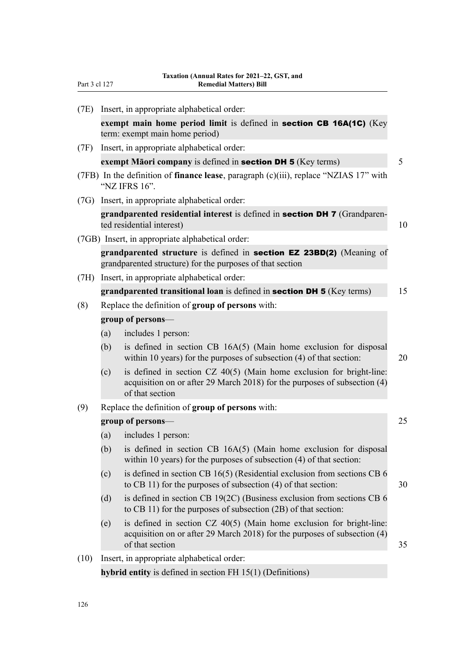| (7E) |                                                  | Insert, in appropriate alphabetical order:                                                                                                                             |    |  |  |
|------|--------------------------------------------------|------------------------------------------------------------------------------------------------------------------------------------------------------------------------|----|--|--|
|      |                                                  | exempt main home period limit is defined in section CB 16A(1C) (Key<br>term: exempt main home period)                                                                  |    |  |  |
| (7F) |                                                  | Insert, in appropriate alphabetical order:                                                                                                                             |    |  |  |
|      |                                                  | exempt Māori company is defined in <b>section DH 5</b> (Key terms)                                                                                                     | 5  |  |  |
|      |                                                  | (7FB) In the definition of finance lease, paragraph (c)(iii), replace "NZIAS 17" with<br>"NZ IFRS 16".                                                                 |    |  |  |
|      |                                                  | (7G) Insert, in appropriate alphabetical order:                                                                                                                        |    |  |  |
|      |                                                  | grandparented residential interest is defined in section DH 7 (Grandparen-<br>ted residential interest)                                                                | 10 |  |  |
|      |                                                  | (7GB) Insert, in appropriate alphabetical order:                                                                                                                       |    |  |  |
|      |                                                  | grandparented structure is defined in section EZ 23BD(2) (Meaning of<br>grandparented structure) for the purposes of that section                                      |    |  |  |
| (7H) |                                                  | Insert, in appropriate alphabetical order:                                                                                                                             |    |  |  |
|      |                                                  | grandparented transitional loan is defined in section DH 5 (Key terms)                                                                                                 | 15 |  |  |
| (8)  | Replace the definition of group of persons with: |                                                                                                                                                                        |    |  |  |
|      | group of persons-                                |                                                                                                                                                                        |    |  |  |
|      | (a)                                              | includes 1 person:                                                                                                                                                     |    |  |  |
|      | (b)                                              | is defined in section CB 16A(5) (Main home exclusion for disposal<br>within 10 years) for the purposes of subsection (4) of that section:                              | 20 |  |  |
|      | (c)                                              | is defined in section $CZ$ 40(5) (Main home exclusion for bright-line:<br>acquisition on or after 29 March 2018) for the purposes of subsection (4)<br>of that section |    |  |  |
| (9)  |                                                  | Replace the definition of group of persons with:                                                                                                                       |    |  |  |
|      | group of persons—                                |                                                                                                                                                                        |    |  |  |
|      | (a)                                              | includes 1 person:                                                                                                                                                     |    |  |  |
|      | (b)                                              | is defined in section CB 16A(5) (Main home exclusion for disposal<br>within 10 years) for the purposes of subsection $(4)$ of that section:                            |    |  |  |
|      | (c)                                              | is defined in section CB $16(5)$ (Residential exclusion from sections CB 6<br>to CB 11) for the purposes of subsection $(4)$ of that section:                          | 30 |  |  |
|      | (d)                                              | is defined in section CB $19(2C)$ (Business exclusion from sections CB 6<br>to CB 11) for the purposes of subsection (2B) of that section:                             |    |  |  |
|      | (e)                                              | is defined in section CZ 40(5) (Main home exclusion for bright-line:<br>acquisition on or after 29 March 2018) for the purposes of subsection $(4)$<br>of that section | 35 |  |  |
| (10) |                                                  | Insert, in appropriate alphabetical order:                                                                                                                             |    |  |  |
|      |                                                  | hybrid entity is defined in section FH $15(1)$ (Definitions)                                                                                                           |    |  |  |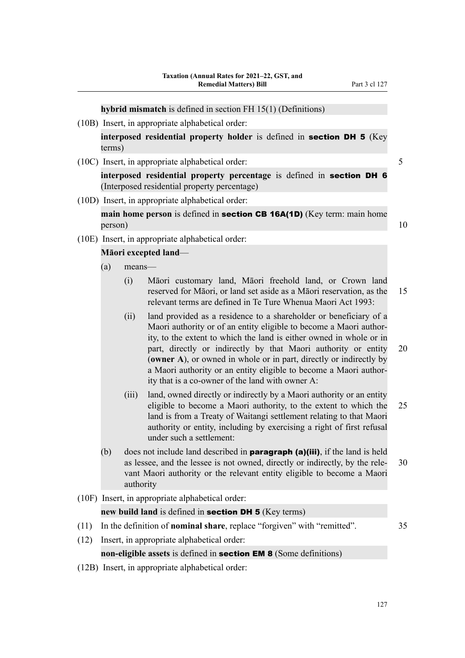**hybrid mismatch** is defined in section FH 15(1) (Definitions)

(10B) Insert, in appropriate alphabetical order:

**interposed residential property holder** is defined in section DH 5 (Key terms)

(10C) Insert, in appropriate alphabetical order: 5

**interposed residential property percentage** is defined in section DH 6 (Interposed residential property percentage)

(10D) Insert, in appropriate alphabetical order:

**main home person** is defined in **section CB 16A(1D)** (Key term: main home  $person)$  10

(10E) Insert, in appropriate alphabetical order:

#### **Māori excepted land**—

- (a) means—
	- (i) Māori customary land, Māori freehold land, or Crown land reserved for Māori, or land set aside as a Māori reservation, as the 15 relevant terms are defined in Te Ture Whenua Maori Act 1993:
	- (ii) land provided as a residence to a shareholder or beneficiary of a Maori authority or of an entity eligible to become a Maori author‐ ity, to the extent to which the land is either owned in whole or in part, directly or indirectly by that Maori authority or entity 20 (**owner A**), or owned in whole or in part, directly or indirectly by a Maori authority or an entity eligible to become a Maori author‐ ity that is a co-owner of the land with owner A:
	- (iii) land, owned directly or indirectly by a Maori authority or an entity eligible to become a Maori authority, to the extent to which the 25 land is from a Treaty of Waitangi settlement relating to that Maori authority or entity, including by exercising a right of first refusal under such a settlement:
- (b) does not include land described in **paragraph (a)(iii)**, if the land is held as lessee, and the lessee is not owned, directly or indirectly, by the rele‐ 30 vant Maori authority or the relevant entity eligible to become a Maori authority
- (10F) Insert, in appropriate alphabetical order:

#### **new build land** is defined in **section DH 5** (Key terms)

- (11) In the definition of **nominal share**, replace "forgiven" with "remitted". 35
- (12) Insert, in appropriate alphabetical order:

**non-eligible assets** is defined in **section EM 8** (Some definitions)

(12B) Insert, in appropriate alphabetical order: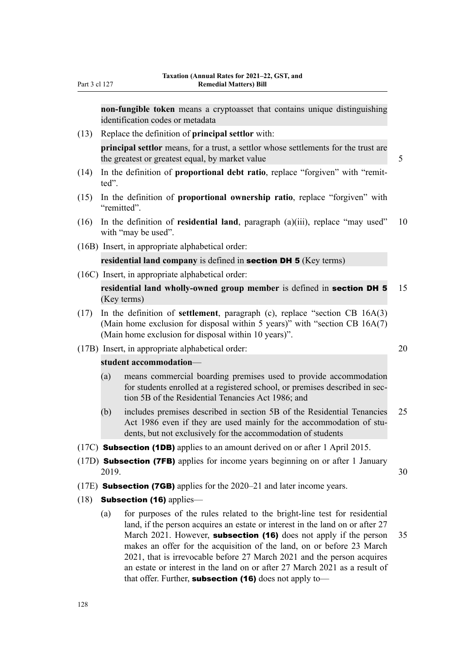**non-fungible token** means a cryptoasset that contains unique distinguishing identification codes or metadata

- (13) Replace the definition of **principal settlor** with: **principal settlor** means, for a trust, a settlor whose settlements for the trust are the greatest or greatest equal, by market value 5
- (14) In the definition of **proportional debt ratio**, replace "forgiven" with "remit‐ ted".
- (15) In the definition of **proportional ownership ratio**, replace "forgiven" with "remitted".
- (16) In the definition of **residential land**, paragraph (a)(iii), replace "may used" 10 with "may be used".
- (16B) Insert, in appropriate alphabetical order:

## **residential land company** is defined in section DH 5 (Key terms)

(16C) Insert, in appropriate alphabetical order:

**residential land wholly-owned group member** is defined in section DH 5 15 (Key terms)

- (17) In the definition of **settlement**, paragraph (c), replace "section CB 16A(3) (Main home exclusion for disposal within 5 years)" with "section CB 16A(7) (Main home exclusion for disposal within 10 years)".
- (17B) Insert, in appropriate alphabetical order: 20

#### **student accommodation**—

- (a) means commercial boarding premises used to provide accommodation for students enrolled at a registered school, or premises described in section 5B of the Residential Tenancies Act 1986; and
- (b) includes premises described in section 5B of the Residential Tenancies 25 Act 1986 even if they are used mainly for the accommodation of students, but not exclusively for the accommodation of students
- (17C) Subsection (1DB) applies to an amount derived on or after 1 April 2015.
- (17D) Subsection (7FB) applies for income years beginning on or after 1 January 2019. 30
- (17E) Subsection (7GB) applies for the 2020–21 and later income years.
- (18) **Subsection (16)** applies—
	- (a) for purposes of the rules related to the bright-line test for residential land, if the person acquires an estate or interest in the land on or after 27 March 2021. However, **subsection (16)** does not apply if the person 35 makes an offer for the acquisition of the land, on or before 23 March 2021, that is irrevocable before 27 March 2021 and the person acquires an estate or interest in the land on or after 27 March 2021 as a result of that offer. Further, **subsection (16)** does not apply to-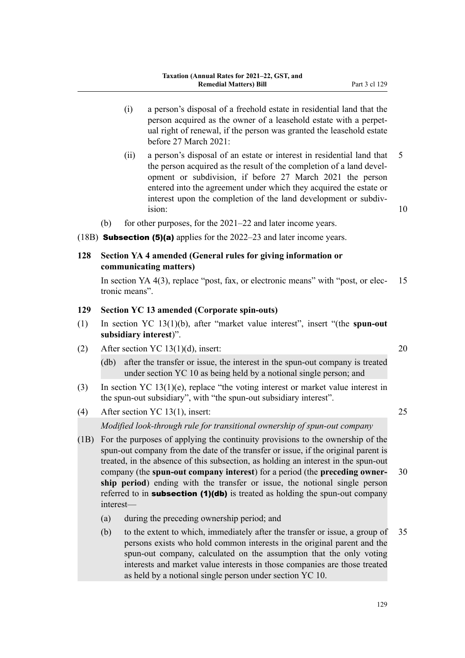- (i) a person's disposal of a freehold estate in residential land that the person acquired as the owner of a leasehold estate with a perpet‐ ual right of renewal, if the person was granted the leasehold estate before 27 March 2021:
- (ii) a person's disposal of an estate or interest in residential land that 5 the person acquired as the result of the completion of a land development or subdivision, if before 27 March 2021 the person entered into the agreement under which they acquired the estate or interest upon the completion of the land development or subdivision: 10
- (b) for other purposes, for the 2021–22 and later income years.
- (18B) Subsection (5)(a) applies for the 2022–23 and later income years.

## **128 Section YA 4 amended (General rules for giving information or communicating matters)**

In section YA 4(3), replace "post, fax, or electronic means" with "post, or elec- 15 tronic means".

## **129 Section YC 13 amended (Corporate spin-outs)**

- (1) In section YC 13(1)(b), after "market value interest", insert "(the **spun-out subsidiary interest**)".
- (2) After section YC 13(1)(d), insert:  $20$ 
	- (db) after the transfer or issue, the interest in the spun-out company is treated under section YC 10 as being held by a notional single person; and
- (3) In section YC 13(1)(e), replace "the voting interest or market value interest in the spun-out subsidiary", with "the spun-out subsidiary interest".
- (4) After section YC 13(1), insert: 25

*Modified look-through rule for transitional ownership of spun-out company*

- (1B) For the purposes of applying the continuity provisions to the ownership of the spun-out company from the date of the transfer or issue, if the original parent is treated, in the absence of this subsection, as holding an interest in the spun-out company (the **spun-out company interest**) for a period (the **preceding owner‐** 30 **ship period**) ending with the transfer or issue, the notional single person referred to in **subsection (1)(db)** is treated as holding the spun-out company interest—
	- (a) during the preceding ownership period; and
	- (b) to the extent to which, immediately after the transfer or issue, a group of 35 persons exists who hold common interests in the original parent and the spun-out company, calculated on the assumption that the only voting interests and market value interests in those companies are those treated as held by a notional single person under section YC 10.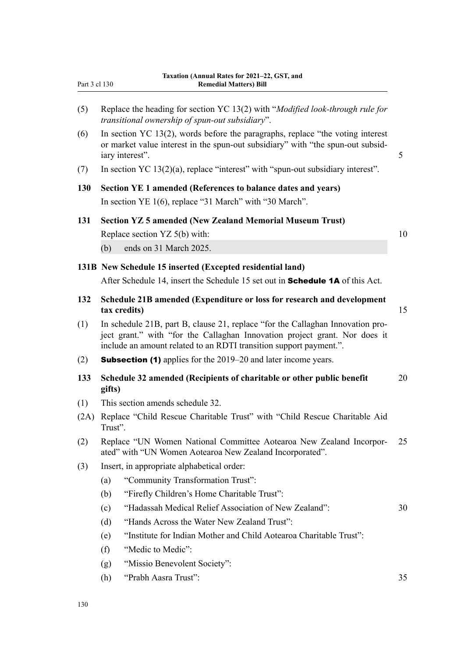| Part 3 cl 130 | Taxation (Annual Rates for 2021–22, GST, and<br><b>Remedial Matters) Bill</b>                                                                                                                                                      |  |  |  |  |
|---------------|------------------------------------------------------------------------------------------------------------------------------------------------------------------------------------------------------------------------------------|--|--|--|--|
| (5)           | Replace the heading for section YC 13(2) with "Modified look-through rule for<br>transitional ownership of spun-out subsidiary".                                                                                                   |  |  |  |  |
| (6)           | In section YC $13(2)$ , words before the paragraphs, replace "the voting interest"<br>or market value interest in the spun-out subsidiary" with "the spun-out subsid-<br>iary interest".                                           |  |  |  |  |
| (7)           | In section YC $13(2)(a)$ , replace "interest" with "spun-out subsidiary interest".                                                                                                                                                 |  |  |  |  |
| 130           | Section YE 1 amended (References to balance dates and years)                                                                                                                                                                       |  |  |  |  |
|               | In section YE $1(6)$ , replace "31 March" with "30 March".                                                                                                                                                                         |  |  |  |  |
| 131           | <b>Section YZ 5 amended (New Zealand Memorial Museum Trust)</b>                                                                                                                                                                    |  |  |  |  |
|               | Replace section YZ 5(b) with:                                                                                                                                                                                                      |  |  |  |  |
|               | ends on 31 March 2025.<br>(b)                                                                                                                                                                                                      |  |  |  |  |
|               | 131B New Schedule 15 inserted (Excepted residential land)                                                                                                                                                                          |  |  |  |  |
|               | After Schedule 14, insert the Schedule 15 set out in <b>Schedule 1A</b> of this Act.                                                                                                                                               |  |  |  |  |
| 132           | Schedule 21B amended (Expenditure or loss for research and development<br>tax credits)                                                                                                                                             |  |  |  |  |
| (1)           | In schedule 21B, part B, clause 21, replace "for the Callaghan Innovation pro-<br>ject grant." with "for the Callaghan Innovation project grant. Nor does it<br>include an amount related to an RDTI transition support payment.". |  |  |  |  |
| (2)           | <b>Subsection (1)</b> applies for the 2019–20 and later income years.                                                                                                                                                              |  |  |  |  |
| 133           | Schedule 32 amended (Recipients of charitable or other public benefit<br>gifts)                                                                                                                                                    |  |  |  |  |
| (1)           | This section amends schedule 32.                                                                                                                                                                                                   |  |  |  |  |
| (2A)          | Replace "Child Rescue Charitable Trust" with "Child Rescue Charitable Aid<br>Trust".                                                                                                                                               |  |  |  |  |
| (2)           | Replace "UN Women National Committee Aotearoa New Zealand Incorpor-<br>ated" with "UN Women Aotearoa New Zealand Incorporated".                                                                                                    |  |  |  |  |
| (3)           | Insert, in appropriate alphabetical order:                                                                                                                                                                                         |  |  |  |  |
|               | "Community Transformation Trust":<br>(a)                                                                                                                                                                                           |  |  |  |  |
|               | "Firefly Children's Home Charitable Trust":<br>(b)                                                                                                                                                                                 |  |  |  |  |
|               | "Hadassah Medical Relief Association of New Zealand":<br>(c)                                                                                                                                                                       |  |  |  |  |
|               | "Hands Across the Water New Zealand Trust":<br>(d)                                                                                                                                                                                 |  |  |  |  |
|               | "Institute for Indian Mother and Child Aotearoa Charitable Trust":<br>(e)                                                                                                                                                          |  |  |  |  |
|               | "Medic to Medic":<br>(f)                                                                                                                                                                                                           |  |  |  |  |
|               | "Missio Benevolent Society":<br>(g)                                                                                                                                                                                                |  |  |  |  |
|               | "Prabh Aasra Trust":<br>(h)                                                                                                                                                                                                        |  |  |  |  |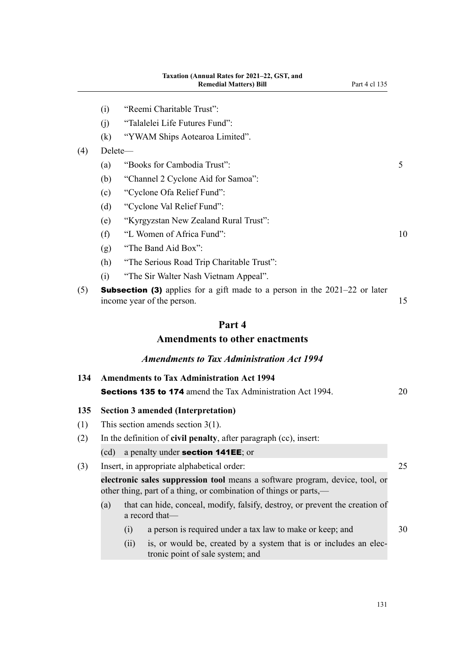|     | (i)     | "Reemi Charitable Trust":                                                                                                                         |    |
|-----|---------|---------------------------------------------------------------------------------------------------------------------------------------------------|----|
|     | (j)     | "Talalelei Life Futures Fund":                                                                                                                    |    |
|     | (k)     | "YWAM Ships Aotearoa Limited".                                                                                                                    |    |
| (4) | Delete- |                                                                                                                                                   |    |
|     | (a)     | "Books for Cambodia Trust":                                                                                                                       | 5  |
|     | (b)     | "Channel 2 Cyclone Aid for Samoa":                                                                                                                |    |
|     | (c)     | "Cyclone Ofa Relief Fund":                                                                                                                        |    |
|     | (d)     | "Cyclone Val Relief Fund":                                                                                                                        |    |
|     | (e)     | "Kyrgyzstan New Zealand Rural Trust":                                                                                                             |    |
|     | (f)     | "L Women of Africa Fund":                                                                                                                         | 10 |
|     | (g)     | "The Band Aid Box":                                                                                                                               |    |
|     | (h)     | "The Serious Road Trip Charitable Trust":                                                                                                         |    |
|     | (i)     | "The Sir Walter Nash Vietnam Appeal".                                                                                                             |    |
| (5) |         | <b>Subsection (3)</b> applies for a gift made to a person in the $2021-22$ or later<br>income year of the person.                                 | 15 |
|     |         | Part 4                                                                                                                                            |    |
|     |         | <b>Amendments to other enactments</b>                                                                                                             |    |
|     |         | <b>Amendments to Tax Administration Act 1994</b>                                                                                                  |    |
| 134 |         | <b>Amendments to Tax Administration Act 1994</b>                                                                                                  |    |
|     |         | <b>Sections 135 to 174</b> amend the Tax Administration Act 1994.                                                                                 | 20 |
| 135 |         | <b>Section 3 amended (Interpretation)</b>                                                                                                         |    |
| (1) |         | This section amends section $3(1)$ .                                                                                                              |    |
| (2) |         | In the definition of civil penalty, after paragraph (cc), insert:                                                                                 |    |
|     | (cd)    | a penalty under section 141EE; or                                                                                                                 |    |
| (3) |         | Insert, in appropriate alphabetical order:                                                                                                        | 25 |
|     |         | electronic sales suppression tool means a software program, device, tool, or<br>other thing, part of a thing, or combination of things or parts,— |    |
|     | (a)     | that can hide, conceal, modify, falsify, destroy, or prevent the creation of<br>a record that-                                                    |    |
|     |         | a person is required under a tax law to make or keep; and<br>(i)                                                                                  | 30 |
|     |         | (ii)<br>is, or would be, created by a system that is or includes an elec-                                                                         |    |

tronic point of sale system; and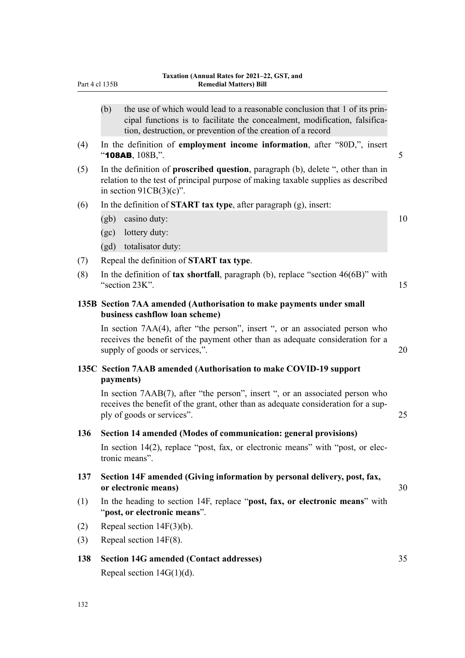| Part 4 cl 135B |           | <b>Remedial Matters) Bill</b>                                                                                                                                                                                            |    |
|----------------|-----------|--------------------------------------------------------------------------------------------------------------------------------------------------------------------------------------------------------------------------|----|
|                | (b)       | the use of which would lead to a reasonable conclusion that 1 of its prin-<br>cipal functions is to facilitate the concealment, modification, falsifica-<br>tion, destruction, or prevention of the creation of a record |    |
| (4)            |           | In the definition of employment income information, after "80D,", insert<br>" $108AB$ , $108B$ ,".                                                                                                                       | 5  |
| (5)            |           | In the definition of <b>proscribed question</b> , paragraph (b), delete ", other than in<br>relation to the test of principal purpose of making taxable supplies as described<br>in section $91CB(3)(c)$ ".              |    |
| (6)            |           | In the definition of <b>START</b> tax type, after paragraph $(g)$ , insert:                                                                                                                                              |    |
|                | (gb)      | casino duty:                                                                                                                                                                                                             | 10 |
|                | (gc)      | lottery duty:                                                                                                                                                                                                            |    |
|                |           | (gd) totalisator duty:                                                                                                                                                                                                   |    |
| (7)            |           | Repeal the definition of START tax type.                                                                                                                                                                                 |    |
| (8)            |           | In the definition of tax shortfall, paragraph (b), replace "section $46(6B)$ " with<br>"section 23K".                                                                                                                    | 15 |
|                |           | 135B Section 7AA amended (Authorisation to make payments under small<br>business cashflow loan scheme)                                                                                                                   |    |
|                |           | In section 7AA(4), after "the person", insert ", or an associated person who<br>receives the benefit of the payment other than as adequate consideration for a<br>supply of goods or services,".                         | 20 |
|                | payments) | 135C Section 7AAB amended (Authorisation to make COVID-19 support                                                                                                                                                        |    |
|                |           | In section 7AAB(7), after "the person", insert ", or an associated person who<br>receives the benefit of the grant, other than as adequate consideration for a sup-<br>ply of goods or services".                        | 25 |
| 136            |           | Section 14 amended (Modes of communication: general provisions)                                                                                                                                                          |    |
|                |           | In section 14(2), replace "post, fax, or electronic means" with "post, or elec-<br>tronic means".                                                                                                                        |    |
| 137            |           | Section 14F amended (Giving information by personal delivery, post, fax,<br>or electronic means)                                                                                                                         | 30 |
| (1)            |           | In the heading to section 14F, replace "post, fax, or electronic means" with<br>"post, or electronic means".                                                                                                             |    |
| (2)            |           | Repeal section $14F(3)(b)$ .                                                                                                                                                                                             |    |
| (3)            |           | Repeal section $14F(8)$ .                                                                                                                                                                                                |    |
| 138            |           | <b>Section 14G amended (Contact addresses)</b>                                                                                                                                                                           | 35 |

Repeal section 14G(1)(d).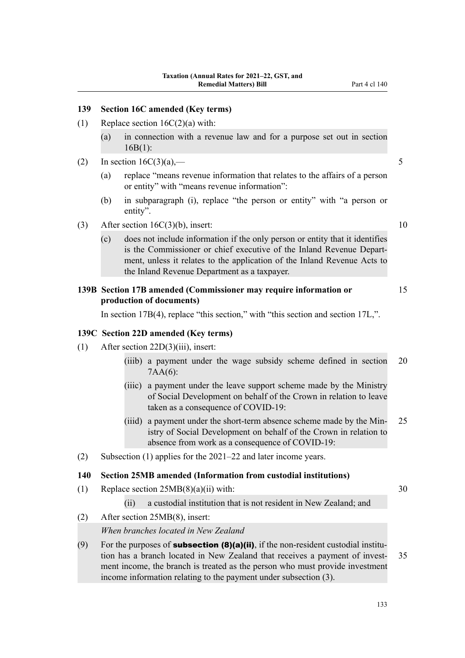## **139 Section 16C amended (Key terms)**

- (1) Replace section  $16C(2)(a)$  with:
	- (a) in connection with a revenue law and for a purpose set out in section 16B(1):
- (2) In section  $16C(3)(a)$ ,  $-5$ 
	- (a) replace "means revenue information that relates to the affairs of a person or entity" with "means revenue information":
	- (b) in subparagraph (i), replace "the person or entity" with "a person or entity".
- (3) After section  $16C(3)(b)$ , insert: 10
	- (c) does not include information if the only person or entity that it identifies is the Commissioner or chief executive of the Inland Revenue Department, unless it relates to the application of the Inland Revenue Acts to the Inland Revenue Department as a taxpayer.

## **139B Section 17B amended (Commissioner may require information or** 15 **production of documents)**

In section 17B(4), replace "this section," with "this section and section 17L,".

#### **139C Section 22D amended (Key terms)**

- (1) After section 22D(3)(iii), insert:
	- (iiib) a payment under the wage subsidy scheme defined in section 20 7AA(6):
	- (iiic) a payment under the leave support scheme made by the Ministry of Social Development on behalf of the Crown in relation to leave taken as a consequence of COVID-19:
	- (iiid) a payment under the short-term absence scheme made by the Min-25 istry of Social Development on behalf of the Crown in relation to absence from work as a consequence of COVID-19:
- (2) Subsection (1) applies for the 2021–22 and later income years.

#### **140 Section 25MB amended (Information from custodial institutions)**

(1) Replace section  $25MB(8)(a)(ii)$  with: 30

(ii) a custodial institution that is not resident in New Zealand; and

(2) After section 25MB(8), insert:

*When branches located in New Zealand*

(9) For the purposes of **subsection (8)(a)(ii)**, if the non-resident custodial institution has a branch located in New Zealand that receives a payment of invest- 35 ment income, the branch is treated as the person who must provide investment income information relating to the payment under subsection (3).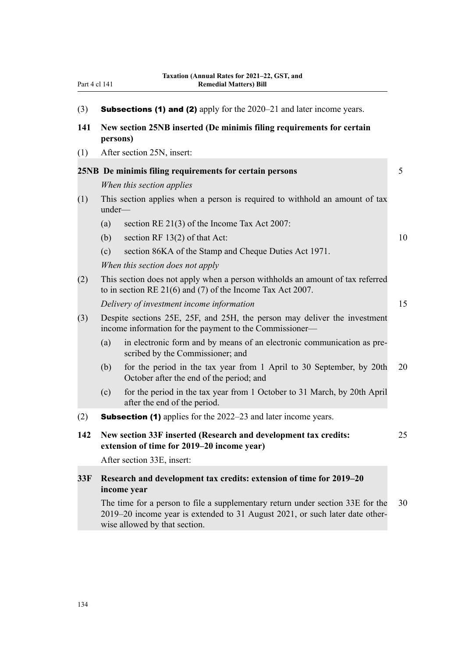|  | (3) |  | <b>Subsections (1) and (2)</b> apply for the 2020–21 and later income years. |  |
|--|-----|--|------------------------------------------------------------------------------|--|
|  |     |  |                                                                              |  |

- **141 New section 25NB inserted (De minimis filing requirements for certain persons)**
- (1) After section 25N, insert:

|     |                                                                                                                                                                                                 | 25NB De minimis filing requirements for certain persons                                                                                       | 5  |  |  |
|-----|-------------------------------------------------------------------------------------------------------------------------------------------------------------------------------------------------|-----------------------------------------------------------------------------------------------------------------------------------------------|----|--|--|
|     |                                                                                                                                                                                                 | When this section applies                                                                                                                     |    |  |  |
| (1) | under-                                                                                                                                                                                          | This section applies when a person is required to withhold an amount of tax                                                                   |    |  |  |
|     | (a)                                                                                                                                                                                             | section RE 21(3) of the Income Tax Act 2007:                                                                                                  |    |  |  |
|     | (b)                                                                                                                                                                                             | section RF $13(2)$ of that Act:                                                                                                               | 10 |  |  |
|     | (c)                                                                                                                                                                                             | section 86KA of the Stamp and Cheque Duties Act 1971.                                                                                         |    |  |  |
|     |                                                                                                                                                                                                 | When this section does not apply                                                                                                              |    |  |  |
| (2) |                                                                                                                                                                                                 | This section does not apply when a person withholds an amount of tax referred<br>to in section RE $21(6)$ and (7) of the Income Tax Act 2007. |    |  |  |
|     |                                                                                                                                                                                                 | Delivery of investment income information                                                                                                     | 15 |  |  |
| (3) | Despite sections 25E, 25F, and 25H, the person may deliver the investment<br>income information for the payment to the Commissioner—                                                            |                                                                                                                                               |    |  |  |
|     | (a)                                                                                                                                                                                             | in electronic form and by means of an electronic communication as pre-<br>scribed by the Commissioner; and                                    |    |  |  |
|     | (b)                                                                                                                                                                                             | for the period in the tax year from 1 April to 30 September, by 20th<br>October after the end of the period; and                              | 20 |  |  |
|     | (c)                                                                                                                                                                                             | for the period in the tax year from 1 October to 31 March, by 20th April<br>after the end of the period.                                      |    |  |  |
| (2) |                                                                                                                                                                                                 | <b>Subsection (1)</b> applies for the 2022–23 and later income years.                                                                         |    |  |  |
| 142 | New section 33F inserted (Research and development tax credits:<br>extension of time for 2019–20 income year)                                                                                   |                                                                                                                                               |    |  |  |
|     | After section 33E, insert:                                                                                                                                                                      |                                                                                                                                               |    |  |  |
| 33F | Research and development tax credits: extension of time for 2019-20<br>income year                                                                                                              |                                                                                                                                               |    |  |  |
|     | The time for a person to file a supplementary return under section 33E for the<br>2019–20 income year is extended to 31 August 2021, or such later date other-<br>wise allowed by that section. |                                                                                                                                               |    |  |  |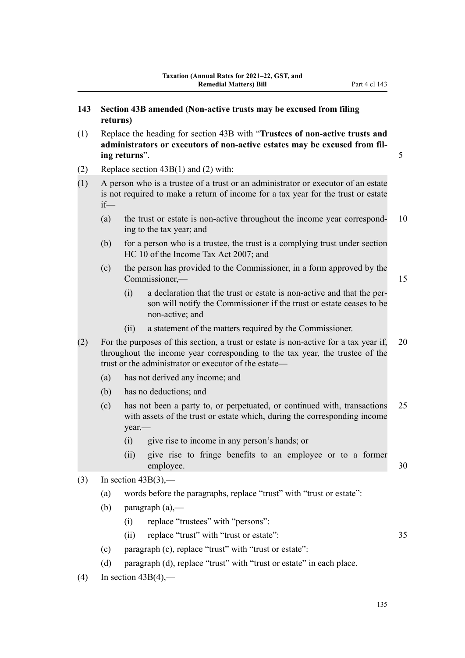- (1) Replace the heading for section 43B with "**Trustees of non-active trusts and administrators or executors of non-active estates may be excused from fil‐ ing returns**". 5
- (2) Replace section 43B(1) and (2) with:
- (1) A person who is a trustee of a trust or an administrator or executor of an estate is not required to make a return of income for a tax year for the trust or estate if—
	- (a) the trust or estate is non-active throughout the income year correspond-  $10$ ing to the tax year; and
	- (b) for a person who is a trustee, the trust is a complying trust under section HC 10 of the Income Tax Act 2007; and
	- (c) the person has provided to the Commissioner, in a form approved by the Commissioner,— 15
		- (i) a declaration that the trust or estate is non-active and that the per‐ son will notify the Commissioner if the trust or estate ceases to be non-active; and
		- (ii) a statement of the matters required by the Commissioner.
- (2) For the purposes of this section, a trust or estate is non-active for a tax year if, 20 throughout the income year corresponding to the tax year, the trustee of the trust or the administrator or executor of the estate—
	- (a) has not derived any income; and
	- (b) has no deductions; and
	- (c) has not been a party to, or perpetuated, or continued with, transactions 25 with assets of the trust or estate which, during the corresponding income year,—
		- (i) give rise to income in any person's hands; or
		- (ii) give rise to fringe benefits to an employee or to a former employee. 30
- $(3)$  In section 43B(3),—
	- (a) words before the paragraphs, replace "trust" with "trust or estate":
	- (b) paragraph  $(a)$ ,—
		- (i) replace "trustees" with "persons":
		- (ii) replace "trust" with "trust or estate": 35
			-

- (c) paragraph (c), replace "trust" with "trust or estate":
- (d) paragraph (d), replace "trust" with "trust or estate" in each place.
- $(4)$  In section 43B(4),—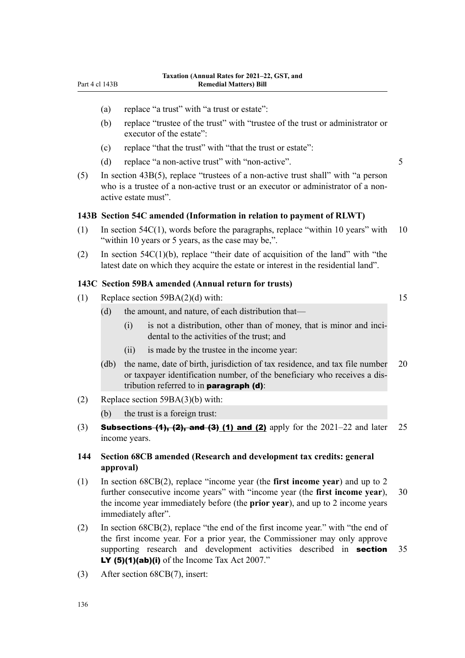- (a) replace "a trust" with "a trust or estate":
- (b) replace "trustee of the trust" with "trustee of the trust or administrator or executor of the estate":
- (c) replace "that the trust" with "that the trust or estate":
- (d) replace "a non-active trust" with "non-active". 5

(5) In section 43B(5), replace "trustees of a non-active trust shall" with "a person who is a trustee of a non-active trust or an executor or administrator of a nonactive estate must".

#### **143B Section 54C amended (Information in relation to payment of RLWT)**

- $(1)$  In section 54C(1), words before the paragraphs, replace "within 10 years" with 10 "within 10 years or 5 years, as the case may be,".
- (2) In section  $54C(1)(b)$ , replace "their date of acquisition of the land" with "the latest date on which they acquire the estate or interest in the residential land".

#### **143C Section 59BA amended (Annual return for trusts)**

(1) Replace section  $59BA(2)(d)$  with: 15

- (d) the amount, and nature, of each distribution that—
	- $(i)$  is not a distribution, other than of money, that is minor and incidental to the activities of the trust; and
	- (ii) is made by the trustee in the income year:
- (db) the name, date of birth, jurisdiction of tax residence, and tax file number 20 or taxpayer identification number, of the beneficiary who receives a dis‐ tribution referred to in **paragraph (d)**:
- (2) Replace section 59BA(3)(b) with:
	- (b) the trust is a foreign trust:
- (3) **Subsections (1), (2), and (3) (1) and (2)** apply for the  $2021-22$  and later 25 income years.

## **144 Section 68CB amended (Research and development tax credits: general approval)**

- (1) In section 68CB(2), replace "income year (the **first income year**) and up to 2 further consecutive income years" with "income year (the **first income year**), 30 the income year immediately before (the **prior year**), and up to 2 income years immediately after".
- (2) In section 68CB(2), replace "the end of the first income year." with "the end of the first income year. For a prior year, the Commissioner may only approve supporting research and development activities described in **section** 35 LY  $(5)(1)(ab)(i)$  of the Income Tax Act 2007."
- (3) After section 68CB(7), insert: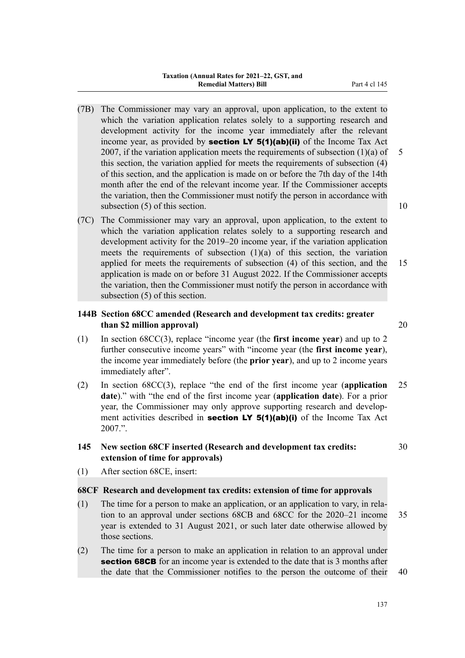- (7B) The Commissioner may vary an approval, upon application, to the extent to which the variation application relates solely to a supporting research and development activity for the income year immediately after the relevant income year, as provided by **section LY 5(1)(ab)(ii)** of the Income Tax Act 2007, if the variation application meets the requirements of subsection  $(1)(a)$  of 5 this section, the variation applied for meets the requirements of subsection (4) of this section, and the application is made on or before the 7th day of the 14th month after the end of the relevant income year. If the Commissioner accepts the variation, then the Commissioner must notify the person in accordance with subsection (5) of this section. 10
- (7C) The Commissioner may vary an approval, upon application, to the extent to which the variation application relates solely to a supporting research and development activity for the 2019–20 income year, if the variation application meets the requirements of subsection (1)(a) of this section, the variation applied for meets the requirements of subsection (4) of this section, and the 15 application is made on or before 31 August 2022. If the Commissioner accepts the variation, then the Commissioner must notify the person in accordance with subsection (5) of this section.

## **144B Section 68CC amended (Research and development tax credits: greater than \$2 million approval)** 20

- (1) In section 68CC(3), replace "income year (the **first income year**) and up to 2 further consecutive income years" with "income year (the **first income year**), the income year immediately before (the **prior year**), and up to 2 income years immediately after".
- (2) In section 68CC(3), replace "the end of the first income year (**application** 25 **date**)." with "the end of the first income year (**application date**). For a prior year, the Commissioner may only approve supporting research and development activities described in **section LY 5(1)(ab)(i)** of the Income Tax Act 2007.".
- **145 New section 68CF inserted (Research and development tax credits:** 30 **extension of time for approvals)**
- (1) After section 68CE, insert:

## **68CF Research and development tax credits: extension of time for approvals**

- (1) The time for a person to make an application, or an application to vary, in rela‐ tion to an approval under sections 68CB and 68CC for the 2020–21 income 35 year is extended to 31 August 2021, or such later date otherwise allowed by those sections.
- (2) The time for a person to make an application in relation to an approval under **section 68CB** for an income year is extended to the date that is 3 months after the date that the Commissioner notifies to the person the outcome of their 40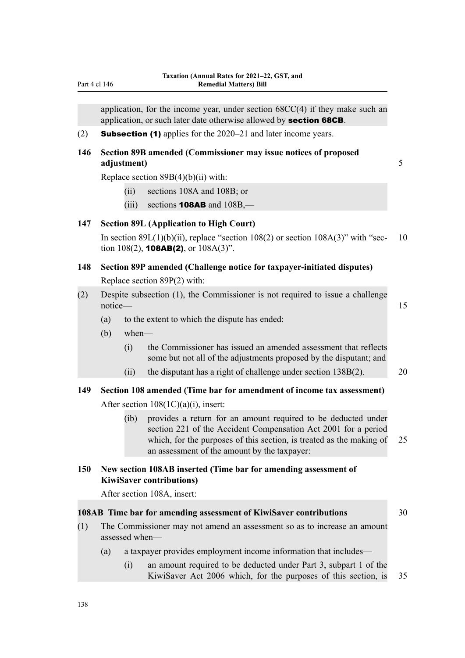application, for the income year, under section 68CC(4) if they make such an application, or such later date otherwise allowed by section 68CB.

(2) **Subsection (1)** applies for the  $2020-21$  and later income years.

## **146 Section 89B amended (Commissioner may issue notices of proposed adjustment)** 5

Replace section 89B(4)(b)(ii) with:

- (ii) sections 108A and 108B; or
- (iii) sections **108AB** and  $108B$ ,—

## **147 Section 89L (Application to High Court)**

In section  $89L(1)(b)(ii)$ , replace "section  $108(2)$  or section  $108A(3)$ " with "sec- 10 tion 108(2), **108AB(2)**, or  $108A(3)$ ".

## **148 Section 89P amended (Challenge notice for taxpayer-initiated disputes)** Replace section 89P(2) with:

- (2) Despite subsection (1), the Commissioner is not required to issue a challenge notice— 15
	- (a) to the extent to which the dispute has ended:
	- (b) when—
		- (i) the Commissioner has issued an amended assessment that reflects some but not all of the adjustments proposed by the disputant; and
		- (ii) the disputant has a right of challenge under section  $138B(2)$ . 20

# **149 Section 108 amended (Time bar for amendment of income tax assessment)**

## After section 108(1C)(a)(i), insert:

(ib) provides a return for an amount required to be deducted under section 221 of the Accident Compensation Act 2001 for a period which, for the purposes of this section, is treated as the making of 25 an assessment of the amount by the taxpayer:

## **150 New section 108AB inserted (Time bar for amending assessment of KiwiSaver contributions)**

After section 108A, insert:

## **108AB Time bar for amending assessment of KiwiSaver contributions** 30

- 
- (1) The Commissioner may not amend an assessment so as to increase an amount assessed when—
	- (a) a taxpayer provides employment income information that includes—
		- (i) an amount required to be deducted under Part 3, subpart 1 of the KiwiSaver Act 2006 which, for the purposes of this section, is 35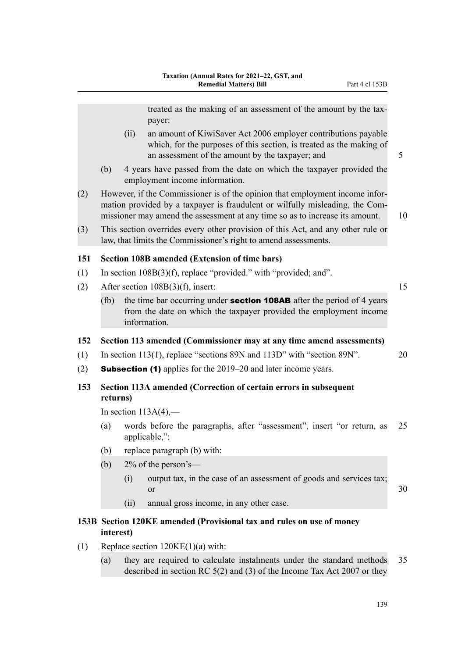treated as the making of an assessment of the amount by the taxpayer:

- (ii) an amount of KiwiSaver Act 2006 employer contributions payable which, for the purposes of this section, is treated as the making of an assessment of the amount by the taxpayer; and 5
- (b) 4 years have passed from the date on which the taxpayer provided the employment income information.
- (2) However, if the Commissioner is of the opinion that employment income infor‐ mation provided by a taxpayer is fraudulent or wilfully misleading, the Commissioner may amend the assessment at any time so as to increase its amount. 10
- (3) This section overrides every other provision of this Act, and any other rule or law, that limits the Commissioner's right to amend assessments.

## **151 Section 108B amended (Extension of time bars)**

- (1) In section 108B(3)(f), replace "provided." with "provided; and".
- (2) After section  $108B(3)(f)$ , insert: 15
	- (fb) the time bar occurring under **section 108AB** after the period of 4 years from the date on which the taxpayer provided the employment income information.

## **152 Section 113 amended (Commissioner may at any time amend assessments)**

- (1) In section 113(1), replace "sections 89N and 113D" with "section 89N". 20
- (2) **Subsection (1)** applies for the  $2019-20$  and later income years.

## **153 Section 113A amended (Correction of certain errors in subsequent returns)**

In section  $113A(4)$ ,—

- (a) words before the paragraphs, after "assessment", insert "or return, as 25 applicable,":
- (b) replace paragraph (b) with:
- (b)  $2\%$  of the person's—
	- (i) output tax, in the case of an assessment of goods and services tax; or  $30$
	- (ii) annual gross income, in any other case.

## **153B Section 120KE amended (Provisional tax and rules on use of money interest)**

- (1) Replace section  $120KE(1)(a)$  with:
	- (a) they are required to calculate instalments under the standard methods 35 described in section RC 5(2) and (3) of the Income Tax Act 2007 or they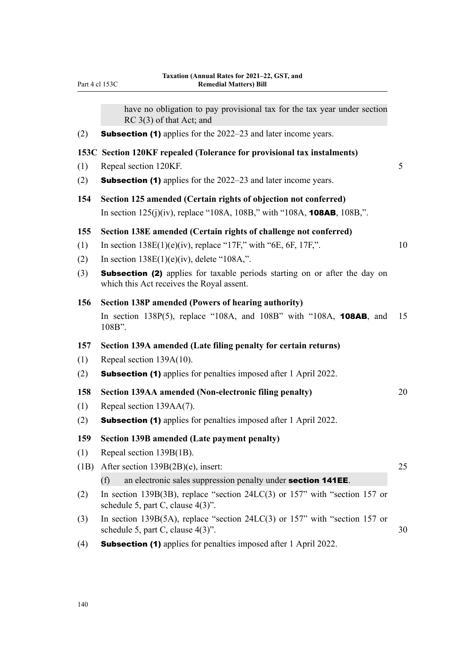|      | have no obligation to pay provisional tax for the tax year under section<br>$RC$ 3(3) of that Act; and                         |                 |
|------|--------------------------------------------------------------------------------------------------------------------------------|-----------------|
| (2)  | <b>Subsection (1)</b> applies for the 2022–23 and later income years.                                                          |                 |
|      | 153C Section 120KF repealed (Tolerance for provisional tax instalments)                                                        |                 |
| (1)  | Repeal section 120KF.                                                                                                          | $5\overline{)}$ |
| (2)  | <b>Subsection (1)</b> applies for the 2022–23 and later income years.                                                          |                 |
| 154  | Section 125 amended (Certain rights of objection not conferred)                                                                |                 |
|      | In section $125(j)(iv)$ , replace "108A, 108B," with "108A, <b>108AB</b> , 108B,".                                             |                 |
| 155  | Section 138E amended (Certain rights of challenge not conferred)                                                               |                 |
| (1)  | In section $138E(1)(e)(iv)$ , replace "17F," with "6E, 6F, 17F,".                                                              | 10              |
| (2)  | In section $138E(1)(e)(iv)$ , delete "108A,".                                                                                  |                 |
| (3)  | <b>Subsection (2)</b> applies for taxable periods starting on or after the day on<br>which this Act receives the Royal assent. |                 |
| 156  | Section 138P amended (Powers of hearing authority)                                                                             |                 |
|      | In section 138 $P(5)$ , replace "108A, and 108B" with "108A, 108AB, and<br>108B".                                              | 15              |
| 157  | Section 139A amended (Late filing penalty for certain returns)                                                                 |                 |
| (1)  | Repeal section 139A(10).                                                                                                       |                 |
| (2)  | <b>Subsection (1)</b> applies for penalties imposed after 1 April 2022.                                                        |                 |
| 158  | Section 139AA amended (Non-electronic filing penalty)                                                                          | 20              |
| (1)  | Repeal section 139AA(7).                                                                                                       |                 |
| (2)  | <b>Subsection (1)</b> applies for penalties imposed after 1 April 2022.                                                        |                 |
| 159  | <b>Section 139B amended (Late payment penalty)</b>                                                                             |                 |
| (1)  | Repeal section 139B(1B).                                                                                                       |                 |
| (1B) | After section 139B(2B)(e), insert:                                                                                             | 25              |
|      | an electronic sales suppression penalty under section 141EE.<br>(f)                                                            |                 |
| (2)  | In section 139B(3B), replace "section $24LC(3)$ or 157" with "section 157 or<br>schedule 5, part C, clause $4(3)$ ".           |                 |
| (3)  | In section 139B(5A), replace "section $24LC(3)$ or 157" with "section 157 or<br>schedule 5, part C, clause $4(3)$ ".           |                 |
| (4)  | <b>Subsection (1)</b> applies for penalties imposed after 1 April 2022.                                                        |                 |

Part 4 cl 153C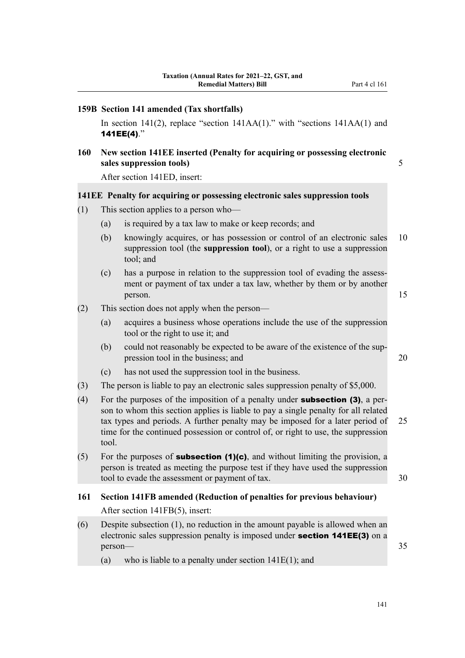|            | 159B Section 141 amended (Tax shortfalls)                                                                                                                                                                                                                                                                                                                       |                                                                                                                                                                  |    |  |  |  |
|------------|-----------------------------------------------------------------------------------------------------------------------------------------------------------------------------------------------------------------------------------------------------------------------------------------------------------------------------------------------------------------|------------------------------------------------------------------------------------------------------------------------------------------------------------------|----|--|--|--|
|            |                                                                                                                                                                                                                                                                                                                                                                 | In section 141(2), replace "section $141AA(1)$ ." with "sections $141AA(1)$ and<br>141EE(4)."                                                                    |    |  |  |  |
| <b>160</b> | New section 141EE inserted (Penalty for acquiring or possessing electronic<br>sales suppression tools)                                                                                                                                                                                                                                                          |                                                                                                                                                                  |    |  |  |  |
|            |                                                                                                                                                                                                                                                                                                                                                                 | After section 141ED, insert:                                                                                                                                     |    |  |  |  |
|            |                                                                                                                                                                                                                                                                                                                                                                 | 141EE Penalty for acquiring or possessing electronic sales suppression tools                                                                                     |    |  |  |  |
| (1)        | This section applies to a person who-                                                                                                                                                                                                                                                                                                                           |                                                                                                                                                                  |    |  |  |  |
|            | (a)                                                                                                                                                                                                                                                                                                                                                             | is required by a tax law to make or keep records; and                                                                                                            |    |  |  |  |
|            | (b)                                                                                                                                                                                                                                                                                                                                                             | knowingly acquires, or has possession or control of an electronic sales<br>suppression tool (the suppression tool), or a right to use a suppression<br>tool; and | 10 |  |  |  |
|            | (c)                                                                                                                                                                                                                                                                                                                                                             | has a purpose in relation to the suppression tool of evading the assess-<br>ment or payment of tax under a tax law, whether by them or by another<br>person.     | 15 |  |  |  |
| (2)        |                                                                                                                                                                                                                                                                                                                                                                 | This section does not apply when the person—                                                                                                                     |    |  |  |  |
|            | (a)                                                                                                                                                                                                                                                                                                                                                             | acquires a business whose operations include the use of the suppression<br>tool or the right to use it; and                                                      |    |  |  |  |
|            | (b)                                                                                                                                                                                                                                                                                                                                                             | could not reasonably be expected to be aware of the existence of the sup-<br>pression tool in the business; and                                                  | 20 |  |  |  |
|            | (c)                                                                                                                                                                                                                                                                                                                                                             | has not used the suppression tool in the business.                                                                                                               |    |  |  |  |
| (3)        |                                                                                                                                                                                                                                                                                                                                                                 | The person is liable to pay an electronic sales suppression penalty of \$5,000.                                                                                  |    |  |  |  |
| (4)        | For the purposes of the imposition of a penalty under <b>subsection (3)</b> , a per-<br>son to whom this section applies is liable to pay a single penalty for all related<br>tax types and periods. A further penalty may be imposed for a later period of<br>25<br>time for the continued possession or control of, or right to use, the suppression<br>tool. |                                                                                                                                                                  |    |  |  |  |
| (5)        | For the purposes of subsection (1)(c), and without limiting the provision, a<br>person is treated as meeting the purpose test if they have used the suppression<br>tool to evade the assessment or payment of tax.<br>30                                                                                                                                        |                                                                                                                                                                  |    |  |  |  |
| <b>161</b> |                                                                                                                                                                                                                                                                                                                                                                 | Section 141FB amended (Reduction of penalties for previous behaviour)                                                                                            |    |  |  |  |
|            |                                                                                                                                                                                                                                                                                                                                                                 | After section 141FB(5), insert:                                                                                                                                  |    |  |  |  |
| (6)        | person-                                                                                                                                                                                                                                                                                                                                                         | Despite subsection $(1)$ , no reduction in the amount payable is allowed when an<br>electronic sales suppression penalty is imposed under section 141EE(3) on a  | 35 |  |  |  |
|            | (a)                                                                                                                                                                                                                                                                                                                                                             | who is liable to a penalty under section $141E(1)$ ; and                                                                                                         |    |  |  |  |
|            |                                                                                                                                                                                                                                                                                                                                                                 |                                                                                                                                                                  |    |  |  |  |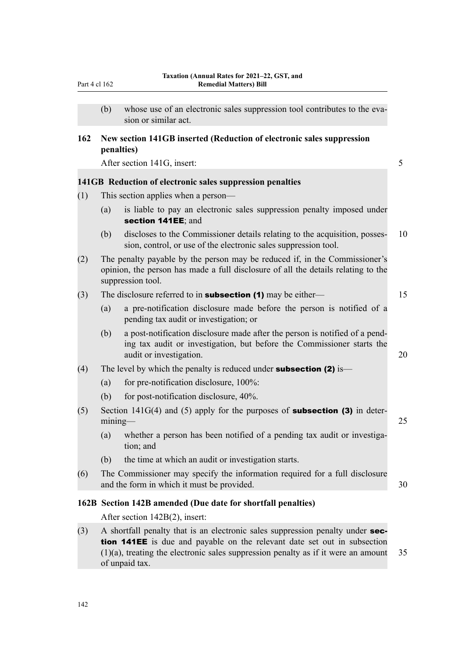|--|

(b) whose use of an electronic sales suppression tool contributes to the evasion or similar act.

## **162 New section 141GB inserted (Reduction of electronic sales suppression penalties)**

After section 141G, insert: 5

#### **141GB Reduction of electronic sales suppression penalties**

- (1) This section applies when a person—
	- (a) is liable to pay an electronic sales suppression penalty imposed under section 141EE; and
	- (b) discloses to the Commissioner details relating to the acquisition, posses‐ 10 sion, control, or use of the electronic sales suppression tool.
- (2) The penalty payable by the person may be reduced if, in the Commissioner's opinion, the person has made a full disclosure of all the details relating to the suppression tool.

| (3)<br>The disclosure referred to in <b>subsection (1)</b> may be either— |  |
|---------------------------------------------------------------------------|--|
|---------------------------------------------------------------------------|--|

- (a) a pre-notification disclosure made before the person is notified of a pending tax audit or investigation; or
- (b) a post-notification disclosure made after the person is notified of a pend‐ ing tax audit or investigation, but before the Commissioner starts the audit or investigation. 20

#### (4) The level by which the penalty is reduced under **subsection (2)** is—

- (a) for pre-notification disclosure,  $100\%$ :
- (b) for post-notification disclosure, 40%.
- (5) Section 141G(4) and (5) apply for the purposes of **subsection (3)** in determining— 25
	- (a) whether a person has been notified of a pending tax audit or investigation; and
	- (b) the time at which an audit or investigation starts.
- (6) The Commissioner may specify the information required for a full disclosure and the form in which it must be provided. 30

#### **162B Section 142B amended (Due date for shortfall penalties)**

After section 142B(2), insert:

(3) A shortfall penalty that is an electronic sales suppression penalty under section 141EE is due and payable on the relevant date set out in subsection  $(1)(a)$ , treating the electronic sales suppression penalty as if it were an amount 35 of unpaid tax.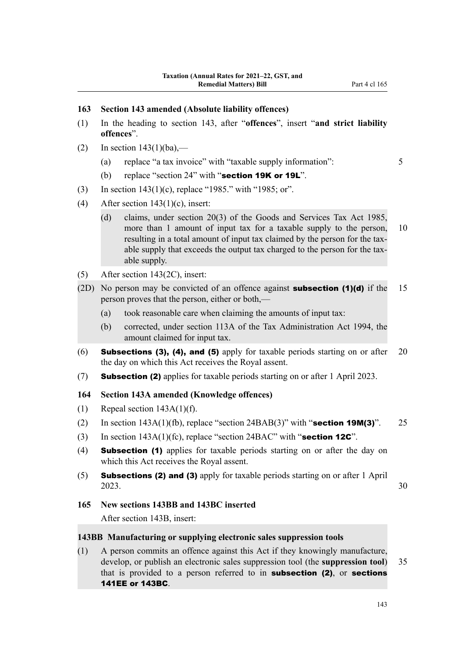# **163 Section 143 amended (Absolute liability offences)**

- (1) In the heading to section 143, after "**offences**", insert "**and strict liability offences**".
- (2) In section  $143(1)(ba)$ ,—
	- (a) replace "a tax invoice" with "taxable supply information": 5
	- (b) replace "section  $24$ " with "section 19K or 19L".
- (3) In section 143(1)(c), replace "1985." with "1985; or".
- (4) After section  $143(1)(c)$ , insert:
	- (d) claims, under section 20(3) of the Goods and Services Tax Act 1985, more than 1 amount of input tax for a taxable supply to the person, 10 resulting in a total amount of input tax claimed by the person for the taxable supply that exceeds the output tax charged to the person for the taxable supply.
- (5) After section 143(2C), insert:
- (2D) No person may be convicted of an offence against **subsection (1)(d)** if the 15 person proves that the person, either or both,—
	- (a) took reasonable care when claiming the amounts of input tax:
	- (b) corrected, under section 113A of the Tax Administration Act 1994, the amount claimed for input tax.
- (6) **Subsections (3), (4), and (5)** apply for taxable periods starting on or after 20 the day on which this Act receives the Royal assent.
- (7) Subsection (2) applies for taxable periods starting on or after 1 April 2023.

#### **164 Section 143A amended (Knowledge offences)**

- (1) Repeal section  $143A(1)(f)$ .
- (2) In section  $143A(1)(fb)$ , replace "section  $24BAB(3)$ " with "section 19M(3)". 25
- (3) In section  $143A(1)$ (fc), replace "section  $24BAC$ " with "section 12C".
- (4) Subsection (1) applies for taxable periods starting on or after the day on which this Act receives the Royal assent.
- (5) Subsections (2) and (3) apply for taxable periods starting on or after 1 April 2023. 30

#### **165 New sections 143BB and 143BC inserted**

After section 143B, insert:

#### **143BB Manufacturing or supplying electronic sales suppression tools**

(1) A person commits an offence against this Act if they knowingly manufacture, develop, or publish an electronic sales suppression tool (the **suppression tool**) 35 that is provided to a person referred to in **subsection (2)**, or **sections** 141EE or 143BC.

143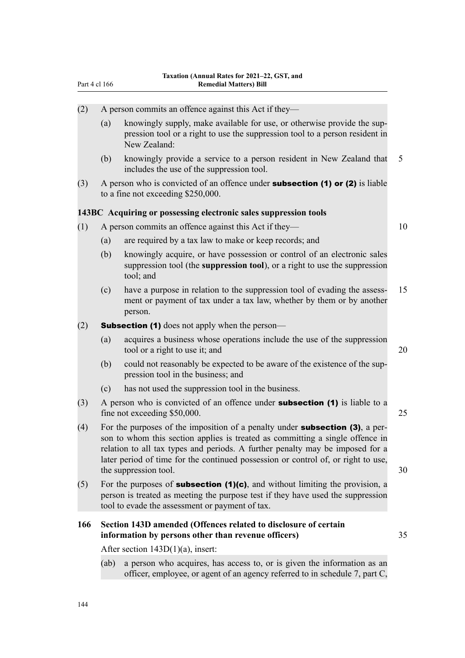|     | Part 4 cl 166                                                                                                                                                                                                                                                                                                                                                        | Taxation (Annual Rates for 2021–22, GST, and<br><b>Remedial Matters) Bill</b>                                                                                                                                                           |    |  |  |  |
|-----|----------------------------------------------------------------------------------------------------------------------------------------------------------------------------------------------------------------------------------------------------------------------------------------------------------------------------------------------------------------------|-----------------------------------------------------------------------------------------------------------------------------------------------------------------------------------------------------------------------------------------|----|--|--|--|
| (2) |                                                                                                                                                                                                                                                                                                                                                                      | A person commits an offence against this Act if they—                                                                                                                                                                                   |    |  |  |  |
|     | (a)                                                                                                                                                                                                                                                                                                                                                                  | knowingly supply, make available for use, or otherwise provide the sup-<br>pression tool or a right to use the suppression tool to a person resident in<br>New Zealand:                                                                 |    |  |  |  |
|     | (b)                                                                                                                                                                                                                                                                                                                                                                  | knowingly provide a service to a person resident in New Zealand that<br>includes the use of the suppression tool.                                                                                                                       | 5  |  |  |  |
| (3) |                                                                                                                                                                                                                                                                                                                                                                      | A person who is convicted of an offence under <b>subsection (1) or (2)</b> is liable<br>to a fine not exceeding \$250,000.                                                                                                              |    |  |  |  |
|     |                                                                                                                                                                                                                                                                                                                                                                      | 143BC Acquiring or possessing electronic sales suppression tools                                                                                                                                                                        |    |  |  |  |
| (1) |                                                                                                                                                                                                                                                                                                                                                                      | A person commits an offence against this Act if they—                                                                                                                                                                                   | 10 |  |  |  |
|     | (a)                                                                                                                                                                                                                                                                                                                                                                  | are required by a tax law to make or keep records; and                                                                                                                                                                                  |    |  |  |  |
|     | (b)                                                                                                                                                                                                                                                                                                                                                                  | knowingly acquire, or have possession or control of an electronic sales<br>suppression tool (the <b>suppression tool</b> ), or a right to use the suppression<br>tool; and                                                              |    |  |  |  |
|     | (c)                                                                                                                                                                                                                                                                                                                                                                  | have a purpose in relation to the suppression tool of evading the assess-<br>ment or payment of tax under a tax law, whether by them or by another<br>person.                                                                           | 15 |  |  |  |
| (2) | <b>Subsection (1)</b> does not apply when the person—                                                                                                                                                                                                                                                                                                                |                                                                                                                                                                                                                                         |    |  |  |  |
|     | (a)                                                                                                                                                                                                                                                                                                                                                                  | acquires a business whose operations include the use of the suppression<br>tool or a right to use it; and                                                                                                                               | 20 |  |  |  |
|     | (b)                                                                                                                                                                                                                                                                                                                                                                  | could not reasonably be expected to be aware of the existence of the sup-<br>pression tool in the business; and                                                                                                                         |    |  |  |  |
|     | (c)                                                                                                                                                                                                                                                                                                                                                                  | has not used the suppression tool in the business.                                                                                                                                                                                      |    |  |  |  |
| (3) | A person who is convicted of an offence under <b>subsection</b> (1) is liable to a<br>fine not exceeding \$50,000.                                                                                                                                                                                                                                                   |                                                                                                                                                                                                                                         | 25 |  |  |  |
| (4) | For the purposes of the imposition of a penalty under <b>subsection (3)</b> , a per-<br>son to whom this section applies is treated as committing a single offence in<br>relation to all tax types and periods. A further penalty may be imposed for a<br>later period of time for the continued possession or control of, or right to use,<br>the suppression tool. |                                                                                                                                                                                                                                         |    |  |  |  |
| (5) |                                                                                                                                                                                                                                                                                                                                                                      | For the purposes of <b>subsection <math>(1)(c)</math></b> , and without limiting the provision, a<br>person is treated as meeting the purpose test if they have used the suppression<br>tool to evade the assessment or payment of tax. |    |  |  |  |
| 166 | Section 143D amended (Offences related to disclosure of certain<br>information by persons other than revenue officers)                                                                                                                                                                                                                                               |                                                                                                                                                                                                                                         |    |  |  |  |
|     | After section $143D(1)(a)$ , insert:                                                                                                                                                                                                                                                                                                                                 |                                                                                                                                                                                                                                         |    |  |  |  |
|     | (ab)                                                                                                                                                                                                                                                                                                                                                                 | a person who acquires, has access to, or is given the information as an<br>officer, employee, or agent of an agency referred to in schedule 7, part C,                                                                                  |    |  |  |  |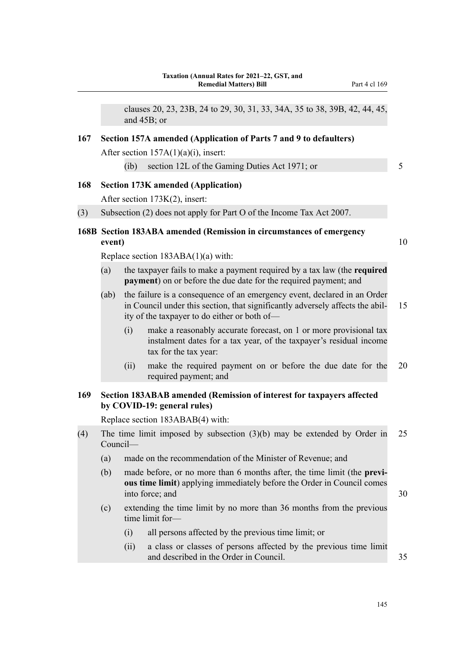clauses 20, 23, 23B, 24 to 29, 30, 31, 33, 34A, 35 to 38, 39B, 42, 44, 45, and 45B; or

#### **167 Section 157A amended (Application of Parts 7 and 9 to defaulters)**

After section  $157A(1)(a)(i)$ , insert:

(ib) section 12L of the Gaming Duties Act 1971; or 5

#### **168 Section 173K amended (Application)**

After section 173K(2), insert:

(3) Subsection (2) does not apply for Part O of the Income Tax Act 2007.

# **168B Section 183ABA amended (Remission in circumstances of emergency event)** 10

Replace section 183ABA(1)(a) with:

- (a) the taxpayer fails to make a payment required by a tax law (the **required payment**) on or before the due date for the required payment; and
- (ab) the failure is a consequence of an emergency event, declared in an Order in Council under this section, that significantly adversely affects the abil-<br>15 ity of the taxpayer to do either or both of—
	- (i) make a reasonably accurate forecast, on 1 or more provisional tax instalment dates for a tax year, of the taxpayer's residual income tax for the tax year:
	- (ii) make the required payment on or before the due date for the 20 required payment; and

# **169 Section 183ABAB amended (Remission of interest for taxpayers affected by COVID-19: general rules)**

Replace section 183ABAB(4) with:

- (4) The time limit imposed by subsection (3)(b) may be extended by Order in 25 Council—
	- (a) made on the recommendation of the Minister of Revenue; and
	- (b) made before, or no more than 6 months after, the time limit (the **previ‐ ous time limit**) applying immediately before the Order in Council comes into force: and 30
	- (c) extending the time limit by no more than 36 months from the previous time limit for—
		- (i) all persons affected by the previous time limit; or
		- (ii) a class or classes of persons affected by the previous time limit and described in the Order in Council.  $35$

145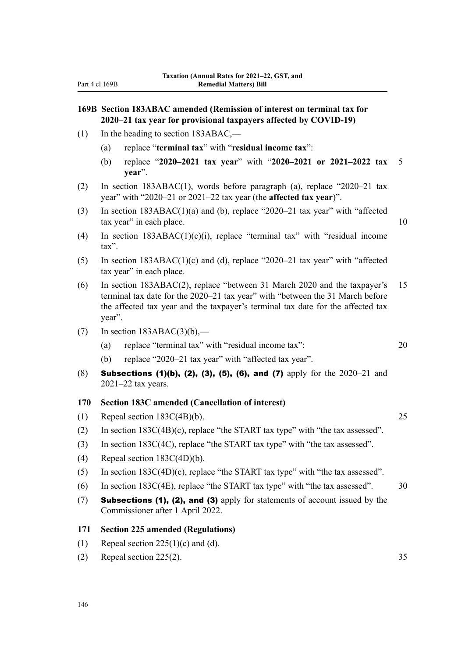# **169B Section 183ABAC amended (Remission of interest on terminal tax for 2020–21 tax year for provisional taxpayers affected by COVID-19)**

- (1) In the heading to section 183ABAC,—
	- (a) replace "**terminal tax**" with "**residual income tax**":
	- (b) replace "**2020–2021 tax year**" with "**2020–2021 or 2021–2022 tax** 5 **year**".
- (2) In section 183ABAC(1), words before paragraph (a), replace "2020–21 tax year" with "2020–21 or 2021–22 tax year (the **affected tax year**)".
- (3) In section 183ABAC(1)(a) and (b), replace "2020–21 tax year" with "affected tax year" in each place. 10
- (4) In section 183ABAC(1)(c)(i), replace "terminal tax" with "residual income tax".
- (5) In section 183ABAC(1)(c) and (d), replace "2020–21 tax year" with "affected tax year" in each place.
- (6) In section 183ABAC(2), replace "between 31 March 2020 and the taxpayer's 15 terminal tax date for the 2020–21 tax year" with "between the 31 March before the affected tax year and the taxpayer's terminal tax date for the affected tax year".
- (7) In section  $183ABAC(3)(b)$ ,—
	- (a) replace "terminal tax" with "residual income tax": 20
	- (b) replace "2020–21 tax year" with "affected tax year".
- (8) Subsections (1)(b), (2), (3), (5), (6), and (7) apply for the 2020–21 and 2021–22 tax years.

#### **170 Section 183C amended (Cancellation of interest)**

- (1) Repeal section 183C(4B)(b). 25
- (2) In section 183C(4B)(c), replace "the START tax type" with "the tax assessed".
- (3) In section 183C(4C), replace "the START tax type" with "the tax assessed".
- (4) Repeal section 183C(4D)(b).
- (5) In section 183C(4D)(c), replace "the START tax type" with "the tax assessed".
- (6) In section 183C(4E), replace "the START tax type" with "the tax assessed".  $30$
- (7) Subsections (1), (2), and (3) apply for statements of account issued by the Commissioner after 1 April 2022.

#### **171 Section 225 amended (Regulations)**

- (1) Repeal section  $225(1)(c)$  and (d).
- (2) Repeal section 225(2). 35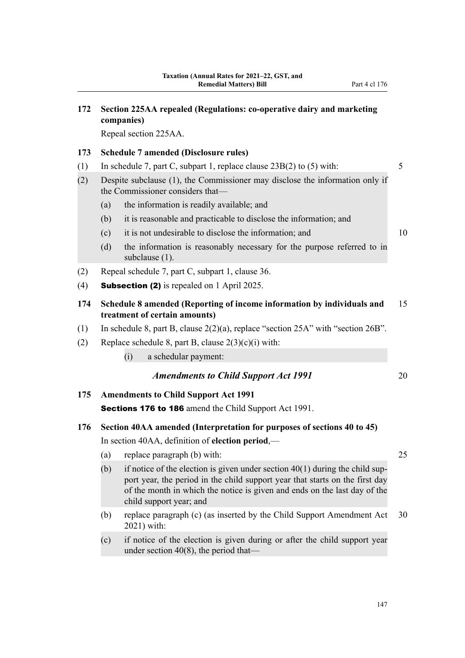| 172 |                                                                                                                             | Section 225AA repealed (Regulations: co-operative dairy and marketing<br>companies)                                                                                                                                                                                    |    |  |  |
|-----|-----------------------------------------------------------------------------------------------------------------------------|------------------------------------------------------------------------------------------------------------------------------------------------------------------------------------------------------------------------------------------------------------------------|----|--|--|
|     | Repeal section 225AA.                                                                                                       |                                                                                                                                                                                                                                                                        |    |  |  |
| 173 |                                                                                                                             | <b>Schedule 7 amended (Disclosure rules)</b>                                                                                                                                                                                                                           |    |  |  |
| (1) | In schedule 7, part C, subpart 1, replace clause $23B(2)$ to (5) with:                                                      |                                                                                                                                                                                                                                                                        |    |  |  |
| (2) | Despite subclause (1), the Commissioner may disclose the information only if<br>the Commissioner considers that-            |                                                                                                                                                                                                                                                                        |    |  |  |
|     | (a)                                                                                                                         | the information is readily available; and                                                                                                                                                                                                                              |    |  |  |
|     | (b)                                                                                                                         | it is reasonable and practicable to disclose the information; and                                                                                                                                                                                                      |    |  |  |
|     | (c)                                                                                                                         | it is not undesirable to disclose the information; and                                                                                                                                                                                                                 | 10 |  |  |
|     | (d)                                                                                                                         | the information is reasonably necessary for the purpose referred to in<br>subclause (1).                                                                                                                                                                               |    |  |  |
| (2) |                                                                                                                             | Repeal schedule 7, part C, subpart 1, clause 36.                                                                                                                                                                                                                       |    |  |  |
| (4) |                                                                                                                             | <b>Subsection (2)</b> is repealed on 1 April 2025.                                                                                                                                                                                                                     |    |  |  |
| 174 | Schedule 8 amended (Reporting of income information by individuals and<br>treatment of certain amounts)                     |                                                                                                                                                                                                                                                                        |    |  |  |
| (1) | In schedule 8, part B, clause $2(2)(a)$ , replace "section $25A$ " with "section $26B$ ".                                   |                                                                                                                                                                                                                                                                        |    |  |  |
| (2) | Replace schedule 8, part B, clause $2(3)(c)(i)$ with:                                                                       |                                                                                                                                                                                                                                                                        |    |  |  |
|     | a schedular payment:<br>(i)                                                                                                 |                                                                                                                                                                                                                                                                        |    |  |  |
|     |                                                                                                                             | <b>Amendments to Child Support Act 1991</b>                                                                                                                                                                                                                            | 20 |  |  |
| 175 |                                                                                                                             | <b>Amendments to Child Support Act 1991</b>                                                                                                                                                                                                                            |    |  |  |
|     |                                                                                                                             | <b>Sections 176 to 186</b> amend the Child Support Act 1991.                                                                                                                                                                                                           |    |  |  |
| 176 | Section 40AA amended (Interpretation for purposes of sections 40 to 45)<br>In section 40AA, definition of election period,— |                                                                                                                                                                                                                                                                        |    |  |  |
|     | (a)                                                                                                                         | replace paragraph (b) with:                                                                                                                                                                                                                                            | 25 |  |  |
|     | (b)                                                                                                                         | if notice of the election is given under section $40(1)$ during the child sup-<br>port year, the period in the child support year that starts on the first day<br>of the month in which the notice is given and ends on the last day of the<br>child support year; and |    |  |  |
|     | (b)                                                                                                                         | replace paragraph (c) (as inserted by the Child Support Amendment Act<br>2021) with:                                                                                                                                                                                   | 30 |  |  |
|     | (c)                                                                                                                         | if notice of the election is given during or after the child support year<br>under section $40(8)$ , the period that—                                                                                                                                                  |    |  |  |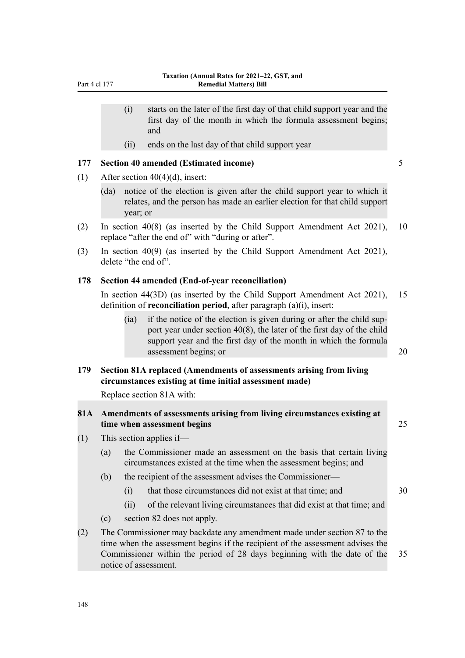(ii) ends on the last day of that child support year

#### **177 Section 40 amended (Estimated income)** 5

(1) After section 40(4)(d), insert:

- (da) notice of the election is given after the child support year to which it relates, and the person has made an earlier election for that child support year; or
- (2) In section 40(8) (as inserted by the Child Support Amendment Act 2021), 10 replace "after the end of" with "during or after".
- (3) In section 40(9) (as inserted by the Child Support Amendment Act 2021), delete "the end of".

#### **178 Section 44 amended (End-of-year reconciliation)**

In section 44(3D) (as inserted by the Child Support Amendment Act 2021), 15 definition of **reconciliation period**, after paragraph (a)(i), insert:

(ia) if the notice of the election is given during or after the child support year under section 40(8), the later of the first day of the child support year and the first day of the month in which the formula assessment begins; or 20

**179 Section 81A replaced (Amendments of assessments arising from living circumstances existing at time initial assessment made)**

Replace section 81A with:

#### **81A Amendments of assessments arising from living circumstances existing at time when assessment begins** 25

- (1) This section applies if—
	- (a) the Commissioner made an assessment on the basis that certain living circumstances existed at the time when the assessment begins; and
	- (b) the recipient of the assessment advises the Commissioner—
		- (i) that those circumstances did not exist at that time; and 30
		- (ii) of the relevant living circumstances that did exist at that time; and
	- (c) section 82 does not apply.
- (2) The Commissioner may backdate any amendment made under section 87 to the time when the assessment begins if the recipient of the assessment advises the Commissioner within the period of 28 days beginning with the date of the 35 notice of assessment.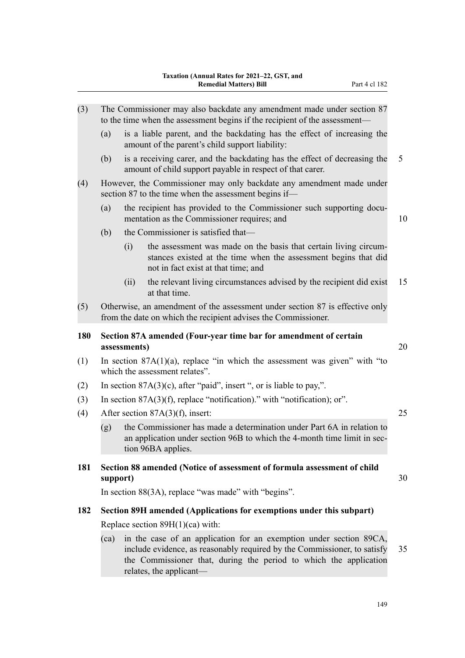| (3) | The Commissioner may also backdate any amendment made under section 87<br>to the time when the assessment begins if the recipient of the assessment- |                                                                                                                           |                                                                                                                                                                                                                     |    |  |  |  |
|-----|------------------------------------------------------------------------------------------------------------------------------------------------------|---------------------------------------------------------------------------------------------------------------------------|---------------------------------------------------------------------------------------------------------------------------------------------------------------------------------------------------------------------|----|--|--|--|
|     | (a)                                                                                                                                                  |                                                                                                                           | is a liable parent, and the backdating has the effect of increasing the<br>amount of the parent's child support liability:                                                                                          |    |  |  |  |
|     | (b)                                                                                                                                                  |                                                                                                                           | is a receiving carer, and the backdating has the effect of decreasing the<br>amount of child support payable in respect of that carer.                                                                              | 5  |  |  |  |
| (4) | However, the Commissioner may only backdate any amendment made under<br>section 87 to the time when the assessment begins if—                        |                                                                                                                           |                                                                                                                                                                                                                     |    |  |  |  |
|     | (a)                                                                                                                                                  | the recipient has provided to the Commissioner such supporting docu-<br>10<br>mentation as the Commissioner requires; and |                                                                                                                                                                                                                     |    |  |  |  |
|     | (b)                                                                                                                                                  |                                                                                                                           | the Commissioner is satisfied that-                                                                                                                                                                                 |    |  |  |  |
|     |                                                                                                                                                      | (i)                                                                                                                       | the assessment was made on the basis that certain living circum-<br>stances existed at the time when the assessment begins that did<br>not in fact exist at that time; and                                          |    |  |  |  |
|     |                                                                                                                                                      | (ii)                                                                                                                      | the relevant living circumstances advised by the recipient did exist<br>at that time.                                                                                                                               | 15 |  |  |  |
| (5) | Otherwise, an amendment of the assessment under section 87 is effective only<br>from the date on which the recipient advises the Commissioner.       |                                                                                                                           |                                                                                                                                                                                                                     |    |  |  |  |
| 180 | Section 87A amended (Four-year time bar for amendment of certain<br>assessments)                                                                     |                                                                                                                           |                                                                                                                                                                                                                     | 20 |  |  |  |
| (1) |                                                                                                                                                      |                                                                                                                           | In section $87A(1)(a)$ , replace "in which the assessment was given" with "to<br>which the assessment relates".                                                                                                     |    |  |  |  |
| (2) |                                                                                                                                                      |                                                                                                                           | In section $87A(3)(c)$ , after "paid", insert ", or is liable to pay,".                                                                                                                                             |    |  |  |  |
| (3) | In section $87A(3)(f)$ , replace "notification)." with "notification); or".                                                                          |                                                                                                                           |                                                                                                                                                                                                                     |    |  |  |  |
| (4) | After section $87A(3)(f)$ , insert:                                                                                                                  |                                                                                                                           |                                                                                                                                                                                                                     |    |  |  |  |
|     | (g)                                                                                                                                                  |                                                                                                                           | the Commissioner has made a determination under Part 6A in relation to<br>an application under section 96B to which the 4-month time limit in sec-<br>tion 96BA applies.                                            |    |  |  |  |
| 181 | support)                                                                                                                                             |                                                                                                                           | Section 88 amended (Notice of assessment of formula assessment of child                                                                                                                                             | 30 |  |  |  |
|     |                                                                                                                                                      |                                                                                                                           | In section 88(3A), replace "was made" with "begins".                                                                                                                                                                |    |  |  |  |
| 182 | Section 89H amended (Applications for exemptions under this subpart)                                                                                 |                                                                                                                           |                                                                                                                                                                                                                     |    |  |  |  |
|     | Replace section $89H(1)(ca)$ with:                                                                                                                   |                                                                                                                           |                                                                                                                                                                                                                     |    |  |  |  |
|     | (ca)                                                                                                                                                 |                                                                                                                           | in the case of an application for an exemption under section 89CA,<br>include evidence, as reasonably required by the Commissioner, to satisfy<br>the Commissioner that, during the period to which the application | 35 |  |  |  |

relates, the applicant—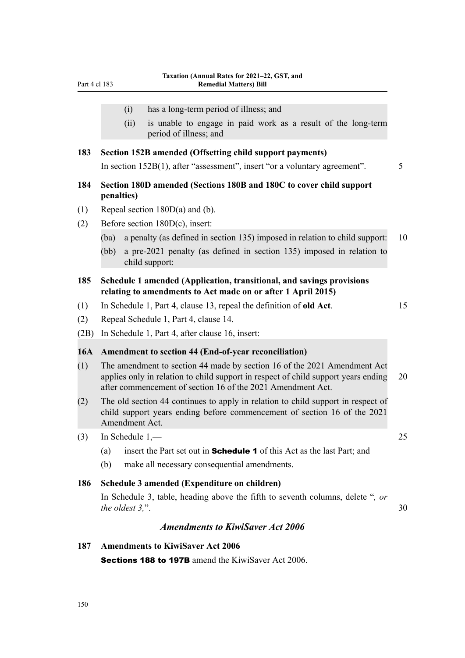- (i) has a long-term period of illness; and
- (ii) is unable to engage in paid work as a result of the long-term period of illness; and

### **183 Section 152B amended (Offsetting child support payments)**

In section 152B(1), after "assessment", insert "or a voluntary agreement". 5

## **184 Section 180D amended (Sections 180B and 180C to cover child support penalties)**

- (1) Repeal section 180D(a) and (b).
- (2) Before section 180D(c), insert:
	- (ba) a penalty (as defined in section 135) imposed in relation to child support: 10
	- (bb) a pre-2021 penalty (as defined in section 135) imposed in relation to child support:

# **185 Schedule 1 amended (Application, transitional, and savings provisions relating to amendments to Act made on or after 1 April 2015)**

(1) In Schedule 1, Part 4, clause 13, repeal the definition of **old Act**. 15

- (2) Repeal Schedule 1, Part 4, clause 14.
- (2B) In Schedule 1, Part 4, after clause 16, insert:

#### **16A Amendment to section 44 (End-of-year reconciliation)**

- (1) The amendment to section 44 made by section 16 of the 2021 Amendment Act applies only in relation to child support in respect of child support years ending 20 after commencement of section 16 of the 2021 Amendment Act.
- (2) The old section 44 continues to apply in relation to child support in respect of child support years ending before commencement of section 16 of the 2021 Amendment Act.
- (3) In Schedule  $1,$ — $25$ 
	- (a) insert the Part set out in **Schedule 1** of this Act as the last Part; and
	- (b) make all necessary consequential amendments.

# **186 Schedule 3 amended (Expenditure on children)**

In Schedule 3, table, heading above the fifth to seventh columns, delete "*, or the oldest 3,"*.

# *Amendments to KiwiSaver Act 2006*

#### **187 Amendments to KiwiSaver Act 2006**

Sections 188 to 197B amend the KiwiSaver Act 2006.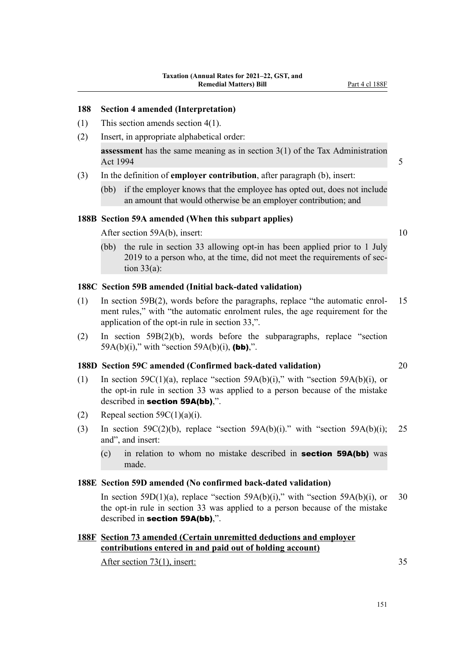#### **188 Section 4 amended (Interpretation)**

- (1) This section amends section 4(1).
- (2) Insert, in appropriate alphabetical order:

**assessment** has the same meaning as in section 3(1) of the Tax Administration Act 1994  $\sim$  5

# (3) In the definition of **employer contribution**, after paragraph (b), insert:

(bb) if the employer knows that the employee has opted out, does not include an amount that would otherwise be an employer contribution; and

## **188B Section 59A amended (When this subpart applies)**

After section 59A(b), insert: 10

(bb) the rule in section 33 allowing opt-in has been applied prior to 1 July 2019 to a person who, at the time, did not meet the requirements of sec‐ tion  $33(a)$ :

# **188C Section 59B amended (Initial back-dated validation)**

- (1) In section 59B(2), words before the paragraphs, replace "the automatic enrol‐ 15 ment rules," with "the automatic enrolment rules, the age requirement for the application of the opt-in rule in section 33,".
- (2) In section 59B(2)(b), words before the subparagraphs, replace "section 59A(b)(i)," with "section 59A(b)(i), (bb),".

#### **188D Section 59C amended (Confirmed back-dated validation)** 20

- (1) In section 59C(1)(a), replace "section 59A(b)(i)," with "section 59A(b)(i), or the opt-in rule in section 33 was applied to a person because of the mistake described in section 59A(bb),".
- (2) Repeal section  $59C(1)(a)(i)$ .
- (3) In section 59C(2)(b), replace "section 59A(b)(i)." with "section 59A(b)(i); 25 and", and insert:
	- (c) in relation to whom no mistake described in **section 59A(bb)** was made.

#### **188E Section 59D amended (No confirmed back-dated validation)**

In section 59D(1)(a), replace "section 59A(b)(i)," with "section 59A(b)(i), or 30 the opt-in rule in section 33 was applied to a person because of the mistake described in section 59A(bb),".

# **188F Section 73 amended (Certain unremitted deductions and employer contributions entered in and paid out of holding account)**

After section 73(1), insert: 35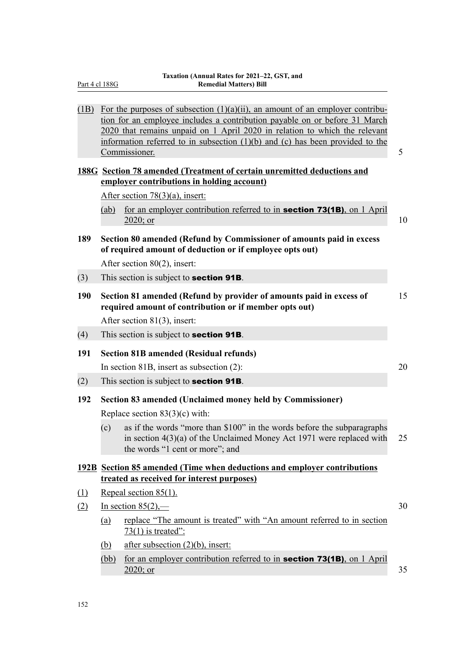|                                                         | $(1B)$ For the purposes of subsection $(1)(a)(ii)$ , an amount of an employer contribu-<br>tion for an employee includes a contribution payable on or before 31 March<br>2020 that remains unpaid on 1 April 2020 in relation to which the relevant<br>information referred to in subsection $(1)(b)$ and $(c)$ has been provided to the<br>5<br>Commissioner. |    |  |  |
|---------------------------------------------------------|----------------------------------------------------------------------------------------------------------------------------------------------------------------------------------------------------------------------------------------------------------------------------------------------------------------------------------------------------------------|----|--|--|
|                                                         | 188G Section 78 amended (Treatment of certain unremitted deductions and                                                                                                                                                                                                                                                                                        |    |  |  |
|                                                         | employer contributions in holding account)                                                                                                                                                                                                                                                                                                                     |    |  |  |
|                                                         | After section $78(3)(a)$ , insert:                                                                                                                                                                                                                                                                                                                             |    |  |  |
|                                                         | for an employer contribution referred to in <b>section 73(1B)</b> , on 1 April<br>(ab)<br>2020; or                                                                                                                                                                                                                                                             | 10 |  |  |
| 189                                                     | Section 80 amended (Refund by Commissioner of amounts paid in excess<br>of required amount of deduction or if employee opts out)                                                                                                                                                                                                                               |    |  |  |
|                                                         | After section 80(2), insert:                                                                                                                                                                                                                                                                                                                                   |    |  |  |
| (3)                                                     | This section is subject to <b>section 91B</b> .                                                                                                                                                                                                                                                                                                                |    |  |  |
| 190                                                     | Section 81 amended (Refund by provider of amounts paid in excess of<br>required amount of contribution or if member opts out)                                                                                                                                                                                                                                  |    |  |  |
|                                                         | After section $81(3)$ , insert:                                                                                                                                                                                                                                                                                                                                |    |  |  |
| (4)                                                     | This section is subject to <b>section 91B</b> .                                                                                                                                                                                                                                                                                                                |    |  |  |
| 191                                                     | <b>Section 81B amended (Residual refunds)</b>                                                                                                                                                                                                                                                                                                                  |    |  |  |
|                                                         | In section 81B, insert as subsection $(2)$ :                                                                                                                                                                                                                                                                                                                   | 20 |  |  |
| (2)                                                     | This section is subject to <b>section 91B</b> .                                                                                                                                                                                                                                                                                                                |    |  |  |
| 192                                                     | Section 83 amended (Unclaimed money held by Commissioner)<br>Replace section $83(3)(c)$ with:                                                                                                                                                                                                                                                                  |    |  |  |
|                                                         | as if the words "more than \$100" in the words before the subparagraphs<br>(c)<br>in section $4(3)(a)$ of the Unclaimed Money Act 1971 were replaced with<br>the words "1 cent or more"; and                                                                                                                                                                   | 25 |  |  |
|                                                         | 192B Section 85 amended (Time when deductions and employer contributions<br>treated as received for interest purposes)                                                                                                                                                                                                                                         |    |  |  |
| Repeal section 85(1).<br>$\left( \underline{1} \right)$ |                                                                                                                                                                                                                                                                                                                                                                |    |  |  |
| (2)                                                     | In section $85(2)$ ,—                                                                                                                                                                                                                                                                                                                                          |    |  |  |
|                                                         | replace "The amount is treated" with "An amount referred to in section<br>(a)<br>$73(1)$ is treated":                                                                                                                                                                                                                                                          |    |  |  |
|                                                         | after subsection $(2)(b)$ , insert:<br>(b)                                                                                                                                                                                                                                                                                                                     |    |  |  |
|                                                         | for an employer contribution referred to in <b>section 73(1B)</b> , on 1 April<br>(bb)<br>2020; or                                                                                                                                                                                                                                                             | 35 |  |  |
|                                                         |                                                                                                                                                                                                                                                                                                                                                                |    |  |  |

Part 4 cl 188G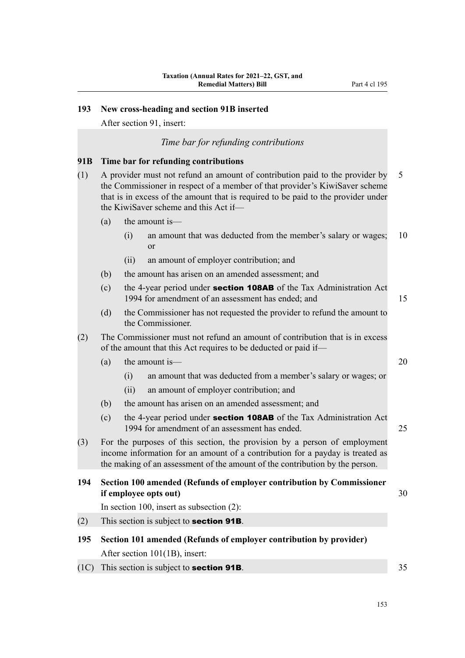# **193 New cross-heading and section 91B inserted**

After section 91, insert:

#### *Time bar for refunding contributions*

#### **91B Time bar for refunding contributions**

- (1) A provider must not refund an amount of contribution paid to the provider by 5 the Commissioner in respect of a member of that provider's KiwiSaver scheme that is in excess of the amount that is required to be paid to the provider under the KiwiSaver scheme and this Act if—
	- (a) the amount is—
		- (i) an amount that was deducted from the member's salary or wages; 10 or
		- (ii) an amount of employer contribution; and
	- (b) the amount has arisen on an amended assessment; and
	- (c) the 4-year period under section 108AB of the Tax Administration Act 1994 for amendment of an assessment has ended; and 15
	- (d) the Commissioner has not requested the provider to refund the amount to the Commissioner.
- (2) The Commissioner must not refund an amount of contribution that is in excess of the amount that this Act requires to be deducted or paid if—
	- (a) the amount is—  $20$ 
		- (i) an amount that was deducted from a member's salary or wages; or
		- (ii) an amount of employer contribution; and
	- (b) the amount has arisen on an amended assessment; and
	- (c) the 4-year period under section 108AB of the Tax Administration Act 1994 for amendment of an assessment has ended. 25
- (3) For the purposes of this section, the provision by a person of employment income information for an amount of a contribution for a payday is treated as the making of an assessment of the amount of the contribution by the person.
- **194 Section 100 amended (Refunds of employer contribution by Commissioner if employee opts out)** 30

In section 100, insert as subsection (2):

(2) This section is subject to **section 91B**.

- **195 Section 101 amended (Refunds of employer contribution by provider)** After section 101(1B), insert:
- (1C) This section is subject to **section 91B.**  $35$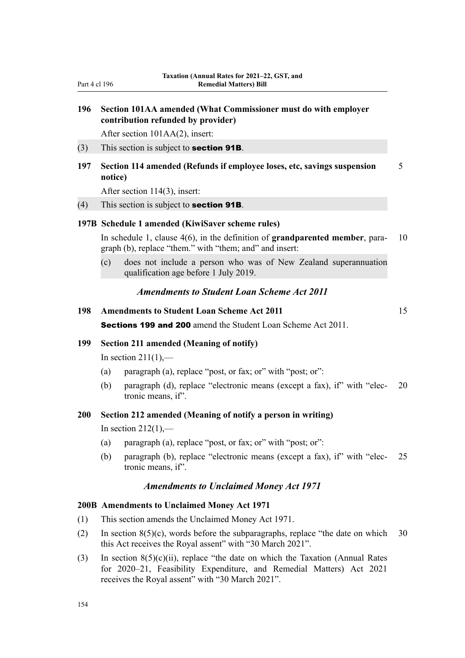# **196 Section 101AA amended (What Commissioner must do with employer contribution refunded by provider)**

After section 101AA(2), insert:

- $(3)$  This section is subject to **section 91B**.
- **197 Section 114 amended (Refunds if employee loses, etc, savings suspension** 5 **notice)**

After section 114(3), insert:

#### $(4)$  This section is subject to **section 91B**.

#### **197B Schedule 1 amended (KiwiSaver scheme rules)**

In schedule 1, clause 4(6), in the definition of **grandparented member**, para- 10 graph (b), replace "them." with "them; and" and insert:

(c) does not include a person who was of New Zealand superannuation qualification age before 1 July 2019.

#### *Amendments to Student Loan Scheme Act 2011*

**198 Amendments to Student Loan Scheme Act 2011** 15

Sections 199 and 200 amend the Student Loan Scheme Act 2011.

#### **199 Section 211 amended (Meaning of notify)**

In section  $211(1)$ ,—

- (a) paragraph (a), replace "post, or fax; or" with "post; or":
- (b) paragraph (d), replace "electronic means (except a fax), if" with "elec‐ 20 tronic means, if".

#### **200 Section 212 amended (Meaning of notify a person in writing)**

In section  $212(1)$ ,—

- (a) paragraph (a), replace "post, or fax; or" with "post; or":
- (b) paragraph (b), replace "electronic means (except a fax), if" with "elec‐ 25 tronic means, if".

#### *Amendments to Unclaimed Money Act 1971*

#### **200B Amendments to Unclaimed Money Act 1971**

- (1) This section amends the Unclaimed Money Act 1971.
- (2) In section  $8(5)(c)$ , words before the subparagraphs, replace "the date on which 30 this Act receives the Royal assent" with "30 March 2021".
- (3) In section 8(5)(c)(ii), replace "the date on which the Taxation (Annual Rates for 2020–21, Feasibility Expenditure, and Remedial Matters) Act 2021 receives the Royal assent" with "30 March 2021".

154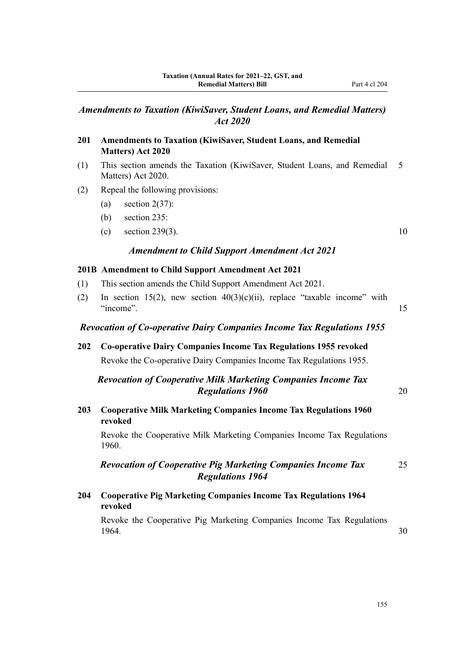# *Amendments to Taxation (KiwiSaver, Student Loans, and Remedial Matters) Act 2020*

## **201 Amendments to Taxation (KiwiSaver, Student Loans, and Remedial Matters) Act 2020**

- (1) This section amends the Taxation (KiwiSaver, Student Loans, and Remedial 5 Matters) Act 2020.
- (2) Repeal the following provisions:
	- (a) section  $2(37)$ :
	- (b) section 235:
	- (c) section 239(3). 10

#### *Amendment to Child Support Amendment Act 2021*

#### **201B Amendment to Child Support Amendment Act 2021**

- (1) This section amends the Child Support Amendment Act 2021.
- (2) In section 15(2), new section  $40(3)(c)(ii)$ , replace "taxable income" with "income". 15

#### *Revocation of Co-operative Dairy Companies Income Tax Regulations 1955*

**202 Co-operative Dairy Companies Income Tax Regulations 1955 revoked** Revoke the Co-operative Dairy Companies Income Tax Regulations 1955.

# *Revocation of Cooperative Milk Marketing Companies Income Tax* **Regulations 1960** 20

**203 Cooperative Milk Marketing Companies Income Tax Regulations 1960 revoked**

Revoke the Cooperative Milk Marketing Companies Income Tax Regulations 1960.

*Revocation of Cooperative Pig Marketing Companies Income Tax* 25 *Regulations 1964*

# **204 Cooperative Pig Marketing Companies Income Tax Regulations 1964 revoked**

Revoke the Cooperative Pig Marketing Companies Income Tax Regulations 1964. 30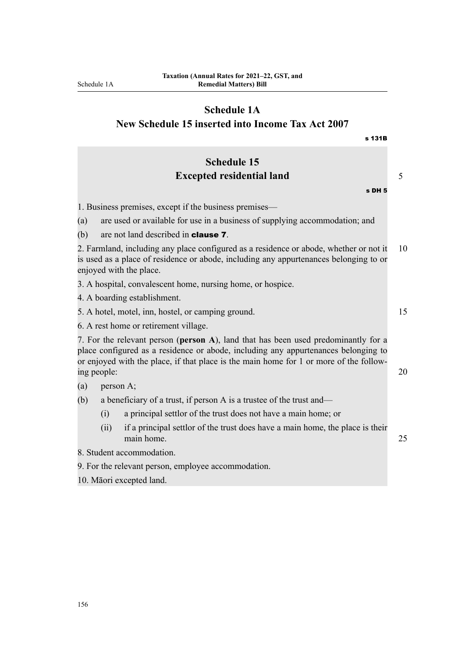# **Schedule 1A**

**New Schedule 15 inserted into Income Tax Act 2007**

|                                                                             | s 131B                                                                                                                                                                                                                                                                            |    |  |
|-----------------------------------------------------------------------------|-----------------------------------------------------------------------------------------------------------------------------------------------------------------------------------------------------------------------------------------------------------------------------------|----|--|
|                                                                             | <b>Schedule 15</b>                                                                                                                                                                                                                                                                |    |  |
|                                                                             | <b>Excepted residential land</b>                                                                                                                                                                                                                                                  | 5  |  |
|                                                                             | s DH 5                                                                                                                                                                                                                                                                            |    |  |
|                                                                             | 1. Business premises, except if the business premises—                                                                                                                                                                                                                            |    |  |
|                                                                             | are used or available for use in a business of supplying accommodation; and<br>(a)                                                                                                                                                                                                |    |  |
|                                                                             | (b)<br>are not land described in <b>clause 7</b> .                                                                                                                                                                                                                                |    |  |
|                                                                             | 2. Farmland, including any place configured as a residence or abode, whether or not it<br>10<br>is used as a place of residence or abode, including any appurtenances belonging to or<br>enjoyed with the place.                                                                  |    |  |
|                                                                             | 3. A hospital, convalescent home, nursing home, or hospice.                                                                                                                                                                                                                       |    |  |
|                                                                             | 4. A boarding establishment.                                                                                                                                                                                                                                                      |    |  |
|                                                                             | 5. A hotel, motel, inn, hostel, or camping ground.                                                                                                                                                                                                                                | 15 |  |
|                                                                             | 6. A rest home or retirement village.                                                                                                                                                                                                                                             |    |  |
|                                                                             | 7. For the relevant person (person A), land that has been used predominantly for a<br>place configured as a residence or abode, including any appurtenances belonging to<br>or enjoyed with the place, if that place is the main home for 1 or more of the follow-<br>ing people: |    |  |
|                                                                             | (a)<br>person A;                                                                                                                                                                                                                                                                  |    |  |
| a beneficiary of a trust, if person A is a trustee of the trust and—<br>(b) |                                                                                                                                                                                                                                                                                   |    |  |
|                                                                             | a principal settlor of the trust does not have a main home; or<br>(i)                                                                                                                                                                                                             |    |  |
|                                                                             | (ii)<br>if a principal settlor of the trust does have a main home, the place is their<br>main home.                                                                                                                                                                               | 25 |  |
|                                                                             | 8. Student accommodation.                                                                                                                                                                                                                                                         |    |  |
|                                                                             | 9. For the relevant person, employee accommodation.                                                                                                                                                                                                                               |    |  |
|                                                                             | 10. Māori excepted land.                                                                                                                                                                                                                                                          |    |  |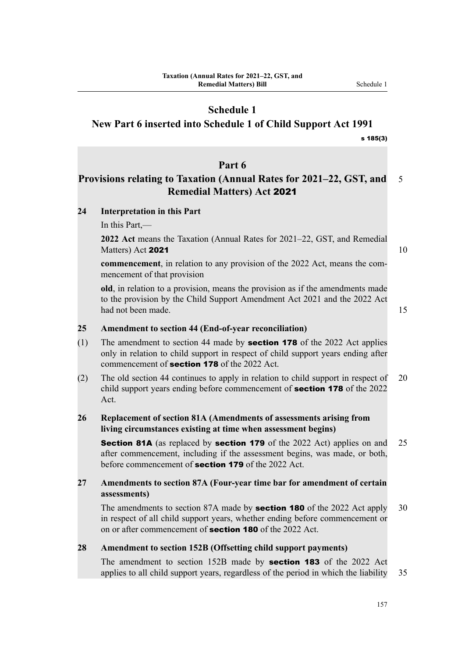# **Schedule 1**

# **New Part 6 inserted into Schedule 1 of Child Support Act 1991**

#### s 185(3)

# **Part 6**

# **Provisions relating to Taxation (Annual Rates for 2021–22, GST, and** 5 **Remedial Matters) Act** 2021

## **24 Interpretation in this Part**

In this Part,—

**2022 Act** means the Taxation (Annual Rates for 2021–22, GST, and Remedial Matters) Act 2021  $\sqrt{10}$  and  $\sqrt{10}$  and  $\sqrt{10}$  and  $\sqrt{10}$  and  $\sqrt{10}$  and  $\sqrt{10}$  and  $\sqrt{10}$  and  $\sqrt{10}$  and  $\sqrt{10}$  and  $\sqrt{10}$  and  $\sqrt{10}$  and  $\sqrt{10}$  and  $\sqrt{10}$  and  $\sqrt{10}$  and  $\sqrt{10}$  and  $\sqrt{10}$ 

**commencement**, in relation to any provision of the 2022 Act, means the commencement of that provision

**old**, in relation to a provision, means the provision as if the amendments made to the provision by the Child Support Amendment Act 2021 and the 2022 Act had not been made. 15

#### **25 Amendment to section 44 (End-of-year reconciliation)**

- (1) The amendment to section 44 made by **section 178** of the 2022 Act applies only in relation to child support in respect of child support years ending after commencement of **section 178** of the 2022 Act.
- (2) The old section 44 continues to apply in relation to child support in respect of 20 child support years ending before commencement of **section 178** of the 2022 Act.

# **26 Replacement of section 81A (Amendments of assessments arising from living circumstances existing at time when assessment begins)**

**Section 81A** (as replaced by **section 179** of the 2022 Act) applies on and 25 after commencement, including if the assessment begins, was made, or both, before commencement of **section 179** of the 2022 Act.

# **27 Amendments to section 87A (Four-year time bar for amendment of certain assessments)**

The amendments to section 87A made by **section 180** of the 2022 Act apply 30 in respect of all child support years, whether ending before commencement or on or after commencement of **section 180** of the 2022 Act.

#### **28 Amendment to section 152B (Offsetting child support payments)**

The amendment to section 152B made by **section 183** of the 2022 Act applies to all child support years, regardless of the period in which the liability 35